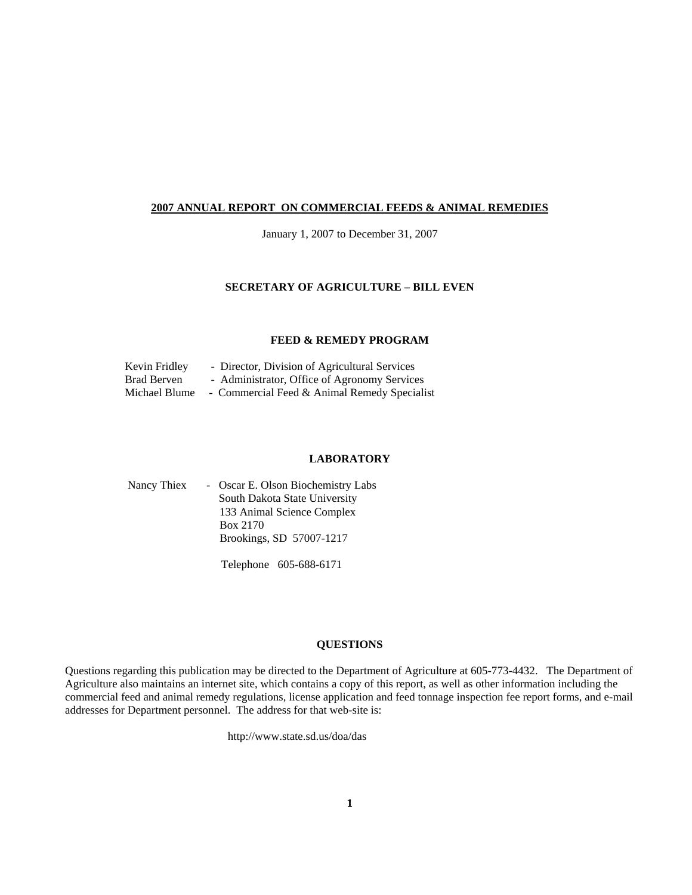#### **2007 ANNUAL REPORT ON COMMERCIAL FEEDS & ANIMAL REMEDIES**

January 1, 2007 to December 31, 2007

#### **SECRETARY OF AGRICULTURE – BILL EVEN**

#### **FEED & REMEDY PROGRAM**

| Kevin Fridley      | - Director, Division of Agricultural Services |
|--------------------|-----------------------------------------------|
| <b>Brad Berven</b> | - Administrator, Office of Agronomy Services  |
| Michael Blume      | - Commercial Feed & Animal Remedy Specialist  |

#### **LABORATORY**

| Nancy Thiex | - Oscar E. Olson Biochemistry Labs |
|-------------|------------------------------------|
|             | South Dakota State University      |
|             | 133 Animal Science Complex         |
|             | Box 2170                           |
|             | Brookings, SD 57007-1217           |
|             |                                    |

Telephone 605-688-6171

#### **QUESTIONS**

Questions regarding this publication may be directed to the Department of Agriculture at 605-773-4432. The Department of Agriculture also maintains an internet site, which contains a copy of this report, as well as other information including the commercial feed and animal remedy regulations, license application and feed tonnage inspection fee report forms, and e-mail addresses for Department personnel. The address for that web-site is:

http://www.state.sd.us/doa/das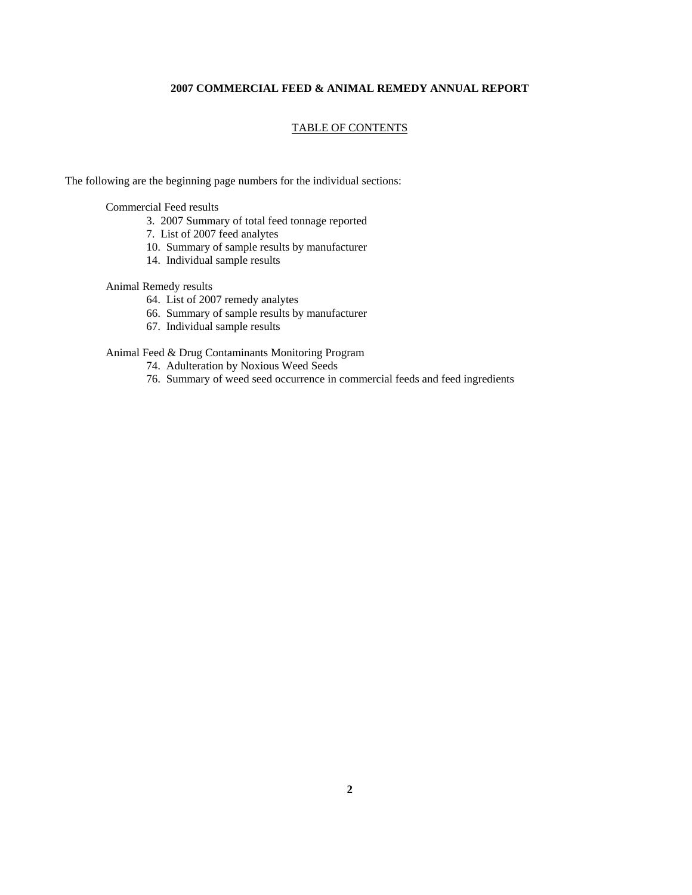#### **2007 COMMERCIAL FEED & ANIMAL REMEDY ANNUAL REPORT**

#### TABLE OF CONTENTS

The following are the beginning page numbers for the individual sections:

Commercial Feed results

- 3. 2007 Summary of total feed tonnage reported
- 7. List of 2007 feed analytes
- 10. Summary of sample results by manufacturer
- 14. Individual sample results

#### Animal Remedy results

- 64. List of 2007 remedy analytes
- 66. Summary of sample results by manufacturer
- 67. Individual sample results

#### Animal Feed & Drug Contaminants Monitoring Program

- 74. Adulteration by Noxious Weed Seeds
- 76. Summary of weed seed occurrence in commercial feeds and feed ingredients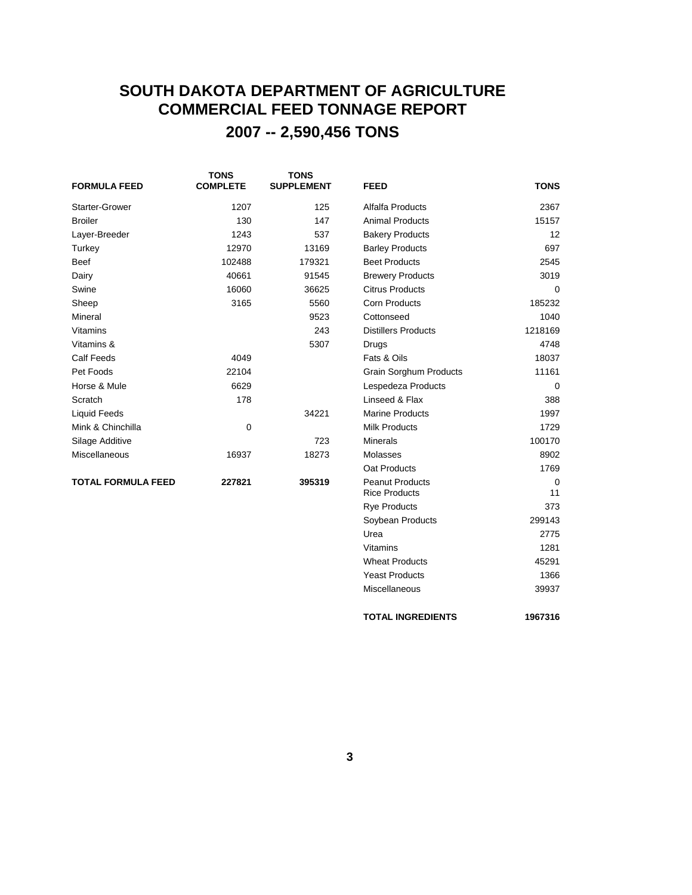## **SOUTH DAKOTA DEPARTMENT OF AGRICULTURE COMMERCIAL FEED TONNAGE REPORT 2007 -- 2,590,456 TONS**

| <b>FORMULA FEED</b>       | <b>TONS</b><br><b>COMPLETE</b> | <b>TONS</b><br><b>SUPPLEMENT</b> | <b>FEED</b>                   | <b>TONS</b> |
|---------------------------|--------------------------------|----------------------------------|-------------------------------|-------------|
| <b>Starter-Grower</b>     | 1207                           | 125                              | Alfalfa Products              | 2367        |
| <b>Broiler</b>            | 130                            | 147                              | <b>Animal Products</b>        | 15157       |
| Layer-Breeder             | 1243                           | 537                              | <b>Bakery Products</b>        | 12          |
| Turkey                    | 12970                          | 13169                            | <b>Barley Products</b>        | 697         |
| <b>Beef</b>               | 102488                         | 179321                           | <b>Beet Products</b>          | 2545        |
| Dairy                     | 40661                          | 91545                            | <b>Brewery Products</b>       | 3019        |
| Swine                     | 16060                          | 36625                            | <b>Citrus Products</b>        | 0           |
| Sheep                     | 3165                           | 5560                             | <b>Corn Products</b>          | 185232      |
| Mineral                   |                                | 9523                             | Cottonseed                    | 1040        |
| Vitamins                  |                                | 243                              | <b>Distillers Products</b>    | 1218169     |
| Vitamins &                |                                | 5307                             | Drugs                         | 4748        |
| <b>Calf Feeds</b>         | 4049                           |                                  | Fats & Oils                   | 18037       |
| Pet Foods                 | 22104                          |                                  | <b>Grain Sorghum Products</b> | 11161       |
| Horse & Mule              | 6629                           |                                  | Lespedeza Products            | $\Omega$    |
| Scratch                   | 178                            |                                  | Linseed & Flax                | 388         |
| <b>Liquid Feeds</b>       |                                | 34221                            | <b>Marine Products</b>        | 1997        |
| Mink & Chinchilla         | $\mathbf 0$                    |                                  | <b>Milk Products</b>          | 1729        |
| Silage Additive           |                                | 723                              | <b>Minerals</b>               | 100170      |
| <b>Miscellaneous</b>      | 16937                          | 18273                            | Molasses                      | 8902        |
|                           |                                |                                  | Oat Products                  | 1769        |
| <b>TOTAL FORMULA FEED</b> | 227821                         | 395319                           | <b>Peanut Products</b>        | $\mathbf 0$ |
|                           |                                |                                  | <b>Rice Products</b>          | 11          |
|                           |                                |                                  | <b>Rye Products</b>           | 373         |
|                           |                                |                                  | Soybean Products              | 299143      |
|                           |                                |                                  |                               |             |

Urea 2775 Vitamins 1281 Wheat Products 45291 Yeast Products 1366 Miscellaneous 39937

**TOTAL INGREDIENTS 1967316**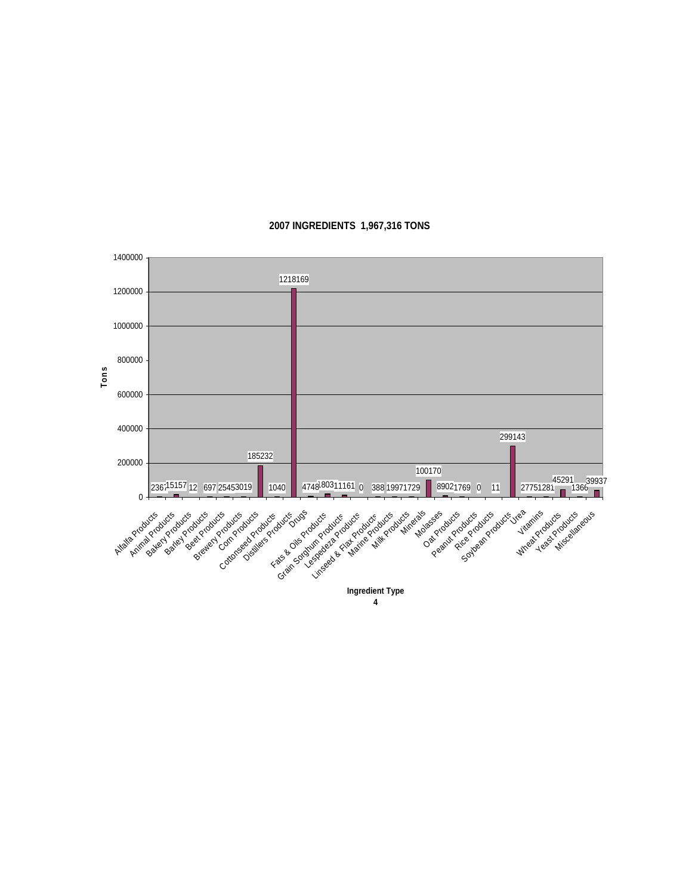

**2007 INGREDIENTS 1,967,316 TONS**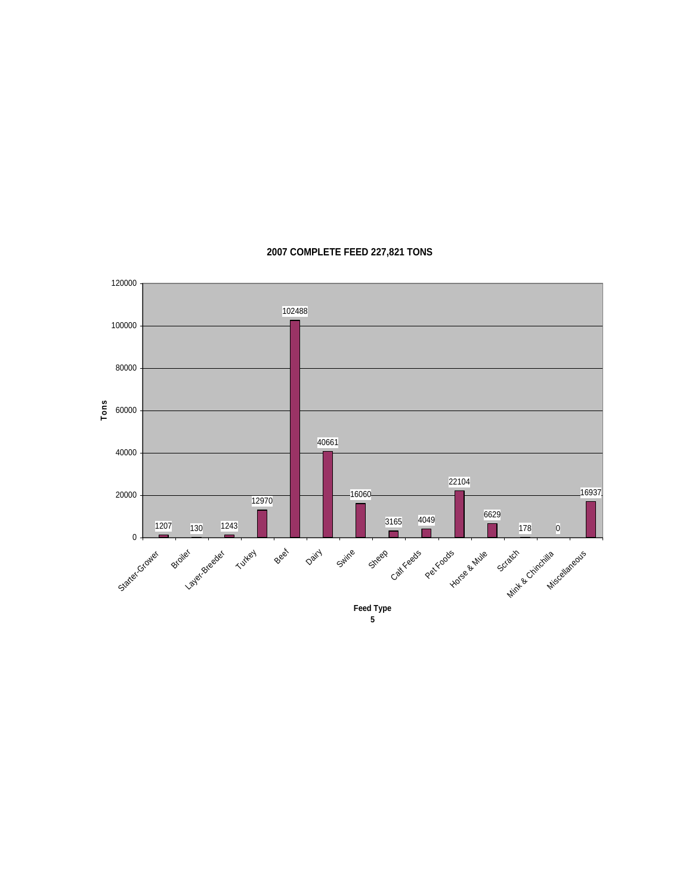

#### **2007 COMPLETE FEED 227,821 TONS**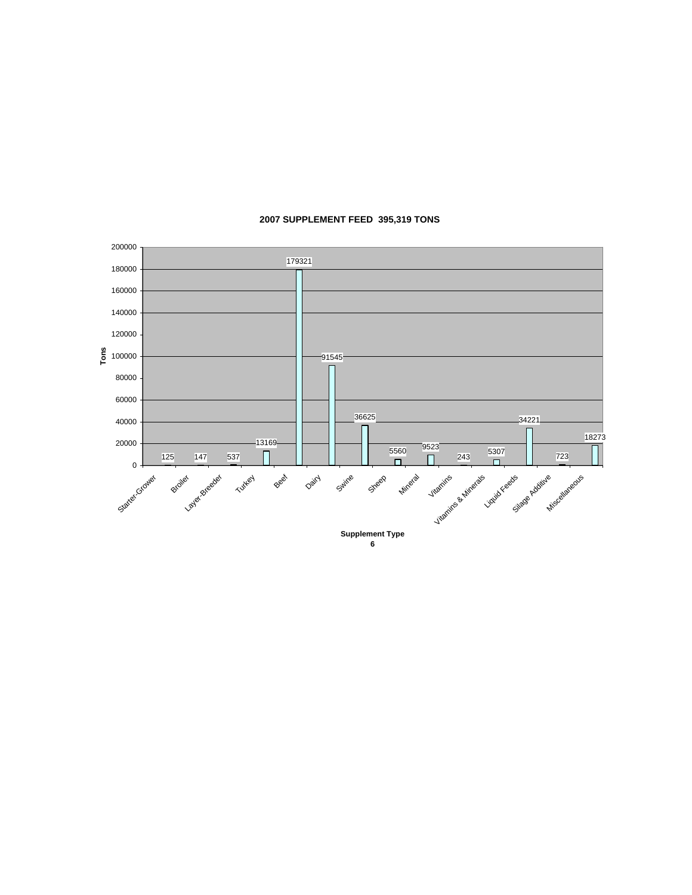

#### **2007 SUPPLEMENT FEED 395,319 TONS**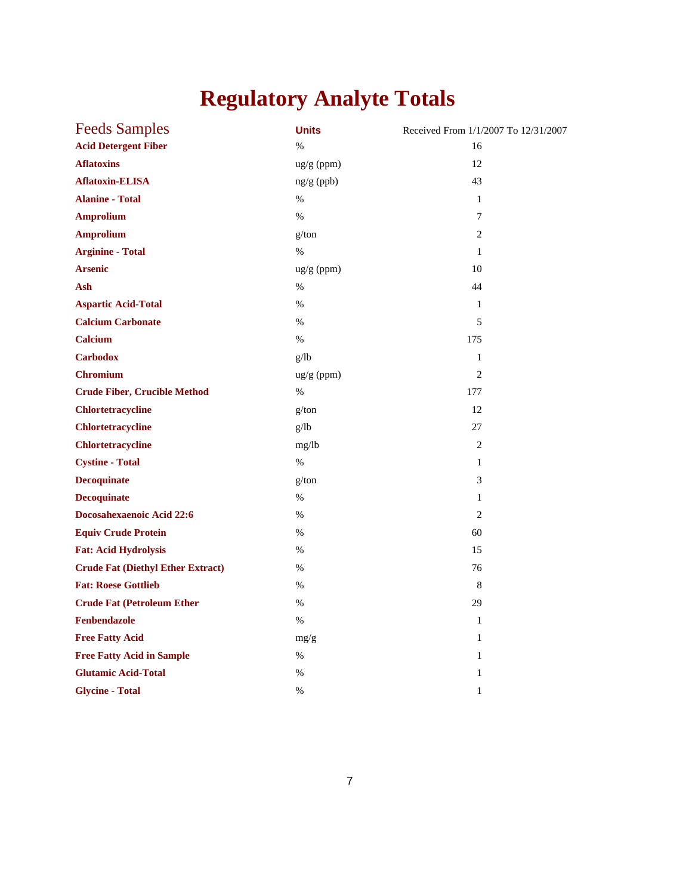# **Regulatory Analyte Totals**

| <b>Feeds Samples</b>                     | <b>Units</b> | Received From 1/1/2007 To 12/31/2007 |
|------------------------------------------|--------------|--------------------------------------|
| <b>Acid Detergent Fiber</b>              | $\%$         | 16                                   |
| <b>Aflatoxins</b>                        | ug/g (ppm)   | 12                                   |
| <b>Aflatoxin-ELISA</b>                   | $ng/g$ (ppb) | 43                                   |
| <b>Alanine - Total</b>                   | $\%$         | $\mathbf{1}$                         |
| <b>Amprolium</b>                         | $\%$         | 7                                    |
| <b>Amprolium</b>                         | g/ton        | $\overline{2}$                       |
| <b>Arginine - Total</b>                  | $\%$         | 1                                    |
| <b>Arsenic</b>                           | ug/g (ppm)   | 10                                   |
| Ash                                      | %            | 44                                   |
| <b>Aspartic Acid-Total</b>               | $\%$         | $\mathbf{1}$                         |
| <b>Calcium Carbonate</b>                 | %            | 5                                    |
| <b>Calcium</b>                           | $\%$         | 175                                  |
| <b>Carbodox</b>                          | g/lb         | 1                                    |
| <b>Chromium</b>                          | ug/g (ppm)   | $\overline{c}$                       |
| <b>Crude Fiber, Crucible Method</b>      | %            | 177                                  |
| <b>Chlortetracycline</b>                 | g/ton        | 12                                   |
| <b>Chlortetracycline</b>                 | g/lb         | 27                                   |
| <b>Chlortetracycline</b>                 | mg/lb        | $\overline{c}$                       |
| <b>Cystine - Total</b>                   | $\%$         | $\mathbf{1}$                         |
| <b>Decoquinate</b>                       | g/ton        | 3                                    |
| <b>Decoquinate</b>                       | %            | 1                                    |
| Docosahexaenoic Acid 22:6                | %            | 2                                    |
| <b>Equiv Crude Protein</b>               | %            | 60                                   |
| <b>Fat: Acid Hydrolysis</b>              | $\%$         | 15                                   |
| <b>Crude Fat (Diethyl Ether Extract)</b> | $\%$         | 76                                   |
| <b>Fat: Roese Gottlieb</b>               | $\%$         | 8                                    |
| <b>Crude Fat (Petroleum Ether</b>        | $\%$         | 29                                   |
| Fenbendazole                             | %            | $\mathbf{1}$                         |
| <b>Free Fatty Acid</b>                   | mg/g         | 1                                    |
| <b>Free Fatty Acid in Sample</b>         | $\%$         | $\mathbf{1}$                         |
| <b>Glutamic Acid-Total</b>               | %            | 1                                    |
| <b>Glycine - Total</b>                   | $\%$         | $\mathbf{1}$                         |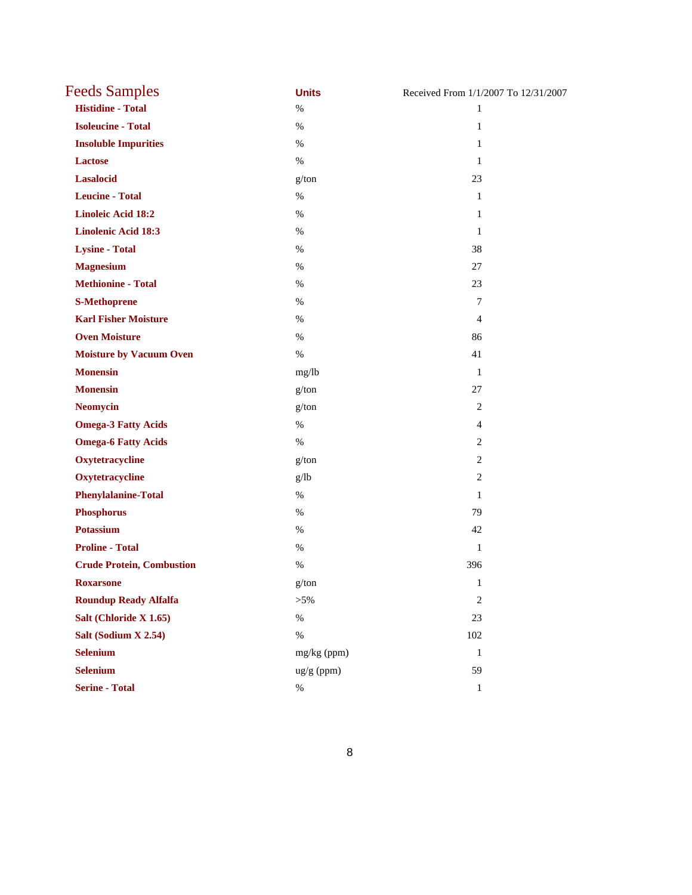| <b>Feeds Samples</b>             | <b>Units</b> | Received From 1/1/2007 To 12/31/2007 |
|----------------------------------|--------------|--------------------------------------|
| <b>Histidine - Total</b>         | $\%$         | $\mathbf{1}$                         |
| <b>Isoleucine - Total</b>        | $\%$         | $\mathbf{1}$                         |
| <b>Insoluble Impurities</b>      | $\%$         | 1                                    |
| Lactose                          | $\%$         | $\mathbf{1}$                         |
| Lasalocid                        | g/ton        | 23                                   |
| <b>Leucine - Total</b>           | $\%$         | 1                                    |
| <b>Linoleic Acid 18:2</b>        | $\%$         | 1                                    |
| <b>Linolenic Acid 18:3</b>       | $\%$         | $\mathbf{1}$                         |
| <b>Lysine - Total</b>            | $\%$         | 38                                   |
| <b>Magnesium</b>                 | $\%$         | 27                                   |
| <b>Methionine - Total</b>        | %            | 23                                   |
| <b>S-Methoprene</b>              | $\%$         | 7                                    |
| <b>Karl Fisher Moisture</b>      | $\%$         | $\overline{4}$                       |
| <b>Oven Moisture</b>             | $\%$         | 86                                   |
| <b>Moisture by Vacuum Oven</b>   | $\%$         | 41                                   |
| <b>Monensin</b>                  | mg/lb        | $\mathbf{1}$                         |
| <b>Monensin</b>                  | g/ton        | 27                                   |
| <b>Neomycin</b>                  | g/ton        | 2                                    |
| <b>Omega-3 Fatty Acids</b>       | $\%$         | $\overline{4}$                       |
| <b>Omega-6 Fatty Acids</b>       | $\%$         | 2                                    |
| Oxytetracycline                  | g/ton        | 2                                    |
| Oxytetracycline                  | g/lb         | $\overline{2}$                       |
| <b>Phenylalanine-Total</b>       | $\%$         | $\mathbf{1}$                         |
| <b>Phosphorus</b>                | $\%$         | 79                                   |
| <b>Potassium</b>                 | $\%$         | 42                                   |
| <b>Proline - Total</b>           | $\%$         | $\mathbf{1}$                         |
| <b>Crude Protein, Combustion</b> | $\%$         | 396                                  |
| <b>Roxarsone</b>                 | g/ton        | 1                                    |
| <b>Roundup Ready Alfalfa</b>     | $> 5\%$      | $\sqrt{2}$                           |
| Salt (Chloride X 1.65)           | $\%$         | 23                                   |
| Salt (Sodium X 2.54)             | $\%$         | 102                                  |
| <b>Selenium</b>                  | mg/kg (ppm)  | $\mathbf{1}$                         |
| <b>Selenium</b>                  | ug/g (ppm)   | 59                                   |
| <b>Serine - Total</b>            | $\%$         | $\mathbf{1}$                         |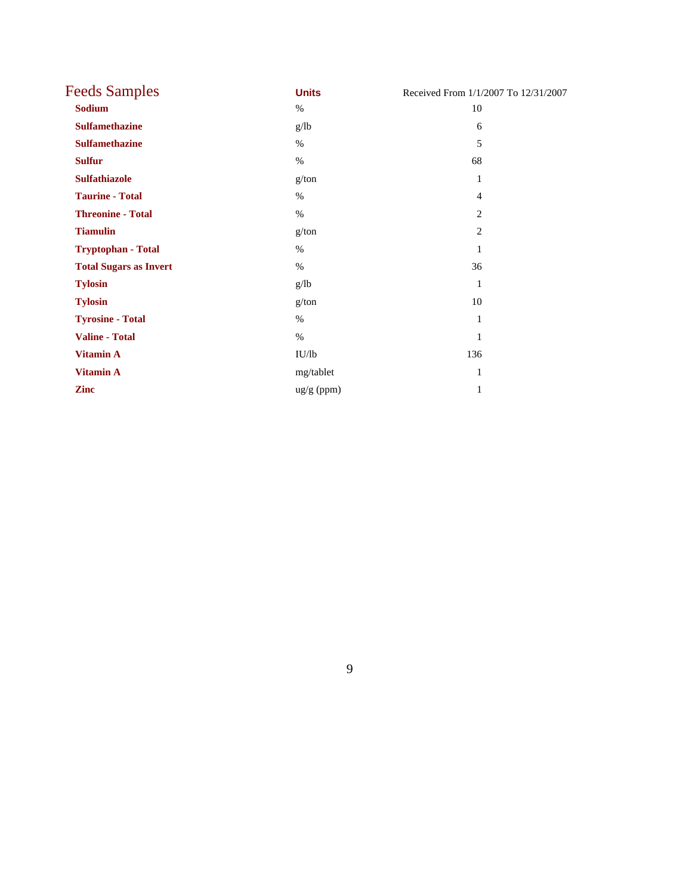| <b>Feeds Samples</b>          | <b>Units</b>         | Received From 1/1/2007 To 12/31/2007 |
|-------------------------------|----------------------|--------------------------------------|
| <b>Sodium</b>                 | $\%$                 | 10                                   |
| <b>Sulfamethazine</b>         | g/lb                 | 6                                    |
| <b>Sulfamethazine</b>         | $\%$                 | 5                                    |
| <b>Sulfur</b>                 | $\%$                 | 68                                   |
| <b>Sulfathiazole</b>          | g/ton                | 1                                    |
| <b>Taurine - Total</b>        | $\%$                 | $\overline{4}$                       |
| <b>Threonine - Total</b>      | $\%$                 | 2                                    |
| <b>Tiamulin</b>               | g/ton                | 2                                    |
| <b>Tryptophan - Total</b>     | $\%$                 | 1                                    |
| <b>Total Sugars as Invert</b> | $\%$                 | 36                                   |
| <b>Tylosin</b>                | g/lb                 | $\mathbf{1}$                         |
| <b>Tylosin</b>                | g/ton                | 10                                   |
| <b>Tyrosine - Total</b>       | $\%$                 | 1                                    |
| <b>Valine - Total</b>         | $\%$                 | 1                                    |
| <b>Vitamin A</b>              | IU/lb                | 136                                  |
| <b>Vitamin A</b>              | mg/tablet            | 1                                    |
| <b>Zinc</b>                   | $\frac{ug}{g}$ (ppm) | 1                                    |

9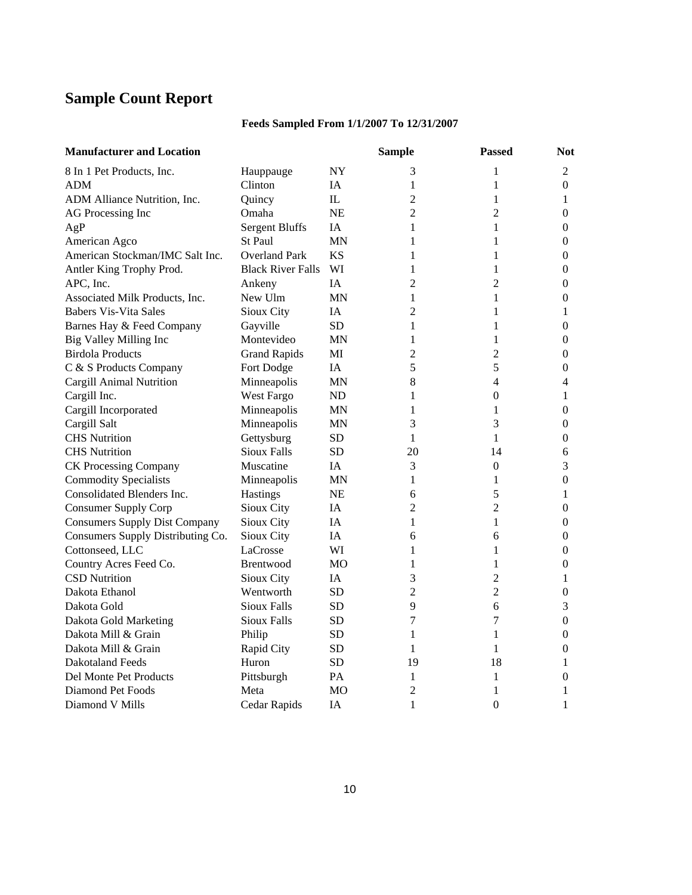## **Sample Count Report**

### **Feeds Sampled From 1/1/2007 To 12/31/2007**

| <b>Manufacturer and Location</b>     |                          |           | <b>Sample</b>  | <b>Passed</b>  | <b>Not</b>       |
|--------------------------------------|--------------------------|-----------|----------------|----------------|------------------|
| 8 In 1 Pet Products, Inc.            | Hauppauge                | <b>NY</b> | 3              | 1              | 2                |
| <b>ADM</b>                           | Clinton                  | IA        | 1              | 1              | $\overline{0}$   |
| ADM Alliance Nutrition, Inc.         | Quincy                   | IL.       | $\overline{c}$ | 1              | 1                |
| AG Processing Inc                    | Omaha                    | <b>NE</b> | $\overline{2}$ | $\overline{2}$ | $\boldsymbol{0}$ |
| AgP                                  | <b>Sergent Bluffs</b>    | <b>IA</b> | 1              | 1              | $\overline{0}$   |
| American Agco                        | St Paul                  | <b>MN</b> | 1              | 1              | $\boldsymbol{0}$ |
| American Stockman/IMC Salt Inc.      | <b>Overland Park</b>     | <b>KS</b> | 1              | 1              | 0                |
| Antler King Trophy Prod.             | <b>Black River Falls</b> | WI        | 1              | $\mathbf{1}$   | $\boldsymbol{0}$ |
| APC, Inc.                            | Ankeny                   | <b>IA</b> | 2              | $\overline{2}$ | $\overline{0}$   |
| Associated Milk Products, Inc.       | New Ulm                  | MN        | 1              | 1              | $\overline{0}$   |
| <b>Babers Vis-Vita Sales</b>         | Sioux City               | IA        | $\overline{2}$ | 1              | 1                |
| Barnes Hay & Feed Company            | Gayville                 | <b>SD</b> | 1              | 1              | $\boldsymbol{0}$ |
| Big Valley Milling Inc               | Montevideo               | MN        | $\mathbf{1}$   | 1              | $\overline{0}$   |
| <b>Birdola Products</b>              | <b>Grand Rapids</b>      | MI        | $\overline{2}$ | $\overline{c}$ | 0                |
| C & S Products Company               | Fort Dodge               | <b>IA</b> | 5              | 5              | $\overline{0}$   |
| Cargill Animal Nutrition             | Minneapolis              | <b>MN</b> | $\,8\,$        | 4              | 4                |
| Cargill Inc.                         | West Fargo               | ND        | 1              | $\overline{0}$ | 1                |
| Cargill Incorporated                 | Minneapolis              | ΜN        | 1              | 1              | $\boldsymbol{0}$ |
| Cargill Salt                         | Minneapolis              | MN        | 3              | 3              | $\overline{0}$   |
| <b>CHS</b> Nutrition                 | Gettysburg               | <b>SD</b> | $\mathbf{1}$   | $\mathbf{1}$   | $\boldsymbol{0}$ |
| <b>CHS</b> Nutrition                 | <b>Sioux Falls</b>       | SD.       | 20             | 14             | 6                |
| <b>CK Processing Company</b>         | Muscatine                | IA        | 3              | 0              | 3                |
| <b>Commodity Specialists</b>         | Minneapolis              | MN        | 1              | 1              | $\overline{0}$   |
| Consolidated Blenders Inc.           | <b>Hastings</b>          | <b>NE</b> | 6              | 5              | 1                |
| <b>Consumer Supply Corp</b>          | Sioux City               | IA        | $\overline{2}$ | $\overline{2}$ | $\boldsymbol{0}$ |
| <b>Consumers Supply Dist Company</b> | Sioux City               | IA        | $\mathbf{1}$   | $\mathbf{1}$   | 0                |
| Consumers Supply Distributing Co.    | Sioux City               | IA        | 6              | 6              | $\boldsymbol{0}$ |
| Cottonseed, LLC                      | LaCrosse                 | WI        | 1              | 1              | 0                |
| Country Acres Feed Co.               | Brentwood                | MO        | 1              | 1              | $\boldsymbol{0}$ |
| <b>CSD Nutrition</b>                 | Sioux City               | IA.       | 3              | $\overline{c}$ | 1                |
| Dakota Ethanol                       | Wentworth                | <b>SD</b> | 2              | $\overline{c}$ | $\theta$         |
| Dakota Gold                          | Sioux Falls              | <b>SD</b> | 9              | 6              | 3                |
| Dakota Gold Marketing                | <b>Sioux Falls</b>       | <b>SD</b> | $\tau$         | 7              | $\boldsymbol{0}$ |
| Dakota Mill & Grain                  | Philip                   | SD        | 1              | 1              | 0                |
| Dakota Mill & Grain                  | Rapid City               | <b>SD</b> | 1              | 1              | $\boldsymbol{0}$ |
| <b>Dakotaland Feeds</b>              | Huron                    | <b>SD</b> | 19             | 18             | 1                |
| Del Monte Pet Products               | Pittsburgh               | PA        | 1              | 1              | 0                |
| Diamond Pet Foods                    | Meta                     | MO        | $\overline{2}$ | 1              | 1                |
| Diamond V Mills                      | Cedar Rapids             | IΑ        | 1              | $\Omega$       | 1                |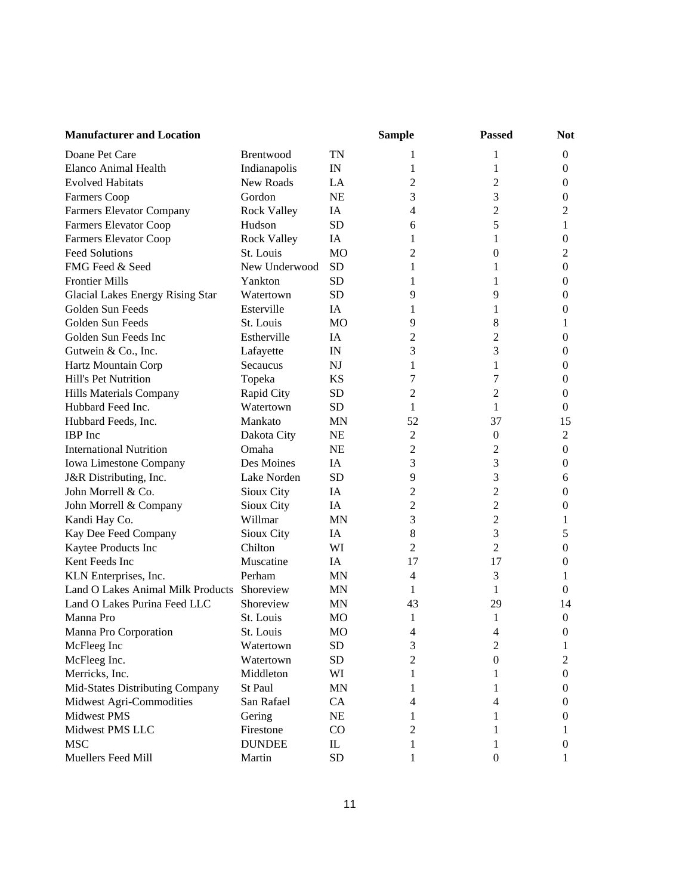| <b>Manufacturer and Location</b>  |                    |                                 | <b>Sample</b>  | <b>Passed</b>    | <b>Not</b>       |
|-----------------------------------|--------------------|---------------------------------|----------------|------------------|------------------|
| Doane Pet Care                    | Brentwood          | <b>TN</b>                       | 1              | 1                | $\boldsymbol{0}$ |
| Elanco Animal Health              | Indianapolis       | $\ensuremath{\text{IN}}$        | 1              | 1                | $\boldsymbol{0}$ |
| <b>Evolved Habitats</b>           | New Roads          | LA                              | 2              | $\overline{c}$   | $\boldsymbol{0}$ |
| Farmers Coop                      | Gordon             | <b>NE</b>                       | 3              | 3                | $\boldsymbol{0}$ |
| Farmers Elevator Company          | <b>Rock Valley</b> | IA                              | 4              | $\overline{c}$   | $\overline{2}$   |
| <b>Farmers Elevator Coop</b>      | Hudson             | <b>SD</b>                       | 6              | 5                | 1                |
| <b>Farmers Elevator Coop</b>      | <b>Rock Valley</b> | IA                              | 1              | 1                | $\mathbf{0}$     |
| <b>Feed Solutions</b>             | St. Louis          | M <sub>O</sub>                  | 2              | $\mathbf{0}$     | 2                |
| FMG Feed & Seed                   | New Underwood      | <b>SD</b>                       | 1              | 1                | $\boldsymbol{0}$ |
| <b>Frontier Mills</b>             | Yankton            | <b>SD</b>                       | 1              | 1                | $\boldsymbol{0}$ |
| Glacial Lakes Energy Rising Star  | Watertown          | <b>SD</b>                       | 9              | 9                | $\boldsymbol{0}$ |
| Golden Sun Feeds                  | Esterville         | IA                              | 1              | 1                | $\boldsymbol{0}$ |
| Golden Sun Feeds                  | St. Louis          | <b>MO</b>                       | 9              | 8                | 1                |
| Golden Sun Feeds Inc              | Estherville        | IA                              | 2              | 2                | $\boldsymbol{0}$ |
| Gutwein & Co., Inc.               | Lafayette          | IN                              | 3              | 3                | $\boldsymbol{0}$ |
| Hartz Mountain Corp               | <b>Secaucus</b>    | <b>NJ</b>                       | 1              | 1                | $\boldsymbol{0}$ |
| Hill's Pet Nutrition              | Topeka             | <b>KS</b>                       | 7              | 7                | $\boldsymbol{0}$ |
| Hills Materials Company           | Rapid City         | <b>SD</b>                       | 2              | 2                | $\boldsymbol{0}$ |
| Hubbard Feed Inc.                 | Watertown          | <b>SD</b>                       | 1              | 1                | $\mathbf{0}$     |
| Hubbard Feeds, Inc.               | Mankato            | <b>MN</b>                       | 52             | 37               | 15               |
| <b>IBP</b> Inc                    | Dakota City        | <b>NE</b>                       | 2              | $\mathbf{0}$     | $\mathbf{2}$     |
| <b>International Nutrition</b>    | Omaha              | <b>NE</b>                       | $\overline{c}$ | 2                | $\boldsymbol{0}$ |
| Iowa Limestone Company            | Des Moines         | IA                              | 3              | 3                | $\boldsymbol{0}$ |
| J&R Distributing, Inc.            | Lake Norden        | <b>SD</b>                       | 9              | 3                | 6                |
| John Morrell & Co.                | Sioux City         | IA                              | $\overline{c}$ | 2                | $\boldsymbol{0}$ |
| John Morrell & Company            | Sioux City         | IA                              | $\mathfrak{2}$ | $\overline{c}$   | $\boldsymbol{0}$ |
| Kandi Hay Co.                     | Willmar            | <b>MN</b>                       | 3              | $\overline{c}$   | 1                |
| Kay Dee Feed Company              | Sioux City         | IA                              | $8\,$          | 3                | 5                |
| Kaytee Products Inc               | Chilton            | WI                              | $\mathfrak{2}$ | 2                | $\boldsymbol{0}$ |
| Kent Feeds Inc                    | Muscatine          | IA                              | 17             | 17               | $\boldsymbol{0}$ |
| KLN Enterprises, Inc.             | Perham             | MN                              | $\overline{4}$ | 3                | 1                |
| Land O Lakes Animal Milk Products | Shoreview          | <b>MN</b>                       | 1              | 1                | 0                |
| Land O Lakes Purina Feed LLC      | Shoreview          | <b>MN</b>                       | 43             | 29               | 14               |
| Manna Pro                         | St. Louis          | <b>MO</b>                       | 1              | 1                | $\mathbf{0}$     |
| Manna Pro Corporation             | St. Louis          | MO                              | 4              | 4                | $\mathbf{0}$     |
| McFleeg Inc                       | Watertown          | SD                              | 3              | 2                | 1                |
| McFleeg Inc.                      | Watertown          | <b>SD</b>                       | $\mathfrak{2}$ | $\theta$         | 2                |
| Merricks, Inc.                    | Middleton          | WI                              | 1              | 1                | 0                |
| Mid-States Distributing Company   | St Paul            | <b>MN</b>                       | 1              | 1                | 0                |
| Midwest Agri-Commodities          | San Rafael         | CA                              | 4              | 4                | 0                |
| Midwest PMS                       | Gering             | NE                              | 1              | 1                | $\bf{0}$         |
| Midwest PMS LLC                   | Firestone          | CO                              | 2              | 1                | 1                |
| <b>MSC</b>                        | <b>DUNDEE</b>      | $\mathop{\mathrm{IL}}\nolimits$ | 1              | 1                | 0                |
| Muellers Feed Mill                | Martin             | <b>SD</b>                       | 1              | $\boldsymbol{0}$ |                  |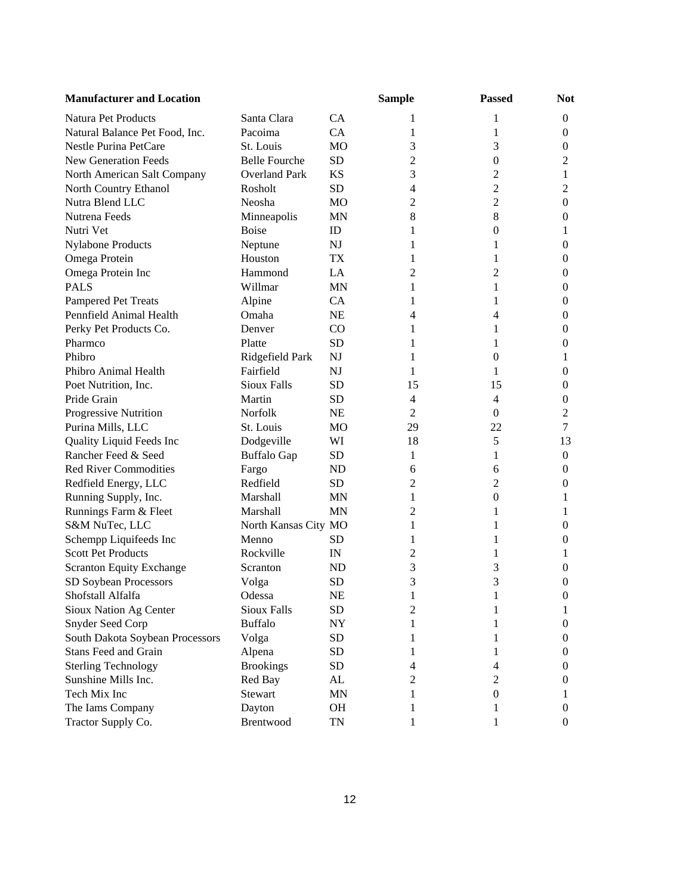| <b>Manufacturer and Location</b> |                      |           | <b>Sample</b>  | <b>Passed</b>    | <b>Not</b>       |
|----------------------------------|----------------------|-----------|----------------|------------------|------------------|
| Natura Pet Products              | Santa Clara          | CA        |                | 1                | $\boldsymbol{0}$ |
| Natural Balance Pet Food, Inc.   | Pacoima              | CA        | 1              | 1                | $\boldsymbol{0}$ |
| Nestle Purina PetCare            | St. Louis            | MO        | 3              | 3                | $\boldsymbol{0}$ |
| <b>New Generation Feeds</b>      | <b>Belle Fourche</b> | <b>SD</b> | 2              | $\boldsymbol{0}$ | $\overline{2}$   |
| North American Salt Company      | <b>Overland Park</b> | <b>KS</b> | 3              | 2                | 1                |
| North Country Ethanol            | Rosholt              | SD        | 4              | $\overline{2}$   | $\overline{c}$   |
| Nutra Blend LLC                  | Neosha               | <b>MO</b> | 2              | $\overline{c}$   | $\boldsymbol{0}$ |
| Nutrena Feeds                    | Minneapolis          | <b>MN</b> | 8              | $8\,$            | $\boldsymbol{0}$ |
| Nutri Vet                        | <b>Boise</b>         | ID        | 1              | 0                | 1                |
| <b>Nylabone Products</b>         | Neptune              | NJ        | 1              | 1                | $\boldsymbol{0}$ |
| Omega Protein                    | Houston              | TX        | 1              | 1                | $\boldsymbol{0}$ |
| Omega Protein Inc                | Hammond              | LA        | 2              | 2                | $\boldsymbol{0}$ |
| <b>PALS</b>                      | Willmar              | <b>MN</b> | 1              | 1                | $\boldsymbol{0}$ |
| <b>Pampered Pet Treats</b>       | Alpine               | <b>CA</b> | 1              | 1                | $\boldsymbol{0}$ |
| Pennfield Animal Health          | Omaha                | NE        | 4              | 4                | $\boldsymbol{0}$ |
| Perky Pet Products Co.           | Denver               | CO        | 1              | 1                | $\boldsymbol{0}$ |
| Pharmco                          | Platte               | SD        | 1              | 1                | $\boldsymbol{0}$ |
| Phibro                           | Ridgefield Park      | NJ        | 1              | $\boldsymbol{0}$ | 1                |
| Phibro Animal Health             | Fairfield            | NJ        | 1              | 1                | $\boldsymbol{0}$ |
| Poet Nutrition, Inc.             | <b>Sioux Falls</b>   | <b>SD</b> | 15             | 15               | $\boldsymbol{0}$ |
| Pride Grain                      | Martin               | <b>SD</b> | 4              | $\overline{4}$   | $\boldsymbol{0}$ |
| Progressive Nutrition            | Norfolk              | <b>NE</b> | $\overline{2}$ | $\overline{0}$   | $\mathfrak{2}$   |
| Purina Mills, LLC                | St. Louis            | MO        | 29             | 22               | $\tau$           |
| Quality Liquid Feeds Inc         | Dodgeville           | WI        | 18             | 5                | 13               |
| Rancher Feed & Seed              | <b>Buffalo Gap</b>   | SD        | 1              | 1                | $\boldsymbol{0}$ |
| <b>Red River Commodities</b>     | Fargo                | <b>ND</b> | 6              | 6                | $\boldsymbol{0}$ |
| Redfield Energy, LLC             | Redfield             | <b>SD</b> | $\overline{c}$ | 2                | $\boldsymbol{0}$ |
| Running Supply, Inc.             | Marshall             | <b>MN</b> | 1              | $\boldsymbol{0}$ | 1                |
| Runnings Farm & Fleet            | Marshall             | <b>MN</b> | 2              | 1                | 1                |
| S&M NuTec, LLC                   | North Kansas City MO |           | 1              | 1                | $\boldsymbol{0}$ |
| Schempp Liquifeeds Inc           | Menno                | SD        | 1              | 1                | $\boldsymbol{0}$ |
| <b>Scott Pet Products</b>        | Rockville            | IN        | 2              | 1                | 1                |
| <b>Scranton Equity Exchange</b>  | Scranton             | ND        | 3              | 3                | $\boldsymbol{0}$ |
| SD Soybean Processors            | Volga                | <b>SD</b> | 3              | 3                | $\boldsymbol{0}$ |
| Shofstall Alfalfa                | Odessa               | <b>NE</b> | 1              | 1                | $\theta$         |
| Sioux Nation Ag Center           | Sioux Falls          | SD        | 2              | 1                | 1                |
| Snyder Seed Corp                 | <b>Buffalo</b>       | NY        | 1              | 1                | 0                |
| South Dakota Soybean Processors  | Volga                | <b>SD</b> | 1              | 1                | 0                |
| <b>Stans Feed and Grain</b>      | Alpena               | SD        | L              | 1                | 0                |
| <b>Sterling Technology</b>       | <b>Brookings</b>     | <b>SD</b> | 4              | 4                | 0                |
| Sunshine Mills Inc.              | Red Bay              | AL        | 2              | 2                | $\boldsymbol{0}$ |
| Tech Mix Inc                     | Stewart              | MN        | 1              | 0                | 1                |
| The Iams Company                 | Dayton               | OH        |                | 1                | $\boldsymbol{0}$ |
| Tractor Supply Co.               | Brentwood            | TN        |                |                  | $\boldsymbol{0}$ |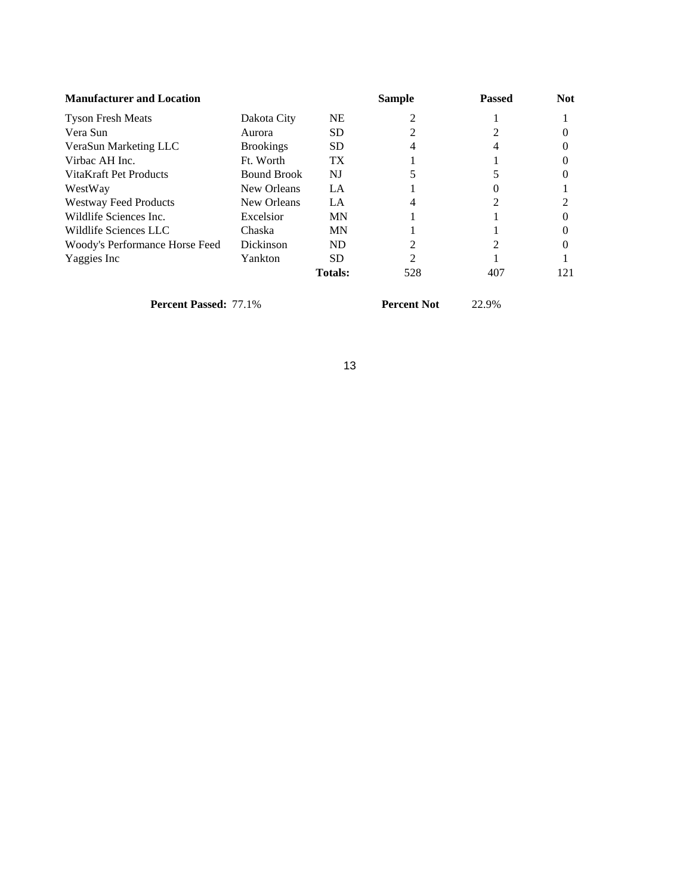| <b>Manufacturer and Location</b> |                    |                 | Sample         | <b>Passed</b> | <b>Not</b> |
|----------------------------------|--------------------|-----------------|----------------|---------------|------------|
| <b>Tyson Fresh Meats</b>         | Dakota City        | <b>NE</b>       |                |               |            |
| Vera Sun                         | Aurora             | SD.             |                |               |            |
| VeraSun Marketing LLC            | <b>Brookings</b>   | SD.             |                |               |            |
| Virbac AH Inc.                   | Ft. Worth          | TX <sup>-</sup> |                |               |            |
| VitaKraft Pet Products           | <b>Bound Brook</b> | NJ              |                |               |            |
| WestWay                          | New Orleans        | LA              |                |               |            |
| <b>Westway Feed Products</b>     | New Orleans        | LA              |                |               |            |
| Wildlife Sciences Inc.           | Excelsior          | MN              |                |               |            |
| Wildlife Sciences LLC            | Chaska             | <b>MN</b>       |                |               |            |
| Woody's Performance Horse Feed   | <b>Dickinson</b>   | ND              |                |               |            |
| Yaggies Inc                      | Yankton            | <b>SD</b>       | $\mathfrak{D}$ |               |            |
|                                  |                    | <b>Totals:</b>  | 528            | 407           | 121        |

**Percent Passed:** 77.1% **Percent Not** 22.9%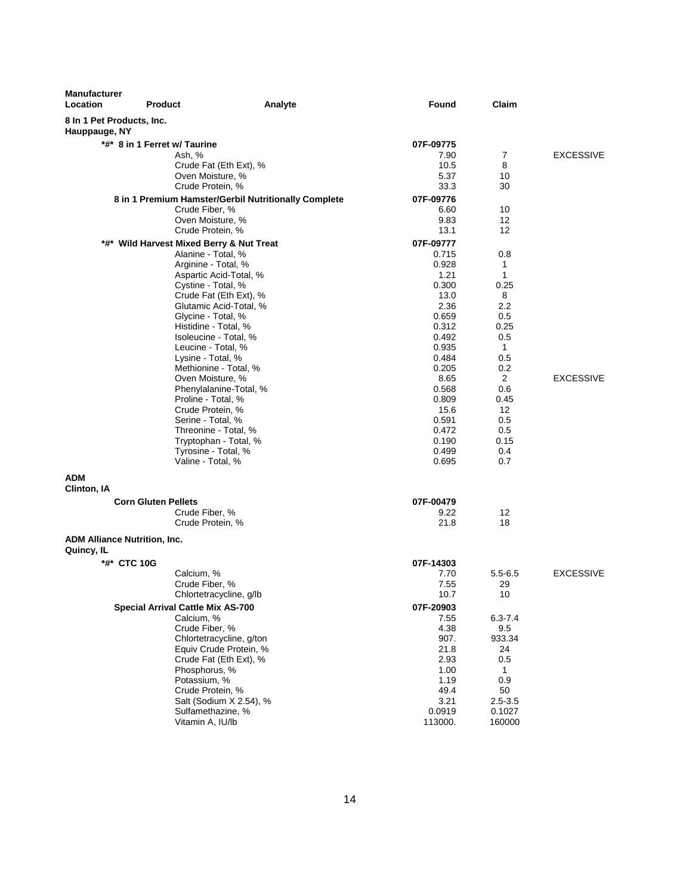| <b>Manufacturer</b><br>Location | <b>Product</b>               | Analyte                                              | Found          | Claim            |                  |
|---------------------------------|------------------------------|------------------------------------------------------|----------------|------------------|------------------|
| Hauppauge, NY                   | 8 In 1 Pet Products, Inc.    |                                                      |                |                  |                  |
|                                 | *#* 8 in 1 Ferret w/ Taurine |                                                      | 07F-09775      |                  |                  |
|                                 |                              | Ash, %                                               | 7.90           | 7                | <b>EXCESSIVE</b> |
|                                 |                              | Crude Fat (Eth Ext), %                               | 10.5           | 8                |                  |
|                                 |                              | Oven Moisture, %                                     | 5.37           | 10               |                  |
|                                 |                              | Crude Protein, %                                     | 33.3           | 30               |                  |
|                                 |                              | 8 in 1 Premium Hamster/Gerbil Nutritionally Complete | 07F-09776      |                  |                  |
|                                 |                              | Crude Fiber, %<br>Oven Moisture, %                   | 6.60<br>9.83   | 10<br>12         |                  |
|                                 |                              | Crude Protein, %                                     | 13.1           | 12               |                  |
|                                 |                              | *#* Wild Harvest Mixed Berry & Nut Treat             | 07F-09777      |                  |                  |
|                                 |                              | Alanine - Total, %                                   | 0.715          | 0.8              |                  |
|                                 |                              | Arginine - Total, %                                  | 0.928          | 1                |                  |
|                                 |                              | Aspartic Acid-Total, %                               | 1.21           | 1                |                  |
|                                 |                              | Cystine - Total, %                                   | 0.300          | 0.25             |                  |
|                                 |                              | Crude Fat (Eth Ext), %                               | 13.0           | 8                |                  |
|                                 |                              | Glutamic Acid-Total, %                               | 2.36           | 2.2              |                  |
|                                 |                              | Glycine - Total, %<br>Histidine - Total, %           | 0.659<br>0.312 | 0.5<br>0.25      |                  |
|                                 |                              | Isoleucine - Total, %                                | 0.492          | 0.5              |                  |
|                                 |                              | Leucine - Total, %                                   | 0.935          | $\mathbf{1}$     |                  |
|                                 |                              | Lysine - Total, %                                    | 0.484          | 0.5              |                  |
|                                 |                              | Methionine - Total, %                                | 0.205          | 0.2              |                  |
|                                 |                              | Oven Moisture, %                                     | 8.65           | $\overline{2}$   | <b>EXCESSIVE</b> |
|                                 |                              | Phenylalanine-Total, %                               | 0.568          | 0.6              |                  |
|                                 |                              | Proline - Total, %<br>Crude Protein, %               | 0.809<br>15.6  | 0.45<br>12       |                  |
|                                 |                              | Serine - Total, %                                    | 0.591          | 0.5              |                  |
|                                 |                              | Threonine - Total, %                                 | 0.472          | 0.5              |                  |
|                                 |                              | Tryptophan - Total, %                                | 0.190          | 0.15             |                  |
|                                 |                              | Tyrosine - Total, %                                  | 0.499          | 0.4              |                  |
|                                 |                              | Valine - Total, %                                    | 0.695          | 0.7              |                  |
| <b>ADM</b><br>Clinton, IA       |                              |                                                      |                |                  |                  |
|                                 | <b>Corn Gluten Pellets</b>   |                                                      | 07F-00479      |                  |                  |
|                                 |                              | Crude Fiber, %                                       | 9.22           | 12               |                  |
|                                 |                              | Crude Protein, %                                     | 21.8           | 18               |                  |
| Quincy, IL                      | ADM Alliance Nutrition, Inc. |                                                      |                |                  |                  |
|                                 | *#* CTC 10G                  |                                                      | 07F-14303      |                  |                  |
|                                 |                              | Calcium, %                                           | 7.70           | $5.5 - 6.5$      | <b>EXCESSIVE</b> |
|                                 |                              | Crude Fiber, %                                       | 7.55           | 29               |                  |
|                                 |                              | Chlortetracycline, g/lb                              | 10.7           | 10               |                  |
|                                 |                              | Special Arrival Cattle Mix AS-700                    | 07F-20903      |                  |                  |
|                                 |                              | Calcium, %                                           | 7.55           | $6.3 - 7.4$      |                  |
|                                 |                              | Crude Fiber, %<br>Chlortetracycline, g/ton           | 4.38<br>907.   | 9.5<br>933.34    |                  |
|                                 |                              | Equiv Crude Protein, %                               | 21.8           | 24               |                  |
|                                 |                              | Crude Fat (Eth Ext), %                               | 2.93           | 0.5              |                  |
|                                 |                              | Phosphorus, %                                        | 1.00           | 1                |                  |
|                                 |                              | Potassium, %                                         | 1.19           | 0.9              |                  |
|                                 |                              | Crude Protein, %                                     | 49.4           | 50               |                  |
|                                 |                              | Salt (Sodium X 2.54), %                              | 3.21<br>0.0919 | $2.5 - 3.5$      |                  |
|                                 |                              | Sulfamethazine, %<br>Vitamin A, IU/lb                | 113000.        | 0.1027<br>160000 |                  |
|                                 |                              |                                                      |                |                  |                  |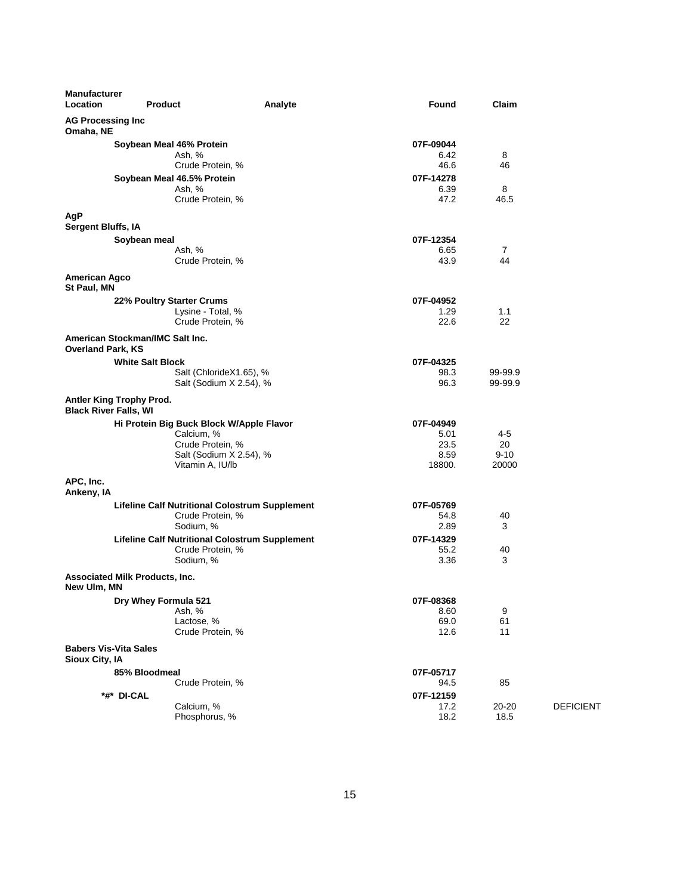| <b>Manufacturer</b><br>Location                | <b>Product</b>                        | Analyte                                                                                                                   | Found                                                  | Claim                              |                  |
|------------------------------------------------|---------------------------------------|---------------------------------------------------------------------------------------------------------------------------|--------------------------------------------------------|------------------------------------|------------------|
| <b>AG Processing Inc</b><br>Omaha, NE          |                                       |                                                                                                                           |                                                        |                                    |                  |
|                                                | Soybean Meal 46% Protein              | Ash, %<br>Crude Protein, %<br>Soybean Meal 46.5% Protein<br>Ash, %<br>Crude Protein, %                                    | 07F-09044<br>6.42<br>46.6<br>07F-14278<br>6.39<br>47.2 | 8<br>46<br>8<br>46.5               |                  |
| AgP                                            |                                       |                                                                                                                           |                                                        |                                    |                  |
| <b>Sergent Bluffs, IA</b>                      | Soybean meal                          | Ash, %<br>Crude Protein, %                                                                                                | 07F-12354<br>6.65<br>43.9                              | $\overline{7}$<br>44               |                  |
| <b>American Agco</b><br>St Paul, MN            |                                       |                                                                                                                           |                                                        |                                    |                  |
|                                                | 22% Poultry Starter Crums             | Lysine - Total, %<br>Crude Protein, %                                                                                     | 07F-04952<br>1.29<br>22.6                              | 1.1<br>22                          |                  |
| <b>Overland Park, KS</b>                       | American Stockman/IMC Salt Inc.       |                                                                                                                           |                                                        |                                    |                  |
|                                                | <b>White Salt Block</b>               | Salt (ChlorideX1.65), %<br>Salt (Sodium X 2.54), %                                                                        | 07F-04325<br>98.3<br>96.3                              | 99-99.9<br>99-99.9                 |                  |
| <b>Black River Falls, WI</b>                   | Antler King Trophy Prod.              |                                                                                                                           |                                                        |                                    |                  |
|                                                |                                       | Hi Protein Big Buck Block W/Apple Flavor<br>Calcium, %<br>Crude Protein, %<br>Salt (Sodium X 2.54), %<br>Vitamin A, IU/lb | 07F-04949<br>5.01<br>23.5<br>8.59<br>18800.            | $4 - 5$<br>20<br>$9 - 10$<br>20000 |                  |
| APC, Inc.<br>Ankeny, IA                        |                                       |                                                                                                                           |                                                        |                                    |                  |
|                                                |                                       | <b>Lifeline Calf Nutritional Colostrum Supplement</b><br>Crude Protein, %<br>Sodium, %                                    | 07F-05769<br>54.8<br>2.89                              | 40<br>3                            |                  |
|                                                |                                       | <b>Lifeline Calf Nutritional Colostrum Supplement</b><br>Crude Protein, %<br>Sodium, %                                    | 07F-14329<br>55.2<br>3.36                              | 40<br>3                            |                  |
| New Ulm, MN                                    | <b>Associated Milk Products, Inc.</b> |                                                                                                                           |                                                        |                                    |                  |
|                                                | Dry Whey Formula 521                  | Ash, %<br>Lactose, %<br>Crude Protein, %                                                                                  | 07F-08368<br>8.60<br>69.0<br>12.6                      | 9<br>61<br>11                      |                  |
| <b>Babers Vis-Vita Sales</b><br>Sioux City, IA |                                       |                                                                                                                           |                                                        |                                    |                  |
|                                                | 85% Bloodmeal                         | Crude Protein, %                                                                                                          | 07F-05717<br>94.5                                      | 85                                 |                  |
|                                                | *#* DI-CAL                            | Calcium, %<br>Phosphorus, %                                                                                               | 07F-12159<br>17.2<br>18.2                              | 20-20<br>18.5                      | <b>DEFICIENT</b> |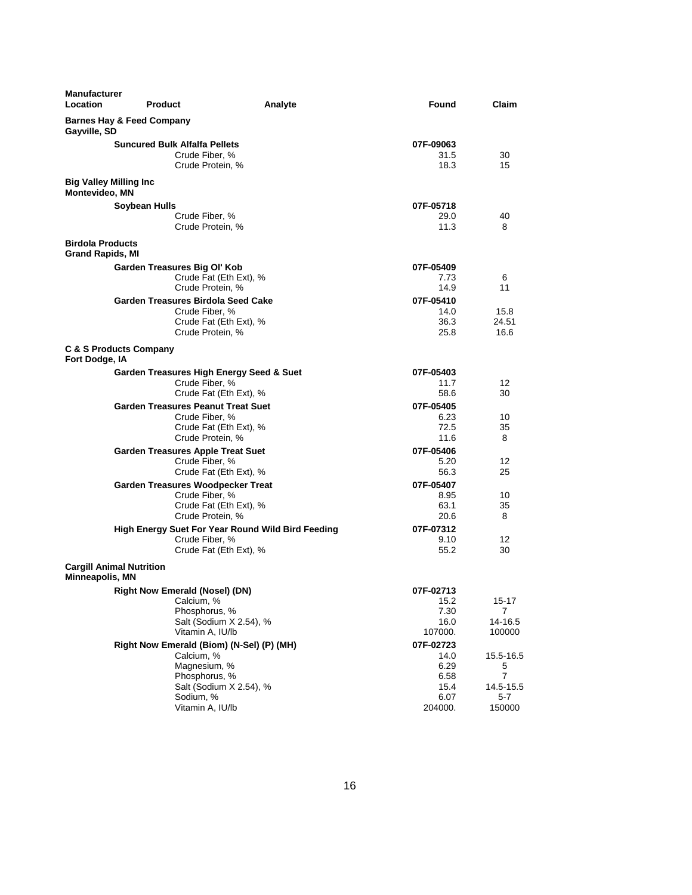| <b>Manufacturer</b><br><b>Location</b>               | <b>Product</b>                                                                                                                                       | Analyte | Found                                                        | Claim                                             |
|------------------------------------------------------|------------------------------------------------------------------------------------------------------------------------------------------------------|---------|--------------------------------------------------------------|---------------------------------------------------|
| <b>Barnes Hay &amp; Feed Company</b><br>Gayville, SD |                                                                                                                                                      |         |                                                              |                                                   |
|                                                      | <b>Suncured Bulk Alfalfa Pellets</b><br>Crude Fiber, %<br>Crude Protein, %                                                                           |         | 07F-09063<br>31.5<br>18.3                                    | 30<br>15                                          |
| <b>Big Valley Milling Inc.</b><br>Montevideo, MN     |                                                                                                                                                      |         |                                                              |                                                   |
| <b>Birdola Products</b>                              | Soybean Hulls<br>Crude Fiber, %<br>Crude Protein, %                                                                                                  |         | 07F-05718<br>29.0<br>11.3                                    | 40<br>8                                           |
| <b>Grand Rapids, MI</b>                              |                                                                                                                                                      |         |                                                              |                                                   |
|                                                      | Garden Treasures Big Ol' Kob<br>Crude Fat (Eth Ext), %<br>Crude Protein, %<br>Garden Treasures Birdola Seed Cake                                     |         | 07F-05409<br>7.73<br>14.9<br>07F-05410                       | 6<br>11                                           |
|                                                      | Crude Fiber, %<br>Crude Fat (Eth Ext), %<br>Crude Protein, %                                                                                         |         | 14.0<br>36.3<br>25.8                                         | 15.8<br>24.51<br>16.6                             |
| <b>C &amp; S Products Company</b><br>Fort Dodge, IA  |                                                                                                                                                      |         |                                                              |                                                   |
|                                                      | Garden Treasures High Energy Seed & Suet<br>Crude Fiber, %<br>Crude Fat (Eth Ext), %                                                                 |         | 07F-05403<br>11.7<br>58.6                                    | 12<br>30                                          |
|                                                      | <b>Garden Treasures Peanut Treat Suet</b><br>Crude Fiber, %<br>Crude Fat (Eth Ext), %<br>Crude Protein, %                                            |         | 07F-05405<br>6.23<br>72.5<br>11.6                            | 10<br>35<br>8                                     |
|                                                      | <b>Garden Treasures Apple Treat Suet</b><br>Crude Fiber, %<br>Crude Fat (Eth Ext), %                                                                 |         | 07F-05406<br>5.20<br>56.3                                    | 12<br>25                                          |
|                                                      | Garden Treasures Woodpecker Treat<br>Crude Fiber, %<br>Crude Fat (Eth Ext), %<br>Crude Protein, %                                                    |         | 07F-05407<br>8.95<br>63.1<br>20.6                            | 10<br>35<br>8                                     |
|                                                      | High Energy Suet For Year Round Wild Bird Feeding<br>Crude Fiber, %<br>Crude Fat (Eth Ext), %                                                        |         | 07F-07312<br>9.10<br>55.2                                    | 12<br>30                                          |
| <b>Cargill Animal Nutrition</b><br>Minneapolis, MN   |                                                                                                                                                      |         |                                                              |                                                   |
|                                                      | <b>Right Now Emerald (Nosel) (DN)</b><br>Calcium, %<br>Phosphorus, %<br>Salt (Sodium X 2.54), %<br>Vitamin A, IU/lb                                  |         | 07F-02713<br>15.2<br>7.30<br>16.0<br>107000.                 | $15 - 17$<br>7<br>14-16.5<br>100000               |
|                                                      | Right Now Emerald (Biom) (N-Sel) (P) (MH)<br>Calcium, %<br>Magnesium, %<br>Phosphorus, %<br>Salt (Sodium X 2.54), %<br>Sodium, %<br>Vitamin A, IU/lb |         | 07F-02723<br>14.0<br>6.29<br>6.58<br>15.4<br>6.07<br>204000. | 15.5-16.5<br>5<br>7<br>14.5-15.5<br>5-7<br>150000 |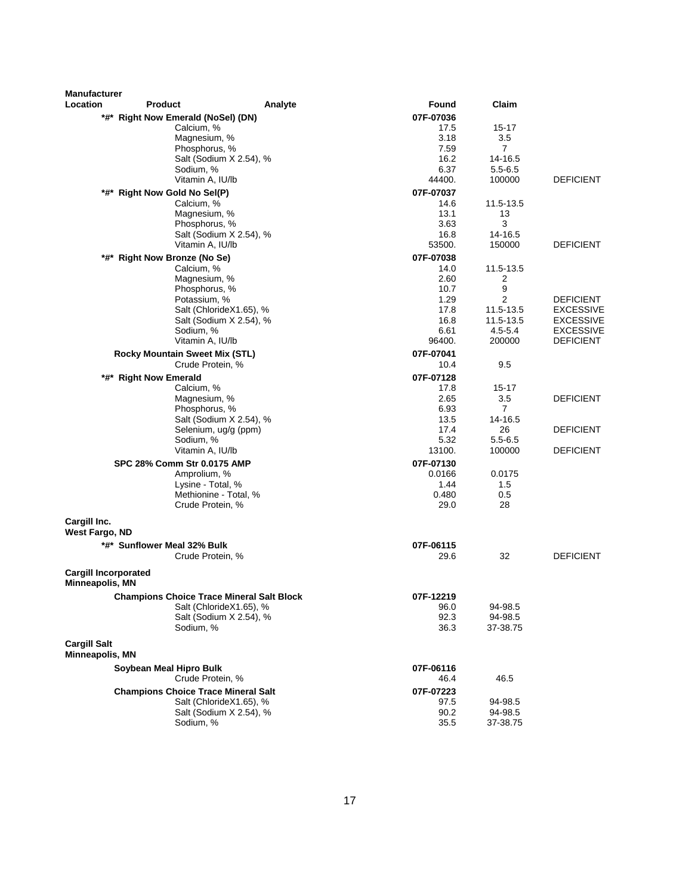| <b>Manufacturer</b>                            |                                                    |                         |                |                       |                                      |
|------------------------------------------------|----------------------------------------------------|-------------------------|----------------|-----------------------|--------------------------------------|
| Location                                       | <b>Product</b>                                     | Analyte                 | <b>Found</b>   | Claim                 |                                      |
|                                                | *#* Right Now Emerald (NoSel) (DN)                 |                         | 07F-07036      |                       |                                      |
|                                                | Calcium, %                                         |                         | 17.5           | $15 - 17$             |                                      |
|                                                | Magnesium, %                                       |                         | 3.18           | 3.5                   |                                      |
|                                                | Phosphorus, %                                      |                         | 7.59           | 7                     |                                      |
|                                                |                                                    | Salt (Sodium X 2.54), % | 16.2           | 14-16.5               |                                      |
|                                                | Sodium, %                                          |                         | 6.37<br>44400. | $5.5 - 6.5$           | <b>DEFICIENT</b>                     |
|                                                | Vitamin A, IU/lb                                   |                         |                | 100000                |                                      |
|                                                | *#* Right Now Gold No Sel(P)<br>Calcium, %         |                         | 07F-07037      |                       |                                      |
|                                                | Magnesium, %                                       |                         | 14.6<br>13.1   | 11.5-13.5<br>13       |                                      |
|                                                | Phosphorus, %                                      |                         | 3.63           | 3                     |                                      |
|                                                |                                                    | Salt (Sodium X 2.54), % | 16.8           | 14-16.5               |                                      |
|                                                | Vitamin A, IU/lb                                   |                         | 53500.         | 150000                | <b>DEFICIENT</b>                     |
|                                                | *#* Right Now Bronze (No Se)                       |                         | 07F-07038      |                       |                                      |
|                                                | Calcium, %                                         |                         | 14.0           | 11.5-13.5             |                                      |
|                                                | Magnesium, %                                       |                         | 2.60           | 2                     |                                      |
|                                                | Phosphorus, %                                      |                         | 10.7           | 9                     |                                      |
|                                                | Potassium, %                                       |                         | 1.29           | $\overline{2}$        | DEFICIENT                            |
|                                                |                                                    | Salt (ChlorideX1.65), % | 17.8           | 11.5-13.5             | <b>EXCESSIVE</b>                     |
|                                                |                                                    | Salt (Sodium X 2.54), % | 16.8           | 11.5-13.5             | EXCESSIVE                            |
|                                                | Sodium, %<br>Vitamin A, IU/lb                      |                         | 6.61<br>96400. | $4.5 - 5.4$<br>200000 | <b>EXCESSIVE</b><br><b>DEFICIENT</b> |
|                                                |                                                    |                         |                |                       |                                      |
|                                                | Rocky Mountain Sweet Mix (STL)<br>Crude Protein, % |                         | 07F-07041      | 9.5                   |                                      |
|                                                |                                                    |                         | 10.4           |                       |                                      |
|                                                | *#* Right Now Emerald                              |                         | 07F-07128      |                       |                                      |
|                                                | Calcium, %<br>Magnesium, %                         |                         | 17.8<br>2.65   | $15 - 17$<br>3.5      | <b>DEFICIENT</b>                     |
|                                                | Phosphorus, %                                      |                         | 6.93           | $\overline{7}$        |                                      |
|                                                |                                                    | Salt (Sodium X 2.54), % | 13.5           | 14-16.5               |                                      |
|                                                |                                                    | Selenium, ug/g (ppm)    | 17.4           | 26                    | <b>DEFICIENT</b>                     |
|                                                | Sodium, %                                          |                         | 5.32           | $5.5 - 6.5$           |                                      |
|                                                | Vitamin A, IU/lb                                   |                         | 13100.         | 100000                | <b>DEFICIENT</b>                     |
|                                                | SPC 28% Comm Str 0.0175 AMP                        |                         | 07F-07130      |                       |                                      |
|                                                | Amprolium, %                                       |                         | 0.0166         | 0.0175                |                                      |
|                                                | Lysine - Total, %                                  |                         | 1.44           | 1.5                   |                                      |
|                                                |                                                    | Methionine - Total, %   | 0.480          | 0.5                   |                                      |
|                                                | Crude Protein, %                                   |                         | 29.0           | 28                    |                                      |
| Cargill Inc.                                   |                                                    |                         |                |                       |                                      |
| West Fargo, ND                                 |                                                    |                         |                |                       |                                      |
|                                                | *#* Sunflower Meal 32% Bulk                        |                         | 07F-06115      |                       |                                      |
|                                                | Crude Protein, %                                   |                         | 29.6           | 32                    | <b>DEFICIENT</b>                     |
| <b>Cargill Incorporated</b><br>Minneapolis, MN |                                                    |                         |                |                       |                                      |
|                                                | <b>Champions Choice Trace Mineral Salt Block</b>   |                         | 07F-12219      |                       |                                      |
|                                                |                                                    | Salt (ChlorideX1.65), % | 96.0           | 94-98.5               |                                      |
|                                                |                                                    | Salt (Sodium X 2.54), % | 92.3           | 94-98.5               |                                      |
|                                                | Sodium, %                                          |                         | 36.3           | 37-38.75              |                                      |
| <b>Cargill Salt</b><br>Minneapolis, MN         |                                                    |                         |                |                       |                                      |
|                                                | Soybean Meal Hipro Bulk                            |                         | 07F-06116      |                       |                                      |
|                                                | Crude Protein, %                                   |                         | 46.4           | 46.5                  |                                      |
|                                                | <b>Champions Choice Trace Mineral Salt</b>         |                         | 07F-07223      |                       |                                      |
|                                                |                                                    | Salt (ChlorideX1.65), % | 97.5           | 94-98.5               |                                      |
|                                                |                                                    | Salt (Sodium X 2.54), % | 90.2           | 94-98.5               |                                      |
|                                                | Sodium, %                                          |                         | 35.5           | 37-38.75              |                                      |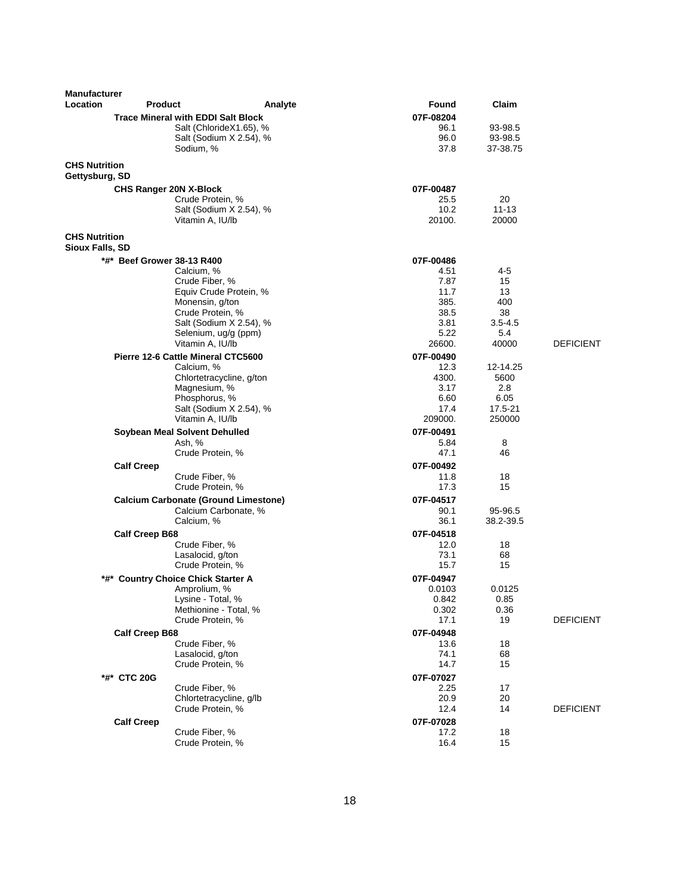| <b>Manufacturer</b>                     |                                             |                          |                   |                    |                  |
|-----------------------------------------|---------------------------------------------|--------------------------|-------------------|--------------------|------------------|
| Location                                | <b>Product</b>                              | Analyte                  | Found             | Claim              |                  |
|                                         | <b>Trace Mineral with EDDI Salt Block</b>   |                          | 07F-08204         |                    |                  |
|                                         |                                             | Salt (ChlorideX1.65), %  | 96.1              | 93-98.5            |                  |
|                                         |                                             | Salt (Sodium X 2.54), %  | 96.0              | 93-98.5            |                  |
|                                         | Sodium, %                                   |                          | 37.8              | 37-38.75           |                  |
| <b>CHS Nutrition</b><br>Gettysburg, SD  |                                             |                          |                   |                    |                  |
|                                         | <b>CHS Ranger 20N X-Block</b>               |                          | 07F-00487         |                    |                  |
|                                         | Crude Protein, %                            |                          | 25.5              | 20                 |                  |
|                                         |                                             | Salt (Sodium X 2.54), %  | 10.2<br>20100.    | $11 - 13$<br>20000 |                  |
|                                         | Vitamin A, IU/lb                            |                          |                   |                    |                  |
| <b>CHS Nutrition</b><br>Sioux Falls, SD |                                             |                          |                   |                    |                  |
|                                         | *#* Beef Grower 38-13 R400                  |                          | 07F-00486         |                    |                  |
|                                         | Calcium, %                                  |                          | 4.51              | 4-5                |                  |
|                                         | Crude Fiber, %                              | Equiv Crude Protein, %   | 7.87<br>11.7      | 15<br>13           |                  |
|                                         | Monensin, g/ton                             |                          | 385.              | 400                |                  |
|                                         | Crude Protein, %                            |                          | 38.5              | 38                 |                  |
|                                         |                                             | Salt (Sodium X 2.54), %  | 3.81              | $3.5 - 4.5$        |                  |
|                                         |                                             | Selenium, ug/g (ppm)     | 5.22              | 5.4                |                  |
|                                         | Vitamin A, IU/lb                            |                          | 26600.            | 40000              | <b>DEFICIENT</b> |
|                                         | Pierre 12-6 Cattle Mineral CTC5600          |                          | 07F-00490         |                    |                  |
|                                         | Calcium, %                                  |                          | 12.3              | 12-14.25           |                  |
|                                         | Magnesium, %                                | Chlortetracycline, g/ton | 4300.<br>3.17     | 5600<br>2.8        |                  |
|                                         | Phosphorus, %                               |                          | 6.60              | 6.05               |                  |
|                                         |                                             | Salt (Sodium X 2.54), %  | 17.4              | 17.5-21            |                  |
|                                         | Vitamin A, IU/lb                            |                          | 209000.           | 250000             |                  |
|                                         | Soybean Meal Solvent Dehulled               |                          | 07F-00491         |                    |                  |
|                                         | Ash, %                                      |                          | 5.84              | 8                  |                  |
|                                         | Crude Protein, %                            |                          | 47.1              | 46                 |                  |
|                                         | <b>Calf Creep</b>                           |                          | 07F-00492         |                    |                  |
|                                         | Crude Fiber, %                              |                          | 11.8              | 18                 |                  |
|                                         | Crude Protein, %                            |                          | 17.3              | 15                 |                  |
|                                         | <b>Calcium Carbonate (Ground Limestone)</b> |                          | 07F-04517<br>90.1 | 95-96.5            |                  |
|                                         | Calcium, %                                  | Calcium Carbonate, %     | 36.1              | 38.2-39.5          |                  |
|                                         | <b>Calf Creep B68</b>                       |                          | 07F-04518         |                    |                  |
|                                         | Crude Fiber, %                              |                          | 12.0              | 18                 |                  |
|                                         | Lasalocid, g/ton                            |                          | 73.1              | 68                 |                  |
|                                         | Crude Protein, %                            |                          | 15.7              | 15                 |                  |
|                                         | *#* Country Choice Chick Starter A          |                          | 07F-04947         |                    |                  |
|                                         | Amprolium, %                                |                          | 0.0103            | 0.0125             |                  |
|                                         | Lysine - Total, %                           |                          | 0.842             | 0.85               |                  |
|                                         | Crude Protein, %                            | Methionine - Total, %    | 0.302<br>17.1     | 0.36<br>19         | <b>DEFICIENT</b> |
|                                         |                                             |                          | 07F-04948         |                    |                  |
|                                         | <b>Calf Creep B68</b><br>Crude Fiber, %     |                          | 13.6              | 18                 |                  |
|                                         | Lasalocid, g/ton                            |                          | 74.1              | 68                 |                  |
|                                         | Crude Protein, %                            |                          | 14.7              | 15                 |                  |
|                                         | *#* CTC 20G                                 |                          | 07F-07027         |                    |                  |
|                                         | Crude Fiber, %                              |                          | 2.25              | 17                 |                  |
|                                         |                                             | Chlortetracycline, g/lb  | 20.9              | 20                 |                  |
|                                         | Crude Protein, %                            |                          | 12.4              | 14                 | <b>DEFICIENT</b> |
|                                         | <b>Calf Creep</b>                           |                          | 07F-07028         |                    |                  |
|                                         | Crude Fiber, %                              |                          | 17.2              | 18                 |                  |
|                                         | Crude Protein, %                            |                          | 16.4              | 15                 |                  |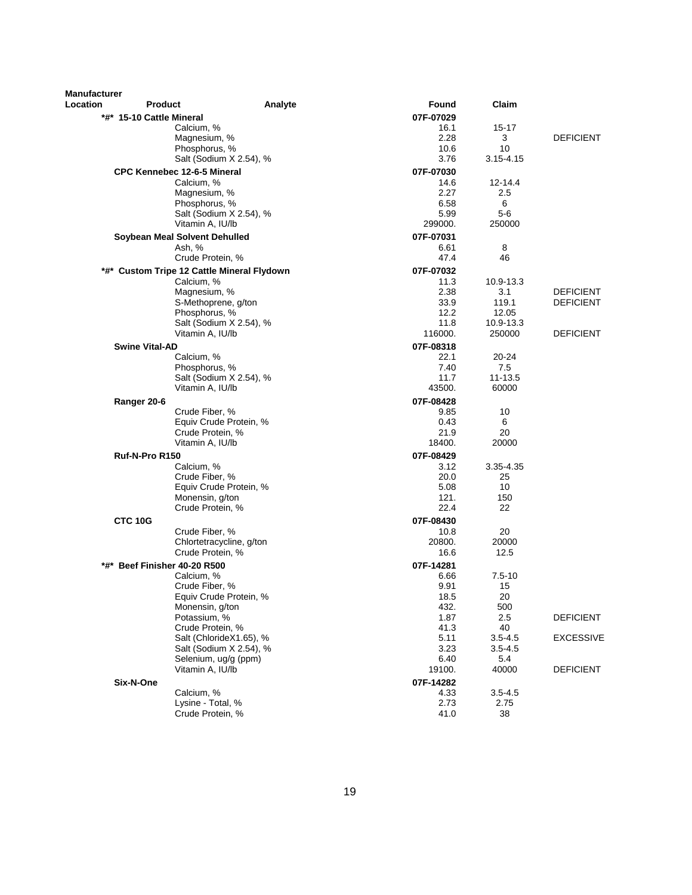| Manufacturer |                                            |                          |                   |                     |                  |
|--------------|--------------------------------------------|--------------------------|-------------------|---------------------|------------------|
| Location     | <b>Product</b>                             | Analyte                  | Found             | Claim               |                  |
|              | *#* 15-10 Cattle Mineral                   |                          | 07F-07029<br>16.1 | 15-17               |                  |
|              | Calcium, %<br>Magnesium, %                 |                          | 2.28              | 3                   | <b>DEFICIENT</b> |
|              | Phosphorus, %                              |                          | 10.6              | 10                  |                  |
|              |                                            | Salt (Sodium X 2.54), %  | 3.76              | $3.15 - 4.15$       |                  |
|              | <b>CPC Kennebec 12-6-5 Mineral</b>         |                          | 07F-07030         |                     |                  |
|              | Calcium, %                                 |                          | 14.6              | $12 - 14.4$         |                  |
|              | Magnesium, %                               |                          | 2.27              | 2.5                 |                  |
|              | Phosphorus, %                              |                          | 6.58              | 6                   |                  |
|              |                                            | Salt (Sodium X 2.54), %  | 5.99              | $5-6$               |                  |
|              | Vitamin A, IU/lb                           |                          | 299000.           | 250000              |                  |
|              | Soybean Meal Solvent Dehulled              |                          | 07F-07031<br>6.61 | 8                   |                  |
|              | Ash, %<br>Crude Protein, %                 |                          | 47.4              | 46                  |                  |
|              | *#* Custom Tripe 12 Cattle Mineral Flydown |                          | 07F-07032         |                     |                  |
|              | Calcium, %                                 |                          | 11.3              | 10.9-13.3           |                  |
|              | Magnesium, %                               |                          | 2.38              | 3.1                 | <b>DEFICIENT</b> |
|              | S-Methoprene, g/ton                        |                          | 33.9              | 119.1               | <b>DEFICIENT</b> |
|              | Phosphorus, %                              |                          | 12.2              | 12.05               |                  |
|              |                                            | Salt (Sodium X 2.54), %  | 11.8              | 10.9-13.3           |                  |
|              | Vitamin A, IU/lb                           |                          | 116000.           | 250000              | <b>DEFICIENT</b> |
|              | <b>Swine Vital-AD</b>                      |                          | 07F-08318         |                     |                  |
|              | Calcium, %<br>Phosphorus, %                |                          | 22.1<br>7.40      | 20-24<br>7.5        |                  |
|              |                                            | Salt (Sodium X 2.54), %  | 11.7              | 11-13.5             |                  |
|              | Vitamin A, IU/lb                           |                          | 43500.            | 60000               |                  |
|              | Ranger 20-6                                |                          | 07F-08428         |                     |                  |
|              | Crude Fiber, %                             |                          | 9.85              | 10                  |                  |
|              |                                            | Equiv Crude Protein, %   | 0.43              | 6                   |                  |
|              | Crude Protein, %                           |                          | 21.9              | 20                  |                  |
|              | Vitamin A, IU/lb                           |                          | 18400.            | 20000               |                  |
|              | Ruf-N-Pro R150                             |                          | 07F-08429         |                     |                  |
|              | Calcium, %                                 |                          | 3.12              | 3.35-4.35           |                  |
|              | Crude Fiber, %                             | Equiv Crude Protein, %   | 20.0<br>5.08      | 25<br>10            |                  |
|              | Monensin, g/ton                            |                          | 121.              | 150                 |                  |
|              | Crude Protein, %                           |                          | 22.4              | 22                  |                  |
|              | CTC 10G                                    |                          | 07F-08430         |                     |                  |
|              | Crude Fiber, %                             |                          | 10.8              | 20                  |                  |
|              |                                            | Chlortetracycline, g/ton | 20800.            | 20000               |                  |
|              | Crude Protein, %                           |                          | 16.6              | 12.5                |                  |
|              | *#* Beef Finisher 40-20 R500               |                          | 07F-14281         |                     |                  |
|              | Calcium, %                                 |                          | 6.66              | $7.5 - 10$          |                  |
|              | Crude Fiber, %                             |                          | 9.91              | 15                  |                  |
|              | Monensin, g/ton                            | Equiv Crude Protein, %   | 18.5<br>432.      | 20<br>500           |                  |
|              | Potassium, %                               |                          | 1.87              | 2.5                 | <b>DEFICIENT</b> |
|              | Crude Protein, %                           |                          | 41.3              | 40                  |                  |
|              |                                            | Salt (ChlorideX1.65), %  | 5.11              | $3.5 - 4.5$         | <b>EXCESSIVE</b> |
|              |                                            | Salt (Sodium X 2.54), %  | 3.23              | $3.5 - 4.5$         |                  |
|              | Selenium, ug/g (ppm)                       |                          | 6.40              | 5.4                 |                  |
|              | Vitamin A, IU/lb                           |                          | 19100.            | 40000               | <b>DEFICIENT</b> |
|              | Six-N-One                                  |                          | 07F-14282         |                     |                  |
|              | Calcium, %<br>Lysine - Total, %            |                          | 4.33<br>2.73      | $3.5 - 4.5$<br>2.75 |                  |
|              | Crude Protein, %                           |                          | 41.0              | 38                  |                  |
|              |                                            |                          |                   |                     |                  |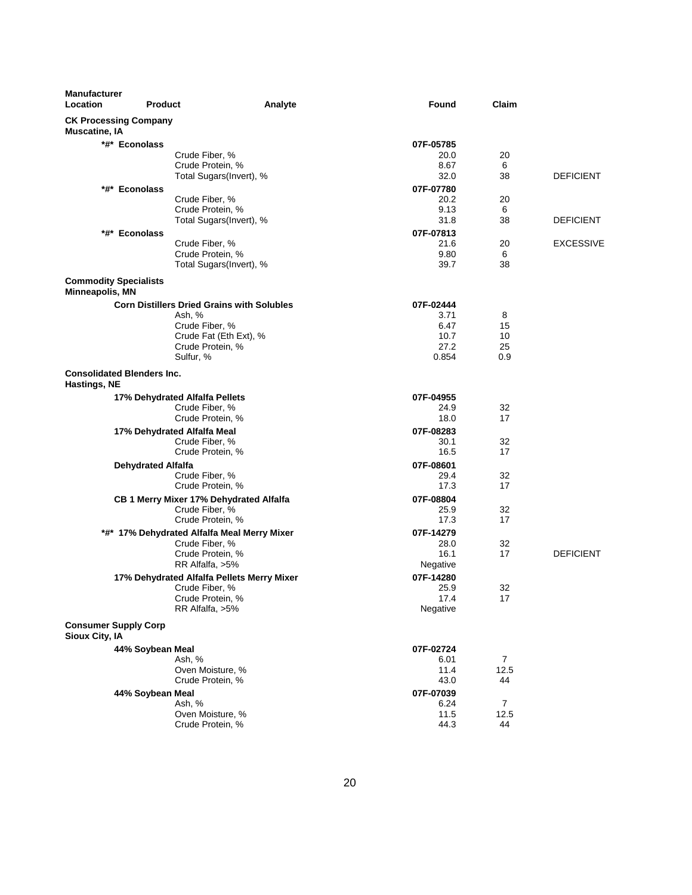| <b>Manufacturer</b><br>Location                          | <b>Product</b>            | Analyte                                           | <b>Found</b> |              | Claim                       |
|----------------------------------------------------------|---------------------------|---------------------------------------------------|--------------|--------------|-----------------------------|
| <b>CK Processing Company</b><br><b>Muscatine, IA</b>     |                           |                                                   |              |              |                             |
|                                                          | *#* Econolass             |                                                   | 07F-05785    |              |                             |
|                                                          |                           | Crude Fiber, %                                    |              | 20.0         | 20                          |
|                                                          |                           | Crude Protein, %                                  |              | 8.67         | 6                           |
|                                                          |                           | Total Sugars(Invert), %                           |              | 32.0         | 38<br><b>DEFICIENT</b>      |
|                                                          | *#* Econolass             |                                                   | 07F-07780    |              |                             |
|                                                          |                           | Crude Fiber, %                                    |              | 20.2         | 20                          |
|                                                          |                           | Crude Protein, %                                  |              | 9.13         | 6                           |
|                                                          |                           | Total Sugars(Invert), %                           |              | 31.8         | 38<br><b>DEFICIENT</b>      |
|                                                          | *#* Econolass             |                                                   | 07F-07813    |              |                             |
|                                                          |                           | Crude Fiber, %<br>Crude Protein, %                |              | 21.6<br>9.80 | <b>EXCESSIVE</b><br>20<br>6 |
|                                                          |                           | Total Sugars(Invert), %                           |              | 39.7         | 38                          |
| <b>Commodity Specialists</b>                             |                           |                                                   |              |              |                             |
| Minneapolis, MN                                          |                           |                                                   |              |              |                             |
|                                                          |                           | <b>Corn Distillers Dried Grains with Solubles</b> | 07F-02444    |              |                             |
|                                                          |                           | Ash, %                                            |              | 3.71         | 8                           |
|                                                          |                           | Crude Fiber, %                                    |              | 6.47         | 15                          |
|                                                          |                           | Crude Fat (Eth Ext), %                            |              | 10.7         | 10                          |
|                                                          |                           | Crude Protein, %<br>Sulfur, %                     | 0.854        | 27.2<br>0.9  | 25                          |
|                                                          |                           |                                                   |              |              |                             |
| <b>Consolidated Blenders Inc.</b><br><b>Hastings, NE</b> |                           |                                                   |              |              |                             |
|                                                          |                           | 17% Dehydrated Alfalfa Pellets                    | 07F-04955    |              |                             |
|                                                          |                           | Crude Fiber, %                                    |              | 24.9         | 32                          |
|                                                          |                           | Crude Protein, %                                  |              | 18.0         | 17                          |
|                                                          |                           | 17% Dehydrated Alfalfa Meal                       | 07F-08283    |              |                             |
|                                                          |                           | Crude Fiber, %                                    |              | 30.1         | 32                          |
|                                                          |                           | Crude Protein, %                                  |              | 16.5         | 17                          |
|                                                          | <b>Dehydrated Alfalfa</b> |                                                   | 07F-08601    |              |                             |
|                                                          |                           | Crude Fiber, %                                    |              | 29.4<br>17.3 | 32<br>17                    |
|                                                          |                           | Crude Protein, %                                  |              |              |                             |
|                                                          |                           | CB 1 Merry Mixer 17% Dehydrated Alfalfa           | 07F-08804    | 25.9         | 32                          |
|                                                          |                           | Crude Fiber, %<br>Crude Protein, %                |              | 17.3         | 17                          |
|                                                          |                           | *#* 17% Dehydrated Alfalfa Meal Merry Mixer       | 07F-14279    |              |                             |
|                                                          |                           | Crude Fiber, %                                    |              | 28.0         | 32                          |
|                                                          |                           | Crude Protein, %                                  |              | 16.1         | 17<br><b>DEFICIENT</b>      |
|                                                          |                           | RR Alfalfa, >5%                                   | Negative     |              |                             |
|                                                          |                           | 17% Dehydrated Alfalfa Pellets Merry Mixer        | 07F-14280    |              |                             |
|                                                          |                           | Crude Fiber, %                                    |              | 25.9         | 32                          |
|                                                          |                           | Crude Protein, %                                  |              | 17.4         | 17                          |
|                                                          |                           | RR Alfalfa, >5%                                   | Negative     |              |                             |
| <b>Consumer Supply Corp</b><br>Sioux City, IA            |                           |                                                   |              |              |                             |
|                                                          | 44% Soybean Meal          |                                                   | 07F-02724    |              |                             |
|                                                          |                           | Ash, %                                            |              | 6.01         | $\overline{7}$              |
|                                                          |                           | Oven Moisture, %                                  |              | 11.4         | 12.5                        |
|                                                          |                           | Crude Protein, %                                  |              | 43.0         | 44                          |
|                                                          | 44% Soybean Meal          |                                                   | 07F-07039    |              |                             |
|                                                          |                           | Ash, %                                            |              | 6.24         | 7                           |
|                                                          |                           | Oven Moisture, %                                  |              | 11.5         | 12.5                        |
|                                                          |                           | Crude Protein, %                                  |              | 44.3         | 44                          |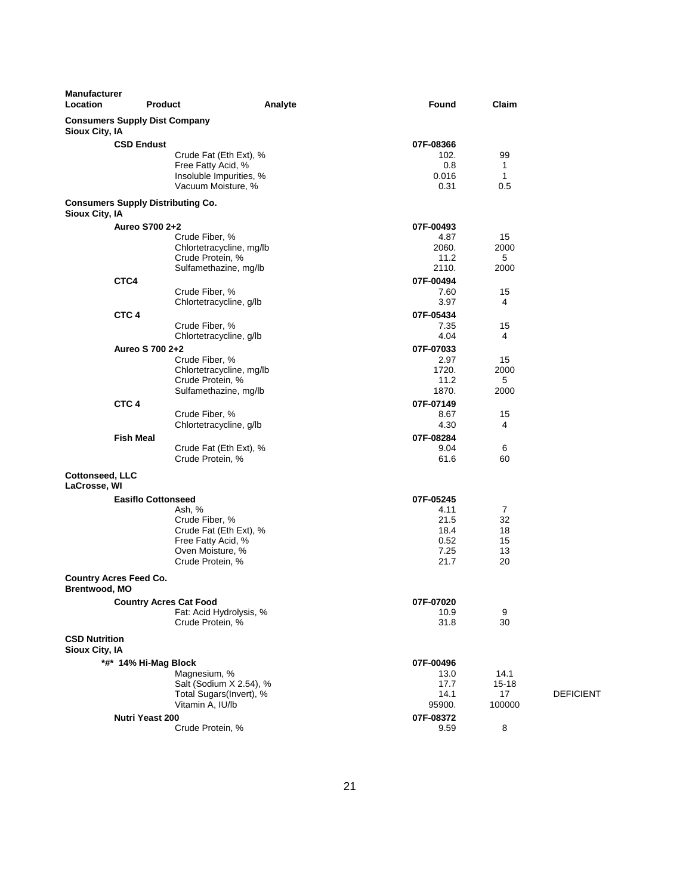| <b>Manufacturer</b><br>Location                        | <b>Product</b>                |                                                    | Analyte | Found         | Claim               |                  |
|--------------------------------------------------------|-------------------------------|----------------------------------------------------|---------|---------------|---------------------|------------------|
| <b>Consumers Supply Dist Company</b><br>Sioux City, IA |                               |                                                    |         |               |                     |                  |
|                                                        | <b>CSD Endust</b>             |                                                    |         | 07F-08366     |                     |                  |
|                                                        |                               | Crude Fat (Eth Ext), %                             |         | 102.          | 99                  |                  |
|                                                        |                               | Free Fatty Acid, %                                 |         | 0.8           | 1                   |                  |
|                                                        |                               | Insoluble Impurities, %<br>Vacuum Moisture, %      |         | 0.016<br>0.31 | $\mathbf{1}$<br>0.5 |                  |
| <b>Consumers Supply Distributing Co.</b>               |                               |                                                    |         |               |                     |                  |
| Sioux City, IA                                         |                               |                                                    |         |               |                     |                  |
|                                                        | Aureo S700 2+2                |                                                    |         | 07F-00493     |                     |                  |
|                                                        |                               | Crude Fiber, %                                     |         | 4.87          | 15                  |                  |
|                                                        |                               | Chlortetracycline, mg/lb<br>Crude Protein, %       |         | 2060.<br>11.2 | 2000<br>5           |                  |
|                                                        |                               | Sulfamethazine, mg/lb                              |         | 2110.         | 2000                |                  |
|                                                        | CTC4                          |                                                    |         | 07F-00494     |                     |                  |
|                                                        |                               | Crude Fiber, %                                     |         | 7.60          | 15                  |                  |
|                                                        |                               | Chlortetracycline, g/lb                            |         | 3.97          | 4                   |                  |
|                                                        | CTC <sub>4</sub>              |                                                    |         | 07F-05434     |                     |                  |
|                                                        |                               | Crude Fiber, %                                     |         | 7.35          | 15                  |                  |
|                                                        |                               | Chlortetracycline, g/lb                            |         | 4.04          | 4                   |                  |
|                                                        | Aureo S 700 2+2               |                                                    |         | 07F-07033     |                     |                  |
|                                                        |                               | Crude Fiber, %                                     |         | 2.97<br>1720. | 15<br>2000          |                  |
|                                                        |                               | Chlortetracycline, mg/lb<br>Crude Protein, %       |         | 11.2          | 5                   |                  |
|                                                        |                               | Sulfamethazine, mg/lb                              |         | 1870.         | 2000                |                  |
|                                                        | CTC <sub>4</sub>              |                                                    |         | 07F-07149     |                     |                  |
|                                                        |                               | Crude Fiber, %                                     |         | 8.67          | 15                  |                  |
|                                                        |                               | Chlortetracycline, g/lb                            |         | 4.30          | 4                   |                  |
|                                                        | <b>Fish Meal</b>              |                                                    |         | 07F-08284     |                     |                  |
|                                                        |                               | Crude Fat (Eth Ext), %                             |         | 9.04          | 6                   |                  |
|                                                        |                               | Crude Protein, %                                   |         | 61.6          | 60                  |                  |
| <b>Cottonseed, LLC</b><br>LaCrosse, WI                 |                               |                                                    |         |               |                     |                  |
|                                                        | <b>Easiflo Cottonseed</b>     |                                                    |         | 07F-05245     |                     |                  |
|                                                        |                               | Ash, %                                             |         | 4.11          | $\overline{7}$      |                  |
|                                                        |                               | Crude Fiber, %                                     |         | 21.5          | 32                  |                  |
|                                                        |                               | Crude Fat (Eth Ext), %<br>Free Fatty Acid, %       |         | 18.4<br>0.52  | 18<br>15            |                  |
|                                                        |                               | Oven Moisture, %                                   |         | 7.25          | 13                  |                  |
|                                                        |                               | Crude Protein, %                                   |         | 21.7          | 20                  |                  |
| <b>Country Acres Feed Co.</b><br>Brentwood, MO         |                               |                                                    |         |               |                     |                  |
|                                                        | <b>Country Acres Cat Food</b> |                                                    |         | 07F-07020     |                     |                  |
|                                                        |                               | Fat: Acid Hydrolysis, %                            |         | 10.9          | 9                   |                  |
|                                                        |                               | Crude Protein, %                                   |         | 31.8          | 30                  |                  |
| <b>CSD Nutrition</b><br><b>Sioux City, IA</b>          |                               |                                                    |         |               |                     |                  |
|                                                        | *#* 14% Hi-Mag Block          |                                                    |         | 07F-00496     |                     |                  |
|                                                        |                               | Magnesium, %                                       |         | 13.0          | 14.1                |                  |
|                                                        |                               | Salt (Sodium X 2.54), %<br>Total Sugars(Invert), % |         | 17.7<br>14.1  | $15 - 18$<br>17     | <b>DEFICIENT</b> |
|                                                        |                               | Vitamin A, IU/lb                                   |         | 95900.        | 100000              |                  |
|                                                        | <b>Nutri Yeast 200</b>        |                                                    |         | 07F-08372     |                     |                  |
|                                                        |                               | Crude Protein, %                                   |         | 9.59          | 8                   |                  |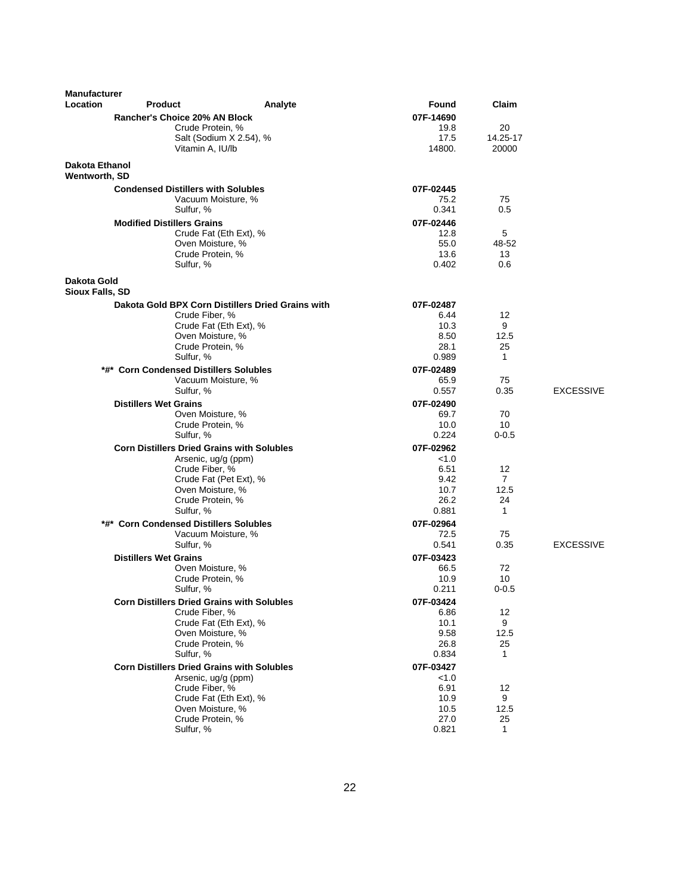| <b>Manufacturer</b>             |                                                   |                                                   |               |                |                  |
|---------------------------------|---------------------------------------------------|---------------------------------------------------|---------------|----------------|------------------|
| Location                        | <b>Product</b>                                    | Analyte                                           | Found         | Claim          |                  |
|                                 | Rancher's Choice 20% AN Block                     |                                                   | 07F-14690     |                |                  |
|                                 | Crude Protein, %                                  |                                                   | 19.8          | 20             |                  |
|                                 |                                                   | Salt (Sodium X 2.54), %                           | 17.5          | 14.25-17       |                  |
|                                 | Vitamin A, IU/lb                                  |                                                   | 14800.        | 20000          |                  |
| Dakota Ethanol<br>Wentworth, SD |                                                   |                                                   |               |                |                  |
|                                 | <b>Condensed Distillers with Solubles</b>         |                                                   | 07F-02445     |                |                  |
|                                 |                                                   | Vacuum Moisture, %                                | 75.2          | 75             |                  |
|                                 | Sulfur, %                                         |                                                   | 0.341         | 0.5            |                  |
|                                 | <b>Modified Distillers Grains</b>                 |                                                   | 07F-02446     |                |                  |
|                                 |                                                   | Crude Fat (Eth Ext), %                            | 12.8          | 5              |                  |
|                                 | Oven Moisture, %                                  |                                                   | 55.0          | 48-52          |                  |
|                                 | Crude Protein, %                                  |                                                   | 13.6          | 13             |                  |
|                                 | Sulfur, %                                         |                                                   | 0.402         | 0.6            |                  |
| Dakota Gold                     |                                                   |                                                   |               |                |                  |
| <b>Sioux Falls, SD</b>          |                                                   |                                                   |               |                |                  |
|                                 |                                                   | Dakota Gold BPX Corn Distillers Dried Grains with | 07F-02487     |                |                  |
|                                 | Crude Fiber, %                                    |                                                   | 6.44          | 12             |                  |
|                                 |                                                   | Crude Fat (Eth Ext), %                            | 10.3          | 9              |                  |
|                                 | Oven Moisture, %                                  |                                                   | 8.50          | 12.5           |                  |
|                                 | Crude Protein, %                                  |                                                   | 28.1          | 25             |                  |
|                                 | Sulfur, %                                         |                                                   | 0.989         | $\mathbf{1}$   |                  |
|                                 | *#* Corn Condensed Distillers Solubles            |                                                   | 07F-02489     |                |                  |
|                                 |                                                   | Vacuum Moisture, %                                | 65.9<br>0.557 | 75<br>0.35     | <b>EXCESSIVE</b> |
|                                 | Sulfur, %                                         |                                                   |               |                |                  |
|                                 | <b>Distillers Wet Grains</b>                      |                                                   | 07F-02490     |                |                  |
|                                 | Oven Moisture, %<br>Crude Protein, %              |                                                   | 69.7<br>10.0  | 70<br>10       |                  |
|                                 | Sulfur, %                                         |                                                   | 0.224         | $0 - 0.5$      |                  |
|                                 | <b>Corn Distillers Dried Grains with Solubles</b> |                                                   | 07F-02962     |                |                  |
|                                 | Arsenic, ug/g (ppm)                               |                                                   | < 1.0         |                |                  |
|                                 | Crude Fiber, %                                    |                                                   | 6.51          | 12             |                  |
|                                 |                                                   | Crude Fat (Pet Ext), %                            | 9.42          | $\overline{7}$ |                  |
|                                 | Oven Moisture, %                                  |                                                   | 10.7          | 12.5           |                  |
|                                 | Crude Protein, %                                  |                                                   | 26.2          | 24             |                  |
|                                 | Sulfur, %                                         |                                                   | 0.881         | $\mathbf{1}$   |                  |
|                                 | *#* Corn Condensed Distillers Solubles            |                                                   | 07F-02964     |                |                  |
|                                 |                                                   | Vacuum Moisture, %                                | 72.5          | 75             |                  |
|                                 | Sulfur, %                                         |                                                   | 0.541         | 0.35           | <b>EXCESSIVE</b> |
|                                 | <b>Distillers Wet Grains</b>                      |                                                   | 07F-03423     |                |                  |
|                                 | Oven Moisture, %                                  |                                                   | 66.5          | 72             |                  |
|                                 | Crude Protein, %                                  |                                                   | 10.9          | 10             |                  |
|                                 | Sulfur, %                                         |                                                   | 0.211         | $0 - 0.5$      |                  |
|                                 | <b>Corn Distillers Dried Grains with Solubles</b> |                                                   | 07F-03424     |                |                  |
|                                 | Crude Fiber, %                                    |                                                   | 6.86          | 12             |                  |
|                                 | Oven Moisture, %                                  | Crude Fat (Eth Ext), %                            | 10.1<br>9.58  | 9<br>12.5      |                  |
|                                 | Crude Protein, %                                  |                                                   | 26.8          | 25             |                  |
|                                 | Sulfur, %                                         |                                                   | 0.834         | $\mathbf{1}$   |                  |
|                                 | <b>Corn Distillers Dried Grains with Solubles</b> |                                                   | 07F-03427     |                |                  |
|                                 | Arsenic, ug/g (ppm)                               |                                                   | < 1.0         |                |                  |
|                                 | Crude Fiber, %                                    |                                                   | 6.91          | 12             |                  |
|                                 |                                                   | Crude Fat (Eth Ext), %                            | 10.9          | 9              |                  |
|                                 | Oven Moisture, %                                  |                                                   | 10.5          | 12.5           |                  |
|                                 | Crude Protein, %                                  |                                                   | 27.0          | 25             |                  |
|                                 | Sulfur, %                                         |                                                   | 0.821         | $\mathbf{1}$   |                  |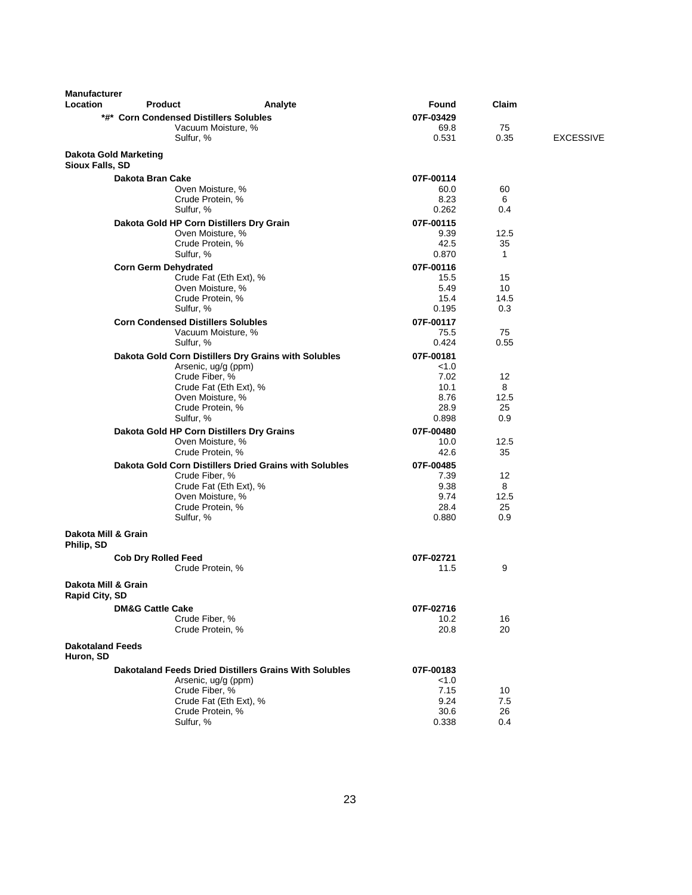| <b>Manufacturer</b><br>Location       | <b>Product</b>              | Analyte                                                | Found             | Claim      |                  |
|---------------------------------------|-----------------------------|--------------------------------------------------------|-------------------|------------|------------------|
|                                       |                             | *#* Corn Condensed Distillers Solubles                 | 07F-03429         |            |                  |
|                                       |                             | Vacuum Moisture, %                                     | 69.8              | 75         |                  |
|                                       |                             | Sulfur, %                                              | 0.531             | 0.35       | <b>EXCESSIVE</b> |
|                                       |                             |                                                        |                   |            |                  |
| <b>Sioux Falls, SD</b>                | Dakota Gold Marketing       |                                                        |                   |            |                  |
|                                       | Dakota Bran Cake            |                                                        | 07F-00114         |            |                  |
|                                       |                             | Oven Moisture, %                                       | 60.0              | 60         |                  |
|                                       |                             | Crude Protein, %                                       | 8.23              | 6          |                  |
|                                       |                             | Sulfur, %                                              | 0.262             | 0.4        |                  |
|                                       |                             | Dakota Gold HP Corn Distillers Dry Grain               | 07F-00115         |            |                  |
|                                       |                             | Oven Moisture, %                                       | 9.39              | 12.5       |                  |
|                                       |                             | Crude Protein, %                                       | 42.5              | 35         |                  |
|                                       |                             | Sulfur, %                                              | 0.870             | 1          |                  |
|                                       | <b>Corn Germ Dehydrated</b> |                                                        | 07F-00116         |            |                  |
|                                       |                             | Crude Fat (Eth Ext), %                                 | 15.5              | 15         |                  |
|                                       |                             | Oven Moisture, %                                       | 5.49              | 10         |                  |
|                                       |                             | Crude Protein, %                                       | 15.4<br>0.195     | 14.5       |                  |
|                                       |                             | Sulfur, %                                              |                   | 0.3        |                  |
|                                       |                             | <b>Corn Condensed Distillers Solubles</b>              | 07F-00117         |            |                  |
|                                       |                             | Vacuum Moisture, %<br>Sulfur, %                        | 75.5<br>0.424     | 75<br>0.55 |                  |
|                                       |                             |                                                        |                   |            |                  |
|                                       |                             | Dakota Gold Corn Distillers Dry Grains with Solubles   | 07F-00181         |            |                  |
|                                       |                             | Arsenic, ug/g (ppm)<br>Crude Fiber, %                  | < 1.0<br>7.02     | 12         |                  |
|                                       |                             | Crude Fat (Eth Ext), %                                 | 10.1              | 8          |                  |
|                                       |                             | Oven Moisture, %                                       | 8.76              | 12.5       |                  |
|                                       |                             | Crude Protein, %                                       | 28.9              | 25         |                  |
|                                       |                             | Sulfur, %                                              | 0.898             | 0.9        |                  |
|                                       |                             | Dakota Gold HP Corn Distillers Dry Grains              | 07F-00480         |            |                  |
|                                       |                             | Oven Moisture, %                                       | 10.0              | 12.5       |                  |
|                                       |                             | Crude Protein, %                                       | 42.6              | 35         |                  |
|                                       |                             | Dakota Gold Corn Distillers Dried Grains with Solubles | 07F-00485         |            |                  |
|                                       |                             | Crude Fiber, %                                         | 7.39              | 12         |                  |
|                                       |                             | Crude Fat (Eth Ext), %                                 | 9.38              | 8          |                  |
|                                       |                             | Oven Moisture, %                                       | 9.74              | 12.5       |                  |
|                                       |                             | Crude Protein, %                                       | 28.4              | 25         |                  |
|                                       |                             | Sulfur, %                                              | 0.880             | 0.9        |                  |
| Dakota Mill & Grain<br>Philip, SD     |                             |                                                        |                   |            |                  |
|                                       | <b>Cob Dry Rolled Feed</b>  |                                                        | 07F-02721         |            |                  |
|                                       |                             | Crude Protein, %                                       | 11.5              | 9          |                  |
| Dakota Mill & Grain<br>Rapid City, SD |                             |                                                        |                   |            |                  |
|                                       |                             |                                                        |                   |            |                  |
|                                       | <b>DM&amp;G Cattle Cake</b> | Crude Fiber, %                                         | 07F-02716<br>10.2 | 16         |                  |
|                                       |                             | Crude Protein, %                                       | 20.8              | 20         |                  |
|                                       |                             |                                                        |                   |            |                  |
| <b>Dakotaland Feeds</b><br>Huron, SD  |                             |                                                        |                   |            |                  |
|                                       |                             | Dakotaland Feeds Dried Distillers Grains With Solubles | 07F-00183         |            |                  |
|                                       |                             | Arsenic, ug/g (ppm)                                    | < 1.0             |            |                  |
|                                       |                             | Crude Fiber, %                                         | 7.15              | 10         |                  |
|                                       |                             | Crude Fat (Eth Ext), %                                 | 9.24              | 7.5        |                  |
|                                       |                             | Crude Protein, %                                       | 30.6              | 26         |                  |
|                                       |                             | Sulfur, %                                              | 0.338             | 0.4        |                  |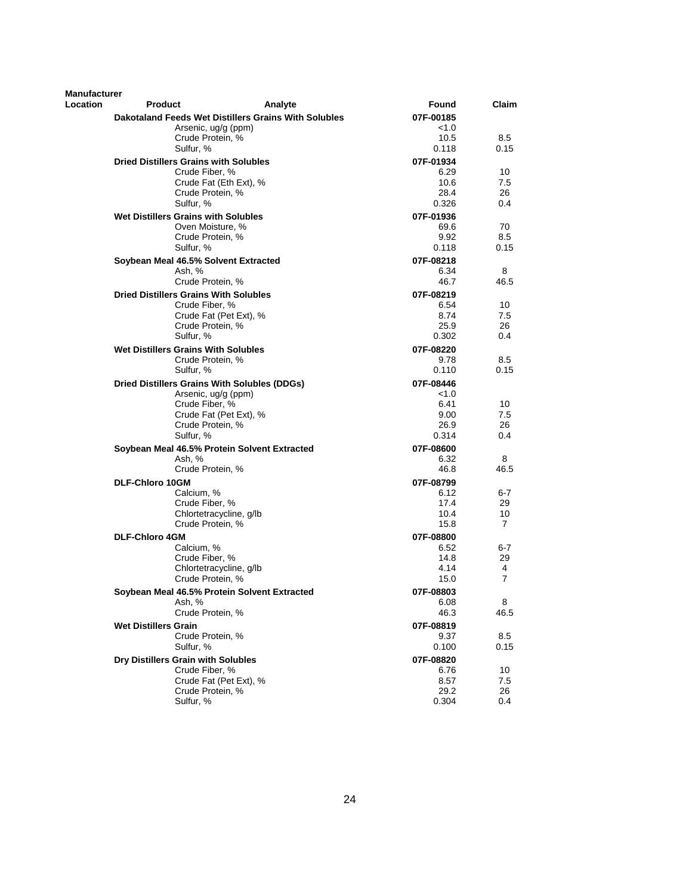| Location<br><b>Product</b><br>Analyte<br>Found<br>Claim<br>Dakotaland Feeds Wet Distillers Grains With Solubles<br>07F-00185<br>Arsenic, ug/g (ppm)<br>< 1.0<br>Crude Protein, %<br>10.5<br>8.5<br>Sulfur, %<br>0.15<br>0.118<br><b>Dried Distillers Grains with Solubles</b><br>07F-01934<br>Crude Fiber, %<br>6.29<br>10<br>Crude Fat (Eth Ext), %<br>10.6<br>7.5<br>Crude Protein, %<br>28.4<br>26<br>Sulfur, %<br>0.326<br>0.4<br>Wet Distillers Grains with Solubles<br>07F-01936<br>Oven Moisture, %<br>69.6<br>70<br>Crude Protein, %<br>9.92<br>8.5<br>0.118<br>Sulfur, %<br>0.15<br>Soybean Meal 46.5% Solvent Extracted<br>07F-08218<br>Ash, %<br>6.34<br>8<br>Crude Protein, %<br>46.7<br>46.5<br><b>Dried Distillers Grains With Solubles</b><br>07F-08219<br>6.54<br>10<br>Crude Fiber, %<br>Crude Fat (Pet Ext), %<br>8.74<br>7.5<br>Crude Protein, %<br>25.9<br>26<br>Sulfur, %<br>0.302<br>0.4<br><b>Wet Distillers Grains With Solubles</b><br>07F-08220<br>Crude Protein, %<br>9.78<br>8.5<br>Sulfur, %<br>0.110<br>0.15<br>Dried Distillers Grains With Solubles (DDGs)<br>07F-08446<br>Arsenic, ug/g (ppm)<br>< 1.0<br>Crude Fiber, %<br>6.41<br>10<br>Crude Fat (Pet Ext), %<br>9.00<br>7.5<br>Crude Protein, %<br>26.9<br>26<br>Sulfur, %<br>0.314<br>0.4<br>Soybean Meal 46.5% Protein Solvent Extracted<br>07F-08600<br>Ash, %<br>6.32<br>8<br>46.8<br>46.5<br>Crude Protein, %<br><b>DLF-Chloro 10GM</b><br>07F-08799<br>Calcium, %<br>6.12<br>$6 - 7$<br>Crude Fiber, %<br>17.4<br>29<br>Chlortetracycline, g/lb<br>10.4<br>10<br>Crude Protein, %<br>15.8<br>7<br>07F-08800<br><b>DLF-Chloro 4GM</b><br>Calcium, %<br>6.52<br>6-7<br>Crude Fiber, %<br>14.8<br>29<br>Chlortetracycline, q/lb<br>4.14<br>4<br>7<br>Crude Protein, %<br>15.0<br>Soybean Meal 46.5% Protein Solvent Extracted<br>07F-08803<br>Ash, %<br>8<br>6.08<br>46.5<br>Crude Protein, %<br>46.3 | <b>Manufacturer</b> |  |  |
|-----------------------------------------------------------------------------------------------------------------------------------------------------------------------------------------------------------------------------------------------------------------------------------------------------------------------------------------------------------------------------------------------------------------------------------------------------------------------------------------------------------------------------------------------------------------------------------------------------------------------------------------------------------------------------------------------------------------------------------------------------------------------------------------------------------------------------------------------------------------------------------------------------------------------------------------------------------------------------------------------------------------------------------------------------------------------------------------------------------------------------------------------------------------------------------------------------------------------------------------------------------------------------------------------------------------------------------------------------------------------------------------------------------------------------------------------------------------------------------------------------------------------------------------------------------------------------------------------------------------------------------------------------------------------------------------------------------------------------------------------------------------------------------------------------------------------------------------------------------------------------------------------|---------------------|--|--|
|                                                                                                                                                                                                                                                                                                                                                                                                                                                                                                                                                                                                                                                                                                                                                                                                                                                                                                                                                                                                                                                                                                                                                                                                                                                                                                                                                                                                                                                                                                                                                                                                                                                                                                                                                                                                                                                                                               |                     |  |  |
|                                                                                                                                                                                                                                                                                                                                                                                                                                                                                                                                                                                                                                                                                                                                                                                                                                                                                                                                                                                                                                                                                                                                                                                                                                                                                                                                                                                                                                                                                                                                                                                                                                                                                                                                                                                                                                                                                               |                     |  |  |
|                                                                                                                                                                                                                                                                                                                                                                                                                                                                                                                                                                                                                                                                                                                                                                                                                                                                                                                                                                                                                                                                                                                                                                                                                                                                                                                                                                                                                                                                                                                                                                                                                                                                                                                                                                                                                                                                                               |                     |  |  |
|                                                                                                                                                                                                                                                                                                                                                                                                                                                                                                                                                                                                                                                                                                                                                                                                                                                                                                                                                                                                                                                                                                                                                                                                                                                                                                                                                                                                                                                                                                                                                                                                                                                                                                                                                                                                                                                                                               |                     |  |  |
|                                                                                                                                                                                                                                                                                                                                                                                                                                                                                                                                                                                                                                                                                                                                                                                                                                                                                                                                                                                                                                                                                                                                                                                                                                                                                                                                                                                                                                                                                                                                                                                                                                                                                                                                                                                                                                                                                               |                     |  |  |
|                                                                                                                                                                                                                                                                                                                                                                                                                                                                                                                                                                                                                                                                                                                                                                                                                                                                                                                                                                                                                                                                                                                                                                                                                                                                                                                                                                                                                                                                                                                                                                                                                                                                                                                                                                                                                                                                                               |                     |  |  |
|                                                                                                                                                                                                                                                                                                                                                                                                                                                                                                                                                                                                                                                                                                                                                                                                                                                                                                                                                                                                                                                                                                                                                                                                                                                                                                                                                                                                                                                                                                                                                                                                                                                                                                                                                                                                                                                                                               |                     |  |  |
|                                                                                                                                                                                                                                                                                                                                                                                                                                                                                                                                                                                                                                                                                                                                                                                                                                                                                                                                                                                                                                                                                                                                                                                                                                                                                                                                                                                                                                                                                                                                                                                                                                                                                                                                                                                                                                                                                               |                     |  |  |
|                                                                                                                                                                                                                                                                                                                                                                                                                                                                                                                                                                                                                                                                                                                                                                                                                                                                                                                                                                                                                                                                                                                                                                                                                                                                                                                                                                                                                                                                                                                                                                                                                                                                                                                                                                                                                                                                                               |                     |  |  |
|                                                                                                                                                                                                                                                                                                                                                                                                                                                                                                                                                                                                                                                                                                                                                                                                                                                                                                                                                                                                                                                                                                                                                                                                                                                                                                                                                                                                                                                                                                                                                                                                                                                                                                                                                                                                                                                                                               |                     |  |  |
|                                                                                                                                                                                                                                                                                                                                                                                                                                                                                                                                                                                                                                                                                                                                                                                                                                                                                                                                                                                                                                                                                                                                                                                                                                                                                                                                                                                                                                                                                                                                                                                                                                                                                                                                                                                                                                                                                               |                     |  |  |
|                                                                                                                                                                                                                                                                                                                                                                                                                                                                                                                                                                                                                                                                                                                                                                                                                                                                                                                                                                                                                                                                                                                                                                                                                                                                                                                                                                                                                                                                                                                                                                                                                                                                                                                                                                                                                                                                                               |                     |  |  |
|                                                                                                                                                                                                                                                                                                                                                                                                                                                                                                                                                                                                                                                                                                                                                                                                                                                                                                                                                                                                                                                                                                                                                                                                                                                                                                                                                                                                                                                                                                                                                                                                                                                                                                                                                                                                                                                                                               |                     |  |  |
|                                                                                                                                                                                                                                                                                                                                                                                                                                                                                                                                                                                                                                                                                                                                                                                                                                                                                                                                                                                                                                                                                                                                                                                                                                                                                                                                                                                                                                                                                                                                                                                                                                                                                                                                                                                                                                                                                               |                     |  |  |
|                                                                                                                                                                                                                                                                                                                                                                                                                                                                                                                                                                                                                                                                                                                                                                                                                                                                                                                                                                                                                                                                                                                                                                                                                                                                                                                                                                                                                                                                                                                                                                                                                                                                                                                                                                                                                                                                                               |                     |  |  |
|                                                                                                                                                                                                                                                                                                                                                                                                                                                                                                                                                                                                                                                                                                                                                                                                                                                                                                                                                                                                                                                                                                                                                                                                                                                                                                                                                                                                                                                                                                                                                                                                                                                                                                                                                                                                                                                                                               |                     |  |  |
|                                                                                                                                                                                                                                                                                                                                                                                                                                                                                                                                                                                                                                                                                                                                                                                                                                                                                                                                                                                                                                                                                                                                                                                                                                                                                                                                                                                                                                                                                                                                                                                                                                                                                                                                                                                                                                                                                               |                     |  |  |
|                                                                                                                                                                                                                                                                                                                                                                                                                                                                                                                                                                                                                                                                                                                                                                                                                                                                                                                                                                                                                                                                                                                                                                                                                                                                                                                                                                                                                                                                                                                                                                                                                                                                                                                                                                                                                                                                                               |                     |  |  |
|                                                                                                                                                                                                                                                                                                                                                                                                                                                                                                                                                                                                                                                                                                                                                                                                                                                                                                                                                                                                                                                                                                                                                                                                                                                                                                                                                                                                                                                                                                                                                                                                                                                                                                                                                                                                                                                                                               |                     |  |  |
|                                                                                                                                                                                                                                                                                                                                                                                                                                                                                                                                                                                                                                                                                                                                                                                                                                                                                                                                                                                                                                                                                                                                                                                                                                                                                                                                                                                                                                                                                                                                                                                                                                                                                                                                                                                                                                                                                               |                     |  |  |
|                                                                                                                                                                                                                                                                                                                                                                                                                                                                                                                                                                                                                                                                                                                                                                                                                                                                                                                                                                                                                                                                                                                                                                                                                                                                                                                                                                                                                                                                                                                                                                                                                                                                                                                                                                                                                                                                                               |                     |  |  |
|                                                                                                                                                                                                                                                                                                                                                                                                                                                                                                                                                                                                                                                                                                                                                                                                                                                                                                                                                                                                                                                                                                                                                                                                                                                                                                                                                                                                                                                                                                                                                                                                                                                                                                                                                                                                                                                                                               |                     |  |  |
|                                                                                                                                                                                                                                                                                                                                                                                                                                                                                                                                                                                                                                                                                                                                                                                                                                                                                                                                                                                                                                                                                                                                                                                                                                                                                                                                                                                                                                                                                                                                                                                                                                                                                                                                                                                                                                                                                               |                     |  |  |
|                                                                                                                                                                                                                                                                                                                                                                                                                                                                                                                                                                                                                                                                                                                                                                                                                                                                                                                                                                                                                                                                                                                                                                                                                                                                                                                                                                                                                                                                                                                                                                                                                                                                                                                                                                                                                                                                                               |                     |  |  |
|                                                                                                                                                                                                                                                                                                                                                                                                                                                                                                                                                                                                                                                                                                                                                                                                                                                                                                                                                                                                                                                                                                                                                                                                                                                                                                                                                                                                                                                                                                                                                                                                                                                                                                                                                                                                                                                                                               |                     |  |  |
|                                                                                                                                                                                                                                                                                                                                                                                                                                                                                                                                                                                                                                                                                                                                                                                                                                                                                                                                                                                                                                                                                                                                                                                                                                                                                                                                                                                                                                                                                                                                                                                                                                                                                                                                                                                                                                                                                               |                     |  |  |
|                                                                                                                                                                                                                                                                                                                                                                                                                                                                                                                                                                                                                                                                                                                                                                                                                                                                                                                                                                                                                                                                                                                                                                                                                                                                                                                                                                                                                                                                                                                                                                                                                                                                                                                                                                                                                                                                                               |                     |  |  |
|                                                                                                                                                                                                                                                                                                                                                                                                                                                                                                                                                                                                                                                                                                                                                                                                                                                                                                                                                                                                                                                                                                                                                                                                                                                                                                                                                                                                                                                                                                                                                                                                                                                                                                                                                                                                                                                                                               |                     |  |  |
|                                                                                                                                                                                                                                                                                                                                                                                                                                                                                                                                                                                                                                                                                                                                                                                                                                                                                                                                                                                                                                                                                                                                                                                                                                                                                                                                                                                                                                                                                                                                                                                                                                                                                                                                                                                                                                                                                               |                     |  |  |
|                                                                                                                                                                                                                                                                                                                                                                                                                                                                                                                                                                                                                                                                                                                                                                                                                                                                                                                                                                                                                                                                                                                                                                                                                                                                                                                                                                                                                                                                                                                                                                                                                                                                                                                                                                                                                                                                                               |                     |  |  |
|                                                                                                                                                                                                                                                                                                                                                                                                                                                                                                                                                                                                                                                                                                                                                                                                                                                                                                                                                                                                                                                                                                                                                                                                                                                                                                                                                                                                                                                                                                                                                                                                                                                                                                                                                                                                                                                                                               |                     |  |  |
|                                                                                                                                                                                                                                                                                                                                                                                                                                                                                                                                                                                                                                                                                                                                                                                                                                                                                                                                                                                                                                                                                                                                                                                                                                                                                                                                                                                                                                                                                                                                                                                                                                                                                                                                                                                                                                                                                               |                     |  |  |
|                                                                                                                                                                                                                                                                                                                                                                                                                                                                                                                                                                                                                                                                                                                                                                                                                                                                                                                                                                                                                                                                                                                                                                                                                                                                                                                                                                                                                                                                                                                                                                                                                                                                                                                                                                                                                                                                                               |                     |  |  |
|                                                                                                                                                                                                                                                                                                                                                                                                                                                                                                                                                                                                                                                                                                                                                                                                                                                                                                                                                                                                                                                                                                                                                                                                                                                                                                                                                                                                                                                                                                                                                                                                                                                                                                                                                                                                                                                                                               |                     |  |  |
|                                                                                                                                                                                                                                                                                                                                                                                                                                                                                                                                                                                                                                                                                                                                                                                                                                                                                                                                                                                                                                                                                                                                                                                                                                                                                                                                                                                                                                                                                                                                                                                                                                                                                                                                                                                                                                                                                               |                     |  |  |
|                                                                                                                                                                                                                                                                                                                                                                                                                                                                                                                                                                                                                                                                                                                                                                                                                                                                                                                                                                                                                                                                                                                                                                                                                                                                                                                                                                                                                                                                                                                                                                                                                                                                                                                                                                                                                                                                                               |                     |  |  |
|                                                                                                                                                                                                                                                                                                                                                                                                                                                                                                                                                                                                                                                                                                                                                                                                                                                                                                                                                                                                                                                                                                                                                                                                                                                                                                                                                                                                                                                                                                                                                                                                                                                                                                                                                                                                                                                                                               |                     |  |  |
|                                                                                                                                                                                                                                                                                                                                                                                                                                                                                                                                                                                                                                                                                                                                                                                                                                                                                                                                                                                                                                                                                                                                                                                                                                                                                                                                                                                                                                                                                                                                                                                                                                                                                                                                                                                                                                                                                               |                     |  |  |
|                                                                                                                                                                                                                                                                                                                                                                                                                                                                                                                                                                                                                                                                                                                                                                                                                                                                                                                                                                                                                                                                                                                                                                                                                                                                                                                                                                                                                                                                                                                                                                                                                                                                                                                                                                                                                                                                                               |                     |  |  |
|                                                                                                                                                                                                                                                                                                                                                                                                                                                                                                                                                                                                                                                                                                                                                                                                                                                                                                                                                                                                                                                                                                                                                                                                                                                                                                                                                                                                                                                                                                                                                                                                                                                                                                                                                                                                                                                                                               |                     |  |  |
|                                                                                                                                                                                                                                                                                                                                                                                                                                                                                                                                                                                                                                                                                                                                                                                                                                                                                                                                                                                                                                                                                                                                                                                                                                                                                                                                                                                                                                                                                                                                                                                                                                                                                                                                                                                                                                                                                               |                     |  |  |
|                                                                                                                                                                                                                                                                                                                                                                                                                                                                                                                                                                                                                                                                                                                                                                                                                                                                                                                                                                                                                                                                                                                                                                                                                                                                                                                                                                                                                                                                                                                                                                                                                                                                                                                                                                                                                                                                                               |                     |  |  |
|                                                                                                                                                                                                                                                                                                                                                                                                                                                                                                                                                                                                                                                                                                                                                                                                                                                                                                                                                                                                                                                                                                                                                                                                                                                                                                                                                                                                                                                                                                                                                                                                                                                                                                                                                                                                                                                                                               |                     |  |  |
| <b>Wet Distillers Grain</b><br>07F-08819                                                                                                                                                                                                                                                                                                                                                                                                                                                                                                                                                                                                                                                                                                                                                                                                                                                                                                                                                                                                                                                                                                                                                                                                                                                                                                                                                                                                                                                                                                                                                                                                                                                                                                                                                                                                                                                      |                     |  |  |
| Crude Protein, %<br>9.37<br>8.5                                                                                                                                                                                                                                                                                                                                                                                                                                                                                                                                                                                                                                                                                                                                                                                                                                                                                                                                                                                                                                                                                                                                                                                                                                                                                                                                                                                                                                                                                                                                                                                                                                                                                                                                                                                                                                                               |                     |  |  |
| Sulfur, %<br>0.100<br>0.15                                                                                                                                                                                                                                                                                                                                                                                                                                                                                                                                                                                                                                                                                                                                                                                                                                                                                                                                                                                                                                                                                                                                                                                                                                                                                                                                                                                                                                                                                                                                                                                                                                                                                                                                                                                                                                                                    |                     |  |  |
| Dry Distillers Grain with Solubles<br>07F-08820                                                                                                                                                                                                                                                                                                                                                                                                                                                                                                                                                                                                                                                                                                                                                                                                                                                                                                                                                                                                                                                                                                                                                                                                                                                                                                                                                                                                                                                                                                                                                                                                                                                                                                                                                                                                                                               |                     |  |  |
| Crude Fiber, %<br>6.76<br>10<br>Crude Fat (Pet Ext), %<br>8.57<br>7.5                                                                                                                                                                                                                                                                                                                                                                                                                                                                                                                                                                                                                                                                                                                                                                                                                                                                                                                                                                                                                                                                                                                                                                                                                                                                                                                                                                                                                                                                                                                                                                                                                                                                                                                                                                                                                         |                     |  |  |
| Crude Protein, %<br>29.2<br>26                                                                                                                                                                                                                                                                                                                                                                                                                                                                                                                                                                                                                                                                                                                                                                                                                                                                                                                                                                                                                                                                                                                                                                                                                                                                                                                                                                                                                                                                                                                                                                                                                                                                                                                                                                                                                                                                |                     |  |  |
| Sulfur, %<br>0.304<br>0.4                                                                                                                                                                                                                                                                                                                                                                                                                                                                                                                                                                                                                                                                                                                                                                                                                                                                                                                                                                                                                                                                                                                                                                                                                                                                                                                                                                                                                                                                                                                                                                                                                                                                                                                                                                                                                                                                     |                     |  |  |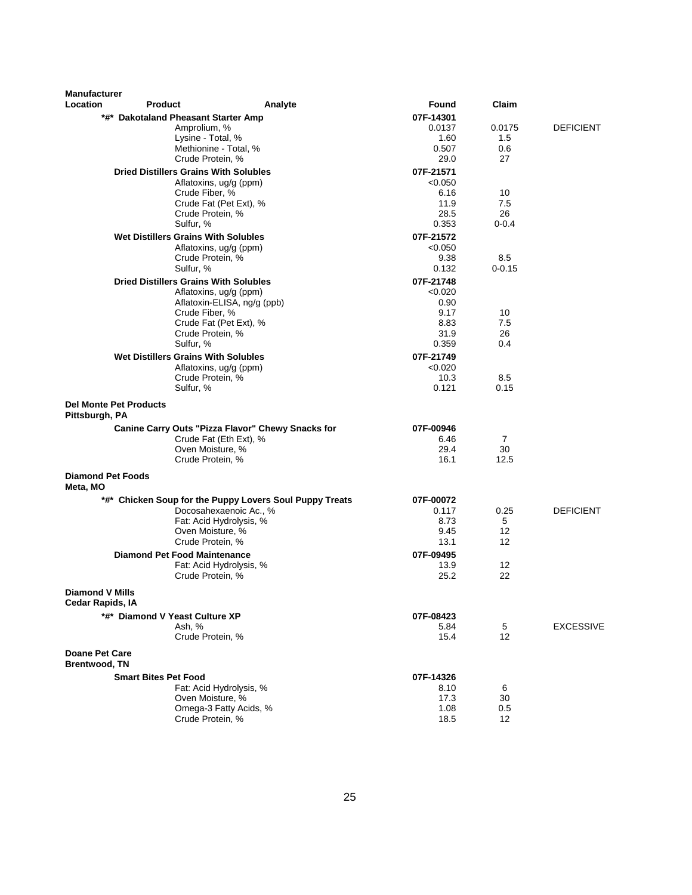| <b>Manufacturer</b>                           |                                     |                                                               |                      |                |                  |
|-----------------------------------------------|-------------------------------------|---------------------------------------------------------------|----------------------|----------------|------------------|
| Location                                      | <b>Product</b>                      | Analyte                                                       | Found                | Claim          |                  |
|                                               |                                     | *#* Dakotaland Pheasant Starter Amp                           | 07F-14301            |                |                  |
|                                               |                                     | Amprolium, %<br>Lysine - Total, %                             | 0.0137               | 0.0175         | <b>DEFICIENT</b> |
|                                               |                                     | Methionine - Total, %                                         | 1.60<br>0.507        | 1.5<br>0.6     |                  |
|                                               |                                     | Crude Protein, %                                              | 29.0                 | 27             |                  |
|                                               |                                     | <b>Dried Distillers Grains With Solubles</b>                  | 07F-21571            |                |                  |
|                                               |                                     | Aflatoxins, ug/g (ppm)                                        | < 0.050              |                |                  |
|                                               |                                     | Crude Fiber, %                                                | 6.16                 | 10             |                  |
|                                               |                                     | Crude Fat (Pet Ext), %                                        | 11.9                 | 7.5            |                  |
|                                               |                                     | Crude Protein, %                                              | 28.5                 | 26             |                  |
|                                               |                                     | Sulfur, %                                                     | 0.353                | $0 - 0.4$      |                  |
|                                               |                                     | Wet Distillers Grains With Solubles<br>Aflatoxins, ug/g (ppm) | 07F-21572<br>< 0.050 |                |                  |
|                                               |                                     | Crude Protein, %                                              | 9.38                 | 8.5            |                  |
|                                               |                                     | Sulfur, %                                                     | 0.132                | $0 - 0.15$     |                  |
|                                               |                                     | <b>Dried Distillers Grains With Solubles</b>                  | 07F-21748            |                |                  |
|                                               |                                     | Aflatoxins, ug/g (ppm)                                        | < 0.020              |                |                  |
|                                               |                                     | Aflatoxin-ELISA, ng/g (ppb)                                   | 0.90                 |                |                  |
|                                               |                                     | Crude Fiber, %                                                | 9.17                 | 10             |                  |
|                                               |                                     | Crude Fat (Pet Ext), %<br>Crude Protein, %                    | 8.83<br>31.9         | 7.5<br>26      |                  |
|                                               |                                     | Sulfur, %                                                     | 0.359                | 0.4            |                  |
|                                               |                                     | <b>Wet Distillers Grains With Solubles</b>                    | 07F-21749            |                |                  |
|                                               |                                     | Aflatoxins, ug/g (ppm)                                        | < 0.020              |                |                  |
|                                               |                                     | Crude Protein, %                                              | 10.3                 | 8.5            |                  |
|                                               |                                     | Sulfur, %                                                     | 0.121                | 0.15           |                  |
| Pittsburgh, PA                                | <b>Del Monte Pet Products</b>       |                                                               |                      |                |                  |
|                                               |                                     | Canine Carry Outs "Pizza Flavor" Chewy Snacks for             | 07F-00946            |                |                  |
|                                               |                                     | Crude Fat (Eth Ext), %                                        | 6.46                 | $\overline{7}$ |                  |
|                                               |                                     | Oven Moisture, %                                              | 29.4                 | 30             |                  |
|                                               |                                     | Crude Protein, %                                              | 16.1                 | 12.5           |                  |
| <b>Diamond Pet Foods</b><br>Meta, MO          |                                     |                                                               |                      |                |                  |
|                                               |                                     | *#* Chicken Soup for the Puppy Lovers Soul Puppy Treats       | 07F-00072            |                |                  |
|                                               |                                     | Docosahexaenoic Ac., %                                        | 0.117                | 0.25           | <b>DEFICIENT</b> |
|                                               |                                     | Fat: Acid Hydrolysis, %<br>Oven Moisture, %                   | 8.73<br>9.45         | 5<br>12        |                  |
|                                               |                                     | Crude Protein, %                                              | 13.1                 | 12             |                  |
|                                               | <b>Diamond Pet Food Maintenance</b> |                                                               | 07F-09495            |                |                  |
|                                               |                                     | Fat: Acid Hydrolysis, %                                       | 13.9                 | 12             |                  |
|                                               |                                     | Crude Protein, %                                              | 25.2                 | 22             |                  |
| <b>Diamond V Mills</b><br>Cedar Rapids, IA    |                                     |                                                               |                      |                |                  |
|                                               | *#* Diamond V Yeast Culture XP      |                                                               | 07F-08423            |                |                  |
|                                               |                                     | Ash, %                                                        | 5.84                 | 5              | <b>EXCESSIVE</b> |
|                                               |                                     | Crude Protein, %                                              | 15.4                 | 12             |                  |
| <b>Doane Pet Care</b><br><b>Brentwood, TN</b> |                                     |                                                               |                      |                |                  |
|                                               | <b>Smart Bites Pet Food</b>         |                                                               | 07F-14326            |                |                  |
|                                               |                                     | Fat: Acid Hydrolysis, %                                       | 8.10                 | 6              |                  |
|                                               |                                     | Oven Moisture, %                                              | 17.3                 | 30             |                  |
|                                               |                                     | Omega-3 Fatty Acids, %<br>Crude Protein, %                    | 1.08<br>18.5         | 0.5<br>12      |                  |
|                                               |                                     |                                                               |                      |                |                  |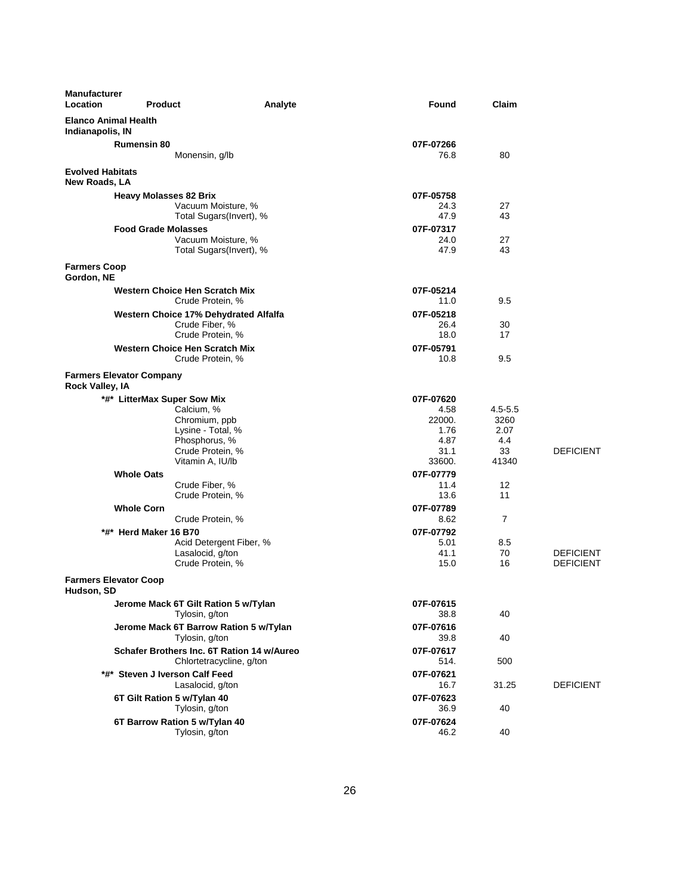| <b>Manufacturer</b><br>Location                 | <b>Product</b>                                | Analyte | Found             | Claim        |                  |
|-------------------------------------------------|-----------------------------------------------|---------|-------------------|--------------|------------------|
| <b>Elanco Animal Health</b><br>Indianapolis, IN |                                               |         |                   |              |                  |
|                                                 | <b>Rumensin 80</b>                            |         | 07F-07266         |              |                  |
|                                                 | Monensin, g/lb                                |         | 76.8              | 80           |                  |
| <b>Evolved Habitats</b><br>New Roads, LA        |                                               |         |                   |              |                  |
|                                                 | <b>Heavy Molasses 82 Brix</b>                 |         | 07F-05758         |              |                  |
|                                                 | Vacuum Moisture, %                            |         | 24.3              | 27           |                  |
|                                                 | Total Sugars(Invert), %                       |         | 47.9              | 43           |                  |
|                                                 | <b>Food Grade Molasses</b>                    |         | 07F-07317         |              |                  |
|                                                 | Vacuum Moisture, %<br>Total Sugars(Invert), % |         | 24.0<br>47.9      | 27<br>43     |                  |
|                                                 |                                               |         |                   |              |                  |
| <b>Farmers Coop</b><br>Gordon, NE               |                                               |         |                   |              |                  |
|                                                 | <b>Western Choice Hen Scratch Mix</b>         |         | 07F-05214         |              |                  |
|                                                 | Crude Protein, %                              |         | 11.0              | 9.5          |                  |
|                                                 | Western Choice 17% Dehydrated Alfalfa         |         | 07F-05218         |              |                  |
|                                                 | Crude Fiber, %<br>Crude Protein, %            |         | 26.4<br>18.0      | 30<br>17     |                  |
|                                                 | <b>Western Choice Hen Scratch Mix</b>         |         | 07F-05791         |              |                  |
|                                                 | Crude Protein, %                              |         | 10.8              | 9.5          |                  |
|                                                 |                                               |         |                   |              |                  |
| Rock Valley, IA                                 | <b>Farmers Elevator Company</b>               |         |                   |              |                  |
|                                                 | *#* LitterMax Super Sow Mix                   |         | 07F-07620         |              |                  |
|                                                 | Calcium, %                                    |         | 4.58              | $4.5 - 5.5$  |                  |
|                                                 | Chromium, ppb<br>Lysine - Total, %            |         | 22000.<br>1.76    | 3260<br>2.07 |                  |
|                                                 | Phosphorus, %                                 |         | 4.87              | 4.4          |                  |
|                                                 | Crude Protein, %                              |         | 31.1              | 33           | <b>DEFICIENT</b> |
|                                                 | Vitamin A, IU/lb                              |         | 33600.            | 41340        |                  |
|                                                 | <b>Whole Oats</b>                             |         | 07F-07779         |              |                  |
|                                                 | Crude Fiber, %                                |         | 11.4              | 12           |                  |
|                                                 | Crude Protein, %                              |         | 13.6              | 11           |                  |
|                                                 | <b>Whole Corn</b>                             |         | 07F-07789         |              |                  |
|                                                 | Crude Protein, %                              |         | 8.62              | 7            |                  |
|                                                 | *#* Herd Maker 16 B70                         |         | 07F-07792<br>5.01 | 8.5          |                  |
|                                                 | Acid Detergent Fiber, %<br>Lasalocid, g/ton   |         | 41.1              | 70           | <b>DEFICIENT</b> |
|                                                 | Crude Protein, %                              |         | 15.0              | 16           | <b>DEFICIENT</b> |
| <b>Farmers Elevator Coop</b><br>Hudson, SD      |                                               |         |                   |              |                  |
|                                                 | Jerome Mack 6T Gilt Ration 5 w/Tylan          |         | 07F-07615         |              |                  |
|                                                 | Tylosin, g/ton                                |         | 38.8              | 40           |                  |
|                                                 | Jerome Mack 6T Barrow Ration 5 w/Tylan        |         | 07F-07616         |              |                  |
|                                                 | Tylosin, g/ton                                |         | 39.8              | 40           |                  |
|                                                 | Schafer Brothers Inc. 6T Ration 14 w/Aureo    |         | 07F-07617         |              |                  |
|                                                 | Chlortetracycline, g/ton                      |         | 514.              | 500          |                  |
|                                                 | *#* Steven J Iverson Calf Feed                |         | 07F-07621         |              |                  |
|                                                 | Lasalocid, g/ton                              |         | 16.7              | 31.25        | <b>DEFICIENT</b> |
|                                                 | 6T Gilt Ration 5 w/Tylan 40                   |         | 07F-07623         |              |                  |
|                                                 | Tylosin, g/ton                                |         | 36.9              | 40           |                  |
|                                                 | 6T Barrow Ration 5 w/Tylan 40                 |         | 07F-07624         |              |                  |
|                                                 | Tylosin, g/ton                                |         | 46.2              | 40           |                  |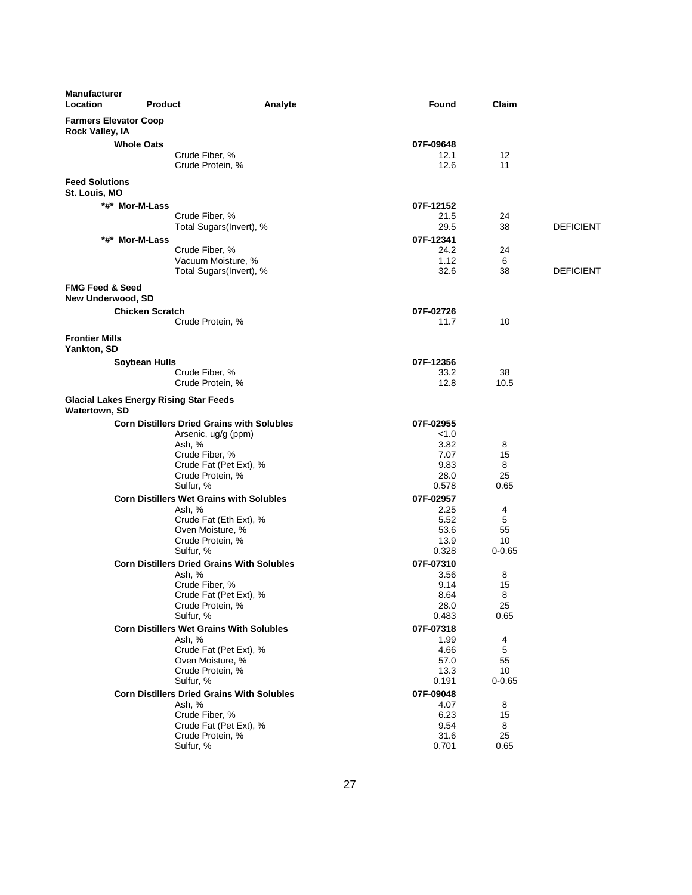| <b>Manufacturer</b><br>Location                        | <b>Product</b>                                                 | Analyte | Found              | Claim            |                  |
|--------------------------------------------------------|----------------------------------------------------------------|---------|--------------------|------------------|------------------|
| <b>Farmers Elevator Coop</b><br><b>Rock Valley, IA</b> |                                                                |         |                    |                  |                  |
|                                                        | <b>Whole Oats</b>                                              |         | 07F-09648          |                  |                  |
|                                                        | Crude Fiber, %                                                 |         | 12.1               | 12               |                  |
|                                                        | Crude Protein, %                                               |         | 12.6               | 11               |                  |
| <b>Feed Solutions</b><br>St. Louis, MO                 |                                                                |         |                    |                  |                  |
|                                                        | *#* Mor-M-Lass                                                 |         | 07F-12152          |                  |                  |
|                                                        | Crude Fiber, %                                                 |         | 21.5               | 24               |                  |
|                                                        | Total Sugars(Invert), %                                        |         | 29.5               | 38               | <b>DEFICIENT</b> |
|                                                        | *#* Mor-M-Lass<br>Crude Fiber, %                               |         | 07F-12341<br>24.2  | 24               |                  |
|                                                        | Vacuum Moisture, %                                             |         | 1.12               | 6                |                  |
|                                                        | Total Sugars(Invert), %                                        |         | 32.6               | 38               | <b>DEFICIENT</b> |
| <b>FMG Feed &amp; Seed</b><br>New Underwood, SD        |                                                                |         |                    |                  |                  |
|                                                        | <b>Chicken Scratch</b>                                         |         | 07F-02726          |                  |                  |
|                                                        | Crude Protein, %                                               |         | 11.7               | 10               |                  |
| <b>Frontier Mills</b><br>Yankton, SD                   |                                                                |         |                    |                  |                  |
|                                                        | Soybean Hulls                                                  |         | 07F-12356          |                  |                  |
|                                                        | Crude Fiber, %                                                 |         | 33.2               | 38               |                  |
|                                                        | Crude Protein, %                                               |         | 12.8               | 10.5             |                  |
| Watertown, SD                                          | <b>Glacial Lakes Energy Rising Star Feeds</b>                  |         |                    |                  |                  |
|                                                        | <b>Corn Distillers Dried Grains with Solubles</b>              |         | 07F-02955          |                  |                  |
|                                                        | Arsenic, ug/g (ppm)<br>Ash, %                                  |         | < 1.0<br>3.82      | 8                |                  |
|                                                        | Crude Fiber, %                                                 |         | 7.07               | 15               |                  |
|                                                        | Crude Fat (Pet Ext), %                                         |         | 9.83               | 8                |                  |
|                                                        | Crude Protein, %                                               |         | 28.0               | 25               |                  |
|                                                        | Sulfur, %                                                      |         | 0.578              | 0.65             |                  |
|                                                        | <b>Corn Distillers Wet Grains with Solubles</b><br>Ash, %      |         | 07F-02957<br>2.25  | 4                |                  |
|                                                        | Crude Fat (Eth Ext), %                                         |         | 5.52               | 5                |                  |
|                                                        | Oven Moisture, %                                               |         | 53.6               | 55               |                  |
|                                                        | Crude Protein, %                                               |         | 13.9               | 10               |                  |
|                                                        | Sulfur, %<br><b>Corn Distillers Dried Grains With Solubles</b> |         | 0.328<br>07F-07310 | $0 - 0.65$       |                  |
|                                                        | Ash. %                                                         |         | 3.56               | 8                |                  |
|                                                        | Crude Fiber, %                                                 |         | 9.14               | 15               |                  |
|                                                        | Crude Fat (Pet Ext), %                                         |         | 8.64               | 8                |                  |
|                                                        | Crude Protein, %<br>Sulfur, %                                  |         | 28.0<br>0.483      | 25<br>0.65       |                  |
|                                                        | <b>Corn Distillers Wet Grains With Solubles</b>                |         | 07F-07318          |                  |                  |
|                                                        | Ash, %                                                         |         | 1.99               | 4                |                  |
|                                                        | Crude Fat (Pet Ext), %                                         |         | 4.66               | 5                |                  |
|                                                        | Oven Moisture, %                                               |         | 57.0               | 55               |                  |
|                                                        | Crude Protein, %<br>Sulfur, %                                  |         | 13.3<br>0.191      | 10<br>$0 - 0.65$ |                  |
|                                                        | <b>Corn Distillers Dried Grains With Solubles</b>              |         | 07F-09048          |                  |                  |
|                                                        | Ash, %                                                         |         | 4.07               | 8                |                  |
|                                                        | Crude Fiber, %                                                 |         | 6.23               | 15               |                  |
|                                                        | Crude Fat (Pet Ext), %                                         |         | 9.54               | 8                |                  |
|                                                        | Crude Protein, %<br>Sulfur, %                                  |         | 31.6<br>0.701      | 25<br>0.65       |                  |
|                                                        |                                                                |         |                    |                  |                  |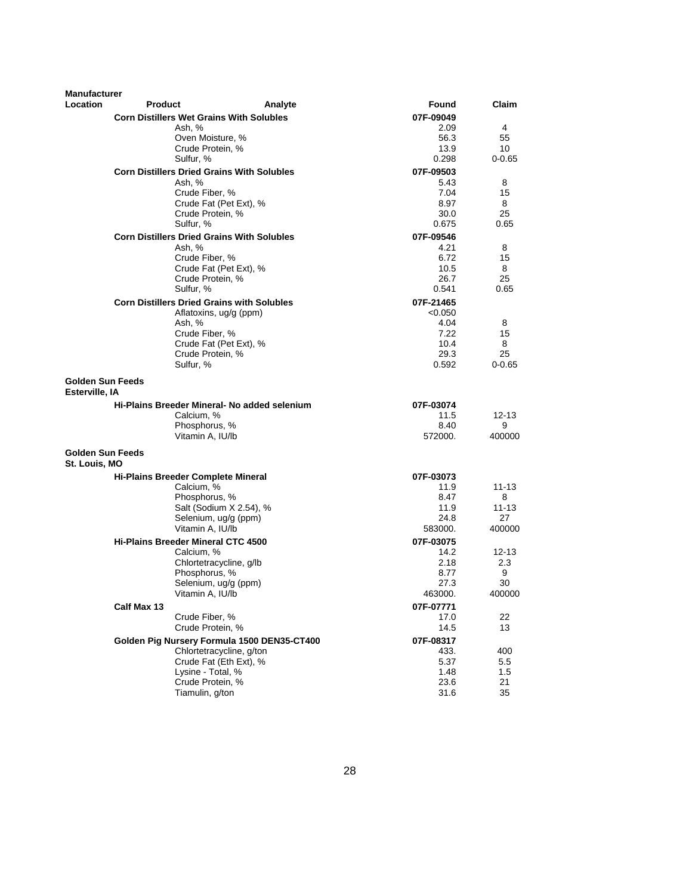| <b>Manufacturer</b><br>Location           | <b>Product</b> |                                                   | Analyte | Found             | Claim       |
|-------------------------------------------|----------------|---------------------------------------------------|---------|-------------------|-------------|
|                                           |                | <b>Corn Distillers Wet Grains With Solubles</b>   |         |                   |             |
|                                           |                | Ash, %                                            |         | 07F-09049<br>2.09 | 4           |
|                                           |                | Oven Moisture, %                                  |         | 56.3              | 55          |
|                                           |                | Crude Protein, %                                  |         | 13.9              | 10          |
|                                           |                | Sulfur, %                                         |         | 0.298             | $0 - 0.65$  |
|                                           |                | <b>Corn Distillers Dried Grains With Solubles</b> |         | 07F-09503         |             |
|                                           |                | Ash, %                                            |         | 5.43              | 8           |
|                                           |                | Crude Fiber, %                                    |         | 7.04              | 15          |
|                                           |                | Crude Fat (Pet Ext), %                            |         | 8.97              | 8           |
|                                           |                | Crude Protein, %                                  |         | 30.0              | 25          |
|                                           |                | Sulfur, %                                         |         | 0.675             | 0.65        |
|                                           |                | <b>Corn Distillers Dried Grains With Solubles</b> |         | 07F-09546         |             |
|                                           |                | Ash, %                                            |         | 4.21              | 8           |
|                                           |                | Crude Fiber, %                                    |         | 6.72              | 15          |
|                                           |                | Crude Fat (Pet Ext), %                            |         | 10.5              | 8           |
|                                           |                | Crude Protein, %                                  |         | 26.7              | 25          |
|                                           |                | Sulfur, %                                         |         | 0.541             | 0.65        |
|                                           |                | <b>Corn Distillers Dried Grains with Solubles</b> |         | 07F-21465         |             |
|                                           |                | Aflatoxins, ug/g (ppm)                            |         | < 0.050           |             |
|                                           |                | Ash, %<br>Crude Fiber, %                          |         | 4.04<br>7.22      | 8<br>15     |
|                                           |                | Crude Fat (Pet Ext), %                            |         | 10.4              | 8           |
|                                           |                | Crude Protein, %                                  |         | 29.3              | 25          |
|                                           |                | Sulfur, %                                         |         | 0.592             | $0 - 0.65$  |
| <b>Golden Sun Feeds</b><br>Esterville, IA |                |                                                   |         |                   |             |
|                                           |                | Hi-Plains Breeder Mineral- No added selenium      |         | 07F-03074         |             |
|                                           |                | Calcium, %                                        |         | 11.5              | $12 - 13$   |
|                                           |                | Phosphorus, %<br>Vitamin A, IU/lb                 |         | 8.40<br>572000.   | 9<br>400000 |
|                                           |                |                                                   |         |                   |             |
| <b>Golden Sun Feeds</b><br>St. Louis, MO  |                |                                                   |         |                   |             |
|                                           |                | <b>Hi-Plains Breeder Complete Mineral</b>         |         | 07F-03073         |             |
|                                           |                | Calcium, %                                        |         | 11.9              | 11-13       |
|                                           |                | Phosphorus, %                                     |         | 8.47              | 8           |
|                                           |                | Salt (Sodium X 2.54), %                           |         | 11.9              | 11-13<br>27 |
|                                           |                | Selenium, ug/g (ppm)<br>Vitamin A, IU/lb          |         | 24.8<br>583000.   | 400000      |
|                                           |                | <b>Hi-Plains Breeder Mineral CTC 4500</b>         |         | 07F-03075         |             |
|                                           |                | Calcium, %                                        |         | 14.2              | 12-13       |
|                                           |                | Chlortetracycline, g/lb                           |         | 2.18              | 2.3         |
|                                           |                | Phosphorus, %                                     |         | 8.77              | 9           |
|                                           |                | Selenium, ug/g (ppm)                              |         | 27.3              | 30          |
|                                           |                | Vitamin A, IU/lb                                  |         | 463000.           | 400000      |
|                                           | Calf Max 13    |                                                   |         | 07F-07771         |             |
|                                           |                | Crude Fiber, %                                    |         | 17.0              | 22          |
|                                           |                | Crude Protein, %                                  |         | 14.5              | 13          |
|                                           |                | Golden Pig Nursery Formula 1500 DEN35-CT400       |         | 07F-08317         |             |
|                                           |                | Chlortetracycline, g/ton                          |         | 433.              | 400         |
|                                           |                | Crude Fat (Eth Ext), %                            |         | 5.37              | 5.5         |
|                                           |                | Lysine - Total, %                                 |         | 1.48              | 1.5         |
|                                           |                | Crude Protein, %<br>Tiamulin, g/ton               |         | 23.6<br>31.6      | 21<br>35    |
|                                           |                |                                                   |         |                   |             |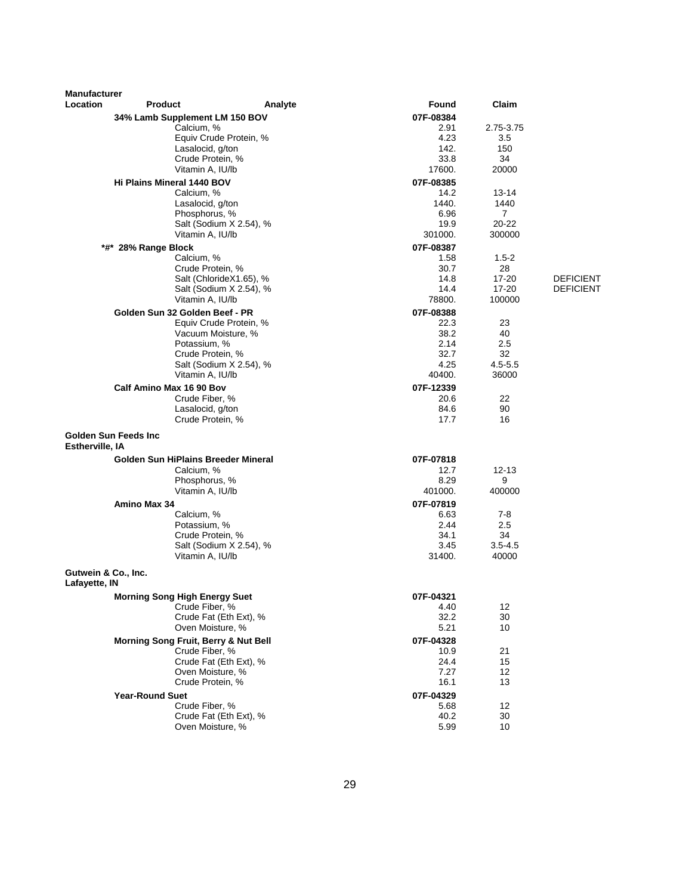| <b>Manufacturer</b>                  |                                              |                                              |                   |                             |                  |
|--------------------------------------|----------------------------------------------|----------------------------------------------|-------------------|-----------------------------|------------------|
| Location                             | <b>Product</b>                               | Analyte                                      | Found             | Claim                       |                  |
|                                      | 34% Lamb Supplement LM 150 BOV<br>Calcium, % |                                              | 07F-08384<br>2.91 | 2.75-3.75                   |                  |
|                                      |                                              | Equiv Crude Protein, %                       | 4.23              | 3.5                         |                  |
|                                      | Lasalocid, g/ton                             |                                              | 142.              | 150                         |                  |
|                                      | Crude Protein, %                             |                                              | 33.8              | 34                          |                  |
|                                      | Vitamin A, IU/lb                             |                                              | 17600.            | 20000                       |                  |
|                                      | Hi Plains Mineral 1440 BOV                   |                                              | 07F-08385         |                             |                  |
|                                      | Calcium, %                                   |                                              | 14.2              | 13-14                       |                  |
|                                      | Lasalocid, g/ton                             |                                              | 1440.             | 1440                        |                  |
|                                      | Phosphorus, %                                | Salt (Sodium X 2.54), %                      | 6.96<br>19.9      | $\overline{7}$<br>$20 - 22$ |                  |
|                                      | Vitamin A, IU/lb                             |                                              | 301000.           | 300000                      |                  |
|                                      | *#* 28% Range Block                          |                                              | 07F-08387         |                             |                  |
|                                      | Calcium, %                                   |                                              | 1.58              | $1.5 - 2$                   |                  |
|                                      | Crude Protein, %                             |                                              | 30.7              | 28                          |                  |
|                                      |                                              | Salt (ChlorideX1.65), %                      | 14.8              | 17-20                       | <b>DEFICIENT</b> |
|                                      |                                              | Salt (Sodium X 2.54), %                      | 14.4              | $17 - 20$                   | <b>DEFICIENT</b> |
|                                      | Vitamin A, IU/lb                             |                                              | 78800.            | 100000                      |                  |
|                                      | Golden Sun 32 Golden Beef - PR               |                                              | 07F-08388         |                             |                  |
|                                      |                                              | Equiv Crude Protein, %<br>Vacuum Moisture, % | 22.3<br>38.2      | 23<br>40                    |                  |
|                                      | Potassium, %                                 |                                              | 2.14              | 2.5                         |                  |
|                                      | Crude Protein, %                             |                                              | 32.7              | 32                          |                  |
|                                      |                                              | Salt (Sodium X 2.54), %                      | 4.25              | $4.5 - 5.5$                 |                  |
|                                      | Vitamin A. IU/lb                             |                                              | 40400.            | 36000                       |                  |
|                                      | Calf Amino Max 16 90 Bov                     |                                              | 07F-12339         |                             |                  |
|                                      | Crude Fiber, %                               |                                              | 20.6              | 22                          |                  |
|                                      | Lasalocid, g/ton<br>Crude Protein, %         |                                              | 84.6<br>17.7      | 90<br>16                    |                  |
|                                      |                                              |                                              |                   |                             |                  |
| Estherville, IA                      | <b>Golden Sun Feeds Inc.</b>                 |                                              |                   |                             |                  |
|                                      | Golden Sun HiPlains Breeder Mineral          |                                              | 07F-07818         |                             |                  |
|                                      | Calcium, %                                   |                                              | 12.7              | $12 - 13$                   |                  |
|                                      | Phosphorus, %<br>Vitamin A, IU/lb            |                                              | 8.29<br>401000.   | 9<br>400000                 |                  |
|                                      |                                              |                                              |                   |                             |                  |
|                                      | Amino Max 34<br>Calcium, %                   |                                              | 07F-07819<br>6.63 | 7-8                         |                  |
|                                      | Potassium, %                                 |                                              | 2.44              | 2.5                         |                  |
|                                      | Crude Protein, %                             |                                              | 34.1              | 34                          |                  |
|                                      |                                              | Salt (Sodium X 2.54), %                      | 3.45              | $3.5 - 4.5$                 |                  |
|                                      | Vitamin A, IU/lb                             |                                              | 31400.            | 40000                       |                  |
| Gutwein & Co., Inc.<br>Lafayette, IN |                                              |                                              |                   |                             |                  |
|                                      | <b>Morning Song High Energy Suet</b>         |                                              | 07F-04321         |                             |                  |
|                                      | Crude Fiber, %                               |                                              | 4.40              | 12                          |                  |
|                                      |                                              | Crude Fat (Eth Ext), %                       | 32.2              | 30                          |                  |
|                                      |                                              | Oven Moisture, %                             | 5.21              | 10                          |                  |
|                                      | Morning Song Fruit, Berry & Nut Bell         |                                              | 07F-04328         |                             |                  |
|                                      | Crude Fiber, %                               | Crude Fat (Eth Ext), %                       | 10.9<br>24.4      | 21<br>15                    |                  |
|                                      |                                              | Oven Moisture, %                             | 7.27              | 12                          |                  |
|                                      | Crude Protein, %                             |                                              | 16.1              | 13                          |                  |
|                                      | <b>Year-Round Suet</b>                       |                                              | 07F-04329         |                             |                  |
|                                      | Crude Fiber, %                               |                                              | 5.68              | 12                          |                  |
|                                      |                                              | Crude Fat (Eth Ext), %                       | 40.2              | 30                          |                  |
|                                      |                                              | Oven Moisture, %                             | 5.99              | 10                          |                  |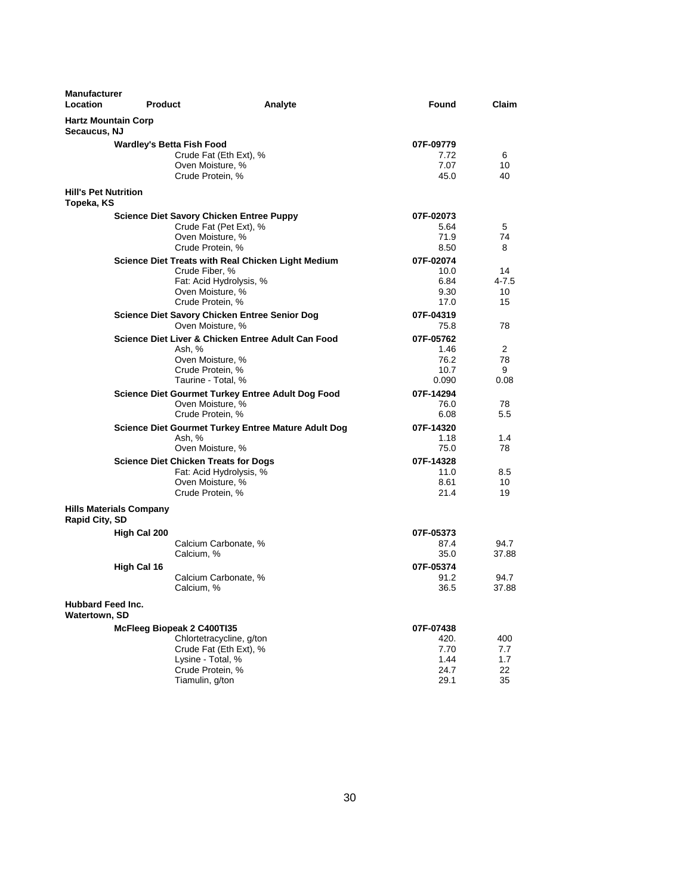| <b>Manufacturer</b><br>Location            | <b>Product</b>                 |                                                                                                                                              | Analyte | Found                                             | Claim                             |
|--------------------------------------------|--------------------------------|----------------------------------------------------------------------------------------------------------------------------------------------|---------|---------------------------------------------------|-----------------------------------|
| <b>Hartz Mountain Corp</b><br>Secaucus, NJ |                                |                                                                                                                                              |         |                                                   |                                   |
|                                            |                                | <b>Wardley's Betta Fish Food</b><br>Crude Fat (Eth Ext), %<br>Oven Moisture, %<br>Crude Protein, %                                           |         | 07F-09779<br>7.72<br>7.07<br>45.0                 | 6<br>10<br>40                     |
| <b>Hill's Pet Nutrition</b><br>Topeka, KS  |                                |                                                                                                                                              |         |                                                   |                                   |
|                                            |                                | <b>Science Diet Savory Chicken Entree Puppy</b><br>Crude Fat (Pet Ext), %<br>Oven Moisture, %<br>Crude Protein, %                            |         | 07F-02073<br>5.64<br>71.9<br>8.50                 | 5<br>74<br>8                      |
|                                            |                                | Science Diet Treats with Real Chicken Light Medium<br>Crude Fiber, %<br>Fat: Acid Hydrolysis, %<br>Oven Moisture, %<br>Crude Protein, %      |         | 07F-02074<br>10.0<br>6.84<br>9.30<br>17.0         | 14<br>4-7.5<br>10<br>15           |
|                                            |                                | Science Diet Savory Chicken Entree Senior Dog<br>Oven Moisture, %                                                                            |         | 07F-04319<br>75.8                                 | 78                                |
|                                            |                                | Science Diet Liver & Chicken Entree Adult Can Food<br>Ash, %<br>Oven Moisture, %<br>Crude Protein, %<br>Taurine - Total, %                   |         | 07F-05762<br>1.46<br>76.2<br>10.7<br>0.090        | $\overline{2}$<br>78<br>9<br>0.08 |
|                                            |                                | Science Diet Gourmet Turkey Entree Adult Dog Food<br>Oven Moisture, %<br>Crude Protein, %                                                    |         | 07F-14294<br>76.0<br>6.08                         | 78<br>5.5                         |
|                                            |                                | Science Diet Gourmet Turkey Entree Mature Adult Dog<br>Ash, %<br>Oven Moisture, %                                                            |         | 07F-14320<br>1.18<br>75.0                         | 1.4<br>78                         |
|                                            |                                | <b>Science Diet Chicken Treats for Dogs</b><br>Fat: Acid Hydrolysis, %<br>Oven Moisture, %<br>Crude Protein, %                               |         | 07F-14328<br>11.0<br>8.61<br>21.4                 | 8.5<br>10<br>19                   |
| Rapid City, SD                             | <b>Hills Materials Company</b> |                                                                                                                                              |         |                                                   |                                   |
|                                            | High Cal 200                   | Calcium Carbonate, %<br>Calcium, %                                                                                                           |         | 07F-05373<br>87.4<br>35.0                         | 94.7<br>37.88                     |
|                                            | High Cal 16                    | Calcium Carbonate, %<br>Calcium, %                                                                                                           |         | 07F-05374<br>91.2<br>36.5                         | 94.7<br>37.88                     |
| <b>Hubbard Feed Inc.</b><br>Watertown, SD  |                                |                                                                                                                                              |         |                                                   |                                   |
|                                            |                                | McFleeg Biopeak 2 C400Tl35<br>Chlortetracycline, g/ton<br>Crude Fat (Eth Ext), %<br>Lysine - Total, %<br>Crude Protein, %<br>Tiamulin, g/ton |         | 07F-07438<br>420.<br>7.70<br>1.44<br>24.7<br>29.1 | 400<br>7.7<br>1.7<br>22<br>35     |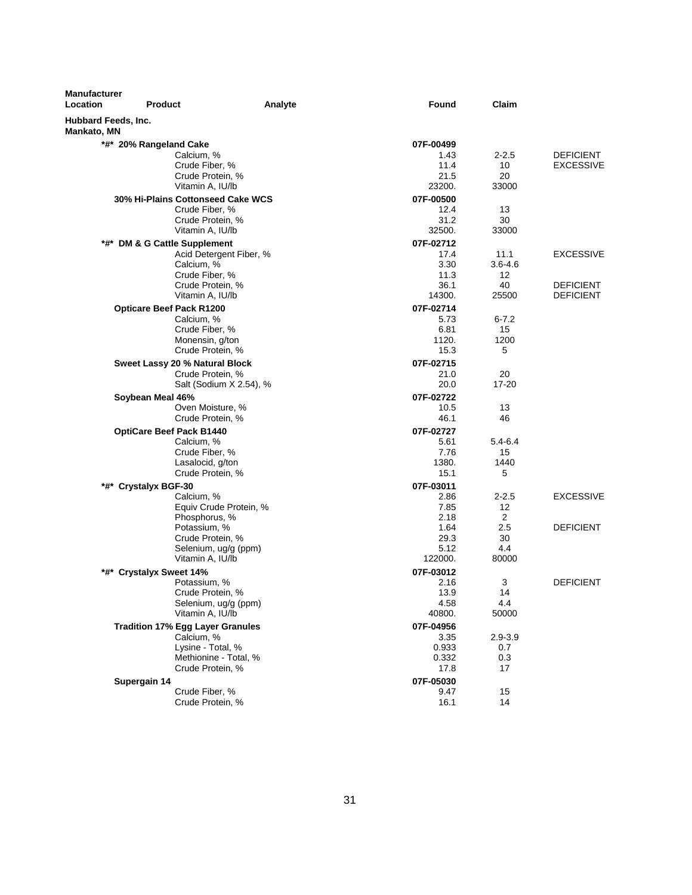| <b>Manufacturer</b><br>Location           | <b>Product</b>                                          | Analyte | Found             | Claim           |                  |
|-------------------------------------------|---------------------------------------------------------|---------|-------------------|-----------------|------------------|
| Hubbard Feeds, Inc.<br><b>Mankato, MN</b> |                                                         |         |                   |                 |                  |
|                                           | *#* 20% Rangeland Cake                                  |         | 07F-00499         |                 |                  |
|                                           | Calcium, %                                              |         | 1.43              | $2 - 2.5$       | <b>DEFICIENT</b> |
|                                           | Crude Fiber, %                                          |         | 11.4              | 10              | <b>EXCESSIVE</b> |
|                                           | Crude Protein, %                                        |         | 21.5              | 20              |                  |
|                                           | Vitamin A, IU/lb                                        |         | 23200.            | 33000           |                  |
|                                           | 30% Hi-Plains Cottonseed Cake WCS                       |         | 07F-00500         |                 |                  |
|                                           | Crude Fiber, %                                          |         | 12.4              | 13              |                  |
|                                           | Crude Protein, %<br>Vitamin A, IU/lb                    |         | 31.2<br>32500.    | 30<br>33000     |                  |
|                                           |                                                         |         |                   |                 |                  |
|                                           | *#* DM & G Cattle Supplement<br>Acid Detergent Fiber, % |         | 07F-02712<br>17.4 | 11.1            | <b>EXCESSIVE</b> |
|                                           | Calcium, %                                              |         | 3.30              | $3.6 - 4.6$     |                  |
|                                           | Crude Fiber, %                                          |         | 11.3              | 12              |                  |
|                                           | Crude Protein, %                                        |         | 36.1              | 40              | <b>DEFICIENT</b> |
|                                           | Vitamin A, IU/lb                                        |         | 14300.            | 25500           | <b>DEFICIENT</b> |
|                                           | <b>Opticare Beef Pack R1200</b>                         |         | 07F-02714         |                 |                  |
|                                           | Calcium, %                                              |         | 5.73              | $6 - 7.2$       |                  |
|                                           | Crude Fiber, %                                          |         | 6.81              | 15              |                  |
|                                           | Monensin, g/ton                                         |         | 1120.             | 1200            |                  |
|                                           | Crude Protein, %                                        |         | 15.3              | 5               |                  |
|                                           | Sweet Lassy 20 % Natural Block                          |         | 07F-02715         |                 |                  |
|                                           | Crude Protein, %<br>Salt (Sodium X 2.54), %             |         | 21.0<br>20.0      | 20<br>$17 - 20$ |                  |
|                                           |                                                         |         |                   |                 |                  |
|                                           | Soybean Meal 46%<br>Oven Moisture, %                    |         | 07F-02722<br>10.5 | 13              |                  |
|                                           | Crude Protein, %                                        |         | 46.1              | 46              |                  |
|                                           | <b>OptiCare Beef Pack B1440</b>                         |         | 07F-02727         |                 |                  |
|                                           | Calcium, %                                              |         | 5.61              | 5.4-6.4         |                  |
|                                           | Crude Fiber, %                                          |         | 7.76              | 15              |                  |
|                                           | Lasalocid, g/ton                                        |         | 1380.             | 1440            |                  |
|                                           | Crude Protein, %                                        |         | 15.1              | 5               |                  |
|                                           | *#* Crystalyx BGF-30                                    |         | 07F-03011         |                 |                  |
|                                           | Calcium, %                                              |         | 2.86              | $2 - 2.5$       | <b>EXCESSIVE</b> |
|                                           | Equiv Crude Protein, %                                  |         | 7.85              | 12              |                  |
|                                           | Phosphorus, %                                           |         | 2.18              | 2<br>2.5        | <b>DEFICIENT</b> |
|                                           | Potassium, %<br>Crude Protein, %                        |         | 1.64<br>29.3      | 30              |                  |
|                                           | Selenium, ug/g (ppm)                                    |         | 5.12              | 4.4             |                  |
|                                           | Vitamin A, IU/lb                                        |         | 122000.           | 80000           |                  |
|                                           | *#* Crystalyx Sweet 14%                                 |         | 07F-03012         |                 |                  |
|                                           | Potassium, %                                            |         | 2.16              | 3               | <b>DEFICIENT</b> |
|                                           | Crude Protein, %                                        |         | 13.9              | 14              |                  |
|                                           | Selenium, ug/g (ppm)                                    |         | 4.58              | 4.4             |                  |
|                                           | Vitamin A, IU/lb                                        |         | 40800.            | 50000           |                  |
|                                           | <b>Tradition 17% Egg Layer Granules</b>                 |         | 07F-04956         |                 |                  |
|                                           | Calcium, %                                              |         | 3.35              | $2.9 - 3.9$     |                  |
|                                           | Lysine - Total, %<br>Methionine - Total, %              |         | 0.933<br>0.332    | 0.7<br>0.3      |                  |
|                                           | Crude Protein, %                                        |         | 17.8              | 17              |                  |
|                                           | Supergain 14                                            |         | 07F-05030         |                 |                  |
|                                           | Crude Fiber, %                                          |         | 9.47              | 15              |                  |
|                                           | Crude Protein, %                                        |         | 16.1              | 14              |                  |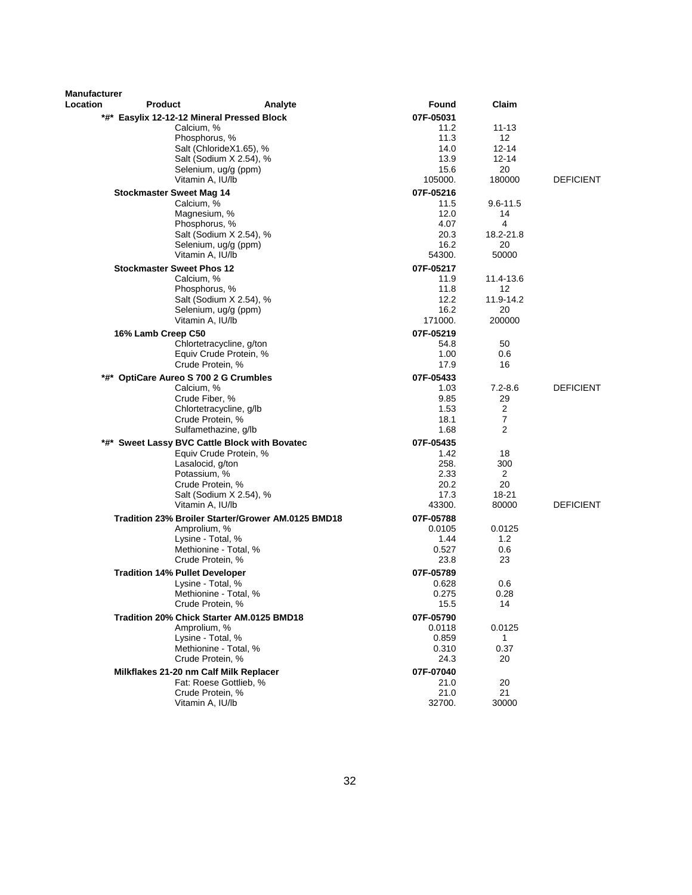| <b>Manufacturer</b> |                                               |                                                    |                     |                      |                  |
|---------------------|-----------------------------------------------|----------------------------------------------------|---------------------|----------------------|------------------|
| Location            | <b>Product</b>                                | Analyte                                            | Found               | Claim                |                  |
|                     | *#* Easylix 12-12-12 Mineral Pressed Block    |                                                    | 07F-05031           |                      |                  |
|                     | Calcium, %                                    |                                                    | 11.2                | 11-13                |                  |
|                     | Phosphorus, %                                 |                                                    | 11.3                | $12 \overline{ }$    |                  |
|                     |                                               | Salt (ChlorideX1.65), %<br>Salt (Sodium X 2.54), % | 14.0<br>13.9        | 12-14<br>12-14       |                  |
|                     |                                               | Selenium, ug/g (ppm)                               | 15.6                | 20                   |                  |
|                     | Vitamin A, IU/lb                              |                                                    | 105000.             | 180000               | <b>DEFICIENT</b> |
|                     | <b>Stockmaster Sweet Mag 14</b>               |                                                    | 07F-05216           |                      |                  |
|                     | Calcium, %                                    |                                                    | 11.5                | 9.6-11.5             |                  |
|                     | Magnesium, %                                  |                                                    | 12.0                | 14                   |                  |
|                     | Phosphorus, %                                 |                                                    | 4.07                | 4                    |                  |
|                     |                                               | Salt (Sodium X 2.54), %                            | 20.3                | 18.2-21.8            |                  |
|                     |                                               | Selenium, ug/g (ppm)                               | 16.2                | 20                   |                  |
|                     | Vitamin A, IU/lb                              |                                                    | 54300.              | 50000                |                  |
|                     | <b>Stockmaster Sweet Phos 12</b>              |                                                    | 07F-05217<br>11.9   | 11.4-13.6            |                  |
|                     | Calcium, %<br>Phosphorus, %                   |                                                    | 11.8                | 12                   |                  |
|                     |                                               | Salt (Sodium X 2.54), %                            | 12.2                | 11.9-14.2            |                  |
|                     |                                               | Selenium, ug/g (ppm)                               | 16.2                | 20                   |                  |
|                     | Vitamin A, IU/lb                              |                                                    | 171000.             | 200000               |                  |
|                     | 16% Lamb Creep C50                            |                                                    | 07F-05219           |                      |                  |
|                     |                                               | Chlortetracycline, g/ton                           | 54.8                | 50                   |                  |
|                     |                                               | Equiv Crude Protein, %                             | 1.00                | 0.6                  |                  |
|                     | Crude Protein, %                              |                                                    | 17.9                | 16                   |                  |
|                     | *#* OptiCare Aureo S 700 2 G Crumbles         |                                                    | 07F-05433           |                      |                  |
|                     | Calcium, %                                    |                                                    | 1.03                | $7.2 - 8.6$          | <b>DEFICIENT</b> |
|                     | Crude Fiber, %                                | Chlortetracycline, g/lb                            | 9.85<br>1.53        | 29<br>2              |                  |
|                     | Crude Protein, %                              |                                                    | 18.1                | 7                    |                  |
|                     |                                               | Sulfamethazine, g/lb                               | 1.68                | 2                    |                  |
|                     | *#* Sweet Lassy BVC Cattle Block with Bovatec |                                                    | 07F-05435           |                      |                  |
|                     |                                               | Equiv Crude Protein, %                             | 1.42                | 18                   |                  |
|                     | Lasalocid, g/ton                              |                                                    | 258.                | 300                  |                  |
|                     | Potassium, %                                  |                                                    | 2.33                | 2                    |                  |
|                     | Crude Protein, %                              |                                                    | 20.2                | 20                   |                  |
|                     | Vitamin A, IU/lb                              | Salt (Sodium X 2.54), %                            | 17.3<br>43300.      | 18-21<br>80000       | <b>DEFICIENT</b> |
|                     |                                               |                                                    |                     |                      |                  |
|                     | Amprolium, %                                  | Tradition 23% Broiler Starter/Grower AM.0125 BMD18 | 07F-05788<br>0.0105 | 0.0125               |                  |
|                     | Lysine - Total, %                             |                                                    | 1.44                | 1.2                  |                  |
|                     |                                               | Methionine - Total, %                              | 0.527               | 0.6                  |                  |
|                     | Crude Protein, %                              |                                                    | 23.8                | 23                   |                  |
|                     | <b>Tradition 14% Pullet Developer</b>         |                                                    | 07F-05789           |                      |                  |
|                     | Lysine - Total, %                             |                                                    | 0.628               | 0.6                  |                  |
|                     |                                               | Methionine - Total, %                              | 0.275               | 0.28                 |                  |
|                     | Crude Protein, %                              |                                                    | 15.5                | 14                   |                  |
|                     | Tradition 20% Chick Starter AM.0125 BMD18     |                                                    | 07F-05790           |                      |                  |
|                     | Amprolium, %                                  |                                                    | 0.0118              | 0.0125               |                  |
|                     | Lysine - Total, %                             | Methionine - Total, %                              | 0.859<br>0.310      | $\mathbf{1}$<br>0.37 |                  |
|                     | Crude Protein, %                              |                                                    | 24.3                | 20                   |                  |
|                     | Milkflakes 21-20 nm Calf Milk Replacer        |                                                    | 07F-07040           |                      |                  |
|                     |                                               | Fat: Roese Gottlieb, %                             | 21.0                | 20                   |                  |
|                     | Crude Protein, %                              |                                                    | 21.0                | 21                   |                  |
|                     | Vitamin A, IU/lb                              |                                                    | 32700.              | 30000                |                  |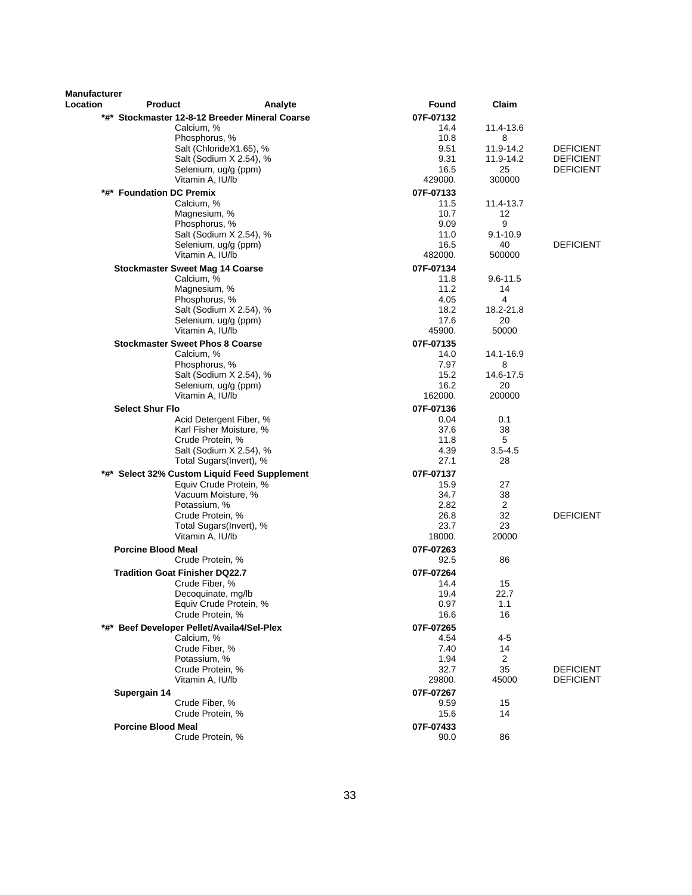| <b>Manufacturer</b> |                                                         |                                                 |                   |                      |                  |
|---------------------|---------------------------------------------------------|-------------------------------------------------|-------------------|----------------------|------------------|
| Location            | <b>Product</b>                                          | Analyte                                         | <b>Found</b>      | Claim                |                  |
|                     | *#* Stockmaster 12-8-12 Breeder Mineral Coarse          |                                                 | 07F-07132         |                      |                  |
|                     | Calcium, %                                              |                                                 | 14.4              | 11.4-13.6<br>8       |                  |
|                     | Phosphorus, %                                           | Salt (ChlorideX1.65), %                         | 10.8<br>9.51      | 11.9-14.2            | <b>DEFICIENT</b> |
|                     |                                                         | Salt (Sodium X 2.54), %                         | 9.31              | 11.9-14.2            | <b>DEFICIENT</b> |
|                     |                                                         | Selenium, ug/g (ppm)                            | 16.5              | 25                   | <b>DEFICIENT</b> |
|                     | Vitamin A, IU/lb                                        |                                                 | 429000.           | 300000               |                  |
|                     | *#* Foundation DC Premix                                |                                                 | 07F-07133         |                      |                  |
|                     | Calcium, %                                              |                                                 | 11.5              | 11.4-13.7            |                  |
|                     | Magnesium, %                                            |                                                 | 10.7              | 12                   |                  |
|                     | Phosphorus, %                                           |                                                 | 9.09              | 9                    |                  |
|                     |                                                         | Salt (Sodium X 2.54), %<br>Selenium, ug/g (ppm) | 11.0<br>16.5      | $9.1 - 10.9$<br>40   | <b>DEFICIENT</b> |
|                     | Vitamin A, IU/lb                                        |                                                 | 482000.           | 500000               |                  |
|                     | <b>Stockmaster Sweet Mag 14 Coarse</b>                  |                                                 | 07F-07134         |                      |                  |
|                     | Calcium, %                                              |                                                 | 11.8              | $9.6 - 11.5$         |                  |
|                     | Magnesium, %                                            |                                                 | 11.2              | 14                   |                  |
|                     | Phosphorus, %                                           |                                                 | 4.05              | 4                    |                  |
|                     |                                                         | Salt (Sodium X 2.54), %                         | 18.2              | 18.2-21.8            |                  |
|                     |                                                         | Selenium, ug/g (ppm)                            | 17.6              | 20                   |                  |
|                     | Vitamin A, IU/lb                                        |                                                 | 45900.            | 50000                |                  |
|                     | <b>Stockmaster Sweet Phos 8 Coarse</b>                  |                                                 | 07F-07135         |                      |                  |
|                     | Calcium, %<br>Phosphorus, %                             |                                                 | 14.0<br>7.97      | 14.1-16.9<br>8       |                  |
|                     |                                                         | Salt (Sodium X 2.54), %                         | 15.2              | 14.6-17.5            |                  |
|                     |                                                         | Selenium, ug/g (ppm)                            | 16.2              | 20                   |                  |
|                     | Vitamin A, IU/lb                                        |                                                 | 162000.           | 200000               |                  |
|                     | <b>Select Shur Flo</b>                                  |                                                 | 07F-07136         |                      |                  |
|                     |                                                         | Acid Detergent Fiber, %                         | 0.04              | 0.1                  |                  |
|                     |                                                         | Karl Fisher Moisture, %                         | 37.6              | 38                   |                  |
|                     | Crude Protein, %                                        | Salt (Sodium X 2.54), %                         | 11.8<br>4.39      | 5<br>$3.5 - 4.5$     |                  |
|                     |                                                         | Total Sugars(Invert), %                         | 27.1              | 28                   |                  |
|                     | *#* Select 32% Custom Liquid Feed Supplement            |                                                 | 07F-07137         |                      |                  |
|                     |                                                         | Equiv Crude Protein, %                          | 15.9              | 27                   |                  |
|                     |                                                         | Vacuum Moisture, %                              | 34.7              | 38                   |                  |
|                     | Potassium, %                                            |                                                 | 2.82              | 2                    |                  |
|                     | Crude Protein, %                                        |                                                 | 26.8              | 32                   | <b>DEFICIENT</b> |
|                     |                                                         | Total Sugars(Invert), %                         | 23.7              | 23                   |                  |
|                     | Vitamin A, IU/lb                                        |                                                 | 18000.            | 20000                |                  |
|                     | <b>Porcine Blood Meal</b><br>Crude Protein, %           |                                                 | 07F-07263<br>92.5 | 86                   |                  |
|                     |                                                         |                                                 | 07F-07264         |                      |                  |
|                     | <b>Tradition Goat Finisher DQ22.7</b><br>Crude Fiber, % |                                                 | 14.4              | 15                   |                  |
|                     | Decoquinate, mg/lb                                      |                                                 | 19.4              | 22.7                 |                  |
|                     |                                                         | Equiv Crude Protein, %                          | 0.97              | 1.1                  |                  |
|                     | Crude Protein, %                                        |                                                 | 16.6              | 16                   |                  |
|                     | *#* Beef Developer Pellet/Availa4/Sel-Plex              |                                                 | 07F-07265         |                      |                  |
|                     | Calcium, %                                              |                                                 | 4.54              | $4 - 5$              |                  |
|                     | Crude Fiber, %                                          |                                                 | 7.40              | 14                   |                  |
|                     | Potassium, %<br>Crude Protein, %                        |                                                 | 1.94<br>32.7      | $\overline{2}$<br>35 | <b>DEFICIENT</b> |
|                     | Vitamin A, IU/lb                                        |                                                 | 29800.            | 45000                | <b>DEFICIENT</b> |
|                     | Supergain 14                                            |                                                 | 07F-07267         |                      |                  |
|                     | Crude Fiber, %                                          |                                                 | 9.59              | 15                   |                  |
|                     | Crude Protein, %                                        |                                                 | 15.6              | 14                   |                  |
|                     | <b>Porcine Blood Meal</b>                               |                                                 | 07F-07433         |                      |                  |
|                     | Crude Protein, %                                        |                                                 | 90.0              | 86                   |                  |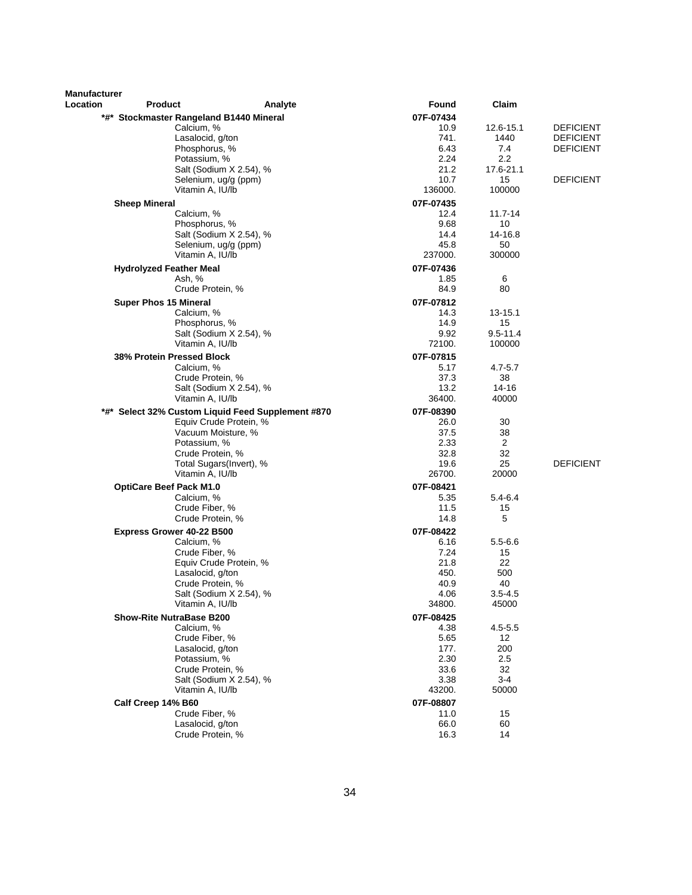| <b>Manufacturer</b> |                                         |                                                   |                 |                    |                  |
|---------------------|-----------------------------------------|---------------------------------------------------|-----------------|--------------------|------------------|
| Location            | <b>Product</b>                          | Analyte                                           | Found           | Claim              |                  |
|                     | *#* Stockmaster Rangeland B1440 Mineral |                                                   | 07F-07434       |                    |                  |
|                     | Calcium, %                              |                                                   | 10.9            | 12.6-15.1          | <b>DEFICIENT</b> |
|                     | Lasalocid, g/ton                        |                                                   | 741.            | 1440               | <b>DEFICIENT</b> |
|                     | Phosphorus, %                           |                                                   | 6.43            | 7.4                | <b>DEFICIENT</b> |
|                     | Potassium, %                            |                                                   | 2.24            | 2.2                |                  |
|                     |                                         | Salt (Sodium X 2.54), %                           | 21.2            | 17.6-21.1          |                  |
|                     | Vitamin A, IU/lb                        | Selenium, ug/g (ppm)                              | 10.7<br>136000. | 15<br>100000       | <b>DEFICIENT</b> |
|                     |                                         |                                                   |                 |                    |                  |
|                     | <b>Sheep Mineral</b>                    |                                                   | 07F-07435       |                    |                  |
|                     | Calcium, %<br>Phosphorus, %             |                                                   | 12.4            | $11.7 - 14$        |                  |
|                     |                                         | Salt (Sodium X 2.54), %                           | 9.68<br>14.4    | 10<br>14-16.8      |                  |
|                     |                                         | Selenium, ug/g (ppm)                              | 45.8            | 50                 |                  |
|                     | Vitamin A, IU/lb                        |                                                   | 237000.         | 300000             |                  |
|                     |                                         |                                                   |                 |                    |                  |
|                     | <b>Hydrolyzed Feather Meal</b>          |                                                   | 07F-07436       | 6                  |                  |
|                     | Ash, %<br>Crude Protein, %              |                                                   | 1.85<br>84.9    | 80                 |                  |
|                     |                                         |                                                   |                 |                    |                  |
|                     | <b>Super Phos 15 Mineral</b>            |                                                   | 07F-07812       |                    |                  |
|                     | Calcium, %                              |                                                   | 14.3            | 13-15.1            |                  |
|                     | Phosphorus, %                           |                                                   | 14.9<br>9.92    | 15<br>$9.5 - 11.4$ |                  |
|                     | Vitamin A, IU/lb                        | Salt (Sodium X 2.54), %                           | 72100.          | 100000             |                  |
|                     |                                         |                                                   |                 |                    |                  |
|                     | 38% Protein Pressed Block               |                                                   | 07F-07815       |                    |                  |
|                     | Calcium, %                              |                                                   | 5.17            | $4.7 - 5.7$        |                  |
|                     | Crude Protein, %                        |                                                   | 37.3<br>13.2    | 38<br>$14 - 16$    |                  |
|                     | Vitamin A, IU/lb                        | Salt (Sodium X 2.54), %                           | 36400.          | 40000              |                  |
|                     |                                         |                                                   |                 |                    |                  |
|                     |                                         | *#* Select 32% Custom Liquid Feed Supplement #870 | 07F-08390       |                    |                  |
|                     |                                         | Equiv Crude Protein, %                            | 26.0            | 30                 |                  |
|                     | Potassium, %                            | Vacuum Moisture, %                                | 37.5<br>2.33    | 38<br>2            |                  |
|                     | Crude Protein, %                        |                                                   | 32.8            | 32                 |                  |
|                     |                                         | Total Sugars(Invert), %                           | 19.6            | 25                 | <b>DEFICIENT</b> |
|                     | Vitamin A, IU/lb                        |                                                   | 26700.          | 20000              |                  |
|                     | <b>OptiCare Beef Pack M1.0</b>          |                                                   | 07F-08421       |                    |                  |
|                     | Calcium, %                              |                                                   | 5.35            | $5.4 - 6.4$        |                  |
|                     | Crude Fiber, %                          |                                                   | 11.5            | 15                 |                  |
|                     | Crude Protein, %                        |                                                   | 14.8            | 5                  |                  |
|                     | Express Grower 40-22 B500               |                                                   | 07F-08422       |                    |                  |
|                     | Calcium, %                              |                                                   | 6.16            | $5.5 - 6.6$        |                  |
|                     | Crude Fiber, %                          |                                                   | 7.24            | 15                 |                  |
|                     |                                         | Equiv Crude Protein, %                            | 21.8            | 22                 |                  |
|                     | Lasalocid, g/ton                        |                                                   | 450.            | 500                |                  |
|                     | Crude Protein, %                        |                                                   | 40.9            | 40                 |                  |
|                     |                                         | Salt (Sodium X 2.54), %                           | 4.06            | $3.5 - 4.5$        |                  |
|                     | Vitamin A, IU/lb                        |                                                   | 34800.          | 45000              |                  |
|                     | <b>Show-Rite NutraBase B200</b>         |                                                   | 07F-08425       |                    |                  |
|                     | Calcium, %                              |                                                   | 4.38            | $4.5 - 5.5$        |                  |
|                     | Crude Fiber, %                          |                                                   | 5.65            | 12                 |                  |
|                     | Lasalocid, g/ton                        |                                                   | 177.            | 200                |                  |
|                     | Potassium, %                            |                                                   | 2.30            | 2.5                |                  |
|                     | Crude Protein, %                        |                                                   | 33.6            | 32                 |                  |
|                     |                                         | Salt (Sodium X 2.54), %                           | 3.38            | $3 - 4$            |                  |
|                     | Vitamin A, IU/lb                        |                                                   | 43200.          | 50000              |                  |
|                     | Calf Creep 14% B60                      |                                                   | 07F-08807       |                    |                  |
|                     | Crude Fiber, %                          |                                                   | 11.0            | 15                 |                  |
|                     | Lasalocid, g/ton                        |                                                   | 66.0            | 60                 |                  |
|                     | Crude Protein, %                        |                                                   | 16.3            | 14                 |                  |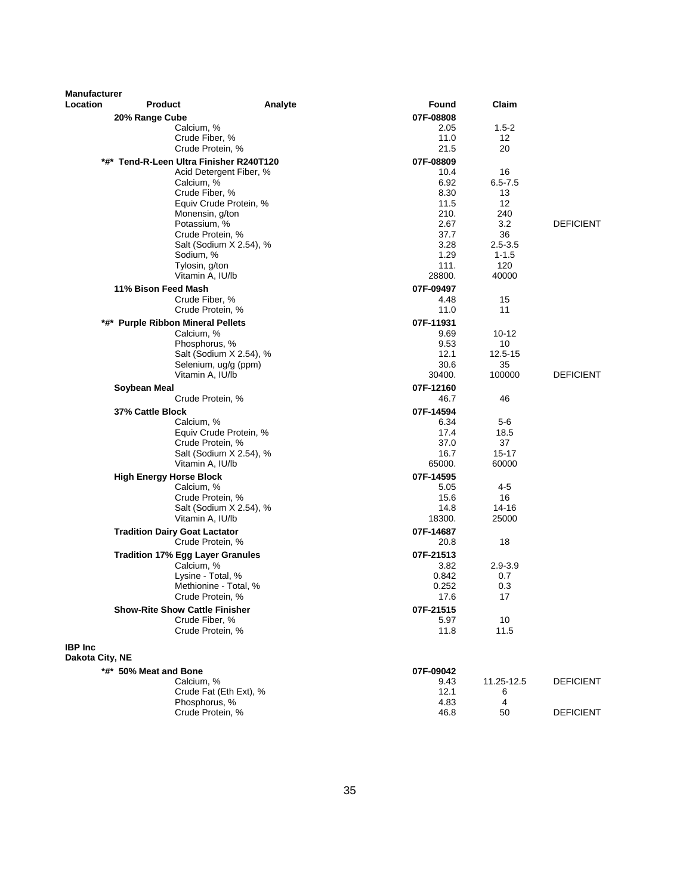| <b>Manufacturer</b> |                                                           |                         |                   |                   |                  |
|---------------------|-----------------------------------------------------------|-------------------------|-------------------|-------------------|------------------|
| Location            | <b>Product</b>                                            | Analyte                 | Found             | Claim             |                  |
|                     | 20% Range Cube                                            |                         | 07F-08808         |                   |                  |
|                     | Calcium, %                                                |                         | 2.05              | $1.5-2$           |                  |
|                     | Crude Fiber, %<br>Crude Protein, %                        |                         | 11.0<br>21.5      | 12<br>20          |                  |
|                     |                                                           |                         |                   |                   |                  |
|                     | *#* Tend-R-Leen Ultra Finisher R240T120                   |                         | 07F-08809         |                   |                  |
|                     | Calcium, %                                                | Acid Detergent Fiber, % | 10.4<br>6.92      | 16<br>$6.5 - 7.5$ |                  |
|                     | Crude Fiber, %                                            |                         | 8.30              | 13                |                  |
|                     |                                                           | Equiv Crude Protein, %  | 11.5              | 12                |                  |
|                     | Monensin, g/ton                                           |                         | 210.              | 240               |                  |
|                     | Potassium, %                                              |                         | 2.67              | 3.2               | <b>DEFICIENT</b> |
|                     | Crude Protein, %                                          |                         | 37.7              | 36                |                  |
|                     |                                                           | Salt (Sodium X 2.54), % | 3.28              | $2.5 - 3.5$       |                  |
|                     | Sodium, %                                                 |                         | 1.29              | $1 - 1.5$         |                  |
|                     | Tylosin, g/ton<br>Vitamin A, IU/lb                        |                         | 111.<br>28800.    | 120<br>40000      |                  |
|                     |                                                           |                         |                   |                   |                  |
|                     | 11% Bison Feed Mash<br>Crude Fiber, %                     |                         | 07F-09497<br>4.48 | 15                |                  |
|                     | Crude Protein, %                                          |                         | 11.0              | 11                |                  |
|                     | *#* Purple Ribbon Mineral Pellets                         |                         | 07F-11931         |                   |                  |
|                     | Calcium, %                                                |                         | 9.69              | 10-12             |                  |
|                     | Phosphorus, %                                             |                         | 9.53              | 10                |                  |
|                     |                                                           | Salt (Sodium X 2.54), % | 12.1              | 12.5-15           |                  |
|                     | Selenium, ug/g (ppm)                                      |                         | 30.6              | 35                |                  |
|                     | Vitamin A, IU/lb                                          |                         | 30400.            | 100000            | <b>DEFICIENT</b> |
|                     | Soybean Meal                                              |                         | 07F-12160         |                   |                  |
|                     | Crude Protein, %                                          |                         | 46.7              | 46                |                  |
|                     | 37% Cattle Block                                          |                         | 07F-14594         |                   |                  |
|                     | Calcium, %                                                |                         | 6.34              | 5-6               |                  |
|                     |                                                           | Equiv Crude Protein, %  | 17.4              | 18.5              |                  |
|                     | Crude Protein, %                                          | Salt (Sodium X 2.54), % | 37.0<br>16.7      | 37<br>$15 - 17$   |                  |
|                     | Vitamin A, IU/lb                                          |                         | 65000.            | 60000             |                  |
|                     | <b>High Energy Horse Block</b>                            |                         | 07F-14595         |                   |                  |
|                     | Calcium, %                                                |                         | 5.05              | $4 - 5$           |                  |
|                     | Crude Protein, %                                          |                         | 15.6              | 16                |                  |
|                     |                                                           | Salt (Sodium X 2.54), % | 14.8              | 14-16             |                  |
|                     | Vitamin A, IU/lb                                          |                         | 18300.            | 25000             |                  |
|                     | <b>Tradition Dairy Goat Lactator</b>                      |                         | 07F-14687         |                   |                  |
|                     | Crude Protein, %                                          |                         | 20.8              | 18                |                  |
|                     | <b>Tradition 17% Egg Layer Granules</b>                   |                         | 07F-21513         |                   |                  |
|                     | Calcium, %                                                |                         | 3.82              | $2.9 - 3.9$       |                  |
|                     | Lysine - Total, %                                         |                         | 0.842             | 0.7               |                  |
|                     | Methionine - Total, %                                     |                         | 0.252             | 0.3<br>17         |                  |
|                     | Crude Protein, %<br><b>Show-Rite Show Cattle Finisher</b> |                         | 17.6              |                   |                  |
|                     | Crude Fiber, %                                            |                         | 07F-21515<br>5.97 | 10                |                  |
|                     | Crude Protein, %                                          |                         | 11.8              | 11.5              |                  |
|                     |                                                           |                         |                   |                   |                  |
| <b>IBP</b> Inc      |                                                           |                         |                   |                   |                  |
| Dakota City, NE     |                                                           |                         |                   |                   |                  |
|                     | *#* 50% Meat and Bone<br>Calcium, %                       |                         | 07F-09042<br>9.43 | 11.25-12.5        | <b>DEFICIENT</b> |
|                     | Crude Fat (Eth Ext), %                                    |                         | 12.1              | 6                 |                  |
|                     | Phosphorus, %                                             |                         | 4.83              | 4                 |                  |
|                     | Crude Protein, %                                          |                         | 46.8              | 50                | <b>DEFICIENT</b> |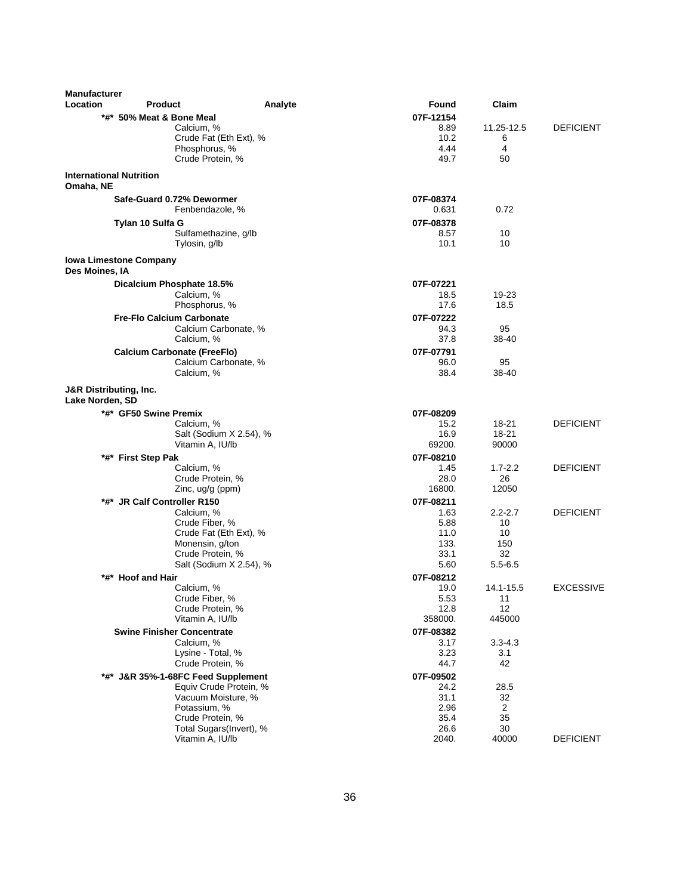| <b>Manufacturer</b><br>Location | <b>Product</b>                      | Analyte                 | Found        | Claim          |                  |
|---------------------------------|-------------------------------------|-------------------------|--------------|----------------|------------------|
|                                 | *#* 50% Meat & Bone Meal            |                         | 07F-12154    |                |                  |
|                                 | Calcium, %                          |                         | 8.89         | 11.25-12.5     | <b>DEFICIENT</b> |
|                                 | Crude Fat (Eth Ext), %              |                         | 10.2         | 6              |                  |
|                                 | Phosphorus, %                       |                         | 4.44         | 4              |                  |
|                                 | Crude Protein, %                    |                         | 49.7         | 50             |                  |
|                                 | <b>International Nutrition</b>      |                         |              |                |                  |
| Omaha, NE                       |                                     |                         |              |                |                  |
|                                 | Safe-Guard 0.72% Dewormer           |                         | 07F-08374    |                |                  |
|                                 | Fenbendazole, %                     |                         | 0.631        | 0.72           |                  |
|                                 | Tylan 10 Sulfa G                    |                         | 07F-08378    |                |                  |
|                                 | Sulfamethazine, g/lb                |                         | 8.57         | 10             |                  |
|                                 | Tylosin, g/lb                       |                         | 10.1         | 10             |                  |
| Des Moines, IA                  | <b>Iowa Limestone Company</b>       |                         |              |                |                  |
|                                 | Dicalcium Phosphate 18.5%           |                         | 07F-07221    |                |                  |
|                                 | Calcium, %                          |                         | 18.5         | 19-23          |                  |
|                                 | Phosphorus, %                       |                         | 17.6         | 18.5           |                  |
|                                 | <b>Fre-Flo Calcium Carbonate</b>    |                         | 07F-07222    |                |                  |
|                                 | Calcium Carbonate, %                |                         | 94.3         | 95             |                  |
|                                 | Calcium, %                          |                         | 37.8         | 38-40          |                  |
|                                 | <b>Calcium Carbonate (FreeFlo)</b>  |                         | 07F-07791    |                |                  |
|                                 | Calcium Carbonate, %                |                         | 96.0         | 95             |                  |
|                                 | Calcium, %                          |                         | 38.4         | 38-40          |                  |
| Lake Norden, SD                 | <b>J&amp;R Distributing, Inc.</b>   |                         |              |                |                  |
|                                 | *#* GF50 Swine Premix               |                         | 07F-08209    |                |                  |
|                                 | Calcium, %                          |                         | 15.2         | 18-21          | <b>DEFICIENT</b> |
|                                 |                                     | Salt (Sodium X 2.54), % | 16.9         | 18-21          |                  |
|                                 | Vitamin A, IU/lb                    |                         | 69200.       | 90000          |                  |
|                                 | *#* First Step Pak                  |                         | 07F-08210    |                |                  |
|                                 | Calcium, %                          |                         | 1.45         | $1.7 - 2.2$    | <b>DEFICIENT</b> |
|                                 | Crude Protein, %                    |                         | 28.0         | 26             |                  |
|                                 | Zinc, ug/g (ppm)                    |                         | 16800.       | 12050          |                  |
|                                 | *#* JR Calf Controller R150         |                         | 07F-08211    |                |                  |
|                                 | Calcium, %                          |                         | 1.63         | $2.2 - 2.7$    | <b>DEFICIENT</b> |
|                                 | Crude Fiber, %                      |                         | 5.88         | 10             |                  |
|                                 | Crude Fat (Eth Ext), %              |                         | 11.0         | 10             |                  |
|                                 | Monensin, g/ton<br>Crude Protein, % |                         | 133.<br>33.1 | 150<br>32      |                  |
|                                 |                                     | Salt (Sodium X 2.54), % | 5.60         | $5.5 - 6.5$    |                  |
|                                 | *#* Hoof and Hair                   |                         | 07F-08212    |                |                  |
|                                 | Calcium, %                          |                         | 19.0         | 14.1-15.5      | <b>EXCESSIVE</b> |
|                                 | Crude Fiber, %                      |                         | 5.53         | 11             |                  |
|                                 | Crude Protein, %                    |                         | 12.8         | 12             |                  |
|                                 | Vitamin A, IU/lb                    |                         | 358000.      | 445000         |                  |
|                                 | <b>Swine Finisher Concentrate</b>   |                         | 07F-08382    |                |                  |
|                                 | Calcium, %                          |                         | 3.17         | $3.3 - 4.3$    |                  |
|                                 | Lysine - Total, %                   |                         | 3.23         | 3.1            |                  |
|                                 | Crude Protein, %                    |                         | 44.7         | 42             |                  |
|                                 | *#* J&R 35%-1-68FC Feed Supplement  |                         | 07F-09502    |                |                  |
|                                 |                                     | Equiv Crude Protein, %  | 24.2         | 28.5           |                  |
|                                 | Vacuum Moisture, %                  |                         | 31.1         | 32             |                  |
|                                 | Potassium. %                        |                         | 2.96         | $\overline{2}$ |                  |
|                                 | Crude Protein, %                    |                         | 35.4         | 35             |                  |
|                                 |                                     | Total Sugars(Invert), % | 26.6         | 30             |                  |
|                                 | Vitamin A, IU/lb                    |                         | 2040.        | 40000          | <b>DEFICIENT</b> |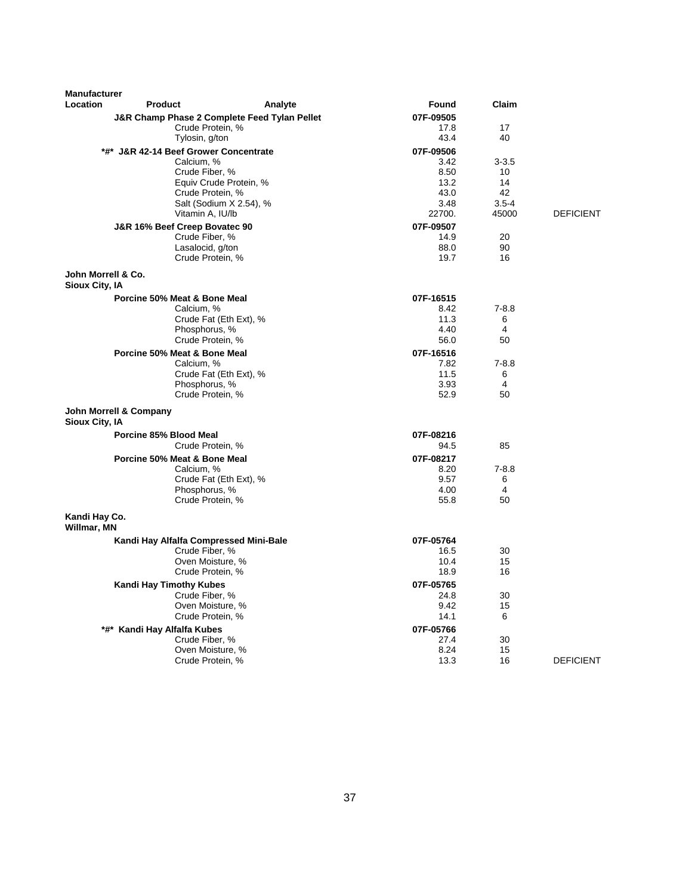| <b>Manufacturer</b>                  |                                                 |                                              |                   |                    |                  |
|--------------------------------------|-------------------------------------------------|----------------------------------------------|-------------------|--------------------|------------------|
| Location                             | Product                                         | Analyte                                      | Found             | Claim              |                  |
|                                      |                                                 | J&R Champ Phase 2 Complete Feed Tylan Pellet | 07F-09505         |                    |                  |
|                                      | Crude Protein, %                                |                                              | 17.8              | 17                 |                  |
|                                      | Tylosin, g/ton                                  |                                              | 43.4              | 40                 |                  |
|                                      | *#* J&R 42-14 Beef Grower Concentrate           |                                              | 07F-09506         |                    |                  |
|                                      | Calcium, %                                      |                                              | 3.42              | $3 - 3.5$          |                  |
|                                      | Crude Fiber, %                                  |                                              | 8.50              | 10                 |                  |
|                                      |                                                 | Equiv Crude Protein, %                       | 13.2              | 14                 |                  |
|                                      | Crude Protein, %                                |                                              | 43.0              | 42                 |                  |
|                                      | Vitamin A, IU/lb                                | Salt (Sodium X 2.54), %                      | 3.48<br>22700.    | $3.5 - 4$<br>45000 | <b>DEFICIENT</b> |
|                                      |                                                 |                                              |                   |                    |                  |
|                                      | J&R 16% Beef Creep Bovatec 90<br>Crude Fiber, % |                                              | 07F-09507<br>14.9 | 20                 |                  |
|                                      | Lasalocid, g/ton                                |                                              | 88.0              | 90                 |                  |
|                                      | Crude Protein, %                                |                                              | 19.7              | 16                 |                  |
|                                      |                                                 |                                              |                   |                    |                  |
| John Morrell & Co.<br>Sioux City, IA |                                                 |                                              |                   |                    |                  |
|                                      | Porcine 50% Meat & Bone Meal                    |                                              | 07F-16515         |                    |                  |
|                                      | Calcium, %                                      |                                              | 8.42              | $7 - 8.8$          |                  |
|                                      |                                                 | Crude Fat (Eth Ext), %                       | 11.3              | 6                  |                  |
|                                      | Phosphorus, %                                   |                                              | 4.40              | 4                  |                  |
|                                      | Crude Protein, %                                |                                              | 56.0              | 50                 |                  |
|                                      | Porcine 50% Meat & Bone Meal                    |                                              | 07F-16516         |                    |                  |
|                                      | Calcium, %                                      |                                              | 7.82<br>11.5      | $7 - 8.8$          |                  |
|                                      | Phosphorus, %                                   | Crude Fat (Eth Ext), %                       | 3.93              | 6<br>4             |                  |
|                                      | Crude Protein, %                                |                                              | 52.9              | 50                 |                  |
|                                      | John Morrell & Company                          |                                              |                   |                    |                  |
| Sioux City, IA                       |                                                 |                                              |                   |                    |                  |
|                                      | Porcine 85% Blood Meal                          |                                              | 07F-08216         |                    |                  |
|                                      | Crude Protein, %                                |                                              | 94.5              | 85                 |                  |
|                                      | Porcine 50% Meat & Bone Meal                    |                                              | 07F-08217         |                    |                  |
|                                      | Calcium, %                                      |                                              | 8.20              | $7 - 8.8$          |                  |
|                                      |                                                 | Crude Fat (Eth Ext), %                       | 9.57              | 6                  |                  |
|                                      | Phosphorus, %                                   |                                              | 4.00              | $\overline{4}$     |                  |
|                                      | Crude Protein, %                                |                                              | 55.8              | 50                 |                  |
| Kandi Hay Co.<br>Willmar, MN         |                                                 |                                              |                   |                    |                  |
|                                      | Kandi Hay Alfalfa Compressed Mini-Bale          |                                              | 07F-05764         |                    |                  |
|                                      | Crude Fiber, %                                  |                                              | 16.5              | 30                 |                  |
|                                      | Oven Moisture, %                                |                                              | 10.4              | 15                 |                  |
|                                      | Crude Protein, %                                |                                              | 18.9              | 16                 |                  |
|                                      | <b>Kandi Hay Timothy Kubes</b>                  |                                              | 07F-05765         |                    |                  |
|                                      | Crude Fiber, %                                  |                                              | 24.8              | 30                 |                  |
|                                      | Oven Moisture, %                                |                                              | 9.42              | 15                 |                  |
|                                      | Crude Protein, %                                |                                              | 14.1              | 6                  |                  |
|                                      | *#* Kandi Hay Alfalfa Kubes                     |                                              | 07F-05766         |                    |                  |
|                                      | Crude Fiber, %                                  |                                              | 27.4              | 30                 |                  |
|                                      | Oven Moisture, %                                |                                              | 8.24              | 15                 |                  |
|                                      | Crude Protein, %                                |                                              | 13.3              | 16                 | <b>DEFICIENT</b> |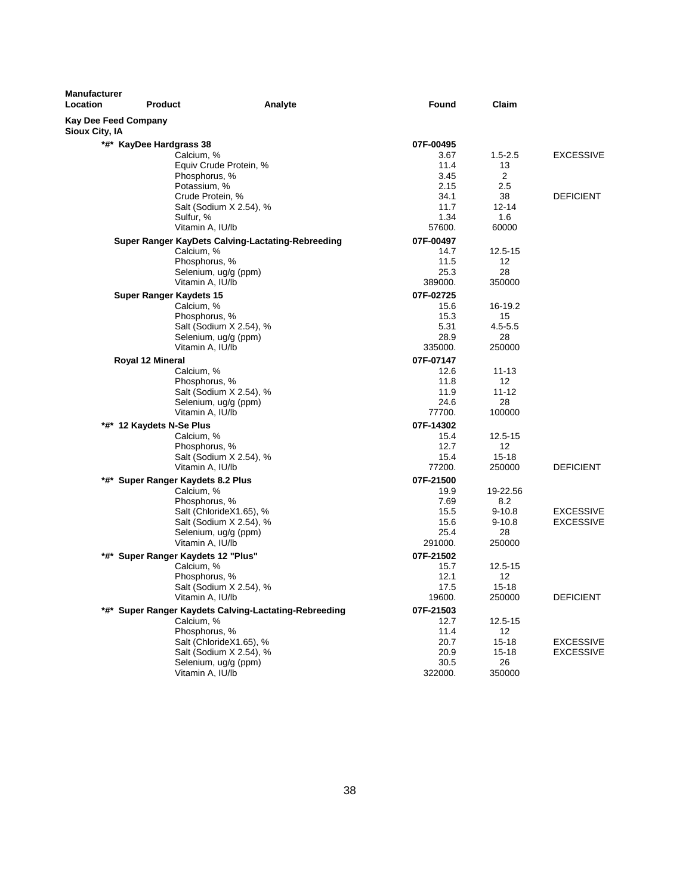| <b>Kay Dee Feed Company</b><br>Sioux City, IA<br>*#* KayDee Hardgrass 38<br>07F-00495<br>Calcium, %<br><b>EXCESSIVE</b><br>3.67<br>$1.5 - 2.5$<br>Equiv Crude Protein, %<br>11.4<br>13<br>2<br>Phosphorus, %<br>3.45<br>Potassium, %<br>2.15<br>2.5<br>Crude Protein, %<br>34.1<br>38<br><b>DEFICIENT</b><br>Salt (Sodium X 2.54), %<br>11.7<br>$12 - 14$<br>Sulfur, %<br>1.34<br>1.6<br>Vitamin A, IU/lb<br>57600.<br>60000<br>Super Ranger KayDets Calving-Lactating-Rebreeding<br>07F-00497<br>Calcium, %<br>14.7<br>12.5-15<br>Phosphorus, %<br>11.5<br>12<br>28<br>Selenium, ug/g (ppm)<br>25.3<br>Vitamin A, IU/lb<br>389000.<br>350000<br><b>Super Ranger Kaydets 15</b><br>07F-02725<br>Calcium, %<br>15.6<br>16-19.2<br>Phosphorus, %<br>15.3<br>15<br>Salt (Sodium X 2.54), %<br>5.31<br>$4.5 - 5.5$<br>Selenium, ug/g (ppm)<br>28.9<br>28<br>Vitamin A, IU/lb<br>335000.<br>250000<br>07F-07147<br>Royal 12 Mineral<br>Calcium, %<br>12.6<br>$11 - 13$<br>Phosphorus, %<br>11.8<br>$12 \overline{ }$<br>$11 - 12$<br>Salt (Sodium X 2.54), %<br>11.9<br>Selenium, ug/g (ppm)<br>24.6<br>28<br>77700.<br>100000<br>Vitamin A, IU/lb<br>07F-14302<br>*#* 12 Kaydets N-Se Plus<br>Calcium, %<br>$12.5 - 15$<br>15.4<br>12.7<br>12 <sup>2</sup><br>Phosphorus, %<br>Salt (Sodium X 2.54), %<br>$15 - 18$<br>15.4<br>Vitamin A, IU/lb<br>77200.<br>250000<br><b>DEFICIENT</b><br>07F-21500<br>*#* Super Ranger Kaydets 8.2 Plus<br>Calcium, %<br>19.9<br>19-22.56<br>Phosphorus, %<br>7.69<br>8.2<br>Salt (ChlorideX1.65), %<br>15.5<br>$9 - 10.8$<br><b>EXCESSIVE</b><br>Salt (Sodium X 2.54), %<br>$9 - 10.8$<br><b>EXCESSIVE</b><br>15.6<br>25.4<br>Selenium, ug/g (ppm)<br>28<br>Vitamin A, IU/lb<br>291000.<br>250000<br>*#* Super Ranger Kaydets 12 "Plus"<br>07F-21502<br>Calcium, %<br>15.7<br>$12.5 - 15$<br>Phosphorus, %<br>12.1<br>12<br>Salt (Sodium X 2.54), %<br>17.5<br>$15 - 18$<br>Vitamin A, IU/lb<br>19600.<br>250000<br><b>DEFICIENT</b><br>07F-21503<br>*#* Super Ranger Kaydets Calving-Lactating-Rebreeding<br>Calcium, %<br>12.7<br>12.5-15<br>Phosphorus, %<br>11.4<br>12 <sup>2</sup><br>20.7<br><b>EXCESSIVE</b><br>Salt (ChlorideX1.65), %<br>$15 - 18$<br>Salt (Sodium X 2.54), %<br>20.9<br>$15 - 18$<br><b>EXCESSIVE</b><br>30.5<br>26<br>Selenium, ug/g (ppm) | <b>Manufacturer</b><br>Location | <b>Product</b><br>Analyte | Found   | Claim  |  |
|------------------------------------------------------------------------------------------------------------------------------------------------------------------------------------------------------------------------------------------------------------------------------------------------------------------------------------------------------------------------------------------------------------------------------------------------------------------------------------------------------------------------------------------------------------------------------------------------------------------------------------------------------------------------------------------------------------------------------------------------------------------------------------------------------------------------------------------------------------------------------------------------------------------------------------------------------------------------------------------------------------------------------------------------------------------------------------------------------------------------------------------------------------------------------------------------------------------------------------------------------------------------------------------------------------------------------------------------------------------------------------------------------------------------------------------------------------------------------------------------------------------------------------------------------------------------------------------------------------------------------------------------------------------------------------------------------------------------------------------------------------------------------------------------------------------------------------------------------------------------------------------------------------------------------------------------------------------------------------------------------------------------------------------------------------------------------------------------------------------------------------------------------------------------------------------------------------------------------------------------------------------------------------------------------|---------------------------------|---------------------------|---------|--------|--|
|                                                                                                                                                                                                                                                                                                                                                                                                                                                                                                                                                                                                                                                                                                                                                                                                                                                                                                                                                                                                                                                                                                                                                                                                                                                                                                                                                                                                                                                                                                                                                                                                                                                                                                                                                                                                                                                                                                                                                                                                                                                                                                                                                                                                                                                                                                      |                                 |                           |         |        |  |
|                                                                                                                                                                                                                                                                                                                                                                                                                                                                                                                                                                                                                                                                                                                                                                                                                                                                                                                                                                                                                                                                                                                                                                                                                                                                                                                                                                                                                                                                                                                                                                                                                                                                                                                                                                                                                                                                                                                                                                                                                                                                                                                                                                                                                                                                                                      |                                 |                           |         |        |  |
|                                                                                                                                                                                                                                                                                                                                                                                                                                                                                                                                                                                                                                                                                                                                                                                                                                                                                                                                                                                                                                                                                                                                                                                                                                                                                                                                                                                                                                                                                                                                                                                                                                                                                                                                                                                                                                                                                                                                                                                                                                                                                                                                                                                                                                                                                                      |                                 |                           |         |        |  |
|                                                                                                                                                                                                                                                                                                                                                                                                                                                                                                                                                                                                                                                                                                                                                                                                                                                                                                                                                                                                                                                                                                                                                                                                                                                                                                                                                                                                                                                                                                                                                                                                                                                                                                                                                                                                                                                                                                                                                                                                                                                                                                                                                                                                                                                                                                      |                                 |                           |         |        |  |
|                                                                                                                                                                                                                                                                                                                                                                                                                                                                                                                                                                                                                                                                                                                                                                                                                                                                                                                                                                                                                                                                                                                                                                                                                                                                                                                                                                                                                                                                                                                                                                                                                                                                                                                                                                                                                                                                                                                                                                                                                                                                                                                                                                                                                                                                                                      |                                 |                           |         |        |  |
|                                                                                                                                                                                                                                                                                                                                                                                                                                                                                                                                                                                                                                                                                                                                                                                                                                                                                                                                                                                                                                                                                                                                                                                                                                                                                                                                                                                                                                                                                                                                                                                                                                                                                                                                                                                                                                                                                                                                                                                                                                                                                                                                                                                                                                                                                                      |                                 |                           |         |        |  |
|                                                                                                                                                                                                                                                                                                                                                                                                                                                                                                                                                                                                                                                                                                                                                                                                                                                                                                                                                                                                                                                                                                                                                                                                                                                                                                                                                                                                                                                                                                                                                                                                                                                                                                                                                                                                                                                                                                                                                                                                                                                                                                                                                                                                                                                                                                      |                                 |                           |         |        |  |
|                                                                                                                                                                                                                                                                                                                                                                                                                                                                                                                                                                                                                                                                                                                                                                                                                                                                                                                                                                                                                                                                                                                                                                                                                                                                                                                                                                                                                                                                                                                                                                                                                                                                                                                                                                                                                                                                                                                                                                                                                                                                                                                                                                                                                                                                                                      |                                 |                           |         |        |  |
|                                                                                                                                                                                                                                                                                                                                                                                                                                                                                                                                                                                                                                                                                                                                                                                                                                                                                                                                                                                                                                                                                                                                                                                                                                                                                                                                                                                                                                                                                                                                                                                                                                                                                                                                                                                                                                                                                                                                                                                                                                                                                                                                                                                                                                                                                                      |                                 |                           |         |        |  |
|                                                                                                                                                                                                                                                                                                                                                                                                                                                                                                                                                                                                                                                                                                                                                                                                                                                                                                                                                                                                                                                                                                                                                                                                                                                                                                                                                                                                                                                                                                                                                                                                                                                                                                                                                                                                                                                                                                                                                                                                                                                                                                                                                                                                                                                                                                      |                                 |                           |         |        |  |
|                                                                                                                                                                                                                                                                                                                                                                                                                                                                                                                                                                                                                                                                                                                                                                                                                                                                                                                                                                                                                                                                                                                                                                                                                                                                                                                                                                                                                                                                                                                                                                                                                                                                                                                                                                                                                                                                                                                                                                                                                                                                                                                                                                                                                                                                                                      |                                 |                           |         |        |  |
|                                                                                                                                                                                                                                                                                                                                                                                                                                                                                                                                                                                                                                                                                                                                                                                                                                                                                                                                                                                                                                                                                                                                                                                                                                                                                                                                                                                                                                                                                                                                                                                                                                                                                                                                                                                                                                                                                                                                                                                                                                                                                                                                                                                                                                                                                                      |                                 |                           |         |        |  |
|                                                                                                                                                                                                                                                                                                                                                                                                                                                                                                                                                                                                                                                                                                                                                                                                                                                                                                                                                                                                                                                                                                                                                                                                                                                                                                                                                                                                                                                                                                                                                                                                                                                                                                                                                                                                                                                                                                                                                                                                                                                                                                                                                                                                                                                                                                      |                                 |                           |         |        |  |
|                                                                                                                                                                                                                                                                                                                                                                                                                                                                                                                                                                                                                                                                                                                                                                                                                                                                                                                                                                                                                                                                                                                                                                                                                                                                                                                                                                                                                                                                                                                                                                                                                                                                                                                                                                                                                                                                                                                                                                                                                                                                                                                                                                                                                                                                                                      |                                 |                           |         |        |  |
|                                                                                                                                                                                                                                                                                                                                                                                                                                                                                                                                                                                                                                                                                                                                                                                                                                                                                                                                                                                                                                                                                                                                                                                                                                                                                                                                                                                                                                                                                                                                                                                                                                                                                                                                                                                                                                                                                                                                                                                                                                                                                                                                                                                                                                                                                                      |                                 |                           |         |        |  |
|                                                                                                                                                                                                                                                                                                                                                                                                                                                                                                                                                                                                                                                                                                                                                                                                                                                                                                                                                                                                                                                                                                                                                                                                                                                                                                                                                                                                                                                                                                                                                                                                                                                                                                                                                                                                                                                                                                                                                                                                                                                                                                                                                                                                                                                                                                      |                                 |                           |         |        |  |
|                                                                                                                                                                                                                                                                                                                                                                                                                                                                                                                                                                                                                                                                                                                                                                                                                                                                                                                                                                                                                                                                                                                                                                                                                                                                                                                                                                                                                                                                                                                                                                                                                                                                                                                                                                                                                                                                                                                                                                                                                                                                                                                                                                                                                                                                                                      |                                 |                           |         |        |  |
|                                                                                                                                                                                                                                                                                                                                                                                                                                                                                                                                                                                                                                                                                                                                                                                                                                                                                                                                                                                                                                                                                                                                                                                                                                                                                                                                                                                                                                                                                                                                                                                                                                                                                                                                                                                                                                                                                                                                                                                                                                                                                                                                                                                                                                                                                                      |                                 |                           |         |        |  |
|                                                                                                                                                                                                                                                                                                                                                                                                                                                                                                                                                                                                                                                                                                                                                                                                                                                                                                                                                                                                                                                                                                                                                                                                                                                                                                                                                                                                                                                                                                                                                                                                                                                                                                                                                                                                                                                                                                                                                                                                                                                                                                                                                                                                                                                                                                      |                                 |                           |         |        |  |
|                                                                                                                                                                                                                                                                                                                                                                                                                                                                                                                                                                                                                                                                                                                                                                                                                                                                                                                                                                                                                                                                                                                                                                                                                                                                                                                                                                                                                                                                                                                                                                                                                                                                                                                                                                                                                                                                                                                                                                                                                                                                                                                                                                                                                                                                                                      |                                 |                           |         |        |  |
|                                                                                                                                                                                                                                                                                                                                                                                                                                                                                                                                                                                                                                                                                                                                                                                                                                                                                                                                                                                                                                                                                                                                                                                                                                                                                                                                                                                                                                                                                                                                                                                                                                                                                                                                                                                                                                                                                                                                                                                                                                                                                                                                                                                                                                                                                                      |                                 |                           |         |        |  |
|                                                                                                                                                                                                                                                                                                                                                                                                                                                                                                                                                                                                                                                                                                                                                                                                                                                                                                                                                                                                                                                                                                                                                                                                                                                                                                                                                                                                                                                                                                                                                                                                                                                                                                                                                                                                                                                                                                                                                                                                                                                                                                                                                                                                                                                                                                      |                                 |                           |         |        |  |
|                                                                                                                                                                                                                                                                                                                                                                                                                                                                                                                                                                                                                                                                                                                                                                                                                                                                                                                                                                                                                                                                                                                                                                                                                                                                                                                                                                                                                                                                                                                                                                                                                                                                                                                                                                                                                                                                                                                                                                                                                                                                                                                                                                                                                                                                                                      |                                 |                           |         |        |  |
|                                                                                                                                                                                                                                                                                                                                                                                                                                                                                                                                                                                                                                                                                                                                                                                                                                                                                                                                                                                                                                                                                                                                                                                                                                                                                                                                                                                                                                                                                                                                                                                                                                                                                                                                                                                                                                                                                                                                                                                                                                                                                                                                                                                                                                                                                                      |                                 |                           |         |        |  |
|                                                                                                                                                                                                                                                                                                                                                                                                                                                                                                                                                                                                                                                                                                                                                                                                                                                                                                                                                                                                                                                                                                                                                                                                                                                                                                                                                                                                                                                                                                                                                                                                                                                                                                                                                                                                                                                                                                                                                                                                                                                                                                                                                                                                                                                                                                      |                                 |                           |         |        |  |
|                                                                                                                                                                                                                                                                                                                                                                                                                                                                                                                                                                                                                                                                                                                                                                                                                                                                                                                                                                                                                                                                                                                                                                                                                                                                                                                                                                                                                                                                                                                                                                                                                                                                                                                                                                                                                                                                                                                                                                                                                                                                                                                                                                                                                                                                                                      |                                 |                           |         |        |  |
|                                                                                                                                                                                                                                                                                                                                                                                                                                                                                                                                                                                                                                                                                                                                                                                                                                                                                                                                                                                                                                                                                                                                                                                                                                                                                                                                                                                                                                                                                                                                                                                                                                                                                                                                                                                                                                                                                                                                                                                                                                                                                                                                                                                                                                                                                                      |                                 |                           |         |        |  |
|                                                                                                                                                                                                                                                                                                                                                                                                                                                                                                                                                                                                                                                                                                                                                                                                                                                                                                                                                                                                                                                                                                                                                                                                                                                                                                                                                                                                                                                                                                                                                                                                                                                                                                                                                                                                                                                                                                                                                                                                                                                                                                                                                                                                                                                                                                      |                                 |                           |         |        |  |
|                                                                                                                                                                                                                                                                                                                                                                                                                                                                                                                                                                                                                                                                                                                                                                                                                                                                                                                                                                                                                                                                                                                                                                                                                                                                                                                                                                                                                                                                                                                                                                                                                                                                                                                                                                                                                                                                                                                                                                                                                                                                                                                                                                                                                                                                                                      |                                 |                           |         |        |  |
|                                                                                                                                                                                                                                                                                                                                                                                                                                                                                                                                                                                                                                                                                                                                                                                                                                                                                                                                                                                                                                                                                                                                                                                                                                                                                                                                                                                                                                                                                                                                                                                                                                                                                                                                                                                                                                                                                                                                                                                                                                                                                                                                                                                                                                                                                                      |                                 |                           |         |        |  |
|                                                                                                                                                                                                                                                                                                                                                                                                                                                                                                                                                                                                                                                                                                                                                                                                                                                                                                                                                                                                                                                                                                                                                                                                                                                                                                                                                                                                                                                                                                                                                                                                                                                                                                                                                                                                                                                                                                                                                                                                                                                                                                                                                                                                                                                                                                      |                                 |                           |         |        |  |
|                                                                                                                                                                                                                                                                                                                                                                                                                                                                                                                                                                                                                                                                                                                                                                                                                                                                                                                                                                                                                                                                                                                                                                                                                                                                                                                                                                                                                                                                                                                                                                                                                                                                                                                                                                                                                                                                                                                                                                                                                                                                                                                                                                                                                                                                                                      |                                 |                           |         |        |  |
|                                                                                                                                                                                                                                                                                                                                                                                                                                                                                                                                                                                                                                                                                                                                                                                                                                                                                                                                                                                                                                                                                                                                                                                                                                                                                                                                                                                                                                                                                                                                                                                                                                                                                                                                                                                                                                                                                                                                                                                                                                                                                                                                                                                                                                                                                                      |                                 |                           |         |        |  |
|                                                                                                                                                                                                                                                                                                                                                                                                                                                                                                                                                                                                                                                                                                                                                                                                                                                                                                                                                                                                                                                                                                                                                                                                                                                                                                                                                                                                                                                                                                                                                                                                                                                                                                                                                                                                                                                                                                                                                                                                                                                                                                                                                                                                                                                                                                      |                                 |                           |         |        |  |
|                                                                                                                                                                                                                                                                                                                                                                                                                                                                                                                                                                                                                                                                                                                                                                                                                                                                                                                                                                                                                                                                                                                                                                                                                                                                                                                                                                                                                                                                                                                                                                                                                                                                                                                                                                                                                                                                                                                                                                                                                                                                                                                                                                                                                                                                                                      |                                 |                           |         |        |  |
|                                                                                                                                                                                                                                                                                                                                                                                                                                                                                                                                                                                                                                                                                                                                                                                                                                                                                                                                                                                                                                                                                                                                                                                                                                                                                                                                                                                                                                                                                                                                                                                                                                                                                                                                                                                                                                                                                                                                                                                                                                                                                                                                                                                                                                                                                                      |                                 |                           |         |        |  |
|                                                                                                                                                                                                                                                                                                                                                                                                                                                                                                                                                                                                                                                                                                                                                                                                                                                                                                                                                                                                                                                                                                                                                                                                                                                                                                                                                                                                                                                                                                                                                                                                                                                                                                                                                                                                                                                                                                                                                                                                                                                                                                                                                                                                                                                                                                      |                                 |                           |         |        |  |
|                                                                                                                                                                                                                                                                                                                                                                                                                                                                                                                                                                                                                                                                                                                                                                                                                                                                                                                                                                                                                                                                                                                                                                                                                                                                                                                                                                                                                                                                                                                                                                                                                                                                                                                                                                                                                                                                                                                                                                                                                                                                                                                                                                                                                                                                                                      |                                 |                           |         |        |  |
|                                                                                                                                                                                                                                                                                                                                                                                                                                                                                                                                                                                                                                                                                                                                                                                                                                                                                                                                                                                                                                                                                                                                                                                                                                                                                                                                                                                                                                                                                                                                                                                                                                                                                                                                                                                                                                                                                                                                                                                                                                                                                                                                                                                                                                                                                                      |                                 |                           |         |        |  |
|                                                                                                                                                                                                                                                                                                                                                                                                                                                                                                                                                                                                                                                                                                                                                                                                                                                                                                                                                                                                                                                                                                                                                                                                                                                                                                                                                                                                                                                                                                                                                                                                                                                                                                                                                                                                                                                                                                                                                                                                                                                                                                                                                                                                                                                                                                      |                                 |                           |         |        |  |
|                                                                                                                                                                                                                                                                                                                                                                                                                                                                                                                                                                                                                                                                                                                                                                                                                                                                                                                                                                                                                                                                                                                                                                                                                                                                                                                                                                                                                                                                                                                                                                                                                                                                                                                                                                                                                                                                                                                                                                                                                                                                                                                                                                                                                                                                                                      |                                 |                           |         |        |  |
|                                                                                                                                                                                                                                                                                                                                                                                                                                                                                                                                                                                                                                                                                                                                                                                                                                                                                                                                                                                                                                                                                                                                                                                                                                                                                                                                                                                                                                                                                                                                                                                                                                                                                                                                                                                                                                                                                                                                                                                                                                                                                                                                                                                                                                                                                                      |                                 |                           |         |        |  |
|                                                                                                                                                                                                                                                                                                                                                                                                                                                                                                                                                                                                                                                                                                                                                                                                                                                                                                                                                                                                                                                                                                                                                                                                                                                                                                                                                                                                                                                                                                                                                                                                                                                                                                                                                                                                                                                                                                                                                                                                                                                                                                                                                                                                                                                                                                      |                                 |                           |         |        |  |
|                                                                                                                                                                                                                                                                                                                                                                                                                                                                                                                                                                                                                                                                                                                                                                                                                                                                                                                                                                                                                                                                                                                                                                                                                                                                                                                                                                                                                                                                                                                                                                                                                                                                                                                                                                                                                                                                                                                                                                                                                                                                                                                                                                                                                                                                                                      |                                 |                           |         |        |  |
|                                                                                                                                                                                                                                                                                                                                                                                                                                                                                                                                                                                                                                                                                                                                                                                                                                                                                                                                                                                                                                                                                                                                                                                                                                                                                                                                                                                                                                                                                                                                                                                                                                                                                                                                                                                                                                                                                                                                                                                                                                                                                                                                                                                                                                                                                                      |                                 |                           |         |        |  |
|                                                                                                                                                                                                                                                                                                                                                                                                                                                                                                                                                                                                                                                                                                                                                                                                                                                                                                                                                                                                                                                                                                                                                                                                                                                                                                                                                                                                                                                                                                                                                                                                                                                                                                                                                                                                                                                                                                                                                                                                                                                                                                                                                                                                                                                                                                      |                                 |                           |         |        |  |
|                                                                                                                                                                                                                                                                                                                                                                                                                                                                                                                                                                                                                                                                                                                                                                                                                                                                                                                                                                                                                                                                                                                                                                                                                                                                                                                                                                                                                                                                                                                                                                                                                                                                                                                                                                                                                                                                                                                                                                                                                                                                                                                                                                                                                                                                                                      |                                 |                           |         |        |  |
|                                                                                                                                                                                                                                                                                                                                                                                                                                                                                                                                                                                                                                                                                                                                                                                                                                                                                                                                                                                                                                                                                                                                                                                                                                                                                                                                                                                                                                                                                                                                                                                                                                                                                                                                                                                                                                                                                                                                                                                                                                                                                                                                                                                                                                                                                                      |                                 |                           |         |        |  |
|                                                                                                                                                                                                                                                                                                                                                                                                                                                                                                                                                                                                                                                                                                                                                                                                                                                                                                                                                                                                                                                                                                                                                                                                                                                                                                                                                                                                                                                                                                                                                                                                                                                                                                                                                                                                                                                                                                                                                                                                                                                                                                                                                                                                                                                                                                      |                                 |                           |         |        |  |
|                                                                                                                                                                                                                                                                                                                                                                                                                                                                                                                                                                                                                                                                                                                                                                                                                                                                                                                                                                                                                                                                                                                                                                                                                                                                                                                                                                                                                                                                                                                                                                                                                                                                                                                                                                                                                                                                                                                                                                                                                                                                                                                                                                                                                                                                                                      |                                 | Vitamin A, IU/lb          | 322000. | 350000 |  |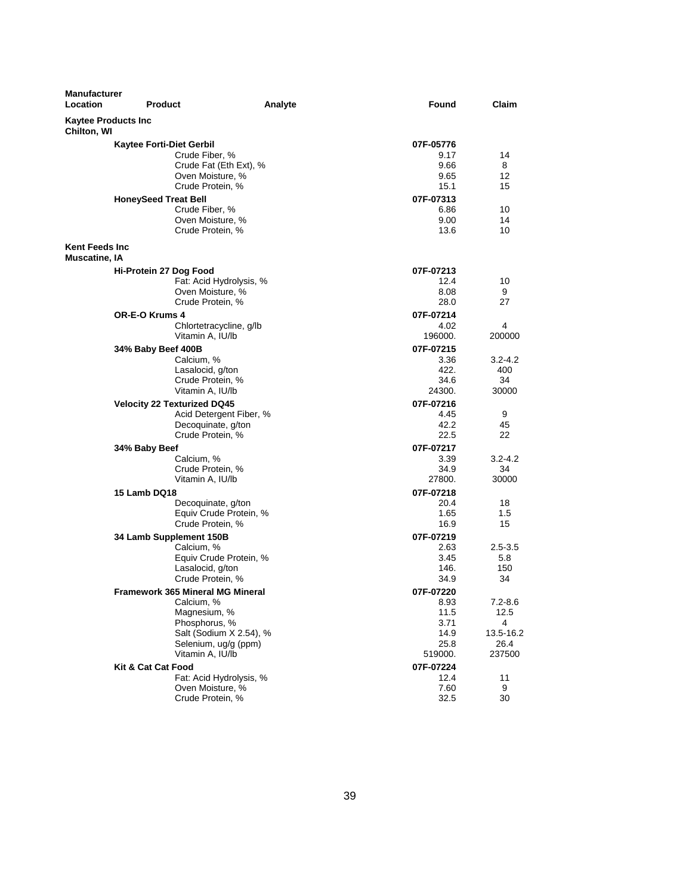| <b>Manufacturer</b><br><b>Location</b>    | Product                                                                                                    | Analyte                                         | Found                                                        | Claim                                               |
|-------------------------------------------|------------------------------------------------------------------------------------------------------------|-------------------------------------------------|--------------------------------------------------------------|-----------------------------------------------------|
| <b>Kaytee Products Inc</b><br>Chilton, WI |                                                                                                            |                                                 |                                                              |                                                     |
|                                           | <b>Kaytee Forti-Diet Gerbil</b><br>Crude Fiber, %<br>Oven Moisture, %<br>Crude Protein, %                  | Crude Fat (Eth Ext), %                          | 07F-05776<br>9.17<br>9.66<br>9.65<br>15.1                    | 14<br>8<br>12<br>15                                 |
|                                           | <b>HoneySeed Treat Bell</b><br>Crude Fiber, %<br>Oven Moisture, %<br>Crude Protein, %                      |                                                 | 07F-07313<br>6.86<br>9.00<br>13.6                            | 10<br>14<br>10                                      |
| <b>Kent Feeds Inc</b>                     |                                                                                                            |                                                 |                                                              |                                                     |
| Muscatine, IA                             | Hi-Protein 27 Dog Food<br>Oven Moisture, %<br>Crude Protein, %                                             | Fat: Acid Hydrolysis, %                         | 07F-07213<br>12.4<br>8.08<br>28.0                            | 10<br>9<br>27                                       |
|                                           | <b>OR-E-O Krums 4</b><br>Vitamin A, IU/lb                                                                  | Chlortetracycline, g/lb                         | 07F-07214<br>4.02<br>196000.                                 | 4<br>200000                                         |
|                                           | 34% Baby Beef 400B<br>Calcium, %<br>Lasalocid, g/ton<br>Crude Protein, %<br>Vitamin A, IU/lb               |                                                 | 07F-07215<br>3.36<br>422.<br>34.6<br>24300.                  | $3.2 - 4.2$<br>400<br>34<br>30000                   |
|                                           | <b>Velocity 22 Texturized DQ45</b><br>Decoquinate, g/ton<br>Crude Protein, %                               | Acid Detergent Fiber, %                         | 07F-07216<br>4.45<br>42.2<br>22.5                            | 9<br>45<br>22                                       |
|                                           | 34% Baby Beef<br>Calcium, %<br>Crude Protein, %<br>Vitamin A, IU/lb                                        |                                                 | 07F-07217<br>3.39<br>34.9<br>27800.                          | 3.2-4.2<br>34<br>30000                              |
|                                           | 15 Lamb DQ18<br>Decoquinate, g/ton<br>Crude Protein, %                                                     | Equiv Crude Protein, %                          | 07F-07218<br>20.4<br>1.65<br>16.9                            | 18<br>1.5<br>15                                     |
|                                           | 34 Lamb Supplement 150B<br>Calcium, %<br>Lasalocid, g/ton<br>Crude Protein, %                              | Equiv Crude Protein, %                          | 07F-07219<br>2.63<br>3.45<br>146.<br>34.9                    | $2.5 - 3.5$<br>5.8<br>150<br>34                     |
|                                           | <b>Framework 365 Mineral MG Mineral</b><br>Calcium, %<br>Magnesium, %<br>Phosphorus, %<br>Vitamin A, IU/lb | Salt (Sodium X 2.54), %<br>Selenium, ug/g (ppm) | 07F-07220<br>8.93<br>11.5<br>3.71<br>14.9<br>25.8<br>519000. | 7.2-8.6<br>12.5<br>4<br>13.5-16.2<br>26.4<br>237500 |
|                                           | Kit & Cat Cat Food<br>Oven Moisture, %<br>Crude Protein, %                                                 | Fat: Acid Hydrolysis, %                         | 07F-07224<br>12.4<br>7.60<br>32.5                            | 11<br>9<br>30                                       |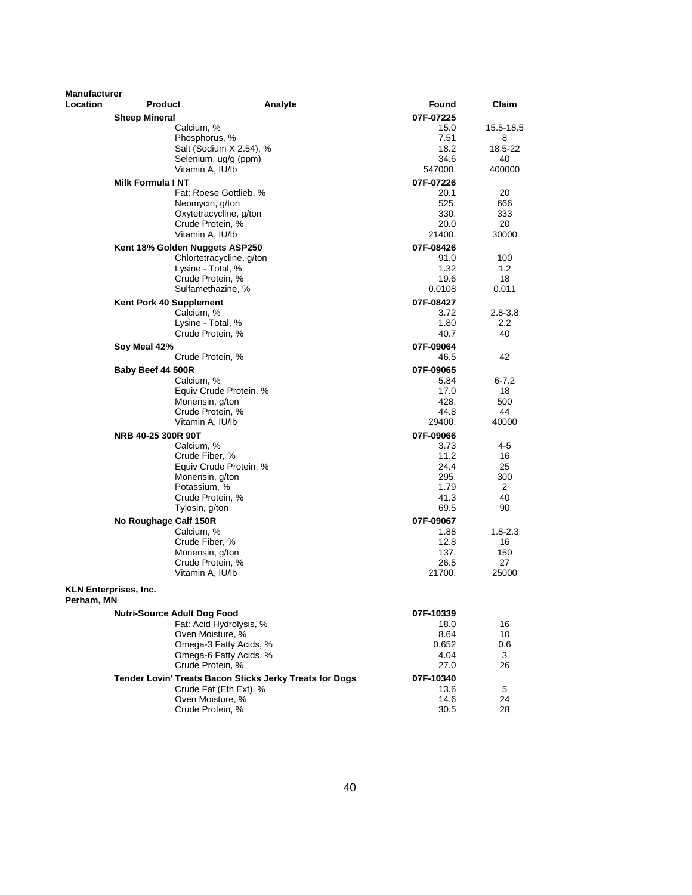| <b>Manufacturer</b> |                                          |                                                         |                   |                        |
|---------------------|------------------------------------------|---------------------------------------------------------|-------------------|------------------------|
| <b>Location</b>     | <b>Product</b>                           | Analyte                                                 | Found             | Claim                  |
|                     | <b>Sheep Mineral</b>                     |                                                         | 07F-07225         |                        |
|                     | Calcium, %                               |                                                         | 15.0              | 15.5-18.5              |
|                     | Phosphorus, %                            |                                                         | 7.51              | 8                      |
|                     |                                          | Salt (Sodium X 2.54), %                                 | 18.2              | 18.5-22                |
|                     | Selenium, ug/g (ppm)<br>Vitamin A, IU/lb |                                                         | 34.6<br>547000.   | 40<br>400000           |
|                     | <b>Milk Formula I NT</b>                 |                                                         | 07F-07226         |                        |
|                     |                                          | Fat: Roese Gottlieb, %                                  | 20.1              | 20                     |
|                     | Neomycin, g/ton                          |                                                         | 525.              | 666                    |
|                     | Oxytetracycline, g/ton                   |                                                         | 330.              | 333                    |
|                     | Crude Protein, %                         |                                                         | 20.0              | 20                     |
|                     | Vitamin A. IU/lb                         |                                                         | 21400.            | 30000                  |
|                     | Kent 18% Golden Nuggets ASP250           |                                                         | 07F-08426         |                        |
|                     |                                          | Chlortetracycline, g/ton                                | 91.0              | 100                    |
|                     | Lysine - Total, %                        |                                                         | 1.32              | 1.2                    |
|                     | Crude Protein, %                         |                                                         | 19.6              | 18                     |
|                     | Sulfamethazine, %                        |                                                         | 0.0108            | 0.011                  |
|                     | Kent Pork 40 Supplement                  |                                                         | 07F-08427         |                        |
|                     | Calcium, %<br>Lysine - Total, %          |                                                         | 3.72<br>1.80      | $2.8 - 3.8$<br>$2.2\,$ |
|                     | Crude Protein, %                         |                                                         | 40.7              | 40                     |
|                     | Soy Meal 42%                             |                                                         | 07F-09064         |                        |
|                     | Crude Protein, %                         |                                                         | 46.5              | 42                     |
|                     | Baby Beef 44 500R                        |                                                         | 07F-09065         |                        |
|                     | Calcium, %                               |                                                         | 5.84              | $6 - 7.2$              |
|                     |                                          | Equiv Crude Protein, %                                  | 17.0              | 18                     |
|                     | Monensin, g/ton                          |                                                         | 428.              | 500                    |
|                     | Crude Protein, %                         |                                                         | 44.8              | 44                     |
|                     | Vitamin A, IU/lb                         |                                                         | 29400.            | 40000                  |
|                     | NRB 40-25 300R 90T                       |                                                         | 07F-09066         |                        |
|                     | Calcium, %                               |                                                         | 3.73              | 4-5                    |
|                     | Crude Fiber, %                           |                                                         | 11.2              | 16                     |
|                     |                                          | Equiv Crude Protein, %                                  | 24.4              | 25                     |
|                     | Monensin, g/ton                          |                                                         | 295.<br>1.79      | 300<br>2               |
|                     | Potassium, %<br>Crude Protein, %         |                                                         | 41.3              | 40                     |
|                     | Tylosin, g/ton                           |                                                         | 69.5              | 90                     |
|                     | No Roughage Calf 150R                    |                                                         | 07F-09067         |                        |
|                     | Calcium, %                               |                                                         | 1.88              | $1.8 - 2.3$            |
|                     | Crude Fiber, %                           |                                                         | 12.8              | 16                     |
|                     | Monensin, g/ton                          |                                                         | 137.              | 150                    |
|                     | Crude Protein, %                         |                                                         | 26.5              | 27                     |
|                     | Vitamin A, IU/lb                         |                                                         | 21700.            | 25000                  |
| Perham, MN          | <b>KLN Enterprises, Inc.</b>             |                                                         |                   |                        |
|                     | <b>Nutri-Source Adult Dog Food</b>       |                                                         |                   |                        |
|                     |                                          | Fat: Acid Hydrolysis, %                                 | 07F-10339<br>18.0 | 16                     |
|                     | Oven Moisture, %                         |                                                         | 8.64              | 10                     |
|                     |                                          | Omega-3 Fatty Acids, %                                  | 0.652             | 0.6                    |
|                     |                                          | Omega-6 Fatty Acids, %                                  | 4.04              | 3                      |
|                     | Crude Protein, %                         |                                                         | 27.0              | 26                     |
|                     |                                          | Tender Lovin' Treats Bacon Sticks Jerky Treats for Dogs | 07F-10340         |                        |
|                     |                                          | Crude Fat (Eth Ext), %                                  | 13.6              | 5                      |
|                     | Oven Moisture, %                         |                                                         | 14.6              | 24                     |
|                     | Crude Protein, %                         |                                                         | 30.5              | 28                     |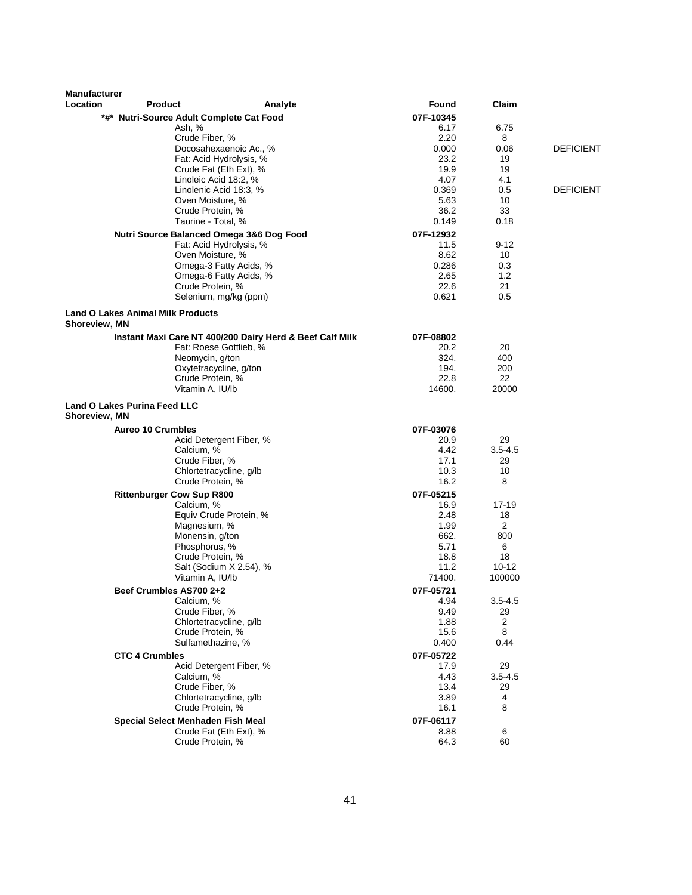| <b>Manufacturer</b><br>Location | <b>Product</b>                                     | Analyte                                                                            | Found             | Claim          |                  |
|---------------------------------|----------------------------------------------------|------------------------------------------------------------------------------------|-------------------|----------------|------------------|
|                                 |                                                    |                                                                                    |                   |                |                  |
|                                 | *#* Nutri-Source Adult Complete Cat Food<br>Ash, % |                                                                                    | 07F-10345<br>6.17 | 6.75           |                  |
|                                 | Crude Fiber, %                                     |                                                                                    | 2.20              | 8              |                  |
|                                 |                                                    | Docosahexaenoic Ac., %                                                             | 0.000             | 0.06           | <b>DEFICIENT</b> |
|                                 |                                                    | Fat: Acid Hydrolysis, %                                                            | 23.2              | 19             |                  |
|                                 |                                                    | Crude Fat (Eth Ext), %                                                             | 19.9              | 19             |                  |
|                                 |                                                    | Linoleic Acid 18:2, %                                                              | 4.07<br>0.369     | 4.1<br>0.5     | <b>DEFICIENT</b> |
|                                 |                                                    | Linolenic Acid 18:3, %<br>Oven Moisture, %                                         | 5.63              | 10             |                  |
|                                 | Crude Protein, %                                   |                                                                                    | 36.2              | 33             |                  |
|                                 |                                                    | Taurine - Total, %                                                                 | 0.149             | 0.18           |                  |
|                                 |                                                    | Nutri Source Balanced Omega 3&6 Dog Food                                           | 07F-12932         |                |                  |
|                                 |                                                    | Fat: Acid Hydrolysis, %                                                            | 11.5              | $9 - 12$       |                  |
|                                 |                                                    | Oven Moisture, %                                                                   | 8.62              | 10             |                  |
|                                 |                                                    | Omega-3 Fatty Acids, %                                                             | 0.286             | 0.3            |                  |
|                                 |                                                    | Omega-6 Fatty Acids, %<br>Crude Protein, %                                         | 2.65<br>22.6      | 1.2<br>21      |                  |
|                                 |                                                    | Selenium, mg/kg (ppm)                                                              | 0.621             | 0.5            |                  |
|                                 |                                                    |                                                                                    |                   |                |                  |
| Shoreview, MN                   | <b>Land O Lakes Animal Milk Products</b>           |                                                                                    |                   |                |                  |
|                                 |                                                    |                                                                                    |                   |                |                  |
|                                 |                                                    | Instant Maxi Care NT 400/200 Dairy Herd & Beef Calf Milk<br>Fat: Roese Gottlieb, % | 07F-08802<br>20.2 | 20             |                  |
|                                 | Neomycin, g/ton                                    |                                                                                    | 324.              | 400            |                  |
|                                 |                                                    | Oxytetracycline, g/ton                                                             | 194.              | 200            |                  |
|                                 |                                                    | Crude Protein, %                                                                   | 22.8              | 22             |                  |
|                                 | Vitamin A, IU/lb                                   |                                                                                    | 14600.            | 20000          |                  |
| Shoreview, MN                   | <b>Land O Lakes Purina Feed LLC</b>                |                                                                                    |                   |                |                  |
|                                 | <b>Aureo 10 Crumbles</b>                           |                                                                                    | 07F-03076         |                |                  |
|                                 |                                                    | Acid Detergent Fiber, %                                                            | 20.9              | 29             |                  |
|                                 | Calcium, %                                         |                                                                                    | 4.42              | $3.5 - 4.5$    |                  |
|                                 | Crude Fiber, %                                     |                                                                                    | 17.1              | 29             |                  |
|                                 | Crude Protein, %                                   | Chlortetracycline, g/lb                                                            | 10.3<br>16.2      | 10<br>8        |                  |
|                                 | <b>Rittenburger Cow Sup R800</b>                   |                                                                                    | 07F-05215         |                |                  |
|                                 | Calcium, %                                         |                                                                                    | 16.9              | 17-19          |                  |
|                                 |                                                    | Equiv Crude Protein, %                                                             | 2.48              | 18             |                  |
|                                 | Magnesium, %                                       |                                                                                    | 1.99              | $\overline{2}$ |                  |
|                                 | Monensin, g/ton                                    |                                                                                    | 662.              | 800            |                  |
|                                 | Phosphorus, %                                      |                                                                                    | 5.71              | 6<br>18        |                  |
|                                 | Crude Protein, %                                   | Salt (Sodium X 2.54), %                                                            | 18.8<br>11.2      | 10-12          |                  |
|                                 | Vitamin A, IU/lb                                   |                                                                                    | 71400.            | 100000         |                  |
|                                 | Beef Crumbles AS700 2+2                            |                                                                                    | 07F-05721         |                |                  |
|                                 | Calcium, %                                         |                                                                                    | 4.94              | $3.5 - 4.5$    |                  |
|                                 | Crude Fiber, %                                     |                                                                                    | 9.49              | 29             |                  |
|                                 |                                                    | Chlortetracycline, g/lb                                                            | 1.88              | 2              |                  |
|                                 | Crude Protein, %                                   | Sulfamethazine, %                                                                  | 15.6<br>0.400     | 8<br>0.44      |                  |
|                                 |                                                    |                                                                                    |                   |                |                  |
|                                 | <b>CTC 4 Crumbles</b>                              | Acid Detergent Fiber, %                                                            | 07F-05722<br>17.9 | 29             |                  |
|                                 | Calcium, %                                         |                                                                                    | 4.43              | $3.5 - 4.5$    |                  |
|                                 | Crude Fiber, %                                     |                                                                                    | 13.4              | 29             |                  |
|                                 |                                                    | Chlortetracycline, g/lb                                                            | 3.89              | 4              |                  |
|                                 |                                                    | Crude Protein, %                                                                   | 16.1              | 8              |                  |
|                                 | Special Select Menhaden Fish Meal                  |                                                                                    | 07F-06117         |                |                  |
|                                 |                                                    | Crude Fat (Eth Ext), %                                                             | 8.88              | 6              |                  |
|                                 | Crude Protein, %                                   |                                                                                    | 64.3              | 60             |                  |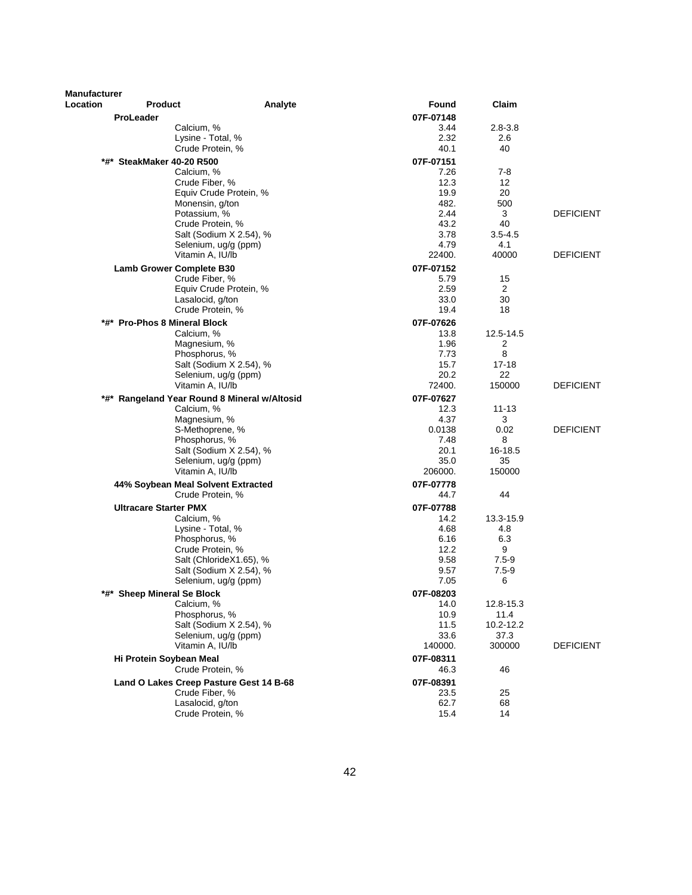| <b>Manufacturer</b><br>Location | <b>Product</b>                               | Analyte                 | Found             | Claim              |                  |
|---------------------------------|----------------------------------------------|-------------------------|-------------------|--------------------|------------------|
|                                 | <b>ProLeader</b>                             |                         | 07F-07148         |                    |                  |
|                                 | Calcium, %                                   |                         | 3.44              | $2.8 - 3.8$        |                  |
|                                 | Lysine - Total, %                            |                         | 2.32              | 2.6                |                  |
|                                 | Crude Protein, %                             |                         | 40.1              | 40                 |                  |
|                                 | *#* SteakMaker 40-20 R500                    |                         | 07F-07151         |                    |                  |
|                                 | Calcium, %                                   |                         | 7.26              | $7-8$              |                  |
|                                 | Crude Fiber, %                               |                         | 12.3              | 12                 |                  |
|                                 |                                              | Equiv Crude Protein, %  | 19.9              | 20                 |                  |
|                                 | Monensin, g/ton                              |                         | 482.              | 500                |                  |
|                                 | Potassium, %                                 |                         | 2.44              | 3                  | <b>DEFICIENT</b> |
|                                 | Crude Protein, %                             | Salt (Sodium X 2.54), % | 43.2              | 40                 |                  |
|                                 |                                              | Selenium, ug/g (ppm)    | 3.78<br>4.79      | $3.5 - 4.5$<br>4.1 |                  |
|                                 | Vitamin A, IU/lb                             |                         | 22400.            | 40000              | <b>DEFICIENT</b> |
|                                 |                                              |                         |                   |                    |                  |
|                                 | <b>Lamb Grower Complete B30</b>              |                         | 07F-07152<br>5.79 |                    |                  |
|                                 | Crude Fiber, %                               | Equiv Crude Protein, %  | 2.59              | 15<br>2            |                  |
|                                 | Lasalocid, g/ton                             |                         | 33.0              | 30                 |                  |
|                                 | Crude Protein, %                             |                         | 19.4              | 18                 |                  |
|                                 | *#* Pro-Phos 8 Mineral Block                 |                         | 07F-07626         |                    |                  |
|                                 | Calcium, %                                   |                         | 13.8              | 12.5-14.5          |                  |
|                                 | Magnesium, %                                 |                         | 1.96              | 2                  |                  |
|                                 | Phosphorus, %                                |                         | 7.73              | 8                  |                  |
|                                 |                                              | Salt (Sodium X 2.54), % | 15.7              | $17 - 18$          |                  |
|                                 |                                              | Selenium, ug/g (ppm)    | 20.2              | 22                 |                  |
|                                 | Vitamin A, IU/lb                             |                         | 72400.            | 150000             | <b>DEFICIENT</b> |
|                                 | *#* Rangeland Year Round 8 Mineral w/Altosid |                         | 07F-07627         |                    |                  |
|                                 | Calcium, %                                   |                         | 12.3              | $11 - 13$          |                  |
|                                 | Magnesium, %                                 |                         | 4.37              | 3                  |                  |
|                                 | S-Methoprene, %                              |                         | 0.0138            | 0.02               | <b>DEFICIENT</b> |
|                                 | Phosphorus, %                                |                         | 7.48              | 8                  |                  |
|                                 |                                              | Salt (Sodium X 2.54), % | 20.1              | 16-18.5            |                  |
|                                 | Vitamin A, IU/lb                             | Selenium, ug/g (ppm)    | 35.0              | 35<br>150000       |                  |
|                                 |                                              |                         | 206000.           |                    |                  |
|                                 | 44% Soybean Meal Solvent Extracted           |                         | 07F-07778         |                    |                  |
|                                 | Crude Protein, %                             |                         | 44.7              | 44                 |                  |
|                                 | <b>Ultracare Starter PMX</b>                 |                         | 07F-07788         |                    |                  |
|                                 | Calcium, %                                   |                         | 14.2              | 13.3-15.9          |                  |
|                                 | Lysine - Total, %                            |                         | 4.68              | 4.8                |                  |
|                                 | Phosphorus, %<br>Crude Protein, %            |                         | 6.16<br>12.2      | 6.3<br>9           |                  |
|                                 |                                              | Salt (ChlorideX1.65), % | 9.58              | $7.5 - 9$          |                  |
|                                 |                                              | Salt (Sodium X 2.54), % | 9.57              | $7.5 - 9$          |                  |
|                                 |                                              | Selenium, ug/g (ppm)    | 7.05              | 6                  |                  |
| *#*                             | <b>Sheep Mineral Se Block</b>                |                         | 07F-08203         |                    |                  |
|                                 | Calcium, %                                   |                         | 14.0              | 12.8-15.3          |                  |
|                                 | Phosphorus, %                                |                         | 10.9              | 11.4               |                  |
|                                 |                                              | Salt (Sodium X 2.54), % | 11.5              | 10.2-12.2          |                  |
|                                 |                                              | Selenium, ug/g (ppm)    | 33.6              | 37.3               |                  |
|                                 | Vitamin A, IU/lb                             |                         | 140000.           | 300000             | <b>DEFICIENT</b> |
|                                 | Hi Protein Soybean Meal                      |                         | 07F-08311         |                    |                  |
|                                 | Crude Protein, %                             |                         | 46.3              | 46                 |                  |
|                                 | Land O Lakes Creep Pasture Gest 14 B-68      |                         | 07F-08391         |                    |                  |
|                                 | Crude Fiber, %                               |                         | 23.5              | 25                 |                  |
|                                 | Lasalocid, g/ton                             |                         | 62.7              | 68                 |                  |
|                                 | Crude Protein, %                             |                         | 15.4              | 14                 |                  |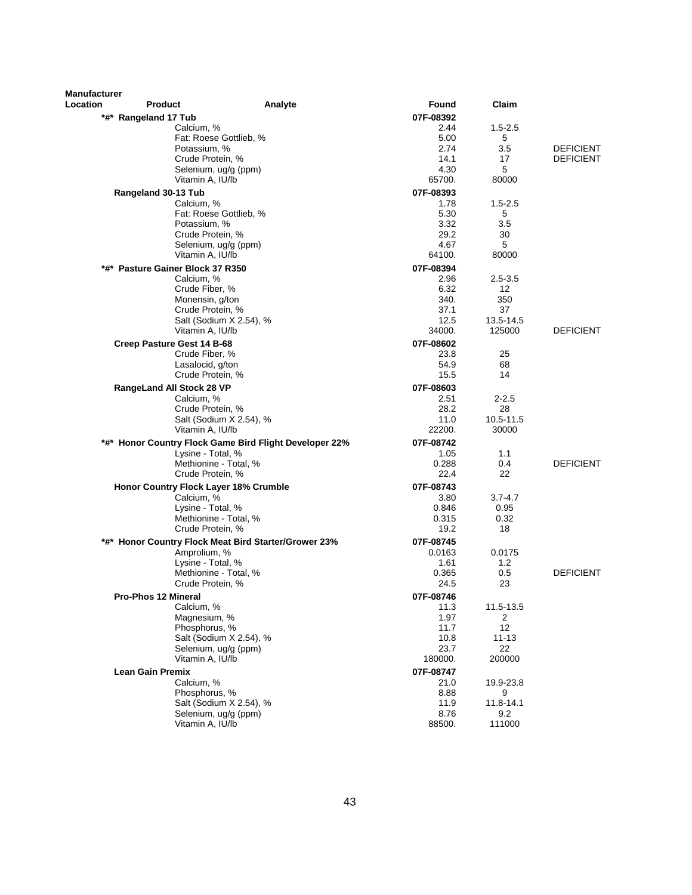| <b>Manufacturer</b> |                                                |                                                        |                   |                     |                                      |
|---------------------|------------------------------------------------|--------------------------------------------------------|-------------------|---------------------|--------------------------------------|
| Location            | <b>Product</b>                                 | Analyte                                                | <b>Found</b>      | Claim               |                                      |
|                     | *#* Rangeland 17 Tub                           |                                                        | 07F-08392         |                     |                                      |
|                     | Calcium, %                                     |                                                        | 2.44              | $1.5 - 2.5$         |                                      |
|                     |                                                | Fat: Roese Gottlieb, %                                 | 5.00<br>2.74      | 5<br>3.5            |                                      |
|                     | Potassium, %<br>Crude Protein, %               |                                                        | 14.1              | 17                  | <b>DEFICIENT</b><br><b>DEFICIENT</b> |
|                     |                                                | Selenium, ug/g (ppm)                                   | 4.30              | 5                   |                                      |
|                     | Vitamin A, IU/lb                               |                                                        | 65700.            | 80000               |                                      |
|                     | Rangeland 30-13 Tub                            |                                                        | 07F-08393         |                     |                                      |
|                     | Calcium, %                                     |                                                        | 1.78              | $1.5 - 2.5$         |                                      |
|                     |                                                | Fat: Roese Gottlieb, %                                 | 5.30              | 5                   |                                      |
|                     | Potassium, %                                   |                                                        | 3.32              | 3.5                 |                                      |
|                     | Crude Protein, %                               |                                                        | 29.2              | 30                  |                                      |
|                     |                                                | Selenium, ug/g (ppm)                                   | 4.67<br>64100.    | 5<br>80000          |                                      |
|                     | Vitamin A, IU/lb                               |                                                        |                   |                     |                                      |
|                     | *#* Pasture Gainer Block 37 R350<br>Calcium, % |                                                        | 07F-08394<br>2.96 | $2.5 - 3.5$         |                                      |
|                     | Crude Fiber, %                                 |                                                        | 6.32              | 12                  |                                      |
|                     | Monensin, g/ton                                |                                                        | 340.              | 350                 |                                      |
|                     | Crude Protein, %                               |                                                        | 37.1              | 37                  |                                      |
|                     |                                                | Salt (Sodium X 2.54), %                                | 12.5              | 13.5-14.5           |                                      |
|                     | Vitamin A. IU/lb                               |                                                        | 34000.            | 125000              | <b>DEFICIENT</b>                     |
|                     | Creep Pasture Gest 14 B-68                     |                                                        | 07F-08602         |                     |                                      |
|                     | Crude Fiber, %                                 |                                                        | 23.8              | 25                  |                                      |
|                     | Lasalocid, g/ton<br>Crude Protein, %           |                                                        | 54.9<br>15.5      | 68<br>14            |                                      |
|                     |                                                |                                                        |                   |                     |                                      |
|                     | RangeLand All Stock 28 VP<br>Calcium, %        |                                                        | 07F-08603<br>2.51 | $2 - 2.5$           |                                      |
|                     | Crude Protein, %                               |                                                        | 28.2              | 28                  |                                      |
|                     |                                                | Salt (Sodium X 2.54), %                                | 11.0              | 10.5-11.5           |                                      |
|                     | Vitamin A, IU/lb                               |                                                        | 22200.            | 30000               |                                      |
|                     |                                                | *#* Honor Country Flock Game Bird Flight Developer 22% | 07F-08742         |                     |                                      |
|                     | Lysine - Total, %                              |                                                        | 1.05              | 1.1                 |                                      |
|                     |                                                | Methionine - Total, %                                  | 0.288             | 0.4                 | <b>DEFICIENT</b>                     |
|                     | Crude Protein, %                               |                                                        | 22.4              | 22                  |                                      |
|                     | Honor Country Flock Layer 18% Crumble          |                                                        | 07F-08743         |                     |                                      |
|                     | Calcium, %<br>Lysine - Total, %                |                                                        | 3.80<br>0.846     | $3.7 - 4.7$<br>0.95 |                                      |
|                     | Methionine - Total, %                          |                                                        | 0.315             | 0.32                |                                      |
|                     | Crude Protein, %                               |                                                        | 19.2              | 18                  |                                      |
|                     |                                                | *#* Honor Country Flock Meat Bird Starter/Grower 23%   | 07F-08745         |                     |                                      |
|                     | Amprolium, %                                   |                                                        | 0.0163            | 0.0175              |                                      |
|                     | Lysine - Total, %                              |                                                        | 1.61              | 1.2                 |                                      |
|                     | Methionine - Total, %                          |                                                        | 0.365             | 0.5                 | <b>DEFICIENT</b>                     |
|                     | Crude Protein, %                               |                                                        | 24.5              | 23                  |                                      |
|                     | <b>Pro-Phos 12 Mineral</b>                     |                                                        | 07F-08746         |                     |                                      |
|                     | Calcium, %<br>Magnesium, %                     |                                                        | 11.3<br>1.97      | 11.5-13.5<br>2      |                                      |
|                     | Phosphorus, %                                  |                                                        | 11.7              | 12                  |                                      |
|                     |                                                | Salt (Sodium X 2.54), %                                | 10.8              | $11 - 13$           |                                      |
|                     |                                                | Selenium, ug/g (ppm)                                   | 23.7              | 22                  |                                      |
|                     | Vitamin A, IU/lb                               |                                                        | 180000.           | 200000              |                                      |
|                     | <b>Lean Gain Premix</b>                        |                                                        | 07F-08747         |                     |                                      |
|                     | Calcium, %                                     |                                                        | 21.0              | 19.9-23.8           |                                      |
|                     | Phosphorus, %                                  |                                                        | 8.88              | 9                   |                                      |
|                     |                                                | Salt (Sodium X 2.54), %<br>Selenium, ug/g (ppm)        | 11.9<br>8.76      | 11.8-14.1<br>9.2    |                                      |
|                     | Vitamin A, IU/lb                               |                                                        | 88500.            | 111000              |                                      |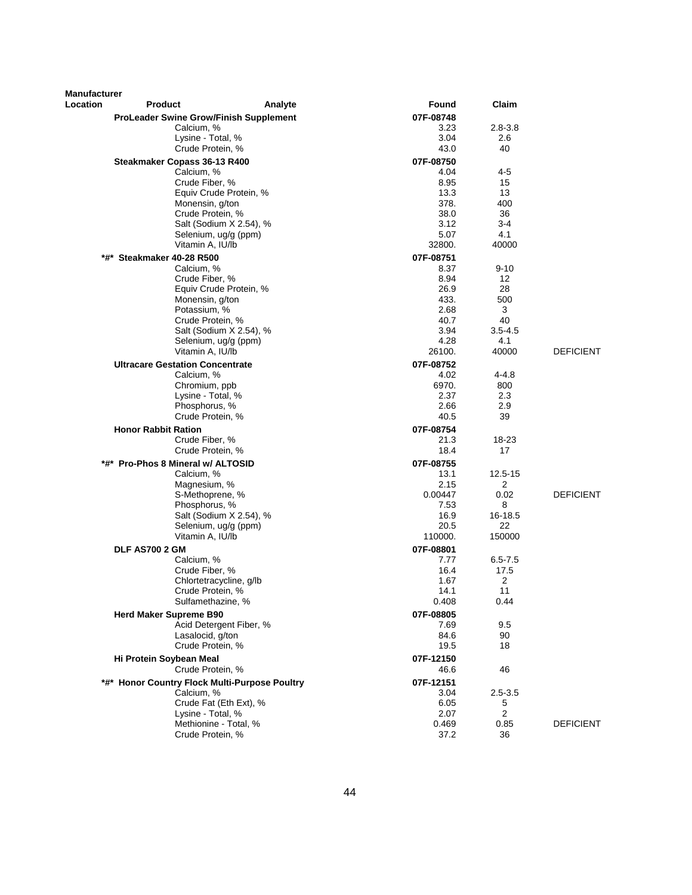| Manufacturer |                                               |                |                |                  |
|--------------|-----------------------------------------------|----------------|----------------|------------------|
| Location     | <b>Product</b><br>Analyte                     | Found          | Claim          |                  |
|              | <b>ProLeader Swine Grow/Finish Supplement</b> | 07F-08748      |                |                  |
|              | Calcium, %                                    | 3.23           | $2.8 - 3.8$    |                  |
|              | Lysine - Total, %                             | 3.04           | 2.6            |                  |
|              | Crude Protein, %                              | 43.0           | 40             |                  |
|              | Steakmaker Copass 36-13 R400                  | 07F-08750      |                |                  |
|              | Calcium, %                                    | 4.04           | 4-5            |                  |
|              | Crude Fiber, %                                | 8.95           | 15             |                  |
|              | Equiv Crude Protein, %                        | 13.3           | 13             |                  |
|              | Monensin, g/ton                               | 378.           | 400            |                  |
|              | Crude Protein, %                              | 38.0           | 36             |                  |
|              | Salt (Sodium X 2.54), %                       | 3.12           | 3-4            |                  |
|              | Selenium, ug/g (ppm)<br>Vitamin A, IU/lb      | 5.07<br>32800. | 4.1<br>40000   |                  |
|              |                                               |                |                |                  |
| *#*          | Steakmaker 40-28 R500                         | 07F-08751      |                |                  |
|              | Calcium, %                                    | 8.37           | $9 - 10$       |                  |
|              | Crude Fiber, %<br>Equiv Crude Protein, %      | 8.94<br>26.9   | 12<br>28       |                  |
|              | Monensin, g/ton                               | 433.           | 500            |                  |
|              | Potassium, %                                  | 2.68           | 3              |                  |
|              | Crude Protein, %                              | 40.7           | 40             |                  |
|              | Salt (Sodium X 2.54), %                       | 3.94           | $3.5 - 4.5$    |                  |
|              | Selenium, ug/g (ppm)                          | 4.28           | 4.1            |                  |
|              | Vitamin A, IU/lb                              | 26100.         | 40000          | <b>DEFICIENT</b> |
|              | <b>Ultracare Gestation Concentrate</b>        | 07F-08752      |                |                  |
|              | Calcium, %                                    | 4.02           | 4-4.8          |                  |
|              | Chromium, ppb                                 | 6970.          | 800            |                  |
|              | Lysine - Total, %                             | 2.37           | 2.3            |                  |
|              | Phosphorus, %                                 | 2.66           | 2.9            |                  |
|              | Crude Protein, %                              | 40.5           | 39             |                  |
|              | <b>Honor Rabbit Ration</b>                    | 07F-08754      |                |                  |
|              | Crude Fiber, %                                | 21.3           | 18-23          |                  |
|              | Crude Protein, %                              | 18.4           | 17             |                  |
|              | *#* Pro-Phos 8 Mineral w/ ALTOSID             | 07F-08755      |                |                  |
|              | Calcium, %                                    | 13.1           | 12.5-15        |                  |
|              | Magnesium, %                                  | 2.15           | 2              |                  |
|              | S-Methoprene, %                               | 0.00447        | 0.02           | <b>DEFICIENT</b> |
|              | Phosphorus, %                                 | 7.53           | 8              |                  |
|              | Salt (Sodium X 2.54), %                       | 16.9           | 16-18.5        |                  |
|              | Selenium, ug/g (ppm)                          | 20.5           | 22             |                  |
|              | Vitamin A, IU/lb                              | 110000.        | 150000         |                  |
|              | <b>DLF AS700 2 GM</b>                         | 07F-08801      |                |                  |
|              | Calcium, %                                    | 7.77           | $6.5 - 7.5$    |                  |
|              | Crude Fiber, %                                | 16.4           | 17.5           |                  |
|              | Chlortetracycline, g/lb                       | 1.67           | 2              |                  |
|              | Crude Protein, %                              | 14.1           | 11             |                  |
|              | Sulfamethazine, %                             | 0.408          | 0.44           |                  |
|              | <b>Herd Maker Supreme B90</b>                 | 07F-08805      |                |                  |
|              | Acid Detergent Fiber, %                       | 7.69           | 9.5            |                  |
|              | Lasalocid, g/ton<br>Crude Protein, %          | 84.6<br>19.5   | 90<br>18       |                  |
|              |                                               |                |                |                  |
|              | Hi Protein Soybean Meal                       | 07F-12150      |                |                  |
|              | Crude Protein, %                              | 46.6           | 46             |                  |
|              | *#* Honor Country Flock Multi-Purpose Poultry | 07F-12151      |                |                  |
|              | Calcium, %                                    | 3.04           | $2.5 - 3.5$    |                  |
|              | Crude Fat (Eth Ext), %                        | 6.05           | 5              |                  |
|              | Lysine - Total, %<br>Methionine - Total, %    | 2.07           | $\overline{2}$ | DEFICIENT        |
|              | Crude Protein, %                              | 0.469<br>37.2  | 0.85<br>36     |                  |
|              |                                               |                |                |                  |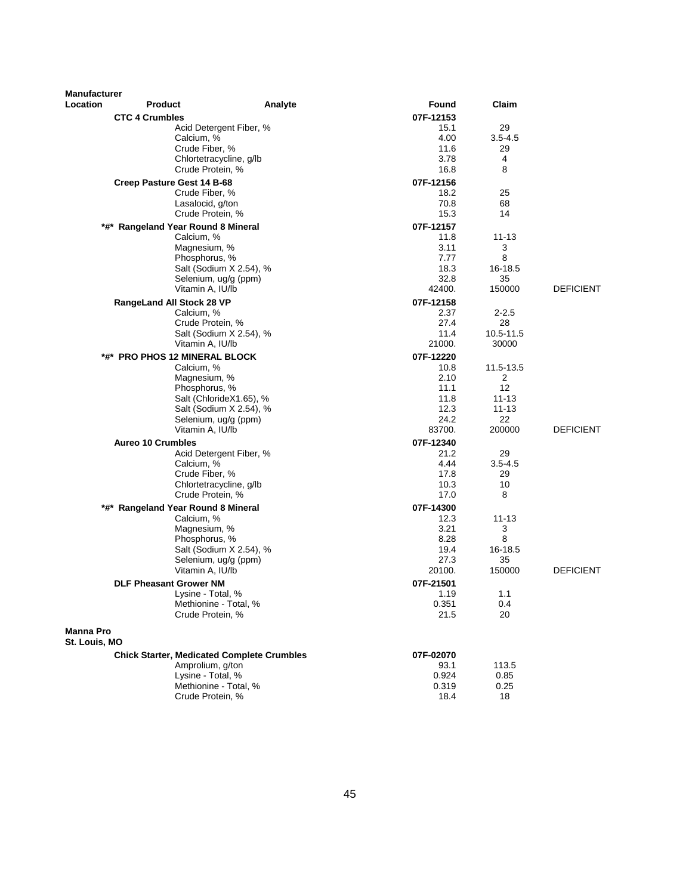| <b>Manufacturer</b> |                                                   |                                                    |               |                        |                  |
|---------------------|---------------------------------------------------|----------------------------------------------------|---------------|------------------------|------------------|
| Location            | <b>Product</b>                                    | Analyte                                            | Found         | Claim                  |                  |
|                     | <b>CTC 4 Crumbles</b>                             |                                                    | 07F-12153     |                        |                  |
|                     |                                                   | Acid Detergent Fiber, %                            | 15.1          | 29                     |                  |
|                     | Calcium, %                                        |                                                    | 4.00          | $3.5 - 4.5$            |                  |
|                     | Crude Fiber, %<br>Chlortetracycline, g/lb         |                                                    | 11.6<br>3.78  | 29<br>4                |                  |
|                     | Crude Protein, %                                  |                                                    | 16.8          | 8                      |                  |
|                     | Creep Pasture Gest 14 B-68                        |                                                    | 07F-12156     |                        |                  |
|                     | Crude Fiber, %                                    |                                                    | 18.2          | 25                     |                  |
|                     | Lasalocid, g/ton                                  |                                                    | 70.8          | 68                     |                  |
|                     | Crude Protein, %                                  |                                                    | 15.3          | 14                     |                  |
|                     | *#* Rangeland Year Round 8 Mineral                |                                                    | 07F-12157     |                        |                  |
|                     | Calcium, %                                        |                                                    | 11.8          | 11-13                  |                  |
|                     | Magnesium, %                                      |                                                    | 3.11          | 3                      |                  |
|                     | Phosphorus, %                                     |                                                    | 7.77          | 8                      |                  |
|                     |                                                   | Salt (Sodium X 2.54), %                            | 18.3<br>32.8  | 16-18.5<br>35          |                  |
|                     | Selenium, ug/g (ppm)<br>Vitamin A, IU/lb          |                                                    | 42400.        | 150000                 | <b>DEFICIENT</b> |
|                     | RangeLand All Stock 28 VP                         |                                                    | 07F-12158     |                        |                  |
|                     | Calcium, %                                        |                                                    | 2.37          | $2 - 2.5$              |                  |
|                     | Crude Protein, %                                  |                                                    | 27.4          | 28                     |                  |
|                     |                                                   | Salt (Sodium X 2.54), %                            | 11.4          | 10.5-11.5              |                  |
|                     | Vitamin A, IU/lb                                  |                                                    | 21000.        | 30000                  |                  |
|                     | *#* PRO PHOS 12 MINERAL BLOCK                     |                                                    | 07F-12220     |                        |                  |
|                     | Calcium, %                                        |                                                    | 10.8          | 11.5-13.5              |                  |
|                     | Magnesium, %                                      |                                                    | 2.10          | 2                      |                  |
|                     | Phosphorus, %                                     |                                                    | 11.1          | 12                     |                  |
|                     |                                                   | Salt (ChlorideX1.65), %<br>Salt (Sodium X 2.54), % | 11.8<br>12.3  | $11 - 13$<br>$11 - 13$ |                  |
|                     | Selenium, ug/g (ppm)                              |                                                    | 24.2          | 22                     |                  |
|                     | Vitamin A, IU/lb                                  |                                                    | 83700.        | 200000                 | <b>DEFICIENT</b> |
|                     | <b>Aureo 10 Crumbles</b>                          |                                                    | 07F-12340     |                        |                  |
|                     |                                                   | Acid Detergent Fiber, %                            | 21.2          | 29                     |                  |
|                     | Calcium, %                                        |                                                    | 4.44          | $3.5 - 4.5$            |                  |
|                     | Crude Fiber, %                                    |                                                    | 17.8          | 29                     |                  |
|                     | Chlortetracycline, g/lb                           |                                                    | 10.3          | 10                     |                  |
|                     | Crude Protein, %                                  |                                                    | 17.0          | 8                      |                  |
|                     | *#* Rangeland Year Round 8 Mineral                |                                                    | 07F-14300     |                        |                  |
|                     | Calcium, %<br>Magnesium, %                        |                                                    | 12.3<br>3.21  | $11 - 13$<br>3         |                  |
|                     | Phosphorus, %                                     |                                                    | 8.28          | 8                      |                  |
|                     |                                                   | Salt (Sodium X 2.54), %                            | 19.4          | 16-18.5                |                  |
|                     | Selenium, ug/g (ppm)                              |                                                    | 27.3          | 35                     |                  |
|                     | Vitamin A, IU/lb                                  |                                                    | 20100.        | 150000                 | <b>DEFICIENT</b> |
|                     | <b>DLF Pheasant Grower NM</b>                     |                                                    | 07F-21501     |                        |                  |
|                     | Lysine - Total, %                                 |                                                    | 1.19          | 1.1                    |                  |
|                     | Methionine - Total, %                             |                                                    | 0.351         | 0.4                    |                  |
|                     | Crude Protein, %                                  |                                                    | 21.5          | 20                     |                  |
| <b>Manna Pro</b>    |                                                   |                                                    |               |                        |                  |
| St. Louis, MO       |                                                   |                                                    |               |                        |                  |
|                     | <b>Chick Starter, Medicated Complete Crumbles</b> |                                                    | 07F-02070     |                        |                  |
|                     | Amprolium, g/ton                                  |                                                    | 93.1<br>0.924 | 113.5<br>0.85          |                  |
|                     | Lysine - Total, %<br>Methionine - Total, %        |                                                    | 0.319         | 0.25                   |                  |
|                     | Crude Protein, %                                  |                                                    | 18.4          | 18                     |                  |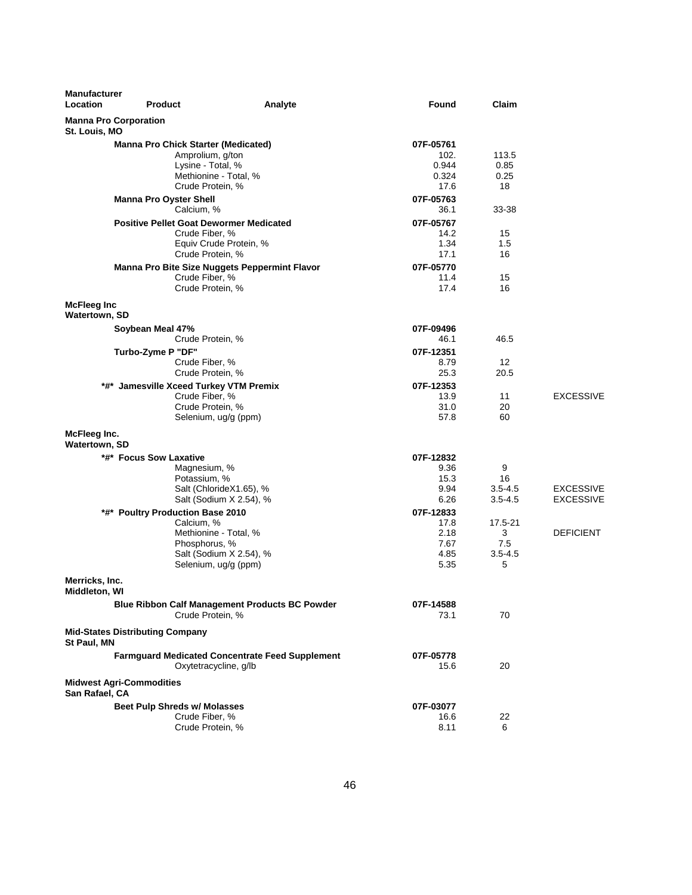| <b>Manufacturer</b><br>Location | <b>Product</b>                         | Analyte                                                                                                                                     | <b>Found</b>                                      | Claim                                   |                                      |
|---------------------------------|----------------------------------------|---------------------------------------------------------------------------------------------------------------------------------------------|---------------------------------------------------|-----------------------------------------|--------------------------------------|
| St. Louis, MO                   | <b>Manna Pro Corporation</b>           |                                                                                                                                             |                                                   |                                         |                                      |
|                                 |                                        | <b>Manna Pro Chick Starter (Medicated)</b><br>Amprolium, g/ton<br>Lysine - Total, %<br>Methionine - Total, %                                | 07F-05761<br>102.<br>0.944<br>0.324               | 113.5<br>0.85<br>0.25                   |                                      |
|                                 | <b>Manna Pro Oyster Shell</b>          | Crude Protein, %<br>Calcium, %                                                                                                              | 17.6<br>07F-05763                                 | 18<br>33-38                             |                                      |
|                                 |                                        | <b>Positive Pellet Goat Dewormer Medicated</b><br>Crude Fiber, %<br>Equiv Crude Protein, %<br>Crude Protein, %                              | 36.1<br>07F-05767<br>14.2<br>1.34<br>17.1         | 15<br>1.5<br>16                         |                                      |
|                                 |                                        | <b>Manna Pro Bite Size Nuggets Peppermint Flavor</b><br>Crude Fiber, %<br>Crude Protein, %                                                  | 07F-05770<br>11.4<br>17.4                         | 15<br>16                                |                                      |
| McFleeg Inc<br>Watertown, SD    |                                        |                                                                                                                                             |                                                   |                                         |                                      |
|                                 | Soybean Meal 47%                       | Crude Protein, %                                                                                                                            | 07F-09496<br>46.1                                 | 46.5                                    |                                      |
|                                 | Turbo-Zyme P "DF"                      | Crude Fiber, %<br>Crude Protein, %                                                                                                          | 07F-12351<br>8.79<br>25.3                         | 12<br>20.5                              |                                      |
|                                 |                                        | *#* Jamesville Xceed Turkey VTM Premix<br>Crude Fiber, %<br>Crude Protein, %<br>Selenium, ug/g (ppm)                                        | 07F-12353<br>13.9<br>31.0<br>57.8                 | 11<br>20<br>60                          | <b>EXCESSIVE</b>                     |
| McFleeg Inc.<br>Watertown, SD   |                                        |                                                                                                                                             |                                                   |                                         |                                      |
|                                 | *#* Focus Sow Laxative                 | Magnesium, %<br>Potassium, %<br>Salt (ChlorideX1.65), %<br>Salt (Sodium X 2.54), %                                                          | 07F-12832<br>9.36<br>15.3<br>9.94<br>6.26         | 9<br>16<br>$3.5 - 4.5$<br>$3.5 - 4.5$   | <b>EXCESSIVE</b><br><b>EXCESSIVE</b> |
|                                 |                                        | *#* Poultry Production Base 2010<br>Calcium, %<br>Methionine - Total, %<br>Phosphorus, %<br>Salt (Sodium X 2.54), %<br>Selenium, ug/g (ppm) | 07F-12833<br>17.8<br>2.18<br>7.67<br>4.85<br>5.35 | 17.5-21<br>3<br>7.5<br>$3.5 - 4.5$<br>5 | <b>DEFICIENT</b>                     |
| Merricks, Inc.<br>Middleton, WI |                                        |                                                                                                                                             |                                                   |                                         |                                      |
|                                 |                                        | <b>Blue Ribbon Calf Management Products BC Powder</b><br>Crude Protein, %                                                                   | 07F-14588<br>73.1                                 | 70                                      |                                      |
| St Paul, MN                     | <b>Mid-States Distributing Company</b> |                                                                                                                                             |                                                   |                                         |                                      |
|                                 |                                        | <b>Farmguard Medicated Concentrate Feed Supplement</b><br>Oxytetracycline, g/lb                                                             | 07F-05778<br>15.6                                 | 20                                      |                                      |
| San Rafael, CA                  | <b>Midwest Agri-Commodities</b>        |                                                                                                                                             |                                                   |                                         |                                      |
|                                 |                                        | <b>Beet Pulp Shreds w/ Molasses</b><br>Crude Fiber, %<br>Crude Protein, %                                                                   | 07F-03077<br>16.6<br>8.11                         | 22<br>6                                 |                                      |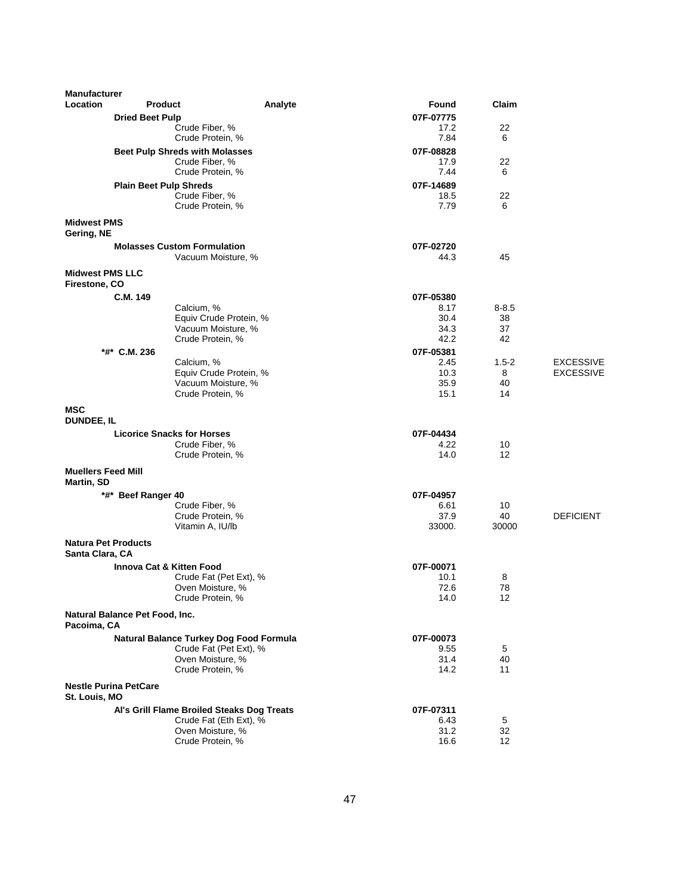| <b>Manufacturer</b>                           |                                            |         |                   |           |                  |
|-----------------------------------------------|--------------------------------------------|---------|-------------------|-----------|------------------|
| Location                                      | <b>Product</b>                             | Analyte | Found             | Claim     |                  |
|                                               | <b>Dried Beet Pulp</b>                     |         | 07F-07775         |           |                  |
|                                               | Crude Fiber, %                             |         | 17.2              | 22        |                  |
|                                               | Crude Protein, %                           |         | 7.84              | 6         |                  |
|                                               | <b>Beet Pulp Shreds with Molasses</b>      |         | 07F-08828         |           |                  |
|                                               | Crude Fiber, %                             |         | 17.9              | 22        |                  |
|                                               | Crude Protein, %                           |         | 7.44              | 6         |                  |
|                                               | <b>Plain Beet Pulp Shreds</b>              |         | 07F-14689         |           |                  |
|                                               | Crude Fiber, %<br>Crude Protein, %         |         | 18.5<br>7.79      | 22<br>6   |                  |
|                                               |                                            |         |                   |           |                  |
| <b>Midwest PMS</b><br>Gering, NE              |                                            |         |                   |           |                  |
|                                               | <b>Molasses Custom Formulation</b>         |         | 07F-02720         |           |                  |
|                                               | Vacuum Moisture, %                         |         | 44.3              | 45        |                  |
| <b>Midwest PMS LLC</b><br>Firestone, CO       |                                            |         |                   |           |                  |
|                                               | C.M. 149                                   |         | 07F-05380         |           |                  |
|                                               | Calcium, %                                 |         | 8.17              | $8 - 8.5$ |                  |
|                                               | Equiv Crude Protein, %                     |         | 30.4              | 38        |                  |
|                                               | Vacuum Moisture, %<br>Crude Protein, %     |         | 34.3<br>42.2      | 37<br>42  |                  |
|                                               |                                            |         |                   |           |                  |
|                                               | *#* C.M. 236                               |         | 07F-05381<br>2.45 | $1.5 - 2$ | <b>EXCESSIVE</b> |
|                                               | Calcium, %<br>Equiv Crude Protein, %       |         | 10.3              | 8         | <b>EXCESSIVE</b> |
|                                               | Vacuum Moisture, %                         |         | 35.9              | 40        |                  |
|                                               | Crude Protein, %                           |         | 15.1              | 14        |                  |
| <b>MSC</b><br><b>DUNDEE, IL</b>               |                                            |         |                   |           |                  |
|                                               | <b>Licorice Snacks for Horses</b>          |         | 07F-04434         |           |                  |
|                                               | Crude Fiber, %                             |         | 4.22              | 10        |                  |
|                                               | Crude Protein, %                           |         | 14.0              | 12        |                  |
| <b>Muellers Feed Mill</b><br>Martin, SD       |                                            |         |                   |           |                  |
|                                               | *#* Beef Ranger 40                         |         | 07F-04957         |           |                  |
|                                               | Crude Fiber, %                             |         | 6.61              | 10        |                  |
|                                               | Crude Protein, %                           |         | 37.9              | 40        | <b>DEFICIENT</b> |
|                                               | Vitamin A, IU/lb                           |         | 33000.            | 30000     |                  |
| <b>Natura Pet Products</b><br>Santa Clara, CA |                                            |         |                   |           |                  |
|                                               | <b>Innova Cat &amp; Kitten Food</b>        |         | 07F-00071         |           |                  |
|                                               | Crude Fat (Pet Ext), %                     |         | 10.1              | 8         |                  |
|                                               | Oven Moisture, %<br>Crude Protein, %       |         | 72.6<br>14.0      | 78<br>12  |                  |
|                                               | Natural Balance Pet Food, Inc.             |         |                   |           |                  |
| Pacoima, CA                                   |                                            |         |                   |           |                  |
|                                               | Natural Balance Turkey Dog Food Formula    |         | 07F-00073         |           |                  |
|                                               | Crude Fat (Pet Ext), %                     |         | 9.55              | 5         |                  |
|                                               | Oven Moisture, %<br>Crude Protein, %       |         | 31.4<br>14.2      | 40<br>11  |                  |
|                                               | <b>Nestle Purina PetCare</b>               |         |                   |           |                  |
| St. Louis, MO                                 |                                            |         |                   |           |                  |
|                                               | Al's Grill Flame Broiled Steaks Dog Treats |         | 07F-07311         |           |                  |
|                                               | Crude Fat (Eth Ext), %                     |         | 6.43              | 5         |                  |
|                                               | Oven Moisture, %                           |         | 31.2              | 32        |                  |
|                                               | Crude Protein, %                           |         | 16.6              | 12        |                  |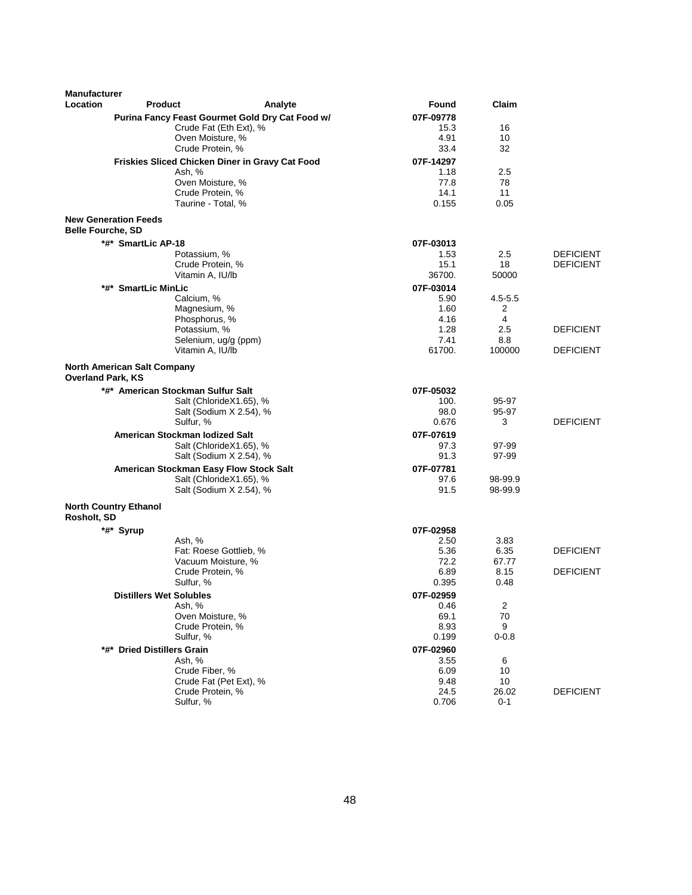| <b>Manufacturer</b>      |                                        |                                                    |                   |                    |                  |
|--------------------------|----------------------------------------|----------------------------------------------------|-------------------|--------------------|------------------|
| Location                 | <b>Product</b>                         | Analyte                                            | Found             | Claim              |                  |
|                          |                                        | Purina Fancy Feast Gourmet Gold Dry Cat Food w/    | 07F-09778         |                    |                  |
|                          |                                        | Crude Fat (Eth Ext), %                             | 15.3              | 16                 |                  |
|                          |                                        | Oven Moisture, %                                   | 4.91              | 10<br>32           |                  |
|                          |                                        | Crude Protein, %                                   | 33.4              |                    |                  |
|                          | Ash, %                                 | Friskies Sliced Chicken Diner in Gravy Cat Food    | 07F-14297<br>1.18 | 2.5                |                  |
|                          |                                        | Oven Moisture, %                                   | 77.8              | 78                 |                  |
|                          |                                        | Crude Protein, %                                   | 14.1              | 11                 |                  |
|                          |                                        | Taurine - Total, %                                 | 0.155             | 0.05               |                  |
|                          | <b>New Generation Feeds</b>            |                                                    |                   |                    |                  |
| <b>Belle Fourche, SD</b> |                                        |                                                    |                   |                    |                  |
|                          | *#* SmartLic AP-18                     |                                                    | 07F-03013         |                    |                  |
|                          | Potassium, %                           |                                                    | 1.53              | 2.5                | <b>DEFICIENT</b> |
|                          | Vitamin A, IU/lb                       | Crude Protein, %                                   | 15.1<br>36700.    | 18<br>50000        | <b>DEFICIENT</b> |
|                          |                                        |                                                    |                   |                    |                  |
|                          | *#* SmartLic MinLic<br>Calcium, %      |                                                    | 07F-03014<br>5.90 | $4.5 - 5.5$        |                  |
|                          | Magnesium, %                           |                                                    | 1.60              | 2                  |                  |
|                          | Phosphorus, %                          |                                                    | 4.16              | 4                  |                  |
|                          | Potassium, %                           |                                                    | 1.28              | 2.5                | <b>DEFICIENT</b> |
|                          |                                        | Selenium, ug/g (ppm)                               | 7.41              | 8.8                |                  |
|                          | Vitamin A, IU/lb                       |                                                    | 61700.            | 100000             | <b>DEFICIENT</b> |
| <b>Overland Park, KS</b> | <b>North American Salt Company</b>     |                                                    |                   |                    |                  |
|                          | *#* American Stockman Sulfur Salt      |                                                    | 07F-05032         |                    |                  |
|                          |                                        | Salt (ChlorideX1.65), %                            | 100.              | 95-97              |                  |
|                          |                                        | Salt (Sodium X 2.54), %                            | 98.0              | 95-97              |                  |
|                          | Sulfur, %                              |                                                    | 0.676             | 3                  | <b>DEFICIENT</b> |
|                          | American Stockman Iodized Salt         |                                                    | 07F-07619         |                    |                  |
|                          |                                        | Salt (ChlorideX1.65), %                            | 97.3              | 97-99              |                  |
|                          |                                        | Salt (Sodium X 2.54), %                            | 91.3              | 97-99              |                  |
|                          | American Stockman Easy Flow Stock Salt |                                                    | 07F-07781         |                    |                  |
|                          |                                        | Salt (ChlorideX1.65), %<br>Salt (Sodium X 2.54), % | 97.6<br>91.5      | 98-99.9<br>98-99.9 |                  |
|                          |                                        |                                                    |                   |                    |                  |
| Rosholt, SD              | <b>North Country Ethanol</b>           |                                                    |                   |                    |                  |
|                          | *#* Syrup                              |                                                    | 07F-02958         |                    |                  |
|                          | Ash, %                                 |                                                    | 2.50              | 3.83               |                  |
|                          |                                        | Fat: Roese Gottlieb, %<br>Vacuum Moisture, %       | 5.36<br>72.2      | 6.35<br>67.77      | <b>DEFICIENT</b> |
|                          |                                        | Crude Protein, %                                   | 6.89              | 8.15               | <b>DEFICIENT</b> |
|                          | Sulfur, %                              |                                                    | 0.395             | 0.48               |                  |
|                          | <b>Distillers Wet Solubles</b>         |                                                    | 07F-02959         |                    |                  |
|                          | Ash, %                                 |                                                    | 0.46              | $\overline{c}$     |                  |
|                          |                                        | Oven Moisture, %                                   | 69.1              | 70                 |                  |
|                          |                                        | Crude Protein, %                                   | 8.93              | 9                  |                  |
|                          | Sulfur, %                              |                                                    | 0.199             | $0 - 0.8$          |                  |
|                          | *#* Dried Distillers Grain             |                                                    | 07F-02960         |                    |                  |
|                          | Ash, %                                 |                                                    | 3.55              | 6                  |                  |
|                          | Crude Fiber, %                         |                                                    | 6.09              | 10                 |                  |
|                          |                                        | Crude Fat (Pet Ext), %                             | 9.48              | 10                 |                  |
|                          |                                        | Crude Protein, %                                   | 24.5              | 26.02              | <b>DEFICIENT</b> |
|                          | Sulfur, %                              |                                                    | 0.706             | $0 - 1$            |                  |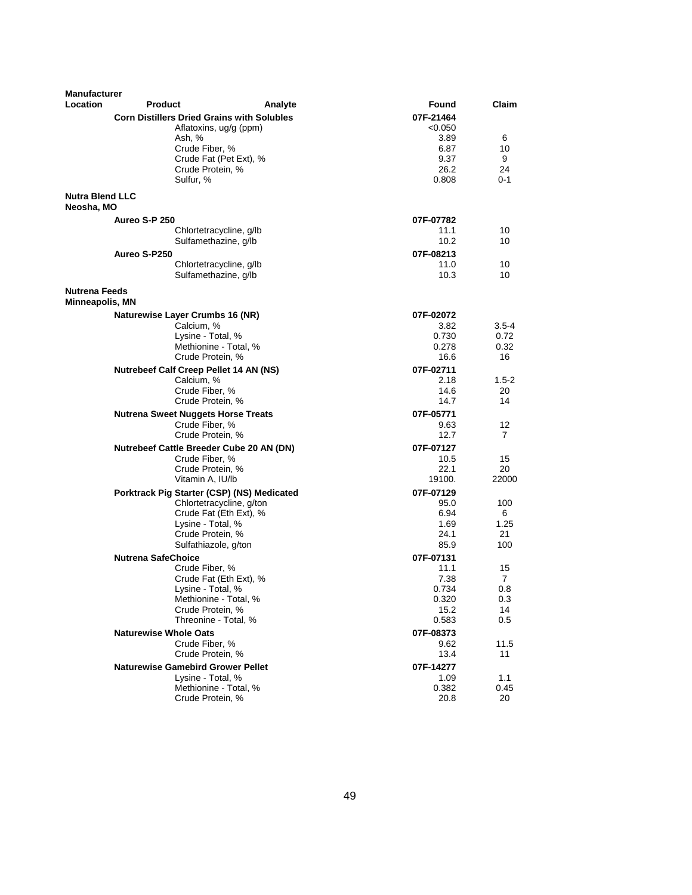| <b>Manufacturer</b><br><b>Location</b>  | Product                                           | Analyte                  | Found             | Claim     |
|-----------------------------------------|---------------------------------------------------|--------------------------|-------------------|-----------|
|                                         | <b>Corn Distillers Dried Grains with Solubles</b> |                          | 07F-21464         |           |
|                                         | Aflatoxins, ug/g (ppm)                            |                          | < 0.050           |           |
|                                         | Ash, %                                            |                          | 3.89              | 6         |
|                                         | Crude Fiber, %                                    |                          | 6.87              | 10        |
|                                         |                                                   | Crude Fat (Pet Ext), %   | 9.37              | 9         |
|                                         | Crude Protein, %                                  |                          | 26.2              | 24        |
|                                         | Sulfur, %                                         |                          | 0.808             | 0-1       |
| <b>Nutra Blend LLC</b><br>Neosha, MO    |                                                   |                          |                   |           |
|                                         | Aureo S-P 250                                     |                          | 07F-07782         |           |
|                                         | Chlortetracycline, g/lb                           |                          | 11.1              | 10        |
|                                         | Sulfamethazine, g/lb                              |                          | 10.2 <sub>1</sub> | 10        |
|                                         | Aureo S-P250                                      |                          | 07F-08213         |           |
|                                         | Chlortetracycline, g/lb                           |                          | 11.0              | 10        |
|                                         | Sulfamethazine, g/lb                              |                          | 10.3              | 10        |
| <b>Nutrena Feeds</b><br>Minneapolis, MN |                                                   |                          |                   |           |
|                                         | <b>Naturewise Layer Crumbs 16 (NR)</b>            |                          | 07F-02072         |           |
|                                         | Calcium, %                                        |                          | 3.82              | $3.5 - 4$ |
|                                         | Lysine - Total, %                                 |                          | 0.730             | 0.72      |
|                                         | Methionine - Total, %                             |                          | 0.278             | 0.32      |
|                                         | Crude Protein, %                                  |                          | 16.6              | 16        |
|                                         | Nutrebeef Calf Creep Pellet 14 AN (NS)            |                          | 07F-02711         |           |
|                                         | Calcium, %                                        |                          | 2.18              | $1.5 - 2$ |
|                                         | Crude Fiber, %                                    |                          | 14.6              | 20        |
|                                         | Crude Protein, %                                  |                          | 14.7              | 14        |
|                                         | <b>Nutrena Sweet Nuggets Horse Treats</b>         |                          | 07F-05771         |           |
|                                         | Crude Fiber, %                                    |                          | 9.63              | 12        |
|                                         | Crude Protein, %                                  |                          | 12.7              | 7         |
|                                         | Nutrebeef Cattle Breeder Cube 20 AN (DN)          |                          | 07F-07127         |           |
|                                         | Crude Fiber, %                                    |                          | 10.5              | 15        |
|                                         | Crude Protein, %                                  |                          | 22.1              | 20        |
|                                         | Vitamin A, IU/lb                                  |                          | 19100.            | 22000     |
|                                         | Porktrack Pig Starter (CSP) (NS) Medicated        |                          | 07F-07129         |           |
|                                         |                                                   | Chlortetracycline, g/ton | 95.0              | 100       |
|                                         |                                                   | Crude Fat (Eth Ext), %   | 6.94              | 6         |
|                                         | Lysine - Total, %                                 |                          | 1.69              | 1.25      |
|                                         | Crude Protein, %<br>Sulfathiazole, g/ton          |                          | 24.1              | 21        |
|                                         |                                                   |                          | 85.9              | 100       |
|                                         | <b>Nutrena SafeChoice</b>                         |                          | 07F-07131         |           |
|                                         | Crude Fiber, %                                    |                          | 11.1              | 15        |
|                                         | Lysine - Total, %                                 | Crude Fat (Eth Ext), %   | 7.38<br>0.734     | 7<br>0.8  |
|                                         | Methionine - Total, %                             |                          | 0.320             | 0.3       |
|                                         | Crude Protein, %                                  |                          | 15.2              | 14        |
|                                         | Threonine - Total, %                              |                          | 0.583             | 0.5       |
|                                         | <b>Naturewise Whole Oats</b>                      |                          | 07F-08373         |           |
|                                         | Crude Fiber, %                                    |                          | 9.62              | 11.5      |
|                                         | Crude Protein, %                                  |                          | 13.4              | 11        |
|                                         | <b>Naturewise Gamebird Grower Pellet</b>          |                          | 07F-14277         |           |
|                                         | Lysine - Total, %                                 |                          | 1.09              | 1.1       |
|                                         | Methionine - Total, %                             |                          | 0.382             | 0.45      |
|                                         | Crude Protein, %                                  |                          | 20.8              | 20        |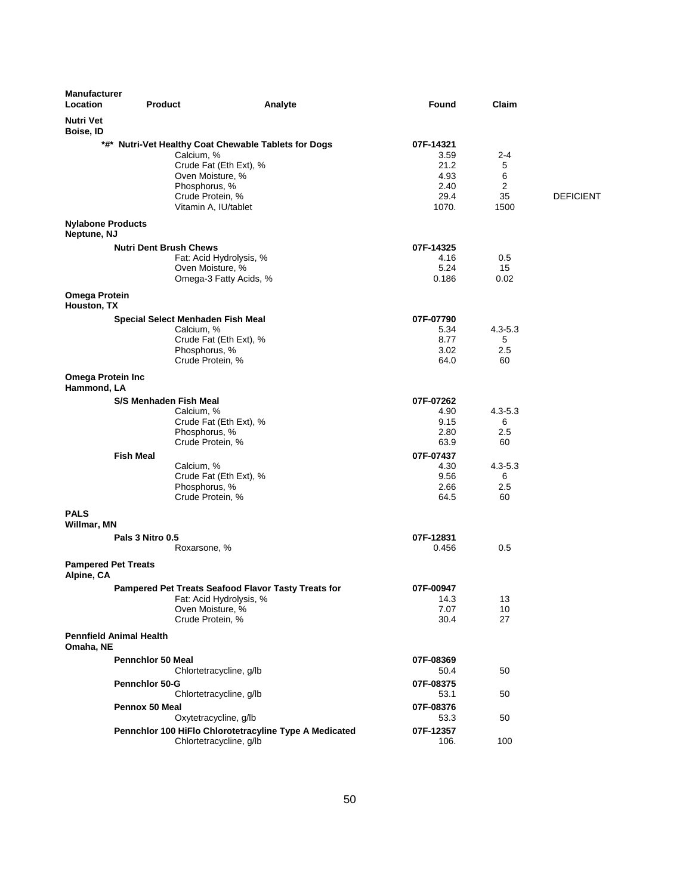| <b>Manufacturer</b><br>Location          | <b>Product</b>                 | Analyte                                                | Found        | Claim       |                  |
|------------------------------------------|--------------------------------|--------------------------------------------------------|--------------|-------------|------------------|
| <b>Nutri Vet</b><br>Boise, ID            |                                |                                                        |              |             |                  |
|                                          |                                | *#* Nutri-Vet Healthy Coat Chewable Tablets for Dogs   | 07F-14321    |             |                  |
|                                          |                                | Calcium, %                                             | 3.59         | 2-4         |                  |
|                                          |                                | Crude Fat (Eth Ext), %<br>Oven Moisture, %             | 21.2<br>4.93 | 5<br>6      |                  |
|                                          |                                | Phosphorus, %                                          | 2.40         | 2           |                  |
|                                          |                                | Crude Protein, %                                       | 29.4         | 35          | <b>DEFICIENT</b> |
|                                          |                                | Vitamin A, IU/tablet                                   | 1070.        | 1500        |                  |
| <b>Nylabone Products</b><br>Neptune, NJ  |                                |                                                        |              |             |                  |
|                                          | <b>Nutri Dent Brush Chews</b>  |                                                        | 07F-14325    |             |                  |
|                                          |                                | Fat: Acid Hydrolysis, %                                | 4.16         | 0.5         |                  |
|                                          |                                | Oven Moisture, %                                       | 5.24         | 15          |                  |
|                                          |                                | Omega-3 Fatty Acids, %                                 | 0.186        | 0.02        |                  |
| <b>Omega Protein</b><br>Houston, TX      |                                |                                                        |              |             |                  |
|                                          |                                | Special Select Menhaden Fish Meal                      | 07F-07790    |             |                  |
|                                          |                                | Calcium, %                                             | 5.34         | $4.3 - 5.3$ |                  |
|                                          |                                | Crude Fat (Eth Ext), %                                 | 8.77         | 5           |                  |
|                                          |                                | Phosphorus, %                                          | 3.02         | 2.5         |                  |
| <b>Omega Protein Inc</b>                 |                                | Crude Protein, %                                       | 64.0         | 60          |                  |
| Hammond, LA                              |                                |                                                        |              |             |                  |
|                                          | S/S Menhaden Fish Meal         |                                                        | 07F-07262    |             |                  |
|                                          |                                | Calcium, %                                             | 4.90         | $4.3 - 5.3$ |                  |
|                                          |                                | Crude Fat (Eth Ext), %                                 | 9.15         | 6           |                  |
|                                          |                                | Phosphorus, %<br>Crude Protein, %                      | 2.80<br>63.9 | 2.5<br>60   |                  |
|                                          | <b>Fish Meal</b>               |                                                        | 07F-07437    |             |                  |
|                                          |                                | Calcium, %                                             | 4.30         | $4.3 - 5.3$ |                  |
|                                          |                                | Crude Fat (Eth Ext), %                                 | 9.56         | 6           |                  |
|                                          |                                | Phosphorus, %                                          | 2.66         | 2.5         |                  |
|                                          |                                | Crude Protein, %                                       | 64.5         | 60          |                  |
| <b>PALS</b><br>Willmar, MN               |                                |                                                        |              |             |                  |
|                                          | Pals 3 Nitro 0.5               |                                                        | 07F-12831    |             |                  |
|                                          |                                | Roxarsone, %                                           | 0.456        | 0.5         |                  |
| <b>Pampered Pet Treats</b><br>Alpine, CA |                                |                                                        |              |             |                  |
|                                          |                                | Pampered Pet Treats Seafood Flavor Tasty Treats for    | 07F-00947    |             |                  |
|                                          |                                | Fat: Acid Hydrolysis, %                                | 14.3         | 13          |                  |
|                                          |                                | Oven Moisture, %                                       | 7.07         | 10          |                  |
|                                          |                                | Crude Protein, %                                       | 30.4         | 27          |                  |
| Omaha, NE                                | <b>Pennfield Animal Health</b> |                                                        |              |             |                  |
|                                          | <b>Pennchlor 50 Meal</b>       |                                                        | 07F-08369    |             |                  |
|                                          |                                | Chlortetracycline, g/lb                                | 50.4         | 50          |                  |
|                                          | <b>Pennchlor 50-G</b>          |                                                        | 07F-08375    |             |                  |
|                                          |                                | Chlortetracycline, g/lb                                | 53.1         | 50          |                  |
|                                          | Pennox 50 Meal                 |                                                        | 07F-08376    |             |                  |
|                                          |                                | Oxytetracycline, g/lb                                  | 53.3         | 50          |                  |
|                                          |                                | Pennchlor 100 HiFlo Chlorotetracyline Type A Medicated | 07F-12357    |             |                  |
|                                          |                                | Chlortetracycline, g/lb                                | 106.         | 100         |                  |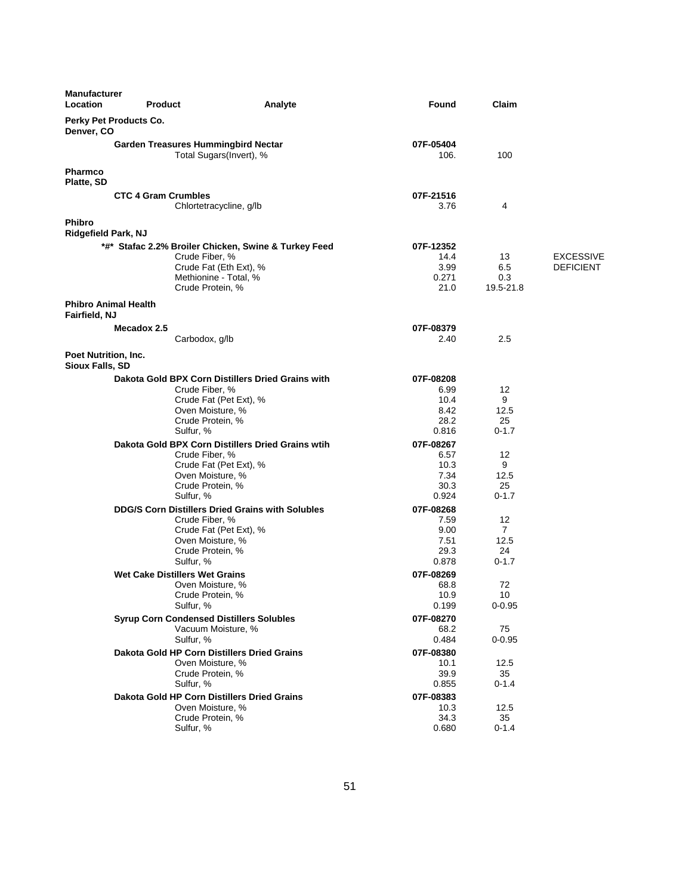| Manufacturer<br>Location                            | <b>Product</b>                                  | Analyte                                                         | Found             | Claim            |                  |
|-----------------------------------------------------|-------------------------------------------------|-----------------------------------------------------------------|-------------------|------------------|------------------|
| Denver, CO                                          | Perky Pet Products Co.                          |                                                                 |                   |                  |                  |
|                                                     | <b>Garden Treasures Hummingbird Nectar</b>      | Total Sugars(Invert), %                                         | 07F-05404<br>106. | 100              |                  |
| <b>Pharmco</b><br>Platte, SD                        |                                                 |                                                                 |                   |                  |                  |
|                                                     | <b>CTC 4 Gram Crumbles</b>                      | Chlortetracycline, g/lb                                         | 07F-21516<br>3.76 | 4                |                  |
| <b>Phibro</b><br><b>Ridgefield Park, NJ</b>         |                                                 |                                                                 |                   |                  |                  |
|                                                     |                                                 | *#* Stafac 2.2% Broiler Chicken, Swine & Turkey Feed            | 07F-12352         |                  |                  |
|                                                     | Crude Fiber, %                                  |                                                                 | 14.4              | 13               | <b>EXCESSIVE</b> |
|                                                     |                                                 | Crude Fat (Eth Ext), %                                          | 3.99              | 6.5              | <b>DEFICIENT</b> |
|                                                     |                                                 | Methionine - Total, %                                           | 0.271             | 0.3              |                  |
|                                                     |                                                 | Crude Protein, %                                                | 21.0              | 19.5-21.8        |                  |
| <b>Phibro Animal Health</b><br><b>Fairfield, NJ</b> |                                                 |                                                                 |                   |                  |                  |
|                                                     | Mecadox 2.5                                     |                                                                 | 07F-08379         |                  |                  |
|                                                     | Carbodox, g/lb                                  |                                                                 | 2.40              | 2.5              |                  |
| Poet Nutrition, Inc.<br>Sioux Falls, SD             |                                                 |                                                                 |                   |                  |                  |
|                                                     |                                                 | Dakota Gold BPX Corn Distillers Dried Grains with               | 07F-08208         |                  |                  |
|                                                     | Crude Fiber, %                                  |                                                                 | 6.99              | 12               |                  |
|                                                     |                                                 | Crude Fat (Pet Ext), %                                          | 10.4              | 9                |                  |
|                                                     |                                                 | Oven Moisture, %                                                | 8.42              | 12.5             |                  |
|                                                     |                                                 | Crude Protein, %                                                | 28.2              | 25               |                  |
|                                                     | Sulfur, %                                       |                                                                 | 0.816             | $0 - 1.7$        |                  |
|                                                     |                                                 | Dakota Gold BPX Corn Distillers Dried Grains wtih               | 07F-08267         |                  |                  |
|                                                     | Crude Fiber, %                                  |                                                                 | 6.57              | 12               |                  |
|                                                     |                                                 | Crude Fat (Pet Ext), %<br>Oven Moisture, %                      | 10.3<br>7.34      | 9<br>12.5        |                  |
|                                                     |                                                 | Crude Protein, %                                                | 30.3              | 25               |                  |
|                                                     | Sulfur, %                                       |                                                                 | 0.924             | $0 - 1.7$        |                  |
|                                                     |                                                 | <b>DDG/S Corn Distillers Dried Grains with Solubles</b>         | 07F-08268         |                  |                  |
|                                                     | Crude Fiber, %                                  |                                                                 | 7.59              | 12               |                  |
|                                                     |                                                 | Crude Fat (Pet Ext), %                                          | 9.00              | $\overline{7}$   |                  |
|                                                     |                                                 | Oven Moisture, %                                                | 7.51              | 12.5             |                  |
|                                                     |                                                 | Crude Protein, %                                                | 29.3              | 24               |                  |
|                                                     | Sulfur, %                                       |                                                                 | 0.878             | $0 - 1.7$        |                  |
|                                                     | <b>Wet Cake Distillers Wet Grains</b>           |                                                                 | 07F-08269         |                  |                  |
|                                                     |                                                 | Oven Moisture, %                                                | 68.8              | 72               |                  |
|                                                     |                                                 | Crude Protein, %                                                | 10.9              | 10               |                  |
|                                                     | Sulfur, %                                       |                                                                 | 0.199             | $0 - 0.95$       |                  |
|                                                     | <b>Syrup Corn Condensed Distillers Solubles</b> |                                                                 | 07F-08270         |                  |                  |
|                                                     | Sulfur, %                                       | Vacuum Moisture, %                                              | 68.2<br>0.484     | 75<br>$0 - 0.95$ |                  |
|                                                     |                                                 |                                                                 |                   |                  |                  |
|                                                     |                                                 | Dakota Gold HP Corn Distillers Dried Grains<br>Oven Moisture, % | 07F-08380<br>10.1 | 12.5             |                  |
|                                                     |                                                 | Crude Protein, %                                                | 39.9              | 35               |                  |
|                                                     | Sulfur, %                                       |                                                                 | 0.855             | $0 - 1.4$        |                  |
|                                                     |                                                 | Dakota Gold HP Corn Distillers Dried Grains                     | 07F-08383         |                  |                  |
|                                                     |                                                 | Oven Moisture, %                                                | 10.3              | 12.5             |                  |
|                                                     |                                                 | Crude Protein, %                                                | 34.3              | 35               |                  |
|                                                     | Sulfur, %                                       |                                                                 | 0.680             | $0 - 1.4$        |                  |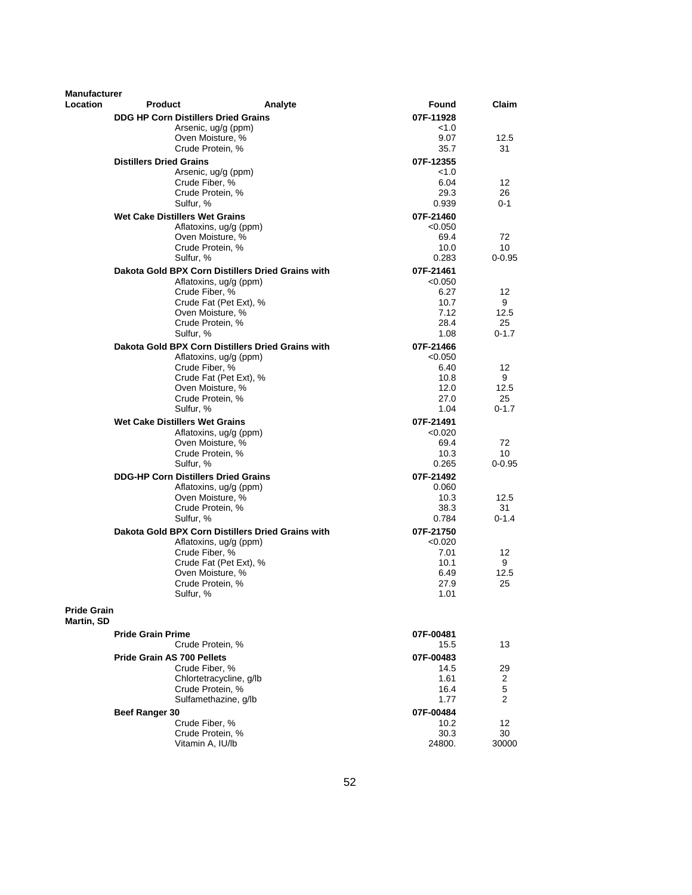| <b>Manufacturer</b>              |                                            |                                                   |                   |            |
|----------------------------------|--------------------------------------------|---------------------------------------------------|-------------------|------------|
| Location                         | <b>Product</b>                             | Analyte                                           | Found             | Claim      |
|                                  | <b>DDG HP Corn Distillers Dried Grains</b> |                                                   | 07F-11928         |            |
|                                  |                                            | Arsenic, ug/g (ppm)                               | < 1.0             |            |
|                                  |                                            | Oven Moisture, %                                  | 9.07              | 12.5       |
|                                  | Crude Protein, %                           |                                                   | 35.7              | 31         |
|                                  | <b>Distillers Dried Grains</b>             |                                                   | 07F-12355         |            |
|                                  | Crude Fiber, %                             | Arsenic, ug/g (ppm)                               | < 1.0<br>6.04     | 12         |
|                                  | Crude Protein, %                           |                                                   | 29.3              | 26         |
|                                  | Sulfur, %                                  |                                                   | 0.939             | 0-1        |
|                                  | <b>Wet Cake Distillers Wet Grains</b>      |                                                   | 07F-21460         |            |
|                                  |                                            | Aflatoxins, ug/g (ppm)                            | < 0.050           |            |
|                                  |                                            | Oven Moisture, %                                  | 69.4              | 72         |
|                                  | Crude Protein, %                           |                                                   | 10.0              | 10         |
|                                  | Sulfur, %                                  |                                                   | 0.283             | $0 - 0.95$ |
|                                  |                                            | Dakota Gold BPX Corn Distillers Dried Grains with | 07F-21461         |            |
|                                  | Crude Fiber, %                             | Aflatoxins, ug/g (ppm)                            | < 0.050<br>6.27   | 12         |
|                                  |                                            | Crude Fat (Pet Ext), %                            | 10.7              | 9          |
|                                  |                                            | Oven Moisture, %                                  | 7.12              | 12.5       |
|                                  | Crude Protein, %                           |                                                   | 28.4              | 25         |
|                                  | Sulfur, %                                  |                                                   | 1.08              | $0 - 1.7$  |
|                                  |                                            | Dakota Gold BPX Corn Distillers Dried Grains with | 07F-21466         |            |
|                                  |                                            | Aflatoxins, ug/g (ppm)                            | < 0.050           |            |
|                                  | Crude Fiber, %                             | Crude Fat (Pet Ext), %                            | 6.40              | 12<br>9    |
|                                  |                                            | Oven Moisture, %                                  | 10.8<br>12.0      | 12.5       |
|                                  | Crude Protein, %                           |                                                   | 27.0              | 25         |
|                                  | Sulfur, %                                  |                                                   | 1.04              | $0 - 1.7$  |
|                                  | <b>Wet Cake Distillers Wet Grains</b>      |                                                   | 07F-21491         |            |
|                                  |                                            | Aflatoxins, ug/g (ppm)                            | < 0.020           |            |
|                                  |                                            | Oven Moisture, %                                  | 69.4              | 72         |
|                                  | Crude Protein, %                           |                                                   | 10.3              | 10         |
|                                  | Sulfur, %                                  |                                                   | 0.265             | $0 - 0.95$ |
|                                  | <b>DDG-HP Corn Distillers Dried Grains</b> |                                                   | 07F-21492         |            |
|                                  |                                            | Aflatoxins, ug/g (ppm)<br>Oven Moisture, %        | 0.060<br>10.3     | 12.5       |
|                                  | Crude Protein, %                           |                                                   | 38.3              | 31         |
|                                  | Sulfur, %                                  |                                                   | 0.784             | $0 - 1.4$  |
|                                  |                                            | Dakota Gold BPX Corn Distillers Dried Grains with | 07F-21750         |            |
|                                  |                                            | Aflatoxins, ug/g (ppm)                            | < 0.020           |            |
|                                  | Crude Fiber, %                             |                                                   | 7.01              | 12         |
|                                  |                                            | Crude Fat (Pet Ext), %                            | 10.1              | 9          |
|                                  | Crude Protein, %                           | Oven Moisture, %                                  | 6.49<br>27.9      | 12.5<br>25 |
|                                  | Sulfur, %                                  |                                                   | 1.01              |            |
| <b>Pride Grain</b><br>Martin, SD |                                            |                                                   |                   |            |
|                                  | <b>Pride Grain Prime</b>                   |                                                   | 07F-00481         |            |
|                                  | Crude Protein, %                           |                                                   | 15.5              | 13         |
|                                  | <b>Pride Grain AS 700 Pellets</b>          |                                                   | 07F-00483         |            |
|                                  | Crude Fiber, %                             |                                                   | 14.5              | 29         |
|                                  |                                            | Chlortetracycline, g/lb                           | 1.61              | 2          |
|                                  | Crude Protein, %                           | Sulfamethazine, q/lb                              | 16.4              | 5          |
|                                  |                                            |                                                   | 1.77              | 2          |
|                                  | Beef Ranger 30<br>Crude Fiber, %           |                                                   | 07F-00484<br>10.2 |            |
|                                  | Crude Protein, %                           |                                                   | 30.3              | 12<br>30   |
|                                  | Vitamin A, IU/lb                           |                                                   | 24800.            | 30000      |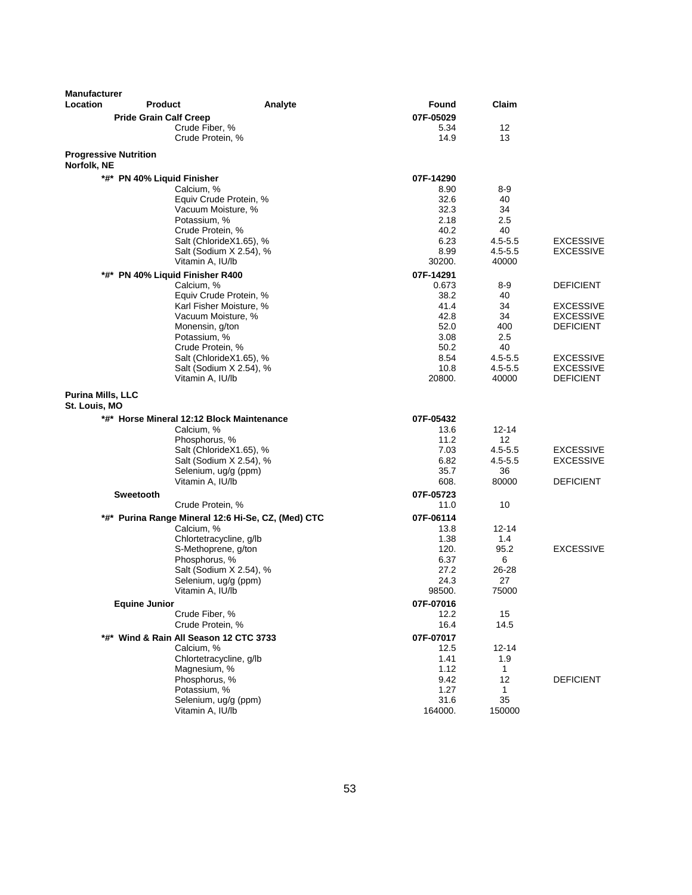| <b>Manufacturer</b><br>Location             | <b>Product</b>                            | Analyte                                            | Found        | Claim            |                                      |
|---------------------------------------------|-------------------------------------------|----------------------------------------------------|--------------|------------------|--------------------------------------|
|                                             | <b>Pride Grain Calf Creep</b>             |                                                    | 07F-05029    |                  |                                      |
|                                             | Crude Fiber, %                            |                                                    | 5.34         | 12               |                                      |
|                                             | Crude Protein, %                          |                                                    | 14.9         | 13               |                                      |
| <b>Progressive Nutrition</b><br>Norfolk, NE |                                           |                                                    |              |                  |                                      |
|                                             | *#* PN 40% Liquid Finisher                |                                                    | 07F-14290    |                  |                                      |
|                                             | Calcium, %                                |                                                    | 8.90         | $8 - 9$          |                                      |
|                                             |                                           | Equiv Crude Protein, %                             | 32.6         | 40               |                                      |
|                                             |                                           | Vacuum Moisture, %                                 | 32.3         | 34               |                                      |
|                                             | Potassium, %                              |                                                    | 2.18         | 2.5              |                                      |
|                                             | Crude Protein, %                          |                                                    | 40.2         | 40               |                                      |
|                                             |                                           | Salt (ChlorideX1.65), %                            | 6.23         | $4.5 - 5.5$      | <b>EXCESSIVE</b>                     |
|                                             |                                           | Salt (Sodium X 2.54), %                            | 8.99         | $4.5 - 5.5$      | <b>EXCESSIVE</b>                     |
|                                             | Vitamin A, IU/lb                          |                                                    | 30200.       | 40000            |                                      |
|                                             | *#* PN 40% Liquid Finisher R400           |                                                    | 07F-14291    |                  |                                      |
|                                             | Calcium, %                                |                                                    | 0.673        | 8-9              | <b>DEFICIENT</b>                     |
|                                             |                                           | Equiv Crude Protein, %                             | 38.2         | 40               |                                      |
|                                             |                                           | Karl Fisher Moisture, %                            | 41.4<br>42.8 | 34<br>34         | <b>EXCESSIVE</b>                     |
|                                             | Monensin, g/ton                           | Vacuum Moisture, %                                 | 52.0         | 400              | <b>EXCESSIVE</b><br><b>DEFICIENT</b> |
|                                             | Potassium, %                              |                                                    | 3.08         | 2.5              |                                      |
|                                             | Crude Protein, %                          |                                                    | 50.2         | 40               |                                      |
|                                             |                                           | Salt (ChlorideX1.65), %                            | 8.54         | $4.5 - 5.5$      | <b>EXCESSIVE</b>                     |
|                                             |                                           | Salt (Sodium X 2.54), %                            | 10.8         | $4.5 - 5.5$      | <b>EXCESSIVE</b>                     |
|                                             | Vitamin A, IU/lb                          |                                                    | 20800.       | 40000            | <b>DEFICIENT</b>                     |
| Purina Mills, LLC<br>St. Louis, MO          |                                           |                                                    |              |                  |                                      |
|                                             | *#* Horse Mineral 12:12 Block Maintenance |                                                    | 07F-05432    |                  |                                      |
|                                             | Calcium, %                                |                                                    | 13.6         | $12 - 14$        |                                      |
|                                             | Phosphorus, %                             |                                                    | 11.2         | 12               |                                      |
|                                             |                                           | Salt (ChlorideX1.65), %                            | 7.03         | $4.5 - 5.5$      | <b>EXCESSIVE</b>                     |
|                                             |                                           | Salt (Sodium X 2.54), %                            | 6.82         | $4.5 - 5.5$      | <b>EXCESSIVE</b>                     |
|                                             | Vitamin A, IU/lb                          | Selenium, ug/g (ppm)                               | 35.7<br>608. | 36<br>80000      | <b>DEFICIENT</b>                     |
|                                             |                                           |                                                    |              |                  |                                      |
|                                             | Sweetooth                                 |                                                    | 07F-05723    | 10               |                                      |
|                                             | Crude Protein, %                          |                                                    | 11.0         |                  |                                      |
|                                             |                                           | *#* Purina Range Mineral 12:6 Hi-Se, CZ, (Med) CTC | 07F-06114    |                  |                                      |
|                                             | Calcium, %                                | Chlortetracycline, g/lb                            | 13.8<br>1.38 | $12 - 14$<br>1.4 |                                      |
|                                             |                                           | S-Methoprene, g/ton                                | 120.         | 95.2             | <b>EXCESSIVE</b>                     |
|                                             | Phosphorus, %                             |                                                    | 6.37         | 6                |                                      |
|                                             |                                           | Salt (Sodium X 2.54), %                            | 27.2         | 26-28            |                                      |
|                                             |                                           | Selenium, ug/g (ppm)                               | 24.3         | 27               |                                      |
|                                             | Vitamin A, IU/lb                          |                                                    | 98500.       | 75000            |                                      |
|                                             | <b>Equine Junior</b>                      |                                                    | 07F-07016    |                  |                                      |
|                                             | Crude Fiber, %                            |                                                    | 12.2         | 15               |                                      |
|                                             | Crude Protein, %                          |                                                    | 16.4         | 14.5             |                                      |
|                                             | *#* Wind & Rain All Season 12 CTC 3733    |                                                    | 07F-07017    |                  |                                      |
|                                             | Calcium, %                                |                                                    | 12.5         | $12 - 14$        |                                      |
|                                             |                                           | Chlortetracycline, g/lb                            | 1.41         | 1.9              |                                      |
|                                             | Magnesium, %                              |                                                    | 1.12         | 1                |                                      |
|                                             | Phosphorus, %                             |                                                    | 9.42         | 12               | <b>DEFICIENT</b>                     |
|                                             | Potassium, %                              |                                                    | 1.27         | 1                |                                      |
|                                             |                                           | Selenium, ug/g (ppm)                               | 31.6         | 35               |                                      |
|                                             | Vitamin A, IU/lb                          |                                                    | 164000.      | 150000           |                                      |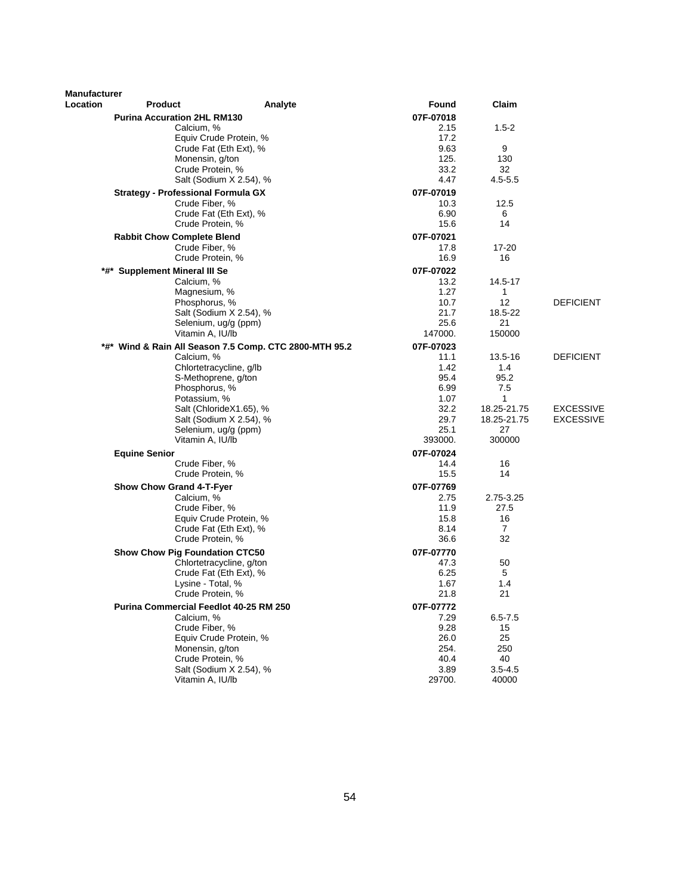| <b>Manufacturer</b> |                                    |                                                             |              |                      |                  |
|---------------------|------------------------------------|-------------------------------------------------------------|--------------|----------------------|------------------|
| Location            | <b>Product</b>                     | Analyte                                                     | Found        | Claim                |                  |
|                     | <b>Purina Accuration 2HL RM130</b> |                                                             | 07F-07018    |                      |                  |
|                     |                                    | Calcium, %                                                  | 2.15         | $1.5 - 2$            |                  |
|                     |                                    | Equiv Crude Protein, %                                      | 17.2         |                      |                  |
|                     |                                    | Crude Fat (Eth Ext), %                                      | 9.63         | 9                    |                  |
|                     |                                    | Monensin, g/ton<br>Crude Protein, %                         | 125.<br>33.2 | 130<br>32            |                  |
|                     |                                    | Salt (Sodium X 2.54), %                                     | 4.47         | $4.5 - 5.5$          |                  |
|                     |                                    |                                                             | 07F-07019    |                      |                  |
|                     |                                    | <b>Strategy - Professional Formula GX</b><br>Crude Fiber, % | 10.3         | 12.5                 |                  |
|                     |                                    | Crude Fat (Eth Ext), %                                      | 6.90         | 6                    |                  |
|                     |                                    | Crude Protein, %                                            | 15.6         | 14                   |                  |
|                     | <b>Rabbit Chow Complete Blend</b>  |                                                             | 07F-07021    |                      |                  |
|                     |                                    | Crude Fiber, %                                              | 17.8         | 17-20                |                  |
|                     |                                    | Crude Protein, %                                            | 16.9         | 16                   |                  |
|                     | *#* Supplement Mineral III Se      |                                                             | 07F-07022    |                      |                  |
|                     |                                    | Calcium, %                                                  | 13.2         | 14.5-17              |                  |
|                     |                                    | Magnesium, %                                                | 1.27         | 1                    |                  |
|                     |                                    | Phosphorus, %                                               | 10.7         | 12                   | <b>DEFICIENT</b> |
|                     |                                    | Salt (Sodium X 2.54), %                                     | 21.7         | 18.5-22              |                  |
|                     |                                    | Selenium, ug/g (ppm)                                        | 25.6         | 21                   |                  |
|                     |                                    | Vitamin A, IU/lb                                            | 147000.      | 150000               |                  |
|                     |                                    | *#* Wind & Rain All Season 7.5 Comp. CTC 2800-MTH 95.2      | 07F-07023    |                      |                  |
|                     |                                    | Calcium, %                                                  | 11.1         | 13.5-16              | <b>DEFICIENT</b> |
|                     |                                    | Chlortetracycline, g/lb<br>S-Methoprene, g/ton              | 1.42<br>95.4 | 1.4<br>95.2          |                  |
|                     |                                    | Phosphorus, %                                               | 6.99         | 7.5                  |                  |
|                     |                                    | Potassium, %                                                | 1.07         | 1                    |                  |
|                     |                                    | Salt (ChlorideX1.65), %                                     | 32.2         | 18.25-21.75          | <b>EXCESSIVE</b> |
|                     |                                    | Salt (Sodium X 2.54), %                                     | 29.7         | 18.25-21.75          | EXCESSIVE        |
|                     |                                    | Selenium, ug/g (ppm)                                        | 25.1         | 27                   |                  |
|                     |                                    | Vitamin A, IU/lb                                            | 393000.      | 300000               |                  |
|                     | <b>Equine Senior</b>               |                                                             | 07F-07024    |                      |                  |
|                     |                                    | Crude Fiber, %                                              | 14.4         | 16                   |                  |
|                     |                                    | Crude Protein, %                                            | 15.5         | 14                   |                  |
|                     | <b>Show Chow Grand 4-T-Fyer</b>    |                                                             | 07F-07769    |                      |                  |
|                     |                                    | Calcium, %                                                  | 2.75         | 2.75-3.25            |                  |
|                     |                                    | Crude Fiber, %                                              | 11.9         | 27.5                 |                  |
|                     |                                    | Equiv Crude Protein, %<br>Crude Fat (Eth Ext), %            | 15.8<br>8.14 | 16<br>$\overline{7}$ |                  |
|                     |                                    | Crude Protein, %                                            | 36.6         | 32                   |                  |
|                     |                                    | <b>Show Chow Pig Foundation CTC50</b>                       | 07F-07770    |                      |                  |
|                     |                                    | Chlortetracycline, g/ton                                    | 47.3         | 50                   |                  |
|                     |                                    | Crude Fat (Eth Ext), %                                      | 6.25         | 5                    |                  |
|                     |                                    | Lysine - Total, %                                           | 1.67         | 1.4                  |                  |
|                     |                                    | Crude Protein, %                                            | 21.8         | 21                   |                  |
|                     |                                    | <b>Purina Commercial Feedlot 40-25 RM 250</b>               | 07F-07772    |                      |                  |
|                     |                                    | Calcium, %                                                  | 7.29         | $6.5 - 7.5$          |                  |
|                     |                                    | Crude Fiber, %                                              | 9.28         | 15                   |                  |
|                     |                                    | Equiv Crude Protein, %                                      | 26.0         | 25                   |                  |
|                     |                                    | Monensin, a/ton                                             | 254.         | 250                  |                  |
|                     |                                    | Crude Protein, %<br>Salt (Sodium X 2.54), %                 | 40.4<br>3.89 | 40                   |                  |
|                     |                                    | Vitamin A, IU/lb                                            | 29700.       | $3.5 - 4.5$<br>40000 |                  |
|                     |                                    |                                                             |              |                      |                  |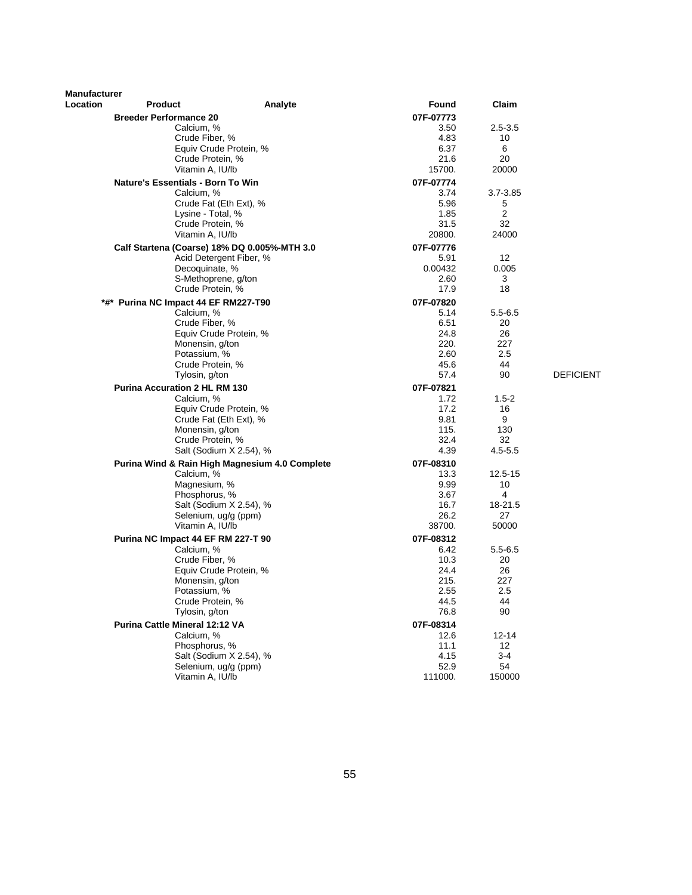| <b>Manufacturer</b> |                                              |                                                |                   |                   |                  |
|---------------------|----------------------------------------------|------------------------------------------------|-------------------|-------------------|------------------|
| Location            | <b>Product</b>                               | Analyte                                        | Found             | Claim             |                  |
|                     | <b>Breeder Performance 20</b>                |                                                | 07F-07773         |                   |                  |
|                     | Calcium, %                                   |                                                | 3.50              | $2.5 - 3.5$       |                  |
|                     | Crude Fiber, %                               |                                                | 4.83              | 10                |                  |
|                     |                                              | Equiv Crude Protein, %                         | 6.37              | 6                 |                  |
|                     | Crude Protein, %<br>Vitamin A, IU/lb         |                                                | 21.6<br>15700.    | 20<br>20000       |                  |
|                     | Nature's Essentials - Born To Win            |                                                |                   |                   |                  |
|                     | Calcium, %                                   |                                                | 07F-07774<br>3.74 | 3.7-3.85          |                  |
|                     |                                              | Crude Fat (Eth Ext), %                         | 5.96              | 5                 |                  |
|                     | Lysine - Total, %                            |                                                | 1.85              | 2                 |                  |
|                     | Crude Protein, %                             |                                                | 31.5              | 32                |                  |
|                     | Vitamin A, IU/lb                             |                                                | 20800.            | 24000             |                  |
|                     | Calf Startena (Coarse) 18% DQ 0.005%-MTH 3.0 |                                                | 07F-07776         |                   |                  |
|                     |                                              | Acid Detergent Fiber, %                        | 5.91              | 12                |                  |
|                     | Decoquinate, %                               |                                                | 0.00432           | 0.005             |                  |
|                     | S-Methoprene, g/ton                          |                                                | 2.60              | 3                 |                  |
|                     | Crude Protein, %                             |                                                | 17.9              | 18                |                  |
|                     | *#* Purina NC Impact 44 EF RM227-T90         |                                                | 07F-07820         |                   |                  |
|                     | Calcium, %                                   |                                                | 5.14              | $5.5 - 6.5$       |                  |
|                     | Crude Fiber, %                               | Equiv Crude Protein, %                         | 6.51<br>24.8      | 20<br>26          |                  |
|                     | Monensin, g/ton                              |                                                | 220.              | 227               |                  |
|                     | Potassium, %                                 |                                                | 2.60              | 2.5               |                  |
|                     | Crude Protein, %                             |                                                | 45.6              | 44                |                  |
|                     | Tylosin, g/ton                               |                                                | 57.4              | 90                | <b>DEFICIENT</b> |
|                     | <b>Purina Accuration 2 HL RM 130</b>         |                                                | 07F-07821         |                   |                  |
|                     | Calcium, %                                   |                                                | 1.72              | $1.5 - 2$         |                  |
|                     |                                              | Equiv Crude Protein, %                         | 17.2              | 16                |                  |
|                     |                                              | Crude Fat (Eth Ext), %                         | 9.81              | 9                 |                  |
|                     | Monensin, g/ton                              |                                                | 115.              | 130               |                  |
|                     | Crude Protein, %                             |                                                | 32.4<br>4.39      | 32<br>$4.5 - 5.5$ |                  |
|                     |                                              | Salt (Sodium X 2.54), %                        |                   |                   |                  |
|                     | Calcium, %                                   | Purina Wind & Rain High Magnesium 4.0 Complete | 07F-08310<br>13.3 | 12.5-15           |                  |
|                     | Magnesium, %                                 |                                                | 9.99              | 10                |                  |
|                     | Phosphorus, %                                |                                                | 3.67              | 4                 |                  |
|                     |                                              | Salt (Sodium X 2.54), %                        | 16.7              | 18-21.5           |                  |
|                     | Selenium, ug/g (ppm)                         |                                                | 26.2              | 27                |                  |
|                     | Vitamin A, IU/lb                             |                                                | 38700.            | 50000             |                  |
|                     | Purina NC Impact 44 EF RM 227-T 90           |                                                | 07F-08312         |                   |                  |
|                     | Calcium. %                                   |                                                | 6.42              | $5.5 - 6.5$       |                  |
|                     | Crude Fiber, %                               |                                                | 10.3              | 20                |                  |
|                     |                                              | Equiv Crude Protein, %                         | 24.4              | 26                |                  |
|                     | Monensin, g/ton                              |                                                | 215.<br>2.55      | 227<br>2.5        |                  |
|                     | Potassium, %<br>Crude Protein, %             |                                                | 44.5              | 44                |                  |
|                     | Tylosin, g/ton                               |                                                | 76.8              | 90                |                  |
|                     | Purina Cattle Mineral 12:12 VA               |                                                | 07F-08314         |                   |                  |
|                     | Calcium, %                                   |                                                | 12.6              | $12 - 14$         |                  |
|                     | Phosphorus, %                                |                                                | 11.1              | 12                |                  |
|                     |                                              | Salt (Sodium X 2.54), %                        | 4.15              | $3 - 4$           |                  |
|                     | Selenium, ug/g (ppm)                         |                                                | 52.9              | 54                |                  |
|                     | Vitamin A, IU/lb                             |                                                | 111000.           | 150000            |                  |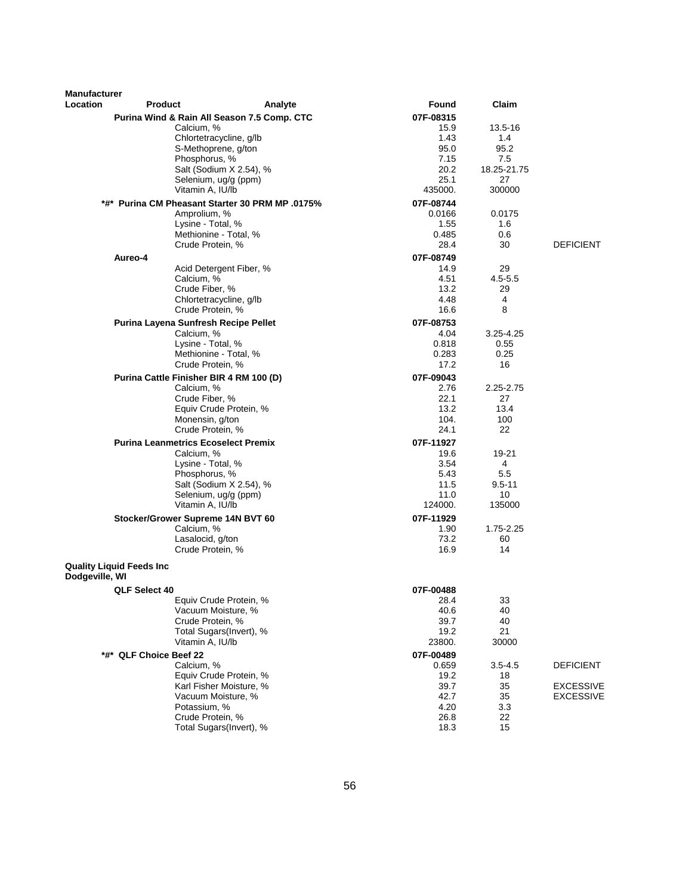| <b>Manufacturer</b> |                                  |                                                       |               |                    |                  |
|---------------------|----------------------------------|-------------------------------------------------------|---------------|--------------------|------------------|
| <b>Location</b>     | <b>Product</b>                   | Analyte                                               | Found         | Claim              |                  |
|                     |                                  | Purina Wind & Rain All Season 7.5 Comp. CTC           | 07F-08315     |                    |                  |
|                     |                                  | Calcium, %                                            | 15.9          | 13.5-16            |                  |
|                     |                                  | Chlortetracycline, g/lb                               | 1.43          | 1.4                |                  |
|                     |                                  | S-Methoprene, g/ton<br>Phosphorus, %                  | 95.0          | 95.2               |                  |
|                     |                                  | Salt (Sodium X 2.54), %                               | 7.15<br>20.2  | 7.5<br>18.25-21.75 |                  |
|                     |                                  | Selenium, ug/g (ppm)                                  | 25.1          | 27                 |                  |
|                     |                                  | Vitamin A, IU/lb                                      | 435000.       | 300000             |                  |
|                     |                                  | *#* Purina CM Pheasant Starter 30 PRM MP .0175%       | 07F-08744     |                    |                  |
|                     |                                  | Amprolium, %                                          | 0.0166        | 0.0175             |                  |
|                     |                                  | Lysine - Total, %                                     | 1.55          | 1.6                |                  |
|                     |                                  | Methionine - Total, %                                 | 0.485         | 0.6                |                  |
|                     |                                  | Crude Protein, %                                      | 28.4          | 30                 | <b>DEFICIENT</b> |
|                     | Aureo-4                          |                                                       | 07F-08749     |                    |                  |
|                     |                                  | Acid Detergent Fiber, %                               | 14.9          | 29                 |                  |
|                     |                                  | Calcium, %                                            | 4.51          | $4.5 - 5.5$        |                  |
|                     |                                  | Crude Fiber, %                                        | 13.2          | 29                 |                  |
|                     |                                  | Chlortetracycline, g/lb                               | 4.48          | 4                  |                  |
|                     |                                  | Crude Protein, %                                      | 16.6          | 8                  |                  |
|                     |                                  | Purina Layena Sunfresh Recipe Pellet                  | 07F-08753     |                    |                  |
|                     |                                  | Calcium, %                                            | 4.04          | $3.25 - 4.25$      |                  |
|                     |                                  | Lysine - Total, %<br>Methionine - Total, %            | 0.818         | 0.55               |                  |
|                     |                                  | Crude Protein, %                                      | 0.283<br>17.2 | 0.25<br>16         |                  |
|                     |                                  |                                                       | 07F-09043     |                    |                  |
|                     |                                  | Purina Cattle Finisher BIR 4 RM 100 (D)<br>Calcium, % | 2.76          | $2.25 - 2.75$      |                  |
|                     |                                  | Crude Fiber, %                                        | 22.1          | 27                 |                  |
|                     |                                  | Equiv Crude Protein, %                                | 13.2          | 13.4               |                  |
|                     |                                  | Monensin, g/ton                                       | 104.          | 100                |                  |
|                     |                                  | Crude Protein, %                                      | 24.1          | 22                 |                  |
|                     |                                  | <b>Purina Leanmetrics Ecoselect Premix</b>            | 07F-11927     |                    |                  |
|                     |                                  | Calcium, %                                            | 19.6          | 19-21              |                  |
|                     |                                  | Lysine - Total, %                                     | 3.54          | 4                  |                  |
|                     |                                  | Phosphorus, %                                         | 5.43          | 5.5                |                  |
|                     |                                  | Salt (Sodium X 2.54), %                               | 11.5          | $9.5 - 11$         |                  |
|                     |                                  | Selenium, ug/g (ppm)                                  | 11.0          | 10                 |                  |
|                     |                                  | Vitamin A, IU/lb                                      | 124000.       | 135000             |                  |
|                     |                                  | Stocker/Grower Supreme 14N BVT 60                     | 07F-11929     |                    |                  |
|                     |                                  | Calcium, %<br>Lasalocid, g/ton                        | 1.90<br>73.2  | 1.75-2.25<br>60    |                  |
|                     |                                  | Crude Protein, %                                      | 16.9          | 14                 |                  |
|                     |                                  |                                                       |               |                    |                  |
|                     | <b>Quality Liquid Feeds Inc.</b> |                                                       |               |                    |                  |
| Dodgeville, WI      |                                  |                                                       |               |                    |                  |
|                     | QLF Select 40                    |                                                       | 07F-00488     |                    |                  |
|                     |                                  | Equiv Crude Protein, %                                | 28.4          | 33                 |                  |
|                     |                                  | Vacuum Moisture, %<br>Crude Protein, %                | 40.6<br>39.7  | 40<br>40           |                  |
|                     |                                  | Total Sugars(Invert), %                               | 19.2          | 21                 |                  |
|                     |                                  | Vitamin A, IU/lb                                      | 23800.        | 30000              |                  |
|                     | *#* QLF Choice Beef 22           |                                                       | 07F-00489     |                    |                  |
|                     |                                  | Calcium, %                                            | 0.659         | $3.5 - 4.5$        | <b>DEFICIENT</b> |
|                     |                                  | Equiv Crude Protein, %                                | 19.2          | 18                 |                  |
|                     |                                  | Karl Fisher Moisture, %                               | 39.7          | 35                 | EXCESSIVE        |
|                     |                                  | Vacuum Moisture, %                                    | 42.7          | 35                 | <b>EXCESSIVE</b> |
|                     |                                  | Potassium, %                                          | 4.20          | 3.3                |                  |
|                     |                                  | Crude Protein, %                                      | 26.8          | 22                 |                  |
|                     |                                  | Total Sugars(Invert), %                               | 18.3          | 15                 |                  |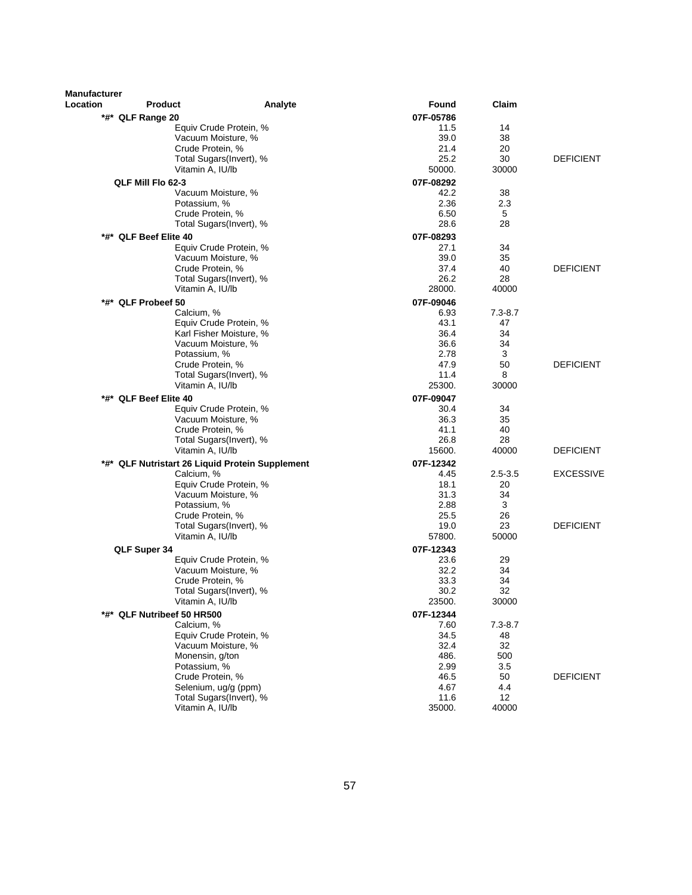| Claim<br>Location<br><b>Product</b><br>Analyte<br>Found<br>07F-05786<br>*#* QLF Range 20<br>Equiv Crude Protein, %<br>11.5<br>14<br>Vacuum Moisture, %<br>39.0<br>38<br>Crude Protein, %<br>21.4<br>20<br>25.2<br>30<br><b>DEFICIENT</b><br>Total Sugars(Invert), %<br>Vitamin A, IU/lb<br>50000.<br>30000<br>QLF Mill Flo 62-3<br>07F-08292<br>42.2<br>38<br>Vacuum Moisture, %<br>Potassium, %<br>2.36<br>2.3<br>Crude Protein, %<br>6.50<br>5<br>28.6<br>28<br>Total Sugars(Invert), %<br>*#* QLF Beef Elite 40<br>07F-08293<br>Equiv Crude Protein, %<br>27.1<br>34<br>Vacuum Moisture, %<br>39.0<br>35<br>Crude Protein, %<br>37.4<br>40<br><b>DEFICIENT</b><br>26.2<br>28<br>Total Sugars(Invert), %<br>Vitamin A, IU/lb<br>28000.<br>40000<br>*#* QLF Probeef 50<br>07F-09046<br>Calcium, %<br>6.93<br>$7.3 - 8.7$<br>43.1<br>47<br>Equiv Crude Protein, %<br>34<br>Karl Fisher Moisture, %<br>36.4<br>36.6<br>34<br>Vacuum Moisture, %<br>3<br>Potassium, %<br>2.78<br>50<br><b>DEFICIENT</b><br>Crude Protein, %<br>47.9<br>Total Sugars(Invert), %<br>11.4<br>8<br>Vitamin A, IU/lb<br>25300.<br>30000<br>07F-09047<br>*#* QLF Beef Elite 40<br>Equiv Crude Protein, %<br>30.4<br>34<br>Vacuum Moisture, %<br>35<br>36.3<br>Crude Protein, %<br>41.1<br>40<br>28<br>Total Sugars(Invert), %<br>26.8<br><b>DEFICIENT</b><br>Vitamin A, IU/lb<br>15600.<br>40000<br>*#* QLF Nutristart 26 Liquid Protein Supplement<br>07F-12342<br><b>EXCESSIVE</b><br>Calcium, %<br>4.45<br>$2.5 - 3.5$<br>Equiv Crude Protein, %<br>18.1<br>20<br>Vacuum Moisture, %<br>31.3<br>34<br>2.88<br>3<br>Potassium, %<br>25.5<br>Crude Protein, %<br>26<br>23<br><b>DEFICIENT</b><br>Total Sugars(Invert), %<br>19.0<br>Vitamin A, IU/lb<br>57800.<br>50000<br>QLF Super 34<br>07F-12343<br>Equiv Crude Protein, %<br>23.6<br>29<br>Vacuum Moisture, %<br>32.2<br>34<br>Crude Protein, %<br>33.3<br>34<br>30.2<br>32<br>Total Sugars(Invert), %<br>23500.<br>30000<br>Vitamin A, IU/lb<br>*#* QLF Nutribeef 50 HR500<br>07F-12344<br>Calcium, %<br>$7.3 - 8.7$<br>7.60<br>34.5<br>48<br>Equiv Crude Protein, %<br>32.4<br>32<br>Vacuum Moisture, %<br>Monensin, g/ton<br>486.<br>500<br>2.99<br>Potassium, %<br>3.5<br>Crude Protein, %<br><b>DEFICIENT</b><br>46.5<br>50<br>Selenium, ug/g (ppm)<br>4.67<br>4.4<br>12<br>Total Sugars(Invert), %<br>11.6<br>40000<br>Vitamin A, IU/lb<br>35000. | <b>Manufacturer</b> |  |  |  |
|---------------------------------------------------------------------------------------------------------------------------------------------------------------------------------------------------------------------------------------------------------------------------------------------------------------------------------------------------------------------------------------------------------------------------------------------------------------------------------------------------------------------------------------------------------------------------------------------------------------------------------------------------------------------------------------------------------------------------------------------------------------------------------------------------------------------------------------------------------------------------------------------------------------------------------------------------------------------------------------------------------------------------------------------------------------------------------------------------------------------------------------------------------------------------------------------------------------------------------------------------------------------------------------------------------------------------------------------------------------------------------------------------------------------------------------------------------------------------------------------------------------------------------------------------------------------------------------------------------------------------------------------------------------------------------------------------------------------------------------------------------------------------------------------------------------------------------------------------------------------------------------------------------------------------------------------------------------------------------------------------------------------------------------------------------------------------------------------------------------------------------------------------------------------------------------------------------------------------------------------------------------------------------------------------------------------------------------------------------------------------------------|---------------------|--|--|--|
|                                                                                                                                                                                                                                                                                                                                                                                                                                                                                                                                                                                                                                                                                                                                                                                                                                                                                                                                                                                                                                                                                                                                                                                                                                                                                                                                                                                                                                                                                                                                                                                                                                                                                                                                                                                                                                                                                                                                                                                                                                                                                                                                                                                                                                                                                                                                                                                       |                     |  |  |  |
|                                                                                                                                                                                                                                                                                                                                                                                                                                                                                                                                                                                                                                                                                                                                                                                                                                                                                                                                                                                                                                                                                                                                                                                                                                                                                                                                                                                                                                                                                                                                                                                                                                                                                                                                                                                                                                                                                                                                                                                                                                                                                                                                                                                                                                                                                                                                                                                       |                     |  |  |  |
|                                                                                                                                                                                                                                                                                                                                                                                                                                                                                                                                                                                                                                                                                                                                                                                                                                                                                                                                                                                                                                                                                                                                                                                                                                                                                                                                                                                                                                                                                                                                                                                                                                                                                                                                                                                                                                                                                                                                                                                                                                                                                                                                                                                                                                                                                                                                                                                       |                     |  |  |  |
|                                                                                                                                                                                                                                                                                                                                                                                                                                                                                                                                                                                                                                                                                                                                                                                                                                                                                                                                                                                                                                                                                                                                                                                                                                                                                                                                                                                                                                                                                                                                                                                                                                                                                                                                                                                                                                                                                                                                                                                                                                                                                                                                                                                                                                                                                                                                                                                       |                     |  |  |  |
|                                                                                                                                                                                                                                                                                                                                                                                                                                                                                                                                                                                                                                                                                                                                                                                                                                                                                                                                                                                                                                                                                                                                                                                                                                                                                                                                                                                                                                                                                                                                                                                                                                                                                                                                                                                                                                                                                                                                                                                                                                                                                                                                                                                                                                                                                                                                                                                       |                     |  |  |  |
|                                                                                                                                                                                                                                                                                                                                                                                                                                                                                                                                                                                                                                                                                                                                                                                                                                                                                                                                                                                                                                                                                                                                                                                                                                                                                                                                                                                                                                                                                                                                                                                                                                                                                                                                                                                                                                                                                                                                                                                                                                                                                                                                                                                                                                                                                                                                                                                       |                     |  |  |  |
|                                                                                                                                                                                                                                                                                                                                                                                                                                                                                                                                                                                                                                                                                                                                                                                                                                                                                                                                                                                                                                                                                                                                                                                                                                                                                                                                                                                                                                                                                                                                                                                                                                                                                                                                                                                                                                                                                                                                                                                                                                                                                                                                                                                                                                                                                                                                                                                       |                     |  |  |  |
|                                                                                                                                                                                                                                                                                                                                                                                                                                                                                                                                                                                                                                                                                                                                                                                                                                                                                                                                                                                                                                                                                                                                                                                                                                                                                                                                                                                                                                                                                                                                                                                                                                                                                                                                                                                                                                                                                                                                                                                                                                                                                                                                                                                                                                                                                                                                                                                       |                     |  |  |  |
|                                                                                                                                                                                                                                                                                                                                                                                                                                                                                                                                                                                                                                                                                                                                                                                                                                                                                                                                                                                                                                                                                                                                                                                                                                                                                                                                                                                                                                                                                                                                                                                                                                                                                                                                                                                                                                                                                                                                                                                                                                                                                                                                                                                                                                                                                                                                                                                       |                     |  |  |  |
|                                                                                                                                                                                                                                                                                                                                                                                                                                                                                                                                                                                                                                                                                                                                                                                                                                                                                                                                                                                                                                                                                                                                                                                                                                                                                                                                                                                                                                                                                                                                                                                                                                                                                                                                                                                                                                                                                                                                                                                                                                                                                                                                                                                                                                                                                                                                                                                       |                     |  |  |  |
|                                                                                                                                                                                                                                                                                                                                                                                                                                                                                                                                                                                                                                                                                                                                                                                                                                                                                                                                                                                                                                                                                                                                                                                                                                                                                                                                                                                                                                                                                                                                                                                                                                                                                                                                                                                                                                                                                                                                                                                                                                                                                                                                                                                                                                                                                                                                                                                       |                     |  |  |  |
|                                                                                                                                                                                                                                                                                                                                                                                                                                                                                                                                                                                                                                                                                                                                                                                                                                                                                                                                                                                                                                                                                                                                                                                                                                                                                                                                                                                                                                                                                                                                                                                                                                                                                                                                                                                                                                                                                                                                                                                                                                                                                                                                                                                                                                                                                                                                                                                       |                     |  |  |  |
|                                                                                                                                                                                                                                                                                                                                                                                                                                                                                                                                                                                                                                                                                                                                                                                                                                                                                                                                                                                                                                                                                                                                                                                                                                                                                                                                                                                                                                                                                                                                                                                                                                                                                                                                                                                                                                                                                                                                                                                                                                                                                                                                                                                                                                                                                                                                                                                       |                     |  |  |  |
|                                                                                                                                                                                                                                                                                                                                                                                                                                                                                                                                                                                                                                                                                                                                                                                                                                                                                                                                                                                                                                                                                                                                                                                                                                                                                                                                                                                                                                                                                                                                                                                                                                                                                                                                                                                                                                                                                                                                                                                                                                                                                                                                                                                                                                                                                                                                                                                       |                     |  |  |  |
|                                                                                                                                                                                                                                                                                                                                                                                                                                                                                                                                                                                                                                                                                                                                                                                                                                                                                                                                                                                                                                                                                                                                                                                                                                                                                                                                                                                                                                                                                                                                                                                                                                                                                                                                                                                                                                                                                                                                                                                                                                                                                                                                                                                                                                                                                                                                                                                       |                     |  |  |  |
|                                                                                                                                                                                                                                                                                                                                                                                                                                                                                                                                                                                                                                                                                                                                                                                                                                                                                                                                                                                                                                                                                                                                                                                                                                                                                                                                                                                                                                                                                                                                                                                                                                                                                                                                                                                                                                                                                                                                                                                                                                                                                                                                                                                                                                                                                                                                                                                       |                     |  |  |  |
|                                                                                                                                                                                                                                                                                                                                                                                                                                                                                                                                                                                                                                                                                                                                                                                                                                                                                                                                                                                                                                                                                                                                                                                                                                                                                                                                                                                                                                                                                                                                                                                                                                                                                                                                                                                                                                                                                                                                                                                                                                                                                                                                                                                                                                                                                                                                                                                       |                     |  |  |  |
|                                                                                                                                                                                                                                                                                                                                                                                                                                                                                                                                                                                                                                                                                                                                                                                                                                                                                                                                                                                                                                                                                                                                                                                                                                                                                                                                                                                                                                                                                                                                                                                                                                                                                                                                                                                                                                                                                                                                                                                                                                                                                                                                                                                                                                                                                                                                                                                       |                     |  |  |  |
|                                                                                                                                                                                                                                                                                                                                                                                                                                                                                                                                                                                                                                                                                                                                                                                                                                                                                                                                                                                                                                                                                                                                                                                                                                                                                                                                                                                                                                                                                                                                                                                                                                                                                                                                                                                                                                                                                                                                                                                                                                                                                                                                                                                                                                                                                                                                                                                       |                     |  |  |  |
|                                                                                                                                                                                                                                                                                                                                                                                                                                                                                                                                                                                                                                                                                                                                                                                                                                                                                                                                                                                                                                                                                                                                                                                                                                                                                                                                                                                                                                                                                                                                                                                                                                                                                                                                                                                                                                                                                                                                                                                                                                                                                                                                                                                                                                                                                                                                                                                       |                     |  |  |  |
|                                                                                                                                                                                                                                                                                                                                                                                                                                                                                                                                                                                                                                                                                                                                                                                                                                                                                                                                                                                                                                                                                                                                                                                                                                                                                                                                                                                                                                                                                                                                                                                                                                                                                                                                                                                                                                                                                                                                                                                                                                                                                                                                                                                                                                                                                                                                                                                       |                     |  |  |  |
|                                                                                                                                                                                                                                                                                                                                                                                                                                                                                                                                                                                                                                                                                                                                                                                                                                                                                                                                                                                                                                                                                                                                                                                                                                                                                                                                                                                                                                                                                                                                                                                                                                                                                                                                                                                                                                                                                                                                                                                                                                                                                                                                                                                                                                                                                                                                                                                       |                     |  |  |  |
|                                                                                                                                                                                                                                                                                                                                                                                                                                                                                                                                                                                                                                                                                                                                                                                                                                                                                                                                                                                                                                                                                                                                                                                                                                                                                                                                                                                                                                                                                                                                                                                                                                                                                                                                                                                                                                                                                                                                                                                                                                                                                                                                                                                                                                                                                                                                                                                       |                     |  |  |  |
|                                                                                                                                                                                                                                                                                                                                                                                                                                                                                                                                                                                                                                                                                                                                                                                                                                                                                                                                                                                                                                                                                                                                                                                                                                                                                                                                                                                                                                                                                                                                                                                                                                                                                                                                                                                                                                                                                                                                                                                                                                                                                                                                                                                                                                                                                                                                                                                       |                     |  |  |  |
|                                                                                                                                                                                                                                                                                                                                                                                                                                                                                                                                                                                                                                                                                                                                                                                                                                                                                                                                                                                                                                                                                                                                                                                                                                                                                                                                                                                                                                                                                                                                                                                                                                                                                                                                                                                                                                                                                                                                                                                                                                                                                                                                                                                                                                                                                                                                                                                       |                     |  |  |  |
|                                                                                                                                                                                                                                                                                                                                                                                                                                                                                                                                                                                                                                                                                                                                                                                                                                                                                                                                                                                                                                                                                                                                                                                                                                                                                                                                                                                                                                                                                                                                                                                                                                                                                                                                                                                                                                                                                                                                                                                                                                                                                                                                                                                                                                                                                                                                                                                       |                     |  |  |  |
|                                                                                                                                                                                                                                                                                                                                                                                                                                                                                                                                                                                                                                                                                                                                                                                                                                                                                                                                                                                                                                                                                                                                                                                                                                                                                                                                                                                                                                                                                                                                                                                                                                                                                                                                                                                                                                                                                                                                                                                                                                                                                                                                                                                                                                                                                                                                                                                       |                     |  |  |  |
|                                                                                                                                                                                                                                                                                                                                                                                                                                                                                                                                                                                                                                                                                                                                                                                                                                                                                                                                                                                                                                                                                                                                                                                                                                                                                                                                                                                                                                                                                                                                                                                                                                                                                                                                                                                                                                                                                                                                                                                                                                                                                                                                                                                                                                                                                                                                                                                       |                     |  |  |  |
|                                                                                                                                                                                                                                                                                                                                                                                                                                                                                                                                                                                                                                                                                                                                                                                                                                                                                                                                                                                                                                                                                                                                                                                                                                                                                                                                                                                                                                                                                                                                                                                                                                                                                                                                                                                                                                                                                                                                                                                                                                                                                                                                                                                                                                                                                                                                                                                       |                     |  |  |  |
|                                                                                                                                                                                                                                                                                                                                                                                                                                                                                                                                                                                                                                                                                                                                                                                                                                                                                                                                                                                                                                                                                                                                                                                                                                                                                                                                                                                                                                                                                                                                                                                                                                                                                                                                                                                                                                                                                                                                                                                                                                                                                                                                                                                                                                                                                                                                                                                       |                     |  |  |  |
|                                                                                                                                                                                                                                                                                                                                                                                                                                                                                                                                                                                                                                                                                                                                                                                                                                                                                                                                                                                                                                                                                                                                                                                                                                                                                                                                                                                                                                                                                                                                                                                                                                                                                                                                                                                                                                                                                                                                                                                                                                                                                                                                                                                                                                                                                                                                                                                       |                     |  |  |  |
|                                                                                                                                                                                                                                                                                                                                                                                                                                                                                                                                                                                                                                                                                                                                                                                                                                                                                                                                                                                                                                                                                                                                                                                                                                                                                                                                                                                                                                                                                                                                                                                                                                                                                                                                                                                                                                                                                                                                                                                                                                                                                                                                                                                                                                                                                                                                                                                       |                     |  |  |  |
|                                                                                                                                                                                                                                                                                                                                                                                                                                                                                                                                                                                                                                                                                                                                                                                                                                                                                                                                                                                                                                                                                                                                                                                                                                                                                                                                                                                                                                                                                                                                                                                                                                                                                                                                                                                                                                                                                                                                                                                                                                                                                                                                                                                                                                                                                                                                                                                       |                     |  |  |  |
|                                                                                                                                                                                                                                                                                                                                                                                                                                                                                                                                                                                                                                                                                                                                                                                                                                                                                                                                                                                                                                                                                                                                                                                                                                                                                                                                                                                                                                                                                                                                                                                                                                                                                                                                                                                                                                                                                                                                                                                                                                                                                                                                                                                                                                                                                                                                                                                       |                     |  |  |  |
|                                                                                                                                                                                                                                                                                                                                                                                                                                                                                                                                                                                                                                                                                                                                                                                                                                                                                                                                                                                                                                                                                                                                                                                                                                                                                                                                                                                                                                                                                                                                                                                                                                                                                                                                                                                                                                                                                                                                                                                                                                                                                                                                                                                                                                                                                                                                                                                       |                     |  |  |  |
|                                                                                                                                                                                                                                                                                                                                                                                                                                                                                                                                                                                                                                                                                                                                                                                                                                                                                                                                                                                                                                                                                                                                                                                                                                                                                                                                                                                                                                                                                                                                                                                                                                                                                                                                                                                                                                                                                                                                                                                                                                                                                                                                                                                                                                                                                                                                                                                       |                     |  |  |  |
|                                                                                                                                                                                                                                                                                                                                                                                                                                                                                                                                                                                                                                                                                                                                                                                                                                                                                                                                                                                                                                                                                                                                                                                                                                                                                                                                                                                                                                                                                                                                                                                                                                                                                                                                                                                                                                                                                                                                                                                                                                                                                                                                                                                                                                                                                                                                                                                       |                     |  |  |  |
|                                                                                                                                                                                                                                                                                                                                                                                                                                                                                                                                                                                                                                                                                                                                                                                                                                                                                                                                                                                                                                                                                                                                                                                                                                                                                                                                                                                                                                                                                                                                                                                                                                                                                                                                                                                                                                                                                                                                                                                                                                                                                                                                                                                                                                                                                                                                                                                       |                     |  |  |  |
|                                                                                                                                                                                                                                                                                                                                                                                                                                                                                                                                                                                                                                                                                                                                                                                                                                                                                                                                                                                                                                                                                                                                                                                                                                                                                                                                                                                                                                                                                                                                                                                                                                                                                                                                                                                                                                                                                                                                                                                                                                                                                                                                                                                                                                                                                                                                                                                       |                     |  |  |  |
|                                                                                                                                                                                                                                                                                                                                                                                                                                                                                                                                                                                                                                                                                                                                                                                                                                                                                                                                                                                                                                                                                                                                                                                                                                                                                                                                                                                                                                                                                                                                                                                                                                                                                                                                                                                                                                                                                                                                                                                                                                                                                                                                                                                                                                                                                                                                                                                       |                     |  |  |  |
|                                                                                                                                                                                                                                                                                                                                                                                                                                                                                                                                                                                                                                                                                                                                                                                                                                                                                                                                                                                                                                                                                                                                                                                                                                                                                                                                                                                                                                                                                                                                                                                                                                                                                                                                                                                                                                                                                                                                                                                                                                                                                                                                                                                                                                                                                                                                                                                       |                     |  |  |  |
|                                                                                                                                                                                                                                                                                                                                                                                                                                                                                                                                                                                                                                                                                                                                                                                                                                                                                                                                                                                                                                                                                                                                                                                                                                                                                                                                                                                                                                                                                                                                                                                                                                                                                                                                                                                                                                                                                                                                                                                                                                                                                                                                                                                                                                                                                                                                                                                       |                     |  |  |  |
|                                                                                                                                                                                                                                                                                                                                                                                                                                                                                                                                                                                                                                                                                                                                                                                                                                                                                                                                                                                                                                                                                                                                                                                                                                                                                                                                                                                                                                                                                                                                                                                                                                                                                                                                                                                                                                                                                                                                                                                                                                                                                                                                                                                                                                                                                                                                                                                       |                     |  |  |  |
|                                                                                                                                                                                                                                                                                                                                                                                                                                                                                                                                                                                                                                                                                                                                                                                                                                                                                                                                                                                                                                                                                                                                                                                                                                                                                                                                                                                                                                                                                                                                                                                                                                                                                                                                                                                                                                                                                                                                                                                                                                                                                                                                                                                                                                                                                                                                                                                       |                     |  |  |  |
|                                                                                                                                                                                                                                                                                                                                                                                                                                                                                                                                                                                                                                                                                                                                                                                                                                                                                                                                                                                                                                                                                                                                                                                                                                                                                                                                                                                                                                                                                                                                                                                                                                                                                                                                                                                                                                                                                                                                                                                                                                                                                                                                                                                                                                                                                                                                                                                       |                     |  |  |  |
|                                                                                                                                                                                                                                                                                                                                                                                                                                                                                                                                                                                                                                                                                                                                                                                                                                                                                                                                                                                                                                                                                                                                                                                                                                                                                                                                                                                                                                                                                                                                                                                                                                                                                                                                                                                                                                                                                                                                                                                                                                                                                                                                                                                                                                                                                                                                                                                       |                     |  |  |  |
|                                                                                                                                                                                                                                                                                                                                                                                                                                                                                                                                                                                                                                                                                                                                                                                                                                                                                                                                                                                                                                                                                                                                                                                                                                                                                                                                                                                                                                                                                                                                                                                                                                                                                                                                                                                                                                                                                                                                                                                                                                                                                                                                                                                                                                                                                                                                                                                       |                     |  |  |  |
|                                                                                                                                                                                                                                                                                                                                                                                                                                                                                                                                                                                                                                                                                                                                                                                                                                                                                                                                                                                                                                                                                                                                                                                                                                                                                                                                                                                                                                                                                                                                                                                                                                                                                                                                                                                                                                                                                                                                                                                                                                                                                                                                                                                                                                                                                                                                                                                       |                     |  |  |  |
|                                                                                                                                                                                                                                                                                                                                                                                                                                                                                                                                                                                                                                                                                                                                                                                                                                                                                                                                                                                                                                                                                                                                                                                                                                                                                                                                                                                                                                                                                                                                                                                                                                                                                                                                                                                                                                                                                                                                                                                                                                                                                                                                                                                                                                                                                                                                                                                       |                     |  |  |  |
|                                                                                                                                                                                                                                                                                                                                                                                                                                                                                                                                                                                                                                                                                                                                                                                                                                                                                                                                                                                                                                                                                                                                                                                                                                                                                                                                                                                                                                                                                                                                                                                                                                                                                                                                                                                                                                                                                                                                                                                                                                                                                                                                                                                                                                                                                                                                                                                       |                     |  |  |  |
|                                                                                                                                                                                                                                                                                                                                                                                                                                                                                                                                                                                                                                                                                                                                                                                                                                                                                                                                                                                                                                                                                                                                                                                                                                                                                                                                                                                                                                                                                                                                                                                                                                                                                                                                                                                                                                                                                                                                                                                                                                                                                                                                                                                                                                                                                                                                                                                       |                     |  |  |  |
|                                                                                                                                                                                                                                                                                                                                                                                                                                                                                                                                                                                                                                                                                                                                                                                                                                                                                                                                                                                                                                                                                                                                                                                                                                                                                                                                                                                                                                                                                                                                                                                                                                                                                                                                                                                                                                                                                                                                                                                                                                                                                                                                                                                                                                                                                                                                                                                       |                     |  |  |  |
|                                                                                                                                                                                                                                                                                                                                                                                                                                                                                                                                                                                                                                                                                                                                                                                                                                                                                                                                                                                                                                                                                                                                                                                                                                                                                                                                                                                                                                                                                                                                                                                                                                                                                                                                                                                                                                                                                                                                                                                                                                                                                                                                                                                                                                                                                                                                                                                       |                     |  |  |  |
|                                                                                                                                                                                                                                                                                                                                                                                                                                                                                                                                                                                                                                                                                                                                                                                                                                                                                                                                                                                                                                                                                                                                                                                                                                                                                                                                                                                                                                                                                                                                                                                                                                                                                                                                                                                                                                                                                                                                                                                                                                                                                                                                                                                                                                                                                                                                                                                       |                     |  |  |  |
|                                                                                                                                                                                                                                                                                                                                                                                                                                                                                                                                                                                                                                                                                                                                                                                                                                                                                                                                                                                                                                                                                                                                                                                                                                                                                                                                                                                                                                                                                                                                                                                                                                                                                                                                                                                                                                                                                                                                                                                                                                                                                                                                                                                                                                                                                                                                                                                       |                     |  |  |  |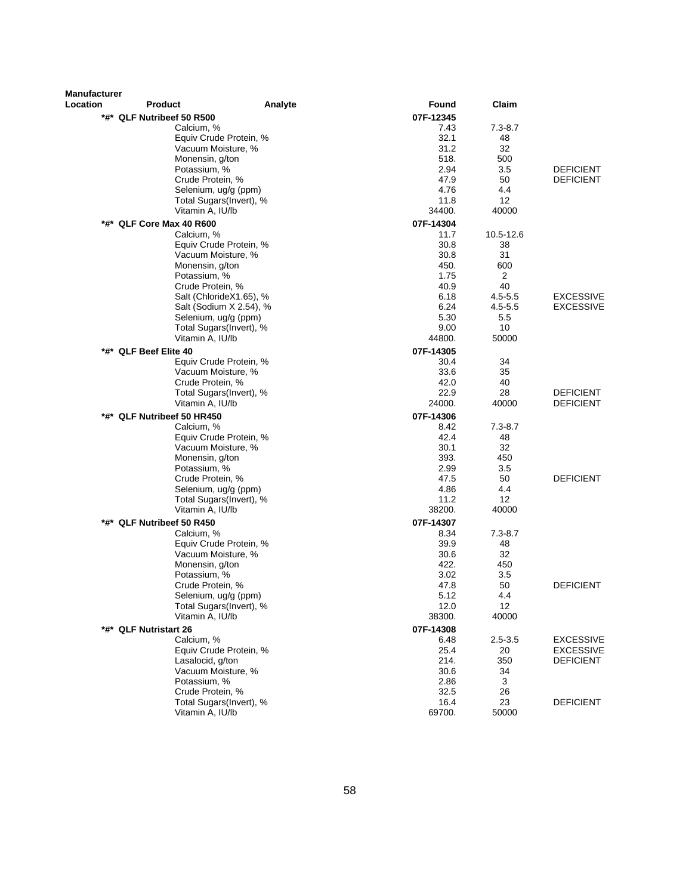| Manufacturer |                                              |         |              |                   |                  |
|--------------|----------------------------------------------|---------|--------------|-------------------|------------------|
| Location     | Product                                      | Analyte | Found        | Claim             |                  |
|              | *#* QLF Nutribeef 50 R500                    |         | 07F-12345    |                   |                  |
|              | Calcium, %                                   |         | 7.43         | $7.3 - 8.7$       |                  |
|              | Equiv Crude Protein, %                       |         | 32.1         | 48                |                  |
|              | Vacuum Moisture, %                           |         | 31.2         | 32                |                  |
|              | Monensin, g/ton                              |         | 518.         | 500               |                  |
|              | Potassium, %                                 |         | 2.94         | 3.5               | <b>DEFICIENT</b> |
|              | Crude Protein, %                             |         | 47.9         | 50                | <b>DEFICIENT</b> |
|              | Selenium, ug/g (ppm)                         |         | 4.76         | 4.4               |                  |
|              | Total Sugars(Invert), %                      |         | 11.8         | 12                |                  |
|              | Vitamin A, IU/lb                             |         | 34400.       | 40000             |                  |
|              | *#* QLF Core Max 40 R600                     |         | 07F-14304    |                   |                  |
|              | Calcium, %                                   |         | 11.7         | 10.5-12.6         |                  |
|              | Equiv Crude Protein, %<br>Vacuum Moisture, % |         | 30.8<br>30.8 | 38<br>31          |                  |
|              | Monensin, g/ton                              |         | 450.         | 600               |                  |
|              | Potassium, %                                 |         | 1.75         | 2                 |                  |
|              | Crude Protein, %                             |         | 40.9         | 40                |                  |
|              | Salt (ChlorideX1.65), %                      |         | 6.18         | $4.5 - 5.5$       | <b>EXCESSIVE</b> |
|              | Salt (Sodium X 2.54), %                      |         | 6.24         | $4.5 - 5.5$       | <b>EXCESSIVE</b> |
|              | Selenium, ug/g (ppm)                         |         | 5.30         | 5.5               |                  |
|              | Total Sugars(Invert), %                      |         | 9.00         | 10                |                  |
|              | Vitamin A, IU/lb                             |         | 44800.       | 50000             |                  |
|              | *#* QLF Beef Elite 40                        |         | 07F-14305    |                   |                  |
|              | Equiv Crude Protein, %                       |         | 30.4         | 34                |                  |
|              | Vacuum Moisture, %                           |         | 33.6         | 35                |                  |
|              | Crude Protein, %                             |         | 42.0         | 40                |                  |
|              | Total Sugars(Invert), %                      |         | 22.9         | 28                | <b>DEFICIENT</b> |
|              | Vitamin A, IU/lb                             |         | 24000.       | 40000             | <b>DEFICIENT</b> |
| *#*          | QLF Nutribeef 50 HR450                       |         | 07F-14306    |                   |                  |
|              | Calcium, %                                   |         | 8.42         | $7.3 - 8.7$       |                  |
|              | Equiv Crude Protein, %                       |         | 42.4         | 48                |                  |
|              | Vacuum Moisture, %                           |         | 30.1         | 32                |                  |
|              | Monensin, g/ton                              |         | 393.         | 450               |                  |
|              | Potassium, %                                 |         | 2.99         | 3.5<br>50         | <b>DEFICIENT</b> |
|              | Crude Protein, %<br>Selenium, ug/g (ppm)     |         | 47.5<br>4.86 | 4.4               |                  |
|              | Total Sugars(Invert), %                      |         | 11.2         | $12 \overline{ }$ |                  |
|              | Vitamin A, IU/lb                             |         | 38200.       | 40000             |                  |
|              | *#* QLF Nutribeef 50 R450                    |         | 07F-14307    |                   |                  |
|              | Calcium, %                                   |         | 8.34         | $7.3 - 8.7$       |                  |
|              | Equiv Crude Protein, %                       |         | 39.9         | 48                |                  |
|              | Vacuum Moisture, %                           |         | 30.6         | 32                |                  |
|              | Monensin, g/ton                              |         | 422.         | 450               |                  |
|              | Potassium, %                                 |         | 3.02         | 3.5               |                  |
|              | Crude Protein, %                             |         | 47.8         | 50                | <b>DEFICIENT</b> |
|              | Selenium, ug/g (ppm)                         |         | 5.12         | 4.4               |                  |
|              | Total Sugars(Invert), %                      |         | 12.0         | 12                |                  |
|              | Vitamin A, IU/lb                             |         | 38300.       | 40000             |                  |
|              | *#* QLF Nutristart 26                        |         | 07F-14308    |                   |                  |
|              | Calcium, %                                   |         | 6.48         | $2.5 - 3.5$       | <b>EXCESSIVE</b> |
|              | Equiv Crude Protein, %                       |         | 25.4         | 20                | <b>EXCESSIVE</b> |
|              | Lasalocid, g/ton                             |         | 214.         | 350               | <b>DEFICIENT</b> |
|              | Vacuum Moisture, %                           |         | 30.6         | 34                |                  |
|              | Potassium, %                                 |         | 2.86         | 3                 |                  |
|              | Crude Protein, %                             |         | 32.5         | 26                |                  |
|              | Total Sugars(Invert), %<br>Vitamin A, IU/lb  |         | 16.4         | 23<br>50000       | <b>DEFICIENT</b> |
|              |                                              |         | 69700.       |                   |                  |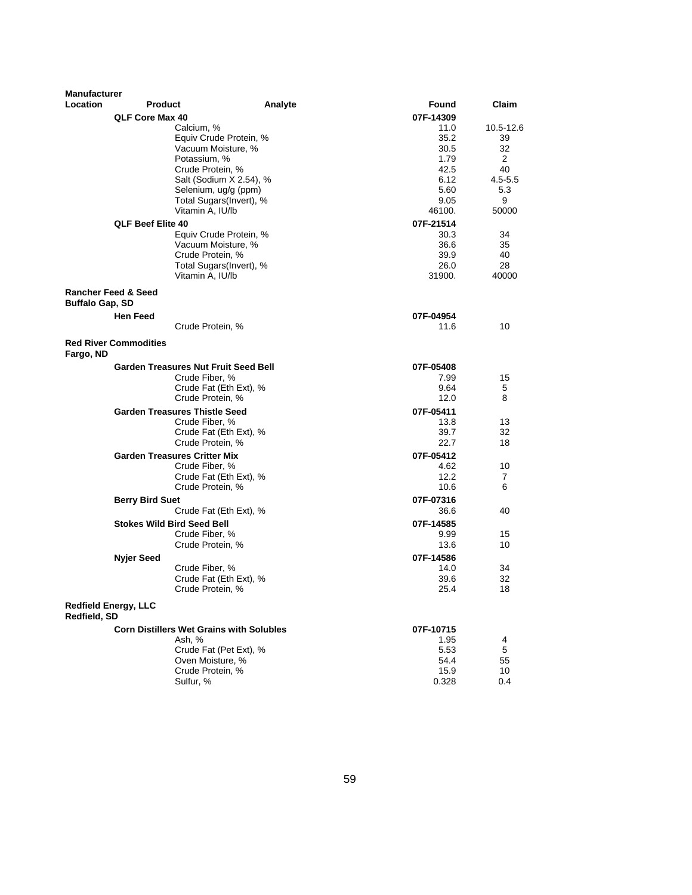| <b>Manufacturer</b>    |                                |                                                 |         |              |                    |
|------------------------|--------------------------------|-------------------------------------------------|---------|--------------|--------------------|
| <b>Location</b>        | <b>Product</b>                 |                                                 | Analyte | Found        | Claim              |
|                        | QLF Core Max 40                |                                                 |         | 07F-14309    |                    |
|                        |                                | Calcium, %                                      |         | 11.0         | 10.5-12.6          |
|                        |                                | Equiv Crude Protein, %                          |         | 35.2         | 39                 |
|                        |                                | Vacuum Moisture, %                              |         | 30.5         | 32                 |
|                        |                                | Potassium, %                                    |         | 1.79         | 2                  |
|                        |                                | Crude Protein, %                                |         | 42.5         | 40                 |
|                        |                                | Salt (Sodium X 2.54), %<br>Selenium, ug/g (ppm) |         | 6.12<br>5.60 | $4.5 - 5.5$<br>5.3 |
|                        |                                | Total Sugars(Invert), %                         |         | 9.05         | 9                  |
|                        |                                | Vitamin A, IU/lb                                |         | 46100.       | 50000              |
|                        | <b>QLF Beef Elite 40</b>       |                                                 |         | 07F-21514    |                    |
|                        |                                | Equiv Crude Protein, %                          |         | 30.3         | 34                 |
|                        |                                | Vacuum Moisture, %                              |         | 36.6         | 35                 |
|                        |                                | Crude Protein, %                                |         | 39.9         | 40                 |
|                        |                                | Total Sugars(Invert), %                         |         | 26.0         | 28                 |
|                        |                                | Vitamin A, IU/lb                                |         | 31900.       | 40000              |
|                        | <b>Rancher Feed &amp; Seed</b> |                                                 |         |              |                    |
| <b>Buffalo Gap, SD</b> |                                |                                                 |         |              |                    |
|                        | <b>Hen Feed</b>                |                                                 |         | 07F-04954    |                    |
|                        |                                | Crude Protein, %                                |         | 11.6         | 10                 |
|                        | <b>Red River Commodities</b>   |                                                 |         |              |                    |
| Fargo, ND              |                                |                                                 |         |              |                    |
|                        |                                | <b>Garden Treasures Nut Fruit Seed Bell</b>     |         | 07F-05408    |                    |
|                        |                                | Crude Fiber, %                                  |         | 7.99         | 15                 |
|                        |                                | Crude Fat (Eth Ext), %                          |         | 9.64         | 5                  |
|                        |                                | Crude Protein, %                                |         | 12.0         | 8                  |
|                        |                                | <b>Garden Treasures Thistle Seed</b>            |         | 07F-05411    |                    |
|                        |                                | Crude Fiber, %<br>Crude Fat (Eth Ext), %        |         | 13.8<br>39.7 | 13<br>32           |
|                        |                                | Crude Protein, %                                |         | 22.7         | 18                 |
|                        |                                | <b>Garden Treasures Critter Mix</b>             |         | 07F-05412    |                    |
|                        |                                | Crude Fiber, %                                  |         | 4.62         | 10                 |
|                        |                                | Crude Fat (Eth Ext), %                          |         | 12.2         | 7                  |
|                        |                                | Crude Protein, %                                |         | 10.6         | 6                  |
|                        | <b>Berry Bird Suet</b>         |                                                 |         | 07F-07316    |                    |
|                        |                                | Crude Fat (Eth Ext), %                          |         | 36.6         | 40                 |
|                        |                                | <b>Stokes Wild Bird Seed Bell</b>               |         | 07F-14585    |                    |
|                        |                                | Crude Fiber, %                                  |         | 9.99         | 15                 |
|                        |                                | Crude Protein, %                                |         | 13.6         | 10                 |
|                        | <b>Nyjer Seed</b>              |                                                 |         | 07F-14586    |                    |
|                        |                                | Crude Fiber, %                                  |         | 14.0         | 34                 |
|                        |                                | Crude Fat (Eth Ext), %                          |         | 39.6         | 32                 |
|                        |                                | Crude Protein, %                                |         | 25.4         | 18                 |
|                        | <b>Redfield Energy, LLC</b>    |                                                 |         |              |                    |
| Redfield, SD           |                                |                                                 |         |              |                    |
|                        |                                | <b>Corn Distillers Wet Grains with Solubles</b> |         | 07F-10715    |                    |
|                        |                                | Ash, %<br>Crude Fat (Pet Ext), %                |         | 1.95<br>5.53 | 4<br>$\mathbf 5$   |
|                        |                                | Oven Moisture, %                                |         | 54.4         | 55                 |
|                        |                                | Crude Protein, %                                |         | 15.9         | 10                 |
|                        |                                | Sulfur, %                                       |         | 0.328        | 0.4                |
|                        |                                |                                                 |         |              |                    |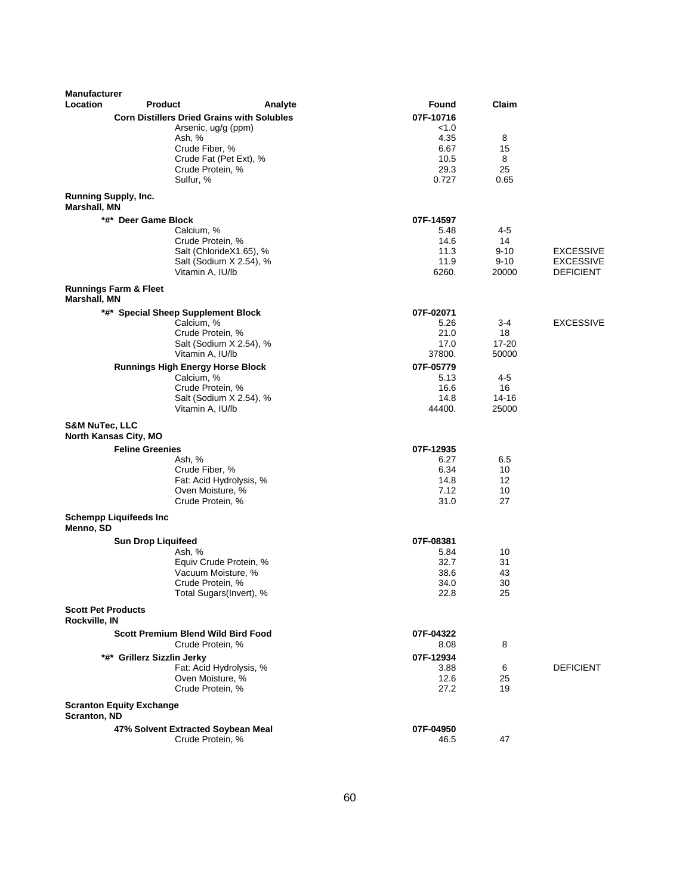| <b>Manufacturer</b>                         |                                                       |                         |                   |                   |                                      |
|---------------------------------------------|-------------------------------------------------------|-------------------------|-------------------|-------------------|--------------------------------------|
| Location                                    | <b>Product</b>                                        | Analyte                 | Found             | Claim             |                                      |
|                                             | <b>Corn Distillers Dried Grains with Solubles</b>     |                         | 07F-10716         |                   |                                      |
|                                             | Arsenic, ug/g (ppm)                                   |                         | < 1.0<br>4.35     |                   |                                      |
|                                             | Ash, %<br>Crude Fiber, %                              |                         | 6.67              | 8<br>15           |                                      |
|                                             |                                                       | Crude Fat (Pet Ext), %  | 10.5              | 8                 |                                      |
|                                             | Crude Protein, %                                      |                         | 29.3              | 25                |                                      |
|                                             | Sulfur, %                                             |                         | 0.727             | 0.65              |                                      |
| <b>Running Supply, Inc.</b><br>Marshall, MN |                                                       |                         |                   |                   |                                      |
|                                             | *#* Deer Game Block                                   |                         | 07F-14597         |                   |                                      |
|                                             | Calcium, %                                            |                         | 5.48              | 4-5               |                                      |
|                                             | Crude Protein, %                                      |                         | 14.6              | 14                |                                      |
|                                             |                                                       | Salt (ChlorideX1.65), % | 11.3              | $9 - 10$          | <b>EXCESSIVE</b>                     |
|                                             | Vitamin A, IU/lb                                      | Salt (Sodium X 2.54), % | 11.9<br>6260.     | $9 - 10$<br>20000 | <b>EXCESSIVE</b><br><b>DEFICIENT</b> |
|                                             | <b>Runnings Farm &amp; Fleet</b>                      |                         |                   |                   |                                      |
| Marshall, MN                                |                                                       |                         |                   |                   |                                      |
|                                             | *#* Special Sheep Supplement Block                    |                         | 07F-02071         |                   |                                      |
|                                             | Calcium, %                                            |                         | 5.26              | 3-4               | <b>EXCESSIVE</b>                     |
|                                             | Crude Protein, %                                      |                         | 21.0              | 18                |                                      |
|                                             | Vitamin A, IU/lb                                      | Salt (Sodium X 2.54), % | 17.0              | 17-20             |                                      |
|                                             |                                                       |                         | 37800.            | 50000             |                                      |
|                                             | <b>Runnings High Energy Horse Block</b><br>Calcium, % |                         | 07F-05779<br>5.13 | 4-5               |                                      |
|                                             | Crude Protein, %                                      |                         | 16.6              | 16                |                                      |
|                                             |                                                       | Salt (Sodium X 2.54), % | 14.8              | 14-16             |                                      |
|                                             | Vitamin A, IU/lb                                      |                         | 44400.            | 25000             |                                      |
| <b>S&amp;M NuTec, LLC</b>                   | North Kansas City, MO                                 |                         |                   |                   |                                      |
|                                             | <b>Feline Greenies</b>                                |                         | 07F-12935         |                   |                                      |
|                                             | Ash, %                                                |                         | 6.27              | 6.5               |                                      |
|                                             | Crude Fiber, %                                        |                         | 6.34              | 10                |                                      |
|                                             |                                                       | Fat: Acid Hydrolysis, % | 14.8              | 12                |                                      |
|                                             | Oven Moisture, %<br>Crude Protein, %                  |                         | 7.12<br>31.0      | 10<br>27          |                                      |
|                                             |                                                       |                         |                   |                   |                                      |
| Menno, SD                                   | <b>Schempp Liquifeeds Inc</b>                         |                         |                   |                   |                                      |
|                                             | <b>Sun Drop Liquifeed</b>                             |                         | 07F-08381         |                   |                                      |
|                                             | Ash, %                                                |                         | 5.84              | 10                |                                      |
|                                             |                                                       | Equiv Crude Protein, %  | 32.7              | 31                |                                      |
|                                             | Vacuum Moisture, %<br>Crude Protein, %                |                         | 38.6<br>34.0      | 43<br>30          |                                      |
|                                             |                                                       | Total Sugars(Invert), % | 22.8              | 25                |                                      |
| <b>Scott Pet Products</b><br>Rockville, IN  |                                                       |                         |                   |                   |                                      |
|                                             | <b>Scott Premium Blend Wild Bird Food</b>             |                         | 07F-04322         |                   |                                      |
|                                             | Crude Protein, %                                      |                         | 8.08              | 8                 |                                      |
|                                             | *#* Grillerz Sizzlin Jerky                            |                         | 07F-12934         |                   |                                      |
|                                             |                                                       | Fat: Acid Hydrolysis, % | 3.88              | 6                 | <b>DEFICIENT</b>                     |
|                                             | Oven Moisture, %                                      |                         | 12.6              | 25                |                                      |
|                                             | Crude Protein, %                                      |                         | 27.2              | 19                |                                      |
| Scranton, ND                                | <b>Scranton Equity Exchange</b>                       |                         |                   |                   |                                      |
|                                             | 47% Solvent Extracted Soybean Meal                    |                         | 07F-04950         |                   |                                      |
|                                             | Crude Protein, %                                      |                         | 46.5              | 47                |                                      |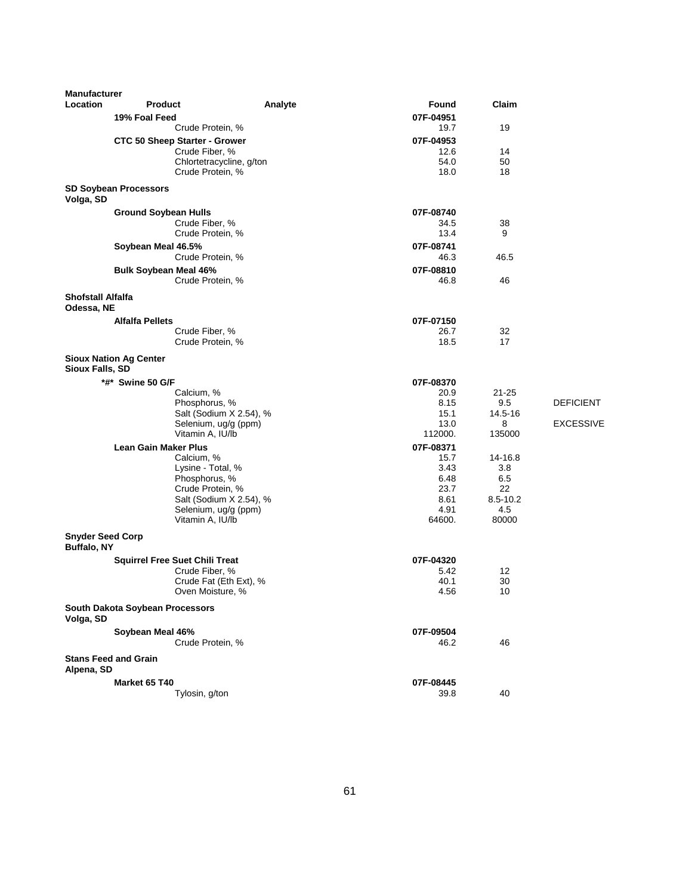| <b>Manufacturer</b>                           |                                 |                                       |         |              |            |                  |
|-----------------------------------------------|---------------------------------|---------------------------------------|---------|--------------|------------|------------------|
| Location                                      | <b>Product</b>                  |                                       | Analyte | Found        | Claim      |                  |
|                                               | 19% Foal Feed                   |                                       |         | 07F-04951    |            |                  |
|                                               |                                 | Crude Protein, %                      |         | 19.7         | 19         |                  |
|                                               |                                 | <b>CTC 50 Sheep Starter - Grower</b>  |         | 07F-04953    |            |                  |
|                                               |                                 | Crude Fiber, %                        |         | 12.6         | 14         |                  |
|                                               |                                 | Chlortetracycline, g/ton              |         | 54.0         | 50         |                  |
|                                               |                                 | Crude Protein, %                      |         | 18.0         | 18         |                  |
| Volga, SD                                     | <b>SD Soybean Processors</b>    |                                       |         |              |            |                  |
|                                               | <b>Ground Soybean Hulls</b>     |                                       |         | 07F-08740    |            |                  |
|                                               |                                 | Crude Fiber, %                        |         | 34.5         | 38         |                  |
|                                               |                                 | Crude Protein, %                      |         | 13.4         | 9          |                  |
|                                               | Soybean Meal 46.5%              |                                       |         | 07F-08741    |            |                  |
|                                               |                                 | Crude Protein, %                      |         | 46.3         | 46.5       |                  |
|                                               | <b>Bulk Soybean Meal 46%</b>    |                                       |         | 07F-08810    |            |                  |
|                                               |                                 | Crude Protein, %                      |         | 46.8         | 46         |                  |
| <b>Shofstall Alfalfa</b><br>Odessa, NE        |                                 |                                       |         |              |            |                  |
|                                               | <b>Alfalfa Pellets</b>          |                                       |         | 07F-07150    |            |                  |
|                                               |                                 | Crude Fiber, %                        |         | 26.7         | 32         |                  |
|                                               |                                 | Crude Protein, %                      |         | 18.5         | 17         |                  |
| Sioux Falls, SD                               | <b>Sioux Nation Ag Center</b>   |                                       |         |              |            |                  |
|                                               | *#* Swine 50 G/F                |                                       |         | 07F-08370    |            |                  |
|                                               |                                 | Calcium, %                            |         | 20.9         | $21 - 25$  |                  |
|                                               |                                 | Phosphorus, %                         |         | 8.15         | 9.5        | <b>DEFICIENT</b> |
|                                               |                                 | Salt (Sodium X 2.54), %               |         | 15.1         | 14.5-16    |                  |
|                                               |                                 | Selenium, ug/g (ppm)                  |         | 13.0         | 8          | <b>EXCESSIVE</b> |
|                                               |                                 | Vitamin A, IU/lb                      |         | 112000.      | 135000     |                  |
|                                               | <b>Lean Gain Maker Plus</b>     |                                       |         | 07F-08371    |            |                  |
|                                               |                                 | Calcium, %                            |         | 15.7         | 14-16.8    |                  |
|                                               |                                 | Lysine - Total, %<br>Phosphorus, %    |         | 3.43<br>6.48 | 3.8<br>6.5 |                  |
|                                               |                                 | Crude Protein, %                      |         | 23.7         | 22         |                  |
|                                               |                                 | Salt (Sodium X 2.54), %               |         | 8.61         | 8.5-10.2   |                  |
|                                               |                                 | Selenium, ug/g (ppm)                  |         | 4.91         | 4.5        |                  |
|                                               |                                 | Vitamin A, IU/lb                      |         | 64600.       | 80000      |                  |
| <b>Snyder Seed Corp</b><br><b>Buffalo, NY</b> |                                 |                                       |         |              |            |                  |
|                                               |                                 | <b>Squirrel Free Suet Chili Treat</b> |         | 07F-04320    |            |                  |
|                                               |                                 | Crude Fiber, %                        |         | 5.42         | 12         |                  |
|                                               |                                 | Crude Fat (Eth Ext), %                |         | 40.1         | 30         |                  |
|                                               |                                 | Oven Moisture, %                      |         | 4.56         | 10         |                  |
| Volga, SD                                     | South Dakota Soybean Processors |                                       |         |              |            |                  |
|                                               | Soybean Meal 46%                |                                       |         | 07F-09504    |            |                  |
|                                               |                                 | Crude Protein, %                      |         | 46.2         | 46         |                  |
| Alpena, SD                                    | <b>Stans Feed and Grain</b>     |                                       |         |              |            |                  |
|                                               | Market 65 T40                   |                                       |         | 07F-08445    |            |                  |
|                                               |                                 | Tylosin, g/ton                        |         | 39.8         | 40         |                  |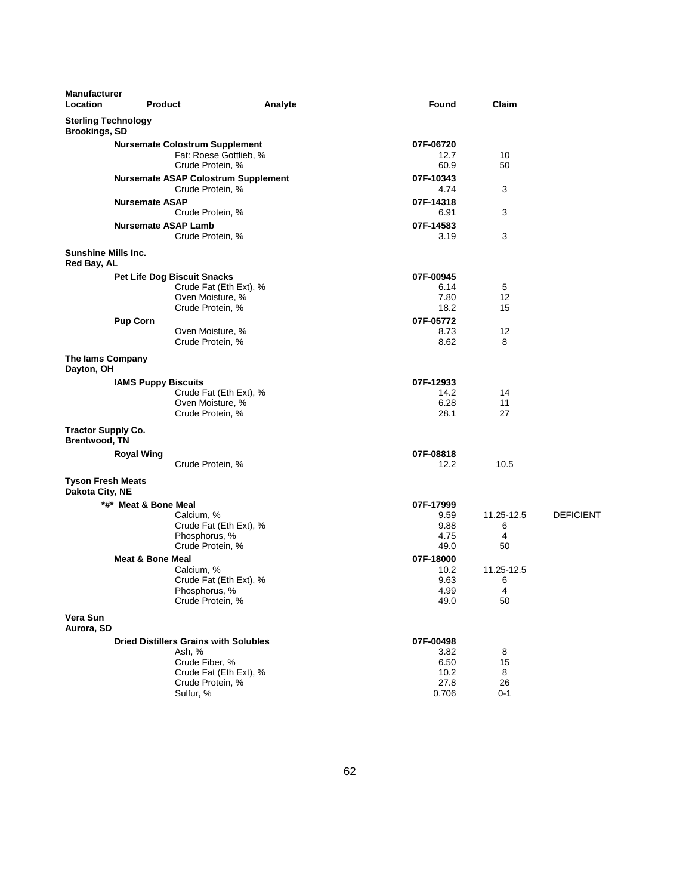| <b>Manufacturer</b><br>Location                    | <b>Product</b>                                                 | Analyte                | Found             | Claim      |                  |
|----------------------------------------------------|----------------------------------------------------------------|------------------------|-------------------|------------|------------------|
| <b>Sterling Technology</b><br><b>Brookings, SD</b> |                                                                |                        |                   |            |                  |
|                                                    | <b>Nursemate Colostrum Supplement</b>                          |                        | 07F-06720         |            |                  |
|                                                    |                                                                | Fat: Roese Gottlieb, % | 12.7              | 10         |                  |
|                                                    | Crude Protein, %                                               |                        | 60.9              | 50         |                  |
|                                                    | <b>Nursemate ASAP Colostrum Supplement</b><br>Crude Protein, % |                        | 07F-10343<br>4.74 | 3          |                  |
|                                                    | <b>Nursemate ASAP</b><br>Crude Protein, %                      |                        | 07F-14318<br>6.91 | 3          |                  |
|                                                    | <b>Nursemate ASAP Lamb</b><br>Crude Protein, %                 |                        | 07F-14583<br>3.19 | 3          |                  |
| <b>Sunshine Mills Inc.</b><br>Red Bay, AL          |                                                                |                        |                   |            |                  |
|                                                    | <b>Pet Life Dog Biscuit Snacks</b>                             |                        | 07F-00945         |            |                  |
|                                                    |                                                                | Crude Fat (Eth Ext), % | 6.14              | 5          |                  |
|                                                    | Oven Moisture, %                                               |                        | 7.80              | 12         |                  |
|                                                    | Crude Protein, %                                               |                        | 18.2              | 15         |                  |
|                                                    | <b>Pup Corn</b>                                                |                        | 07F-05772         |            |                  |
|                                                    | Oven Moisture, %                                               |                        | 8.73              | 12         |                  |
|                                                    | Crude Protein, %                                               |                        | 8.62              | 8          |                  |
| The lams Company<br>Dayton, OH                     |                                                                |                        |                   |            |                  |
|                                                    | <b>IAMS Puppy Biscuits</b>                                     |                        | 07F-12933         |            |                  |
|                                                    |                                                                | Crude Fat (Eth Ext), % | 14.2              | 14         |                  |
|                                                    | Oven Moisture, %                                               |                        | 6.28              | 11         |                  |
|                                                    | Crude Protein, %                                               |                        | 28.1              | 27         |                  |
| <b>Tractor Supply Co.</b><br><b>Brentwood, TN</b>  |                                                                |                        |                   |            |                  |
|                                                    | <b>Royal Wing</b>                                              |                        | 07F-08818         |            |                  |
|                                                    | Crude Protein, %                                               |                        | 12.2              | 10.5       |                  |
| <b>Tyson Fresh Meats</b><br>Dakota City, NE        |                                                                |                        |                   |            |                  |
|                                                    | *#* Meat & Bone Meal                                           |                        | 07F-17999         |            |                  |
|                                                    | Calcium, %                                                     |                        | 9.59              | 11.25-12.5 | <b>DEFICIENT</b> |
|                                                    |                                                                | Crude Fat (Eth Ext), % | 9.88              | 6          |                  |
|                                                    | Phosphorus, %                                                  |                        | 4.75              | 4          |                  |
|                                                    | Crude Protein, %                                               |                        | 49.0              | 50         |                  |
|                                                    | <b>Meat &amp; Bone Meal</b>                                    |                        | 07F-18000         |            |                  |
|                                                    | Calcium, %                                                     |                        | 10.2              | 11.25-12.5 |                  |
|                                                    | Phosphorus, %                                                  | Crude Fat (Eth Ext), % | 9.63<br>4.99      | 6<br>4     |                  |
|                                                    | Crude Protein, %                                               |                        | 49.0              | 50         |                  |
|                                                    |                                                                |                        |                   |            |                  |
| Vera Sun<br>Aurora, SD                             |                                                                |                        |                   |            |                  |
|                                                    | <b>Dried Distillers Grains with Solubles</b>                   |                        | 07F-00498         |            |                  |
|                                                    | Ash, %                                                         |                        | 3.82              | 8          |                  |
|                                                    | Crude Fiber, %                                                 |                        | 6.50              | 15         |                  |
|                                                    |                                                                | Crude Fat (Eth Ext), % | 10.2              | 8          |                  |
|                                                    | Crude Protein, %                                               |                        | 27.8              | 26         |                  |
|                                                    | Sulfur, %                                                      |                        | 0.706             | 0-1        |                  |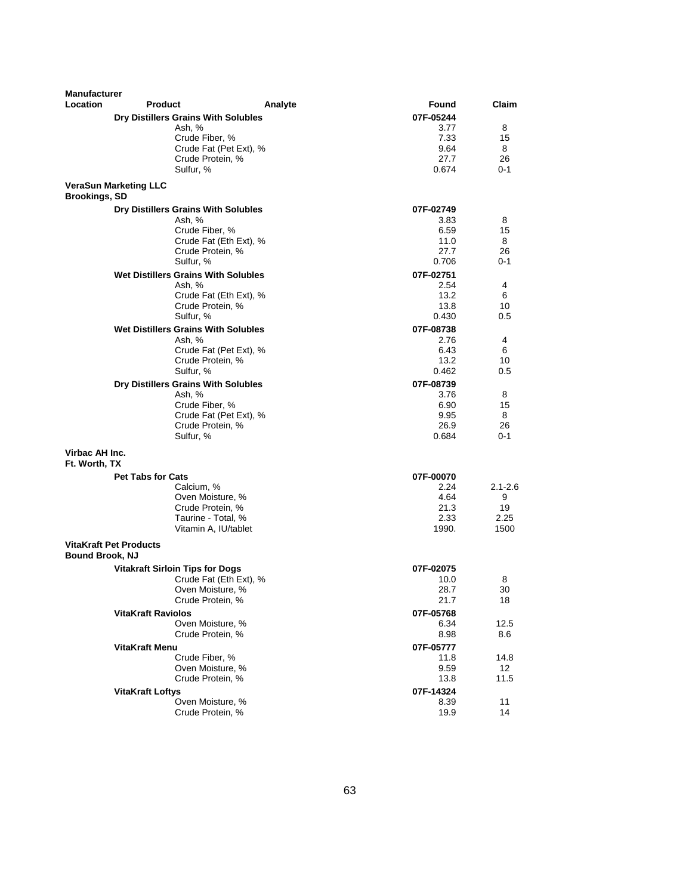| <b>Manufacturer</b>             |                                               |         |                   |               |
|---------------------------------|-----------------------------------------------|---------|-------------------|---------------|
| <b>Location</b>                 | <b>Product</b>                                | Analyte | Found             | Claim         |
|                                 | Dry Distillers Grains With Solubles           |         | 07F-05244         |               |
|                                 | Ash, %                                        |         | 3.77              | 8             |
|                                 | Crude Fiber, %                                |         | 7.33              | 15            |
|                                 | Crude Fat (Pet Ext), %                        |         | 9.64              | 8             |
|                                 | Crude Protein, %<br>Sulfur, %                 |         | 27.7              | 26<br>$0 - 1$ |
|                                 |                                               |         | 0.674             |               |
| <b>Brookings, SD</b>            | <b>VeraSun Marketing LLC</b>                  |         |                   |               |
|                                 | Dry Distillers Grains With Solubles           |         | 07F-02749         |               |
|                                 | Ash, %                                        |         | 3.83              | 8             |
|                                 | Crude Fiber, %                                |         | 6.59              | 15            |
|                                 | Crude Fat (Eth Ext), %<br>Crude Protein, %    |         | 11.0<br>27.7      | 8<br>26       |
|                                 | Sulfur, %                                     |         | 0.706             | $0 - 1$       |
|                                 | <b>Wet Distillers Grains With Solubles</b>    |         | 07F-02751         |               |
|                                 | Ash, %                                        |         | 2.54              | 4             |
|                                 | Crude Fat (Eth Ext), %                        |         | 13.2              | 6             |
|                                 | Crude Protein, %                              |         | 13.8              | 10            |
|                                 | Sulfur, %                                     |         | 0.430             | 0.5           |
|                                 | <b>Wet Distillers Grains With Solubles</b>    |         | 07F-08738         |               |
|                                 | Ash, %                                        |         | 2.76              | 4             |
|                                 | Crude Fat (Pet Ext), %                        |         | 6.43              | 6             |
|                                 | Crude Protein, %<br>Sulfur, %                 |         | 13.2<br>0.462     | 10<br>0.5     |
|                                 |                                               |         |                   |               |
|                                 | Dry Distillers Grains With Solubles<br>Ash, % |         | 07F-08739<br>3.76 | 8             |
|                                 | Crude Fiber, %                                |         | 6.90              | 15            |
|                                 | Crude Fat (Pet Ext), %                        |         | 9.95              | 8             |
|                                 | Crude Protein, %                              |         | 26.9              | 26            |
|                                 | Sulfur, %                                     |         | 0.684             | $0 - 1$       |
| Virbac AH Inc.<br>Ft. Worth, TX |                                               |         |                   |               |
|                                 | <b>Pet Tabs for Cats</b>                      |         | 07F-00070         |               |
|                                 | Calcium, %                                    |         | 2.24              | $2.1 - 2.6$   |
|                                 | Oven Moisture, %                              |         | 4.64              | 9             |
|                                 | Crude Protein, %                              |         | 21.3              | 19            |
|                                 | Taurine - Total, %                            |         | 2.33              | 2.25          |
|                                 | Vitamin A, IU/tablet                          |         | 1990.             | 1500          |
| <b>Bound Brook, NJ</b>          | <b>VitaKraft Pet Products</b>                 |         |                   |               |
|                                 | <b>Vitakraft Sirloin Tips for Dogs</b>        |         | 07F-02075         |               |
|                                 | Crude Fat (Eth Ext), %                        |         | 10.0              | 8             |
|                                 | Oven Moisture, %                              |         | 28.7              | 30            |
|                                 | Crude Protein, %                              |         | 21.7              | 18            |
|                                 | <b>VitaKraft Raviolos</b>                     |         | 07F-05768         |               |
|                                 | Oven Moisture, %                              |         | 6.34              | 12.5          |
|                                 | Crude Protein, %                              |         | 8.98              | 8.6           |
|                                 | VitaKraft Menu                                |         | 07F-05777         |               |
|                                 | Crude Fiber, %<br>Oven Moisture, %            |         | 11.8<br>9.59      | 14.8<br>12    |
|                                 | Crude Protein, %                              |         | 13.8              | 11.5          |
|                                 | <b>VitaKraft Loftys</b>                       |         | 07F-14324         |               |
|                                 | Oven Moisture, %                              |         | 8.39              | 11            |
|                                 | Crude Protein, %                              |         | 19.9              | 14            |
|                                 |                                               |         |                   |               |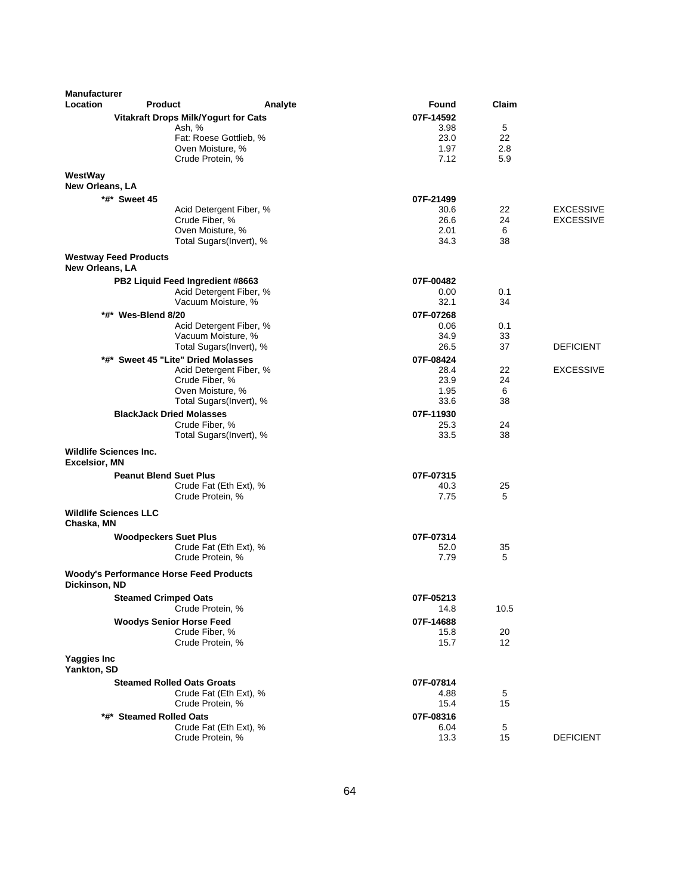| <b>Manufacturer</b>                        |                                                   |                          |                   |            |                  |
|--------------------------------------------|---------------------------------------------------|--------------------------|-------------------|------------|------------------|
| Location                                   | <b>Product</b>                                    | Analyte                  | Found             | Claim      |                  |
|                                            | <b>Vitakraft Drops Milk/Yogurt for Cats</b>       |                          | 07F-14592         |            |                  |
|                                            | Ash, %                                            |                          | 3.98              | 5          |                  |
|                                            |                                                   | Fat: Roese Gottlieb, %   | 23.0              | 22         |                  |
|                                            | Oven Moisture, %<br>Crude Protein, %              |                          | 1.97<br>7.12      | 2.8<br>5.9 |                  |
|                                            |                                                   |                          |                   |            |                  |
| WestWay<br><b>New Orleans, LA</b>          |                                                   |                          |                   |            |                  |
|                                            | *#* Sweet 45                                      |                          |                   |            |                  |
|                                            |                                                   | Acid Detergent Fiber, %  | 07F-21499<br>30.6 | 22         | <b>EXCESSIVE</b> |
|                                            | Crude Fiber, %                                    |                          | 26.6              | 24         | <b>EXCESSIVE</b> |
|                                            | Oven Moisture, %                                  |                          | 2.01              | 6          |                  |
|                                            |                                                   | Total Sugars(Invert), %  | 34.3              | 38         |                  |
| <b>New Orleans, LA</b>                     | <b>Westway Feed Products</b>                      |                          |                   |            |                  |
|                                            | PB2 Liquid Feed Ingredient #8663                  |                          | 07F-00482         |            |                  |
|                                            |                                                   | Acid Detergent Fiber, %  | 0.00              | 0.1        |                  |
|                                            | Vacuum Moisture, %                                |                          | 32.1              | 34         |                  |
|                                            | *#* Wes-Blend 8/20                                |                          | 07F-07268         |            |                  |
|                                            |                                                   | Acid Detergent Fiber, %  | 0.06              | 0.1        |                  |
|                                            | Vacuum Moisture, %                                |                          | 34.9              | 33         |                  |
|                                            |                                                   | Total Sugars(Invert), %  | 26.5              | 37         | <b>DEFICIENT</b> |
|                                            | *#* Sweet 45 "Lite" Dried Molasses                |                          | 07F-08424         |            |                  |
|                                            |                                                   | Acid Detergent Fiber, %  | 28.4              | 22         | <b>EXCESSIVE</b> |
|                                            | Crude Fiber, %                                    |                          | 23.9              | 24         |                  |
|                                            | Oven Moisture, %                                  | Total Sugars (Invert), % | 1.95<br>33.6      | 6<br>38    |                  |
|                                            |                                                   |                          |                   |            |                  |
|                                            | <b>BlackJack Dried Molasses</b><br>Crude Fiber, % |                          | 07F-11930<br>25.3 | 24         |                  |
|                                            |                                                   | Total Sugars(Invert), %  | 33.5              | 38         |                  |
| <b>Wildlife Sciences Inc.</b>              |                                                   |                          |                   |            |                  |
| <b>Excelsior, MN</b>                       |                                                   |                          |                   |            |                  |
|                                            | <b>Peanut Blend Suet Plus</b>                     | Crude Fat (Eth Ext), %   | 07F-07315<br>40.3 | 25         |                  |
|                                            | Crude Protein, %                                  |                          | 7.75              | 5          |                  |
|                                            |                                                   |                          |                   |            |                  |
| <b>Wildlife Sciences LLC</b><br>Chaska, MN |                                                   |                          |                   |            |                  |
|                                            | <b>Woodpeckers Suet Plus</b>                      |                          | 07F-07314         |            |                  |
|                                            |                                                   | Crude Fat (Eth Ext), %   | 52.0              | 35         |                  |
|                                            | Crude Protein, %                                  |                          | 7.79              | 5          |                  |
| Dickinson, ND                              | <b>Woody's Performance Horse Feed Products</b>    |                          |                   |            |                  |
|                                            | <b>Steamed Crimped Oats</b>                       |                          | 07F-05213         |            |                  |
|                                            | Crude Protein, %                                  |                          | 14.8              | 10.5       |                  |
|                                            | <b>Woodys Senior Horse Feed</b>                   |                          | 07F-14688         |            |                  |
|                                            | Crude Fiber, %                                    |                          | 15.8              | 20         |                  |
|                                            | Crude Protein, %                                  |                          | 15.7              | 12         |                  |
| Yaggies Inc<br>Yankton, SD                 |                                                   |                          |                   |            |                  |
|                                            | <b>Steamed Rolled Oats Groats</b>                 |                          | 07F-07814         |            |                  |
|                                            |                                                   | Crude Fat (Eth Ext), %   | 4.88              | 5          |                  |
|                                            | Crude Protein, %                                  |                          | 15.4              | 15         |                  |
|                                            | *#* Steamed Rolled Oats                           |                          | 07F-08316         |            |                  |
|                                            |                                                   | Crude Fat (Eth Ext), %   | 6.04              | 5          |                  |
|                                            | Crude Protein, %                                  |                          | 13.3              | 15         | <b>DEFICIENT</b> |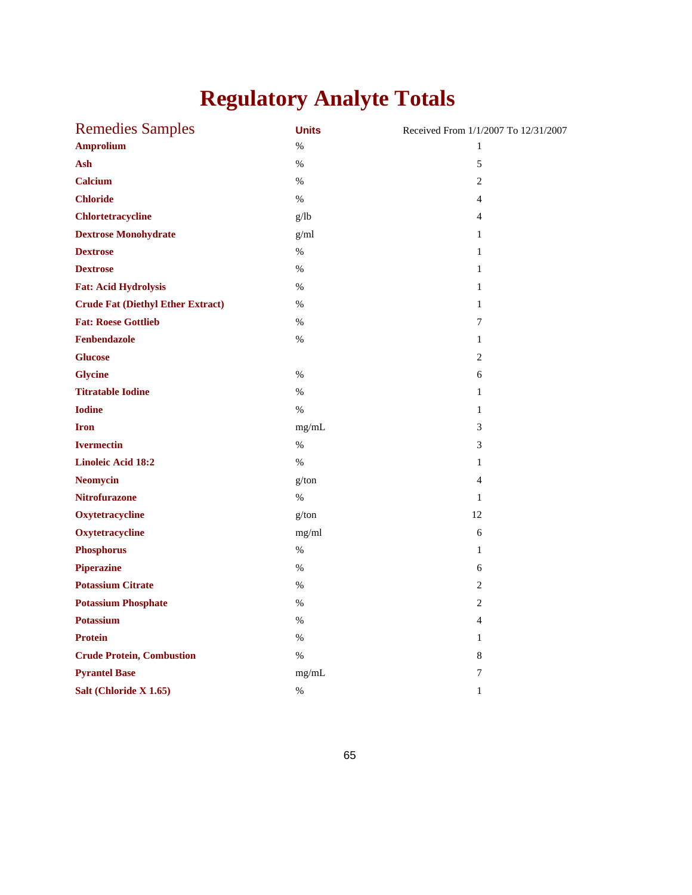## **Regulatory Analyte Totals**

| <b>Remedies Samples</b>                  | <b>Units</b> | Received From 1/1/2007 To 12/31/2007 |
|------------------------------------------|--------------|--------------------------------------|
| <b>Amprolium</b>                         | %            | $\mathbf{1}$                         |
| Ash                                      | $\%$         | $\sqrt{5}$                           |
| <b>Calcium</b>                           | $\%$         | $\mathbf{2}$                         |
| <b>Chloride</b>                          | $\%$         | 4                                    |
| <b>Chlortetracycline</b>                 | g/lb         | $\overline{4}$                       |
| <b>Dextrose Monohydrate</b>              | g/ml         | 1                                    |
| <b>Dextrose</b>                          | $\%$         | $\mathbf{1}$                         |
| <b>Dextrose</b>                          | $\%$         | $\mathbf{1}$                         |
| <b>Fat: Acid Hydrolysis</b>              | $\%$         | $\mathbf{1}$                         |
| <b>Crude Fat (Diethyl Ether Extract)</b> | $\%$         | $\mathbf{1}$                         |
| <b>Fat: Roese Gottlieb</b>               | $\%$         | 7                                    |
| Fenbendazole                             | $\%$         | $\mathbf{1}$                         |
| <b>Glucose</b>                           |              | $\overline{c}$                       |
| <b>Glycine</b>                           | $\%$         | 6                                    |
| <b>Titratable Iodine</b>                 | $\%$         | $\mathbf{1}$                         |
| <b>Iodine</b>                            | $\%$         | $\mathbf{1}$                         |
| <b>Iron</b>                              | mg/mL        | $\mathfrak{Z}$                       |
| <b>Ivermectin</b>                        | $\%$         | 3                                    |
| <b>Linoleic Acid 18:2</b>                | $\%$         | $\mathbf{1}$                         |
| <b>Neomycin</b>                          | g/ton        | $\overline{4}$                       |
| <b>Nitrofurazone</b>                     | $\%$         | $\mathbf{1}$                         |
| Oxytetracycline                          | g/ton        | 12                                   |
| Oxytetracycline                          | mg/ml        | 6                                    |
| <b>Phosphorus</b>                        | $\%$         | $\mathbf{1}$                         |
| <b>Piperazine</b>                        | $\%$         | 6                                    |
| <b>Potassium Citrate</b>                 | $\%$         | $\overline{c}$                       |
| <b>Potassium Phosphate</b>               | $\%$         | $\overline{c}$                       |
| <b>Potassium</b>                         | $\%$         | $\overline{4}$                       |
| <b>Protein</b>                           | $\%$         | $\mathbf{1}$                         |
| <b>Crude Protein, Combustion</b>         | $\%$         | 8                                    |
| <b>Pyrantel Base</b>                     | mg/mL        | 7                                    |
| Salt (Chloride X 1.65)                   | %            | $\mathbf{1}$                         |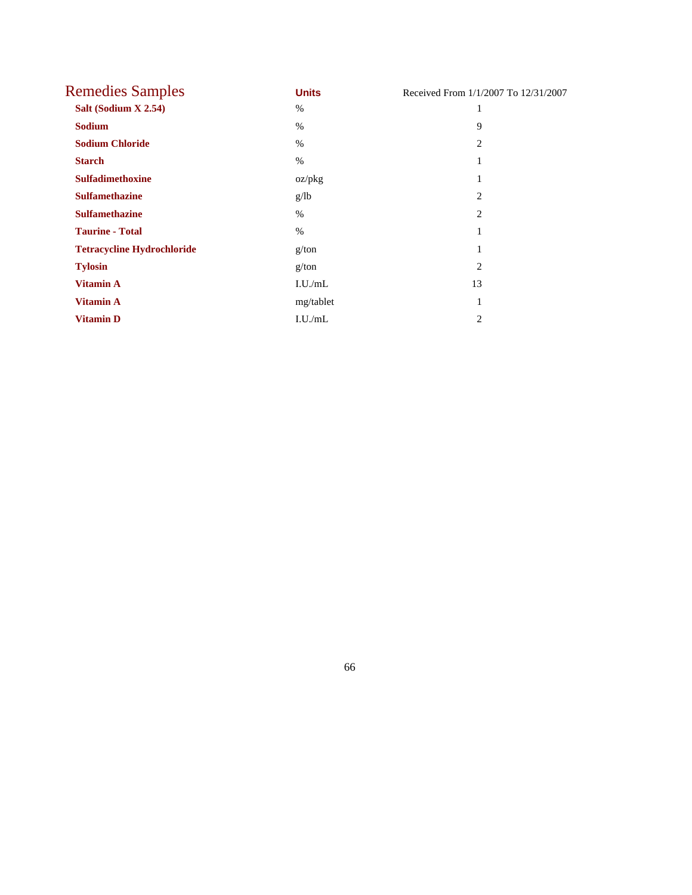| <b>Remedies Samples</b>           | <b>Units</b> | Received From 1/1/2007 To 12/31/2007 |
|-----------------------------------|--------------|--------------------------------------|
| Salt (Sodium X 2.54)              | $\%$         | 1                                    |
| <b>Sodium</b>                     | $\%$         | 9                                    |
| <b>Sodium Chloride</b>            | $\%$         | 2                                    |
| <b>Starch</b>                     | $\%$         | 1                                    |
| <b>Sulfadimethoxine</b>           | oz/pkg       | 1                                    |
| <b>Sulfamethazine</b>             | g/lb         | 2                                    |
| <b>Sulfamethazine</b>             | $\%$         | 2                                    |
| <b>Taurine - Total</b>            | $\%$         | 1                                    |
| <b>Tetracycline Hydrochloride</b> | g/ton        | 1                                    |
| <b>Tylosin</b>                    | g/ton        | $\overline{2}$                       |
| <b>Vitamin A</b>                  | I.U./mL      | 13                                   |
| <b>Vitamin A</b>                  | mg/tablet    | 1                                    |
| <b>Vitamin D</b>                  | I.U./mL      | 2                                    |

66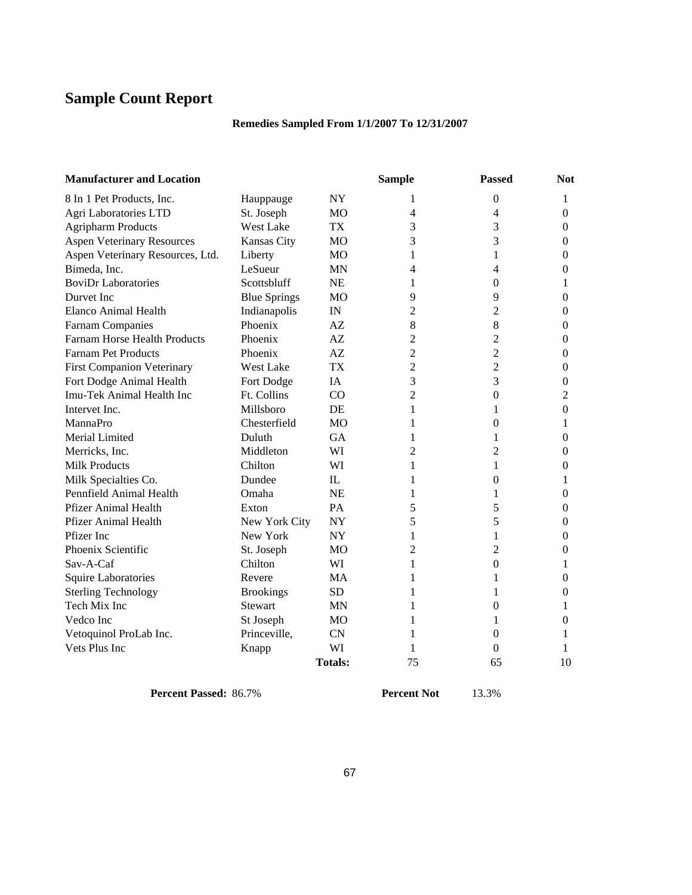## **Sample Count Report**

## **Remedies Sampled From 1/1/2007 To 12/31/2007**

| <b>Manufacturer and Location</b>    |                     |                | <b>Sample</b>  | <b>Passed</b>    | <b>Not</b>     |
|-------------------------------------|---------------------|----------------|----------------|------------------|----------------|
| 8 In 1 Pet Products, Inc.           | Hauppauge           | <b>NY</b>      | 1              | $\boldsymbol{0}$ | 1              |
| Agri Laboratories LTD               | St. Joseph          | MO             | 4              | 4                | $\mathbf{0}$   |
| <b>Agripharm Products</b>           | West Lake           | TX             | 3              | 3                | $\mathbf{0}$   |
| <b>Aspen Veterinary Resources</b>   | Kansas City         | M <sub>O</sub> | 3              | 3                | $\mathbf{0}$   |
| Aspen Veterinary Resources, Ltd.    | Liberty             | M <sub>O</sub> | 1              | 1                | $\theta$       |
| Bimeda, Inc.                        | LeSueur             | <b>MN</b>      | 4              | 4                | $\theta$       |
| <b>BoviDr Laboratories</b>          | Scottsbluff         | <b>NE</b>      | 1              | $\boldsymbol{0}$ | 1              |
| Durvet Inc                          | <b>Blue Springs</b> | M <sub>O</sub> | 9              | 9                | $\overline{0}$ |
| Elanco Animal Health                | Indianapolis        | IN             | 2              | 2                | $\mathbf{0}$   |
| <b>Farnam Companies</b>             | Phoenix             | AZ             | 8              | 8                | $\mathbf{0}$   |
| <b>Farnam Horse Health Products</b> | Phoenix             | AZ             | 2              | $\overline{c}$   | $\mathbf{0}$   |
| <b>Farnam Pet Products</b>          | Phoenix             | AZ             | 2              | $\overline{c}$   | 0              |
| <b>First Companion Veterinary</b>   | <b>West Lake</b>    | <b>TX</b>      | $\overline{2}$ | $\overline{2}$   | $\theta$       |
| Fort Dodge Animal Health            | Fort Dodge          | IA             | 3              | 3                | $\overline{0}$ |
| Imu-Tek Animal Health Inc           | Ft. Collins         | CO             | $\overline{c}$ | $\boldsymbol{0}$ | $\overline{c}$ |
| Intervet Inc.                       | Millsboro           | <b>DE</b>      | 1              | 1                | $\Omega$       |
| MannaPro                            | Chesterfield        | M <sub>O</sub> | 1              | $\theta$         | 1              |
| Merial Limited                      | Duluth              | <b>GA</b>      | 1              | 1                | $\mathbf{0}$   |
| Merricks, Inc.                      | Middleton           | WI             | 2              | 2                | $\mathbf{0}$   |
| <b>Milk Products</b>                | Chilton             | WI             | 1              | 1                | $\overline{0}$ |
| Milk Specialties Co.                | Dundee              | $\mathbf{I}$   | 1              | 0                | 1              |
| Pennfield Animal Health             | Omaha               | <b>NE</b>      | 1              | 1                | $\theta$       |
| <b>Pfizer Animal Health</b>         | Exton               | PA             | 5              | 5                | $\Omega$       |
| Pfizer Animal Health                | New York City       | <b>NY</b>      | 5              | 5                | $\mathbf{0}$   |
| Pfizer Inc                          | New York            | <b>NY</b>      | 1              | 1                | $\Omega$       |
| Phoenix Scientific                  | St. Joseph          | MO             | 2              | 2                | $\overline{0}$ |
| Sav-A-Caf                           | Chilton             | WI             | 1              | $\boldsymbol{0}$ | 1              |
| <b>Squire Laboratories</b>          | Revere              | MA             | 1              | 1                | $\mathbf{0}$   |
| <b>Sterling Technology</b>          | <b>Brookings</b>    | <b>SD</b>      | 1              | 1                | $\theta$       |
| Tech Mix Inc                        | Stewart             | <b>MN</b>      | 1              | $\theta$         | 1              |
| Vedco Inc                           | St Joseph           | M <sub>O</sub> | 1              | 1                | $\overline{0}$ |
| Vetoquinol ProLab Inc.              | Princeville,        | <b>CN</b>      | 1              | 0                | 1              |
| Vets Plus Inc                       | Knapp               | WI             | 1              | 0                |                |
|                                     |                     | <b>Totals:</b> | 75             | 65               | 10             |

**Percent Passed:** 86.7% **Percent Not** 13.3%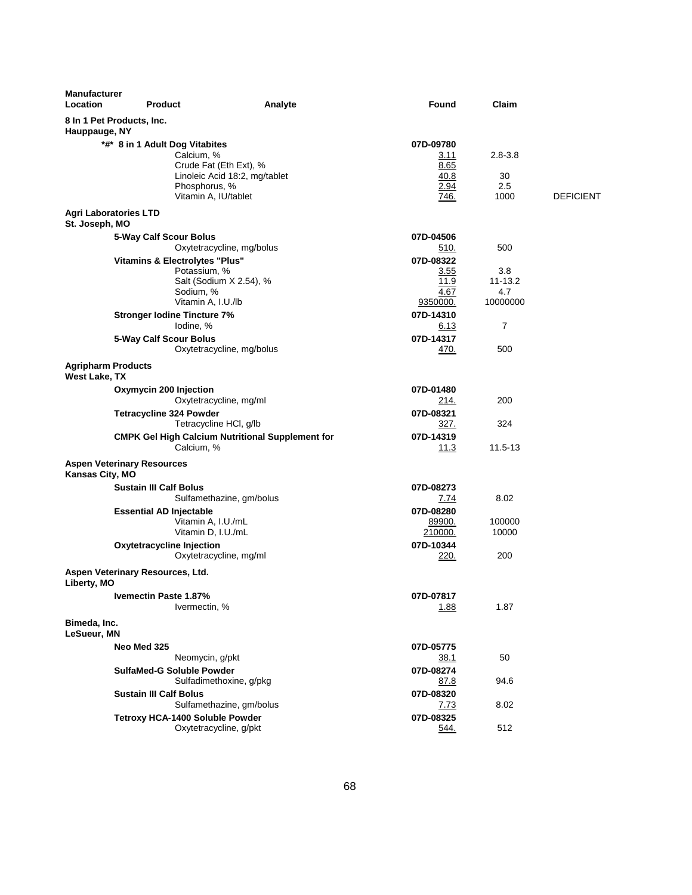| <b>Manufacturer</b><br>Location                | <b>Product</b>                                  | Analyte                                                                                                        | Found                                             | Claim                             |                  |
|------------------------------------------------|-------------------------------------------------|----------------------------------------------------------------------------------------------------------------|---------------------------------------------------|-----------------------------------|------------------|
| Hauppauge, NY                                  | 8 In 1 Pet Products, Inc.                       |                                                                                                                |                                                   |                                   |                  |
|                                                | *#* 8 in 1 Adult Dog Vitabites                  | Calcium, %<br>Crude Fat (Eth Ext), %<br>Linoleic Acid 18:2, mg/tablet<br>Phosphorus, %<br>Vitamin A, IU/tablet | 07D-09780<br>3.11<br>8.65<br>40.8<br>2.94<br>746. | $2.8 - 3.8$<br>30<br>2.5<br>1000  | <b>DEFICIENT</b> |
| <b>Agri Laboratories LTD</b><br>St. Joseph, MO |                                                 |                                                                                                                |                                                   |                                   |                  |
|                                                | 5-Way Calf Scour Bolus                          | Oxytetracycline, mg/bolus                                                                                      | 07D-04506<br>510.                                 | 500                               |                  |
|                                                | <b>Vitamins &amp; Electrolytes "Plus"</b>       | Potassium, %<br>Salt (Sodium X 2.54), %<br>Sodium, %<br>Vitamin A, I.U./lb                                     | 07D-08322<br>3.55<br>11.9<br>4.67<br>9350000.     | 3.8<br>11-13.2<br>4.7<br>10000000 |                  |
|                                                | <b>Stronger lodine Tincture 7%</b><br>lodine, % |                                                                                                                | 07D-14310<br><u>6.13</u>                          | $\overline{7}$                    |                  |
|                                                | 5-Way Calf Scour Bolus                          | Oxytetracycline, mg/bolus                                                                                      | 07D-14317<br>470.                                 | 500                               |                  |
| <b>Agripharm Products</b><br>West Lake, TX     |                                                 |                                                                                                                |                                                   |                                   |                  |
|                                                | Oxymycin 200 Injection                          | Oxytetracycline, mg/ml                                                                                         | 07D-01480<br>214.                                 | 200                               |                  |
|                                                | <b>Tetracycline 324 Powder</b>                  | Tetracycline HCl, g/lb                                                                                         | 07D-08321<br>327.                                 | 324                               |                  |
|                                                |                                                 | <b>CMPK Gel High Calcium Nutritional Supplement for</b><br>Calcium, %                                          | 07D-14319<br>11.3                                 | 11.5-13                           |                  |
| Kansas City, MO                                | <b>Aspen Veterinary Resources</b>               |                                                                                                                |                                                   |                                   |                  |
|                                                | <b>Sustain III Calf Bolus</b>                   | Sulfamethazine, gm/bolus                                                                                       | 07D-08273<br>7.74                                 | 8.02                              |                  |
|                                                | <b>Essential AD Injectable</b>                  | Vitamin A, I.U./mL<br>Vitamin D, I.U./mL                                                                       | 07D-08280<br>89900.<br>210000.                    | 100000<br>10000                   |                  |
|                                                | Oxytetracycline Injection                       | Oxytetracycline, mg/ml                                                                                         | 07D-10344<br>220.                                 | 200                               |                  |
| Liberty, MO                                    | Aspen Veterinary Resources, Ltd.                |                                                                                                                |                                                   |                                   |                  |
|                                                | Ivemectin Paste 1.87%                           | Ivermectin, %                                                                                                  | 07D-07817<br>1.88                                 | 1.87                              |                  |
| Bimeda, Inc.<br>LeSueur, MN                    |                                                 |                                                                                                                |                                                   |                                   |                  |
|                                                | Neo Med 325                                     | Neomycin, g/pkt                                                                                                | 07D-05775<br>38.1                                 | 50                                |                  |
|                                                | SulfaMed-G Soluble Powder                       | Sulfadimethoxine, g/pkg                                                                                        | 07D-08274<br><u>87.8</u>                          | 94.6                              |                  |
|                                                | <b>Sustain III Calf Bolus</b>                   | Sulfamethazine, gm/bolus                                                                                       | 07D-08320<br>7.73                                 | 8.02                              |                  |
|                                                | Tetroxy HCA-1400 Soluble Powder                 | Oxytetracycline, g/pkt                                                                                         | 07D-08325<br>544.                                 | 512                               |                  |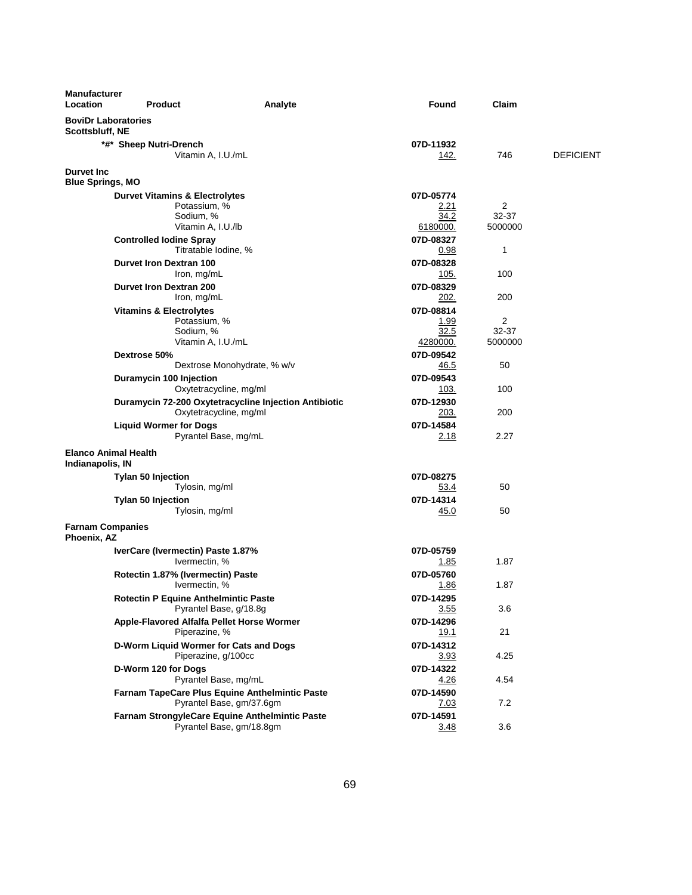| <b>Manufacturer</b><br>Location                 | <b>Product</b>                                        | Analyte                                                                | Found             | Claim          |                  |
|-------------------------------------------------|-------------------------------------------------------|------------------------------------------------------------------------|-------------------|----------------|------------------|
| <b>BoviDr Laboratories</b><br>Scottsbluff, NE   |                                                       |                                                                        |                   |                |                  |
|                                                 | *#* Sheep Nutri-Drench                                |                                                                        | 07D-11932         |                |                  |
|                                                 | Vitamin A, I.U./mL                                    |                                                                        | 142.              | 746            | <b>DEFICIENT</b> |
| <b>Durvet Inc.</b><br><b>Blue Springs, MO</b>   |                                                       |                                                                        |                   |                |                  |
|                                                 | <b>Durvet Vitamins &amp; Electrolytes</b>             |                                                                        | 07D-05774         |                |                  |
|                                                 | Potassium, %<br>Sodium, %                             |                                                                        | 2.21<br>34.2      | 2<br>32-37     |                  |
|                                                 | Vitamin A, I.U./lb                                    |                                                                        | 6180000.          | 5000000        |                  |
|                                                 | <b>Controlled lodine Spray</b>                        |                                                                        | 07D-08327         |                |                  |
|                                                 |                                                       | Titratable Iodine, %                                                   | 0.98              | 1              |                  |
|                                                 | <b>Durvet Iron Dextran 100</b>                        |                                                                        | 07D-08328         |                |                  |
|                                                 | Iron, mg/mL                                           |                                                                        | 105.              | 100            |                  |
|                                                 | Durvet Iron Dextran 200                               |                                                                        | 07D-08329<br>202. | 200            |                  |
|                                                 | Iron, mg/mL                                           |                                                                        | 07D-08814         |                |                  |
|                                                 | <b>Vitamins &amp; Electrolytes</b><br>Potassium, %    |                                                                        | 1.99              | $\overline{2}$ |                  |
|                                                 | Sodium, %                                             |                                                                        | 32.5              | 32-37          |                  |
|                                                 | Vitamin A, I.U./mL                                    |                                                                        | 4280000.          | 5000000        |                  |
|                                                 | Dextrose 50%                                          |                                                                        | 07D-09542         |                |                  |
|                                                 |                                                       | Dextrose Monohydrate, % w/v                                            | 46.5              | 50             |                  |
|                                                 | Duramycin 100 Injection                               | Oxytetracycline, mg/ml                                                 | 07D-09543<br>103. | 100            |                  |
|                                                 |                                                       | Duramycin 72-200 Oxytetracycline Injection Antibiotic                  | 07D-12930         |                |                  |
|                                                 |                                                       | Oxytetracycline, mg/ml                                                 | 203.              | 200            |                  |
|                                                 | <b>Liquid Wormer for Dogs</b>                         |                                                                        | 07D-14584         |                |                  |
|                                                 |                                                       | Pyrantel Base, mg/mL                                                   | 2.18              | 2.27           |                  |
| <b>Elanco Animal Health</b><br>Indianapolis, IN |                                                       |                                                                        |                   |                |                  |
|                                                 | Tylan 50 Injection                                    |                                                                        | 07D-08275         |                |                  |
|                                                 | Tylosin, mg/ml                                        |                                                                        | 53.4              | 50             |                  |
|                                                 | <b>Tylan 50 Injection</b>                             |                                                                        | 07D-14314         |                |                  |
|                                                 | Tylosin, mg/ml                                        |                                                                        | 45.0              | 50             |                  |
| <b>Farnam Companies</b><br>Phoenix, AZ          |                                                       |                                                                        |                   |                |                  |
|                                                 | IverCare (Ivermectin) Paste 1.87%                     |                                                                        | 07D-05759         |                |                  |
|                                                 | Ivermectin, %                                         |                                                                        | 1.85              | 1.87           |                  |
|                                                 | Rotectin 1.87% (Ivermectin) Paste                     |                                                                        | 07D-05760         | 1.87           |                  |
|                                                 | Ivermectin, %<br>Rotectin P Equine Anthelmintic Paste |                                                                        | 1.86<br>07D-14295 |                |                  |
|                                                 |                                                       | Pyrantel Base, g/18.8g                                                 | 3.55              | 3.6            |                  |
|                                                 | Apple-Flavored Alfalfa Pellet Horse Wormer            |                                                                        | 07D-14296         |                |                  |
|                                                 | Piperazine, %                                         |                                                                        | <u>19.1</u>       | 21             |                  |
|                                                 | D-Worm Liquid Wormer for Cats and Dogs                |                                                                        | 07D-14312         |                |                  |
|                                                 |                                                       | Piperazine, g/100cc                                                    | 3.93              | 4.25           |                  |
|                                                 | D-Worm 120 for Dogs                                   |                                                                        | 07D-14322         |                |                  |
|                                                 |                                                       | Pyrantel Base, mg/mL<br>Farnam TapeCare Plus Equine Anthelmintic Paste | 4.26<br>07D-14590 | 4.54           |                  |
|                                                 |                                                       | Pyrantel Base, gm/37.6gm                                               | 7.03              | 7.2            |                  |
|                                                 |                                                       | Farnam StrongyleCare Equine Anthelmintic Paste                         | 07D-14591         |                |                  |
|                                                 |                                                       | Pyrantel Base, gm/18.8gm                                               | 3.48              | 3.6            |                  |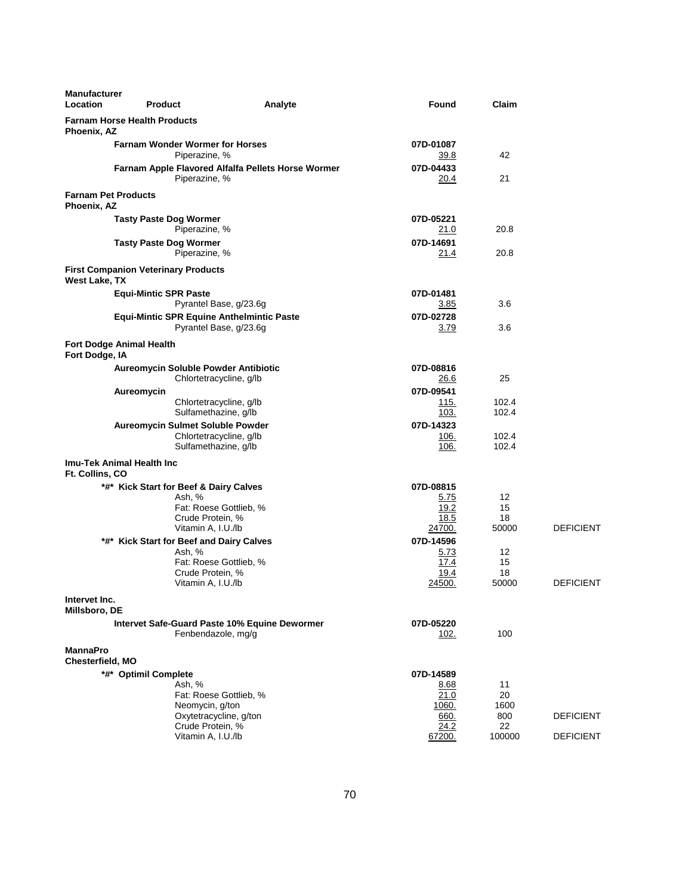| <b>Manufacturer</b><br>Location     | <b>Product</b>                             |                                                                                                                                                                                                                                                | Analyte | Found                                                                                      | Claim                                                             |                                      |
|-------------------------------------|--------------------------------------------|------------------------------------------------------------------------------------------------------------------------------------------------------------------------------------------------------------------------------------------------|---------|--------------------------------------------------------------------------------------------|-------------------------------------------------------------------|--------------------------------------|
| Phoenix, AZ                         | <b>Farnam Horse Health Products</b>        |                                                                                                                                                                                                                                                |         |                                                                                            |                                                                   |                                      |
|                                     |                                            | <b>Farnam Wonder Wormer for Horses</b><br>Piperazine, %                                                                                                                                                                                        |         | 07D-01087<br>39.8                                                                          | 42                                                                |                                      |
|                                     |                                            | Farnam Apple Flavored Alfalfa Pellets Horse Wormer<br>Piperazine, %                                                                                                                                                                            |         | 07D-04433<br>20.4                                                                          | 21                                                                |                                      |
| Phoenix, AZ                         | <b>Farnam Pet Products</b>                 |                                                                                                                                                                                                                                                |         |                                                                                            |                                                                   |                                      |
|                                     | <b>Tasty Paste Dog Wormer</b>              | Piperazine, %                                                                                                                                                                                                                                  |         | 07D-05221<br>21.0                                                                          | 20.8                                                              |                                      |
|                                     | <b>Tasty Paste Dog Wormer</b>              | Piperazine, %                                                                                                                                                                                                                                  |         | 07D-14691<br>21.4                                                                          | 20.8                                                              |                                      |
| West Lake, TX                       | <b>First Companion Veterinary Products</b> |                                                                                                                                                                                                                                                |         |                                                                                            |                                                                   |                                      |
|                                     | <b>Equi-Mintic SPR Paste</b>               | Pyrantel Base, g/23.6g                                                                                                                                                                                                                         |         | 07D-01481<br>3.85                                                                          | 3.6                                                               |                                      |
|                                     |                                            | Equi-Mintic SPR Equine Anthelmintic Paste<br>Pyrantel Base, g/23.6g                                                                                                                                                                            |         | 07D-02728<br>3.79                                                                          | 3.6                                                               |                                      |
| Fort Dodge, IA                      | Fort Dodge Animal Health                   |                                                                                                                                                                                                                                                |         |                                                                                            |                                                                   |                                      |
|                                     |                                            | Aureomycin Soluble Powder Antibiotic<br>Chlortetracycline, g/lb                                                                                                                                                                                |         | 07D-08816<br>26.6                                                                          | 25                                                                |                                      |
|                                     | Aureomycin                                 | Chlortetracycline, g/lb<br>Sulfamethazine, g/lb                                                                                                                                                                                                |         | 07D-09541<br>115.<br>103.                                                                  | 102.4<br>102.4                                                    |                                      |
|                                     |                                            | Aureomycin Sulmet Soluble Powder<br>Chlortetracycline, g/lb<br>Sulfamethazine, g/lb                                                                                                                                                            |         | 07D-14323<br>106.<br>106.                                                                  | 102.4<br>102.4                                                    |                                      |
| Ft. Collins, CO                     | Imu-Tek Animal Health Inc                  |                                                                                                                                                                                                                                                |         |                                                                                            |                                                                   |                                      |
|                                     |                                            | *#* Kick Start for Beef & Dairy Calves<br>Ash, %<br>Fat: Roese Gottlieb, %<br>Crude Protein, %<br>Vitamin A, I.U./lb<br>*#* Kick Start for Beef and Dairy Calves<br>Ash, %<br>Fat: Roese Gottlieb, %<br>Crude Protein, %<br>Vitamin A, I.U./lb |         | 07D-08815<br>5.75<br>19.2<br>18.5<br>24700.<br>07D-14596<br>5.73<br>17.4<br>19.4<br>24500. | $12 \overline{ }$<br>15<br>18<br>50000<br>12<br>15<br>18<br>50000 | <b>DEFICIENT</b><br><b>DEFICIENT</b> |
| Intervet Inc.<br>Millsboro, DE      |                                            |                                                                                                                                                                                                                                                |         |                                                                                            |                                                                   |                                      |
|                                     |                                            | Intervet Safe-Guard Paste 10% Equine Dewormer<br>Fenbendazole, mg/g                                                                                                                                                                            |         | 07D-05220<br><u>102.</u>                                                                   | 100                                                               |                                      |
| <b>MannaPro</b><br>Chesterfield, MO |                                            |                                                                                                                                                                                                                                                |         |                                                                                            |                                                                   |                                      |
|                                     | *#* Optimil Complete                       | Ash, %<br>Fat: Roese Gottlieb, %<br>Neomycin, g/ton<br>Oxytetracycline, g/ton<br>Crude Protein, %<br>Vitamin A, I.U./lb                                                                                                                        |         | 07D-14589<br>8.68<br>21.0<br>1060.<br>660.<br>24.2<br>67200.                               | 11<br>20<br>1600<br>800<br>22<br>100000                           | <b>DEFICIENT</b><br><b>DEFICIENT</b> |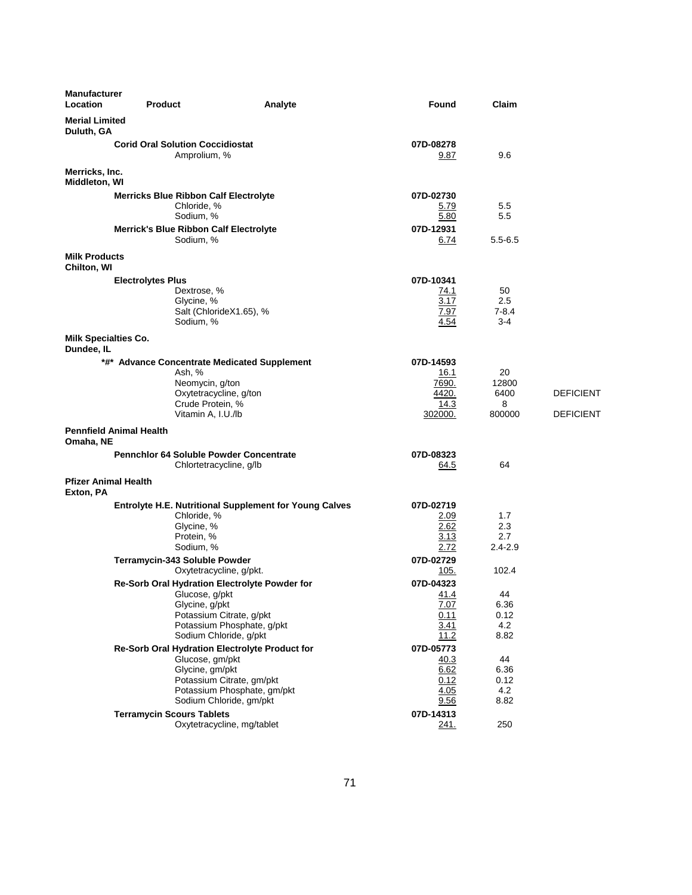| <b>Manufacturer</b><br>Location           | <b>Product</b>                                                                                                                                | Analyte                                                                             | Found                                                  | Claim                              |                                      |
|-------------------------------------------|-----------------------------------------------------------------------------------------------------------------------------------------------|-------------------------------------------------------------------------------------|--------------------------------------------------------|------------------------------------|--------------------------------------|
| <b>Merial Limited</b><br>Duluth, GA       |                                                                                                                                               |                                                                                     |                                                        |                                    |                                      |
|                                           | <b>Corid Oral Solution Coccidiostat</b><br>Amprolium, %                                                                                       |                                                                                     | 07D-08278<br>9.87                                      | 9.6                                |                                      |
| Merricks, Inc.<br>Middleton, WI           |                                                                                                                                               |                                                                                     |                                                        |                                    |                                      |
|                                           | <b>Merricks Blue Ribbon Calf Electrolyte</b><br>Chloride, %<br>Sodium, %                                                                      |                                                                                     | 07D-02730<br>5.79<br>5.80                              | 5.5<br>5.5                         |                                      |
|                                           | <b>Merrick's Blue Ribbon Calf Electrolyte</b><br>Sodium, %                                                                                    |                                                                                     | 07D-12931<br>6.74                                      | $5.5 - 6.5$                        |                                      |
| <b>Milk Products</b><br>Chilton, WI       |                                                                                                                                               |                                                                                     |                                                        |                                    |                                      |
|                                           | <b>Electrolytes Plus</b><br>Dextrose, %<br>Glycine, %<br>Sodium, %                                                                            | Salt (ChlorideX1.65), %                                                             | 07D-10341<br>74.1<br>3.17<br>7.97<br>4.54              | 50<br>2.5<br>$7 - 8.4$<br>$3-4$    |                                      |
| <b>Milk Specialties Co.</b><br>Dundee, IL |                                                                                                                                               |                                                                                     |                                                        |                                    |                                      |
|                                           | *#* Advance Concentrate Medicated Supplement<br>Ash, %<br>Neomycin, g/ton<br>Oxytetracycline, g/ton<br>Crude Protein, %<br>Vitamin A, I.U./lb |                                                                                     | 07D-14593<br>16.1<br>7690.<br>4420.<br>14.3<br>302000. | 20<br>12800<br>6400<br>8<br>800000 | <b>DEFICIENT</b><br><b>DEFICIENT</b> |
| Omaha, NE                                 | <b>Pennfield Animal Health</b>                                                                                                                |                                                                                     |                                                        |                                    |                                      |
|                                           | <b>Pennchlor 64 Soluble Powder Concentrate</b><br>Chlortetracycline, g/lb                                                                     |                                                                                     | 07D-08323<br>64.5                                      | 64                                 |                                      |
| <b>Pfizer Animal Health</b><br>Exton, PA  |                                                                                                                                               |                                                                                     |                                                        |                                    |                                      |
|                                           | Chloride, %<br>Glycine, %<br>Protein, %<br>Sodium, %                                                                                          | Entrolyte H.E. Nutritional Supplement for Young Calves                              | 07D-02719<br>2.09<br>2.62<br>3.13<br>2.72              | 1.7<br>2.3<br>2.7<br>$2.4 - 2.9$   |                                      |
|                                           | Terramycin-343 Soluble Powder<br>Oxytetracycline, g/pkt.                                                                                      |                                                                                     | 07D-02729<br>105.                                      | 102.4                              |                                      |
|                                           | <b>Re-Sorb Oral Hydration Electrolyte Powder for</b><br>Glucose, g/pkt<br>Glycine, g/pkt<br>Sodium Chloride, g/pkt                            | Potassium Citrate, g/pkt<br>Potassium Phosphate, g/pkt                              | 07D-04323<br>41.4<br>7.07<br>0.11<br>3.41<br>11.2      | 44<br>6.36<br>0.12<br>4.2<br>8.82  |                                      |
|                                           | Re-Sorb Oral Hydration Electrolyte Product for<br>Glucose, gm/pkt<br>Glycine, gm/pkt                                                          | Potassium Citrate, gm/pkt<br>Potassium Phosphate, gm/pkt<br>Sodium Chloride, gm/pkt | 07D-05773<br>40.3<br>6.62<br>0.12<br>4.05<br>9.56      | 44<br>6.36<br>0.12<br>4.2<br>8.82  |                                      |
|                                           | <b>Terramycin Scours Tablets</b>                                                                                                              | Oxytetracycline, mg/tablet                                                          | 07D-14313<br>241.                                      | 250                                |                                      |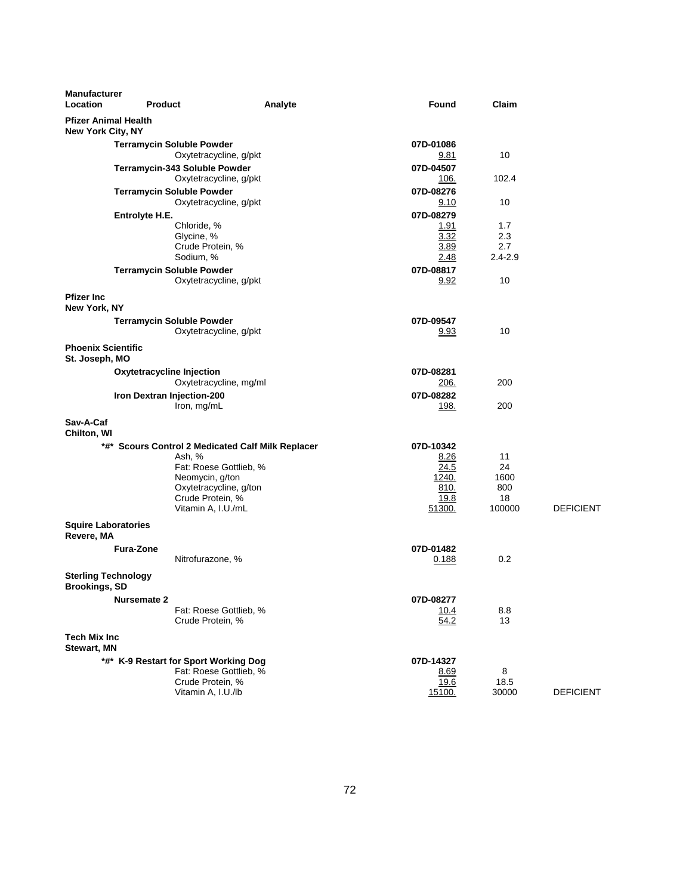| <b>Manufacturer</b><br>Location                    | <b>Product</b>             |                                                         | Analyte | Found             | Claim         |                  |
|----------------------------------------------------|----------------------------|---------------------------------------------------------|---------|-------------------|---------------|------------------|
| <b>Pfizer Animal Health</b><br>New York City, NY   |                            |                                                         |         |                   |               |                  |
|                                                    |                            | <b>Terramycin Soluble Powder</b>                        |         | 07D-01086         |               |                  |
|                                                    |                            | Oxytetracycline, g/pkt                                  |         | <u>9.81</u>       | 10            |                  |
|                                                    |                            | Terramycin-343 Soluble Powder<br>Oxytetracycline, g/pkt |         | 07D-04507<br>106. | 102.4         |                  |
|                                                    |                            | <b>Terramycin Soluble Powder</b>                        |         | 07D-08276         |               |                  |
|                                                    |                            | Oxytetracycline, g/pkt                                  |         | 9.10              | 10            |                  |
|                                                    | Entrolyte H.E.             |                                                         |         | 07D-08279         |               |                  |
|                                                    |                            | Chloride, %<br>Glycine, %                               |         | 1.91<br>3.32      | 1.7<br>2.3    |                  |
|                                                    |                            | Crude Protein, %                                        |         | 3.89              | 2.7           |                  |
|                                                    |                            | Sodium, %                                               |         | 2.48              | $2.4 - 2.9$   |                  |
|                                                    |                            | <b>Terramycin Soluble Powder</b>                        |         | 07D-08817         |               |                  |
|                                                    |                            | Oxytetracycline, g/pkt                                  |         | 9.92              | 10            |                  |
| <b>Pfizer Inc</b><br>New York, NY                  |                            |                                                         |         |                   |               |                  |
|                                                    |                            | <b>Terramycin Soluble Powder</b>                        |         | 07D-09547         |               |                  |
|                                                    |                            | Oxytetracycline, g/pkt                                  |         | 9.93              | 10            |                  |
| <b>Phoenix Scientific</b><br>St. Joseph, MO        |                            |                                                         |         |                   |               |                  |
|                                                    | Oxytetracycline Injection  |                                                         |         | 07D-08281         |               |                  |
|                                                    |                            | Oxytetracycline, mg/ml                                  |         | <u>206.</u>       | 200           |                  |
|                                                    | Iron Dextran Injection-200 |                                                         |         | 07D-08282         |               |                  |
|                                                    |                            | Iron, mg/mL                                             |         | 198.              | 200           |                  |
| Sav-A-Caf<br>Chilton, WI                           |                            |                                                         |         |                   |               |                  |
|                                                    |                            | *#* Scours Control 2 Medicated Calf Milk Replacer       |         | 07D-10342         |               |                  |
|                                                    |                            | Ash, %                                                  |         | 8.26              | 11            |                  |
|                                                    |                            | Fat: Roese Gottlieb, %                                  |         | 24.5              | 24            |                  |
|                                                    |                            | Neomycin, g/ton<br>Oxytetracycline, g/ton               |         | 1240.<br>810.     | 1600<br>800   |                  |
|                                                    |                            | Crude Protein, %                                        |         | 19.8              | 18            |                  |
|                                                    |                            | Vitamin A, I.U./mL                                      |         | 51300.            | 100000        | <b>DEFICIENT</b> |
| <b>Squire Laboratories</b><br>Revere, MA           |                            |                                                         |         |                   |               |                  |
|                                                    | <b>Fura-Zone</b>           |                                                         |         | 07D-01482         |               |                  |
|                                                    |                            | Nitrofurazone, %                                        |         | 0.188             | 0.2           |                  |
| <b>Sterling Technology</b><br><b>Brookings, SD</b> |                            |                                                         |         |                   |               |                  |
|                                                    | <b>Nursemate 2</b>         |                                                         |         | 07D-08277         |               |                  |
|                                                    |                            | Fat: Roese Gottlieb, %<br>Crude Protein, %              |         | 10.4<br>54.2      | 8.8<br>13     |                  |
| <b>Tech Mix Inc</b><br><b>Stewart, MN</b>          |                            |                                                         |         |                   |               |                  |
|                                                    |                            | *#* K-9 Restart for Sport Working Dog                   |         | 07D-14327         |               |                  |
|                                                    |                            | Fat: Roese Gottlieb, %                                  |         | 8.69              | 8             |                  |
|                                                    |                            | Crude Protein, %<br>Vitamin A, I.U./lb                  |         | 19.6<br>15100.    | 18.5<br>30000 |                  |
|                                                    |                            |                                                         |         |                   |               | <b>DEFICIENT</b> |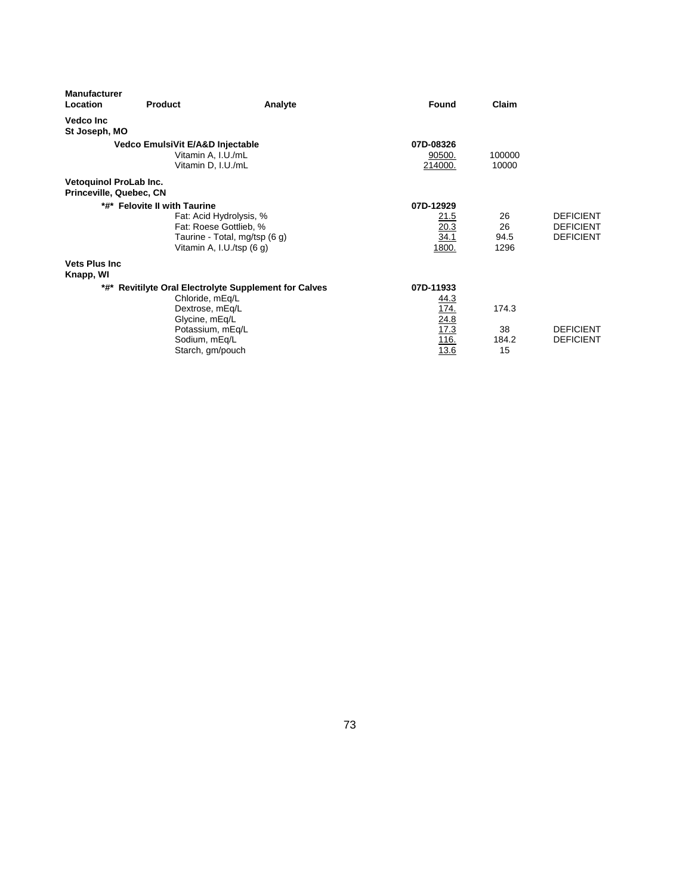| <b>Manufacturer</b><br>Location | <b>Product</b>                   | Analyte                                                  | Found       | Claim  |                  |
|---------------------------------|----------------------------------|----------------------------------------------------------|-------------|--------|------------------|
| <b>Vedco Inc</b>                |                                  |                                                          |             |        |                  |
| St Joseph, MO                   |                                  |                                                          |             |        |                  |
|                                 | Vedco EmulsiVit E/A&D Injectable |                                                          | 07D-08326   |        |                  |
|                                 | Vitamin A, I.U./mL               |                                                          | 90500.      | 100000 |                  |
|                                 | Vitamin D, I.U./mL               |                                                          | 214000.     | 10000  |                  |
| Vetoquinol ProLab Inc.          |                                  |                                                          |             |        |                  |
|                                 | Princeville, Quebec, CN          |                                                          |             |        |                  |
| *#* Felovite II with Taurine    |                                  |                                                          | 07D-12929   |        |                  |
|                                 |                                  | Fat: Acid Hydrolysis, %                                  | 21.5        | 26     | <b>DEFICIENT</b> |
|                                 |                                  | Fat: Roese Gottlieb, %                                   | 20.3        | 26     | <b>DEFICIENT</b> |
|                                 |                                  | Taurine - Total, mg/tsp (6 g)                            | 34.1        | 94.5   | <b>DEFICIENT</b> |
|                                 |                                  | Vitamin A, I.U./tsp (6 g)                                | 1800.       | 1296   |                  |
| <b>Vets Plus Inc.</b>           |                                  |                                                          |             |        |                  |
| Knapp, WI                       |                                  |                                                          |             |        |                  |
| *#*                             |                                  | <b>Revitilyte Oral Electrolyte Supplement for Calves</b> | 07D-11933   |        |                  |
|                                 | Chloride, mEq/L                  |                                                          | 44.3        |        |                  |
|                                 | Dextrose, mEq/L                  |                                                          | <u>174.</u> | 174.3  |                  |
|                                 | Glycine, mEq/L                   |                                                          | 24.8        |        |                  |
|                                 | Potassium, mEq/L                 |                                                          | 17.3        | 38     | <b>DEFICIENT</b> |
|                                 | Sodium, mEq/L                    |                                                          | 116.        | 184.2  | <b>DEFICIENT</b> |
|                                 | Starch, gm/pouch                 |                                                          | 13.6        | 15     |                  |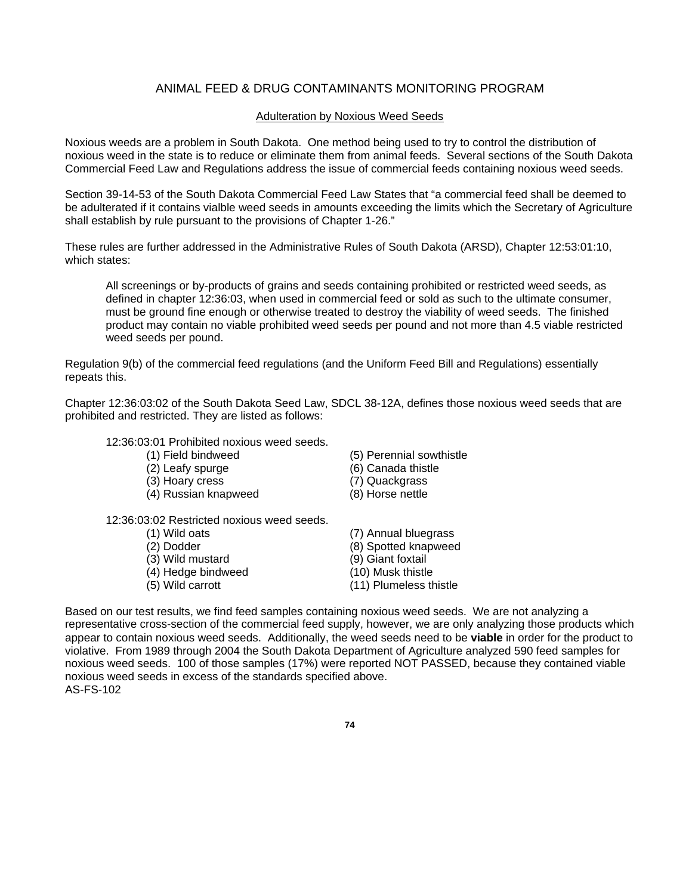## ANIMAL FEED & DRUG CONTAMINANTS MONITORING PROGRAM

#### Adulteration by Noxious Weed Seeds

Noxious weeds are a problem in South Dakota. One method being used to try to control the distribution of noxious weed in the state is to reduce or eliminate them from animal feeds. Several sections of the South Dakota Commercial Feed Law and Regulations address the issue of commercial feeds containing noxious weed seeds.

Section 39-14-53 of the South Dakota Commercial Feed Law States that "a commercial feed shall be deemed to be adulterated if it contains vialble weed seeds in amounts exceeding the limits which the Secretary of Agriculture shall establish by rule pursuant to the provisions of Chapter 1-26."

These rules are further addressed in the Administrative Rules of South Dakota (ARSD), Chapter 12:53:01:10, which states:

All screenings or by-products of grains and seeds containing prohibited or restricted weed seeds, as defined in chapter 12:36:03, when used in commercial feed or sold as such to the ultimate consumer, must be ground fine enough or otherwise treated to destroy the viability of weed seeds. The finished product may contain no viable prohibited weed seeds per pound and not more than 4.5 viable restricted weed seeds per pound.

Regulation 9(b) of the commercial feed regulations (and the Uniform Feed Bill and Regulations) essentially repeats this.

Chapter 12:36:03:02 of the South Dakota Seed Law, SDCL 38-12A, defines those noxious weed seeds that are prohibited and restricted. They are listed as follows:

#### 12:36:03:01 Prohibited noxious weed seeds.

- 
- 
- (3) Hoary cress (7) Quackgrass
- (4) Russian knapweed (8) Horse nettle
- 12:36:03:02 Restricted noxious weed seeds.
	-
	-
	-
	- $(4)$  Hedge bindweed
	-
- (1) Field bindweed (5) Perennial sowthistle
- (2) Leafy spurge (6) Canada thistle
	-
	-
- (1) Wild oats (7) Annual bluegrass (2) Dodder (8) Spotted knapweed<br>
(3) Wild mustard (9) Giant foxtail (3) Wild mustard (9) Giant foxtail<br>
(4) Hedge bindweed (10) Musk thistle (5) Wild carrott (11) Plumeless thistle

Based on our test results, we find feed samples containing noxious weed seeds. We are not analyzing a representative cross-section of the commercial feed supply, however, we are only analyzing those products which appear to contain noxious weed seeds. Additionally, the weed seeds need to be **viable** in order for the product to violative. From 1989 through 2004 the South Dakota Department of Agriculture analyzed 590 feed samples for noxious weed seeds. 100 of those samples (17%) were reported NOT PASSED, because they contained viable noxious weed seeds in excess of the standards specified above. AS-FS-102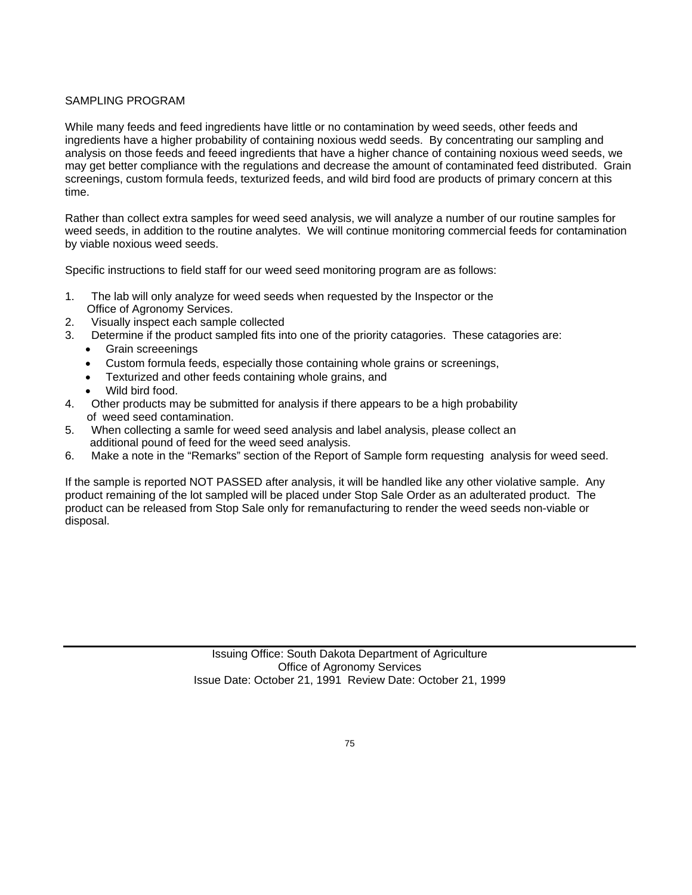### SAMPLING PROGRAM

While many feeds and feed ingredients have little or no contamination by weed seeds, other feeds and ingredients have a higher probability of containing noxious wedd seeds. By concentrating our sampling and analysis on those feeds and feeed ingredients that have a higher chance of containing noxious weed seeds, we may get better compliance with the regulations and decrease the amount of contaminated feed distributed. Grain screenings, custom formula feeds, texturized feeds, and wild bird food are products of primary concern at this time.

Rather than collect extra samples for weed seed analysis, we will analyze a number of our routine samples for weed seeds, in addition to the routine analytes. We will continue monitoring commercial feeds for contamination by viable noxious weed seeds.

Specific instructions to field staff for our weed seed monitoring program are as follows:

- 1. The lab will only analyze for weed seeds when requested by the Inspector or the Office of Agronomy Services.
- 2. Visually inspect each sample collected
- 3. Determine if the product sampled fits into one of the priority catagories. These catagories are:
	- Grain screeenings
	- Custom formula feeds, especially those containing whole grains or screenings,
	- Texturized and other feeds containing whole grains, and
	- Wild bird food.
- 4. Other products may be submitted for analysis if there appears to be a high probability of weed seed contamination.
- 5. When collecting a samle for weed seed analysis and label analysis, please collect an additional pound of feed for the weed seed analysis.
- 6. Make a note in the "Remarks" section of the Report of Sample form requesting analysis for weed seed.

If the sample is reported NOT PASSED after analysis, it will be handled like any other violative sample. Any product remaining of the lot sampled will be placed under Stop Sale Order as an adulterated product. The product can be released from Stop Sale only for remanufacturing to render the weed seeds non-viable or disposal.

> Issuing Office: South Dakota Department of Agriculture Office of Agronomy Services Issue Date: October 21, 1991 Review Date: October 21, 1999